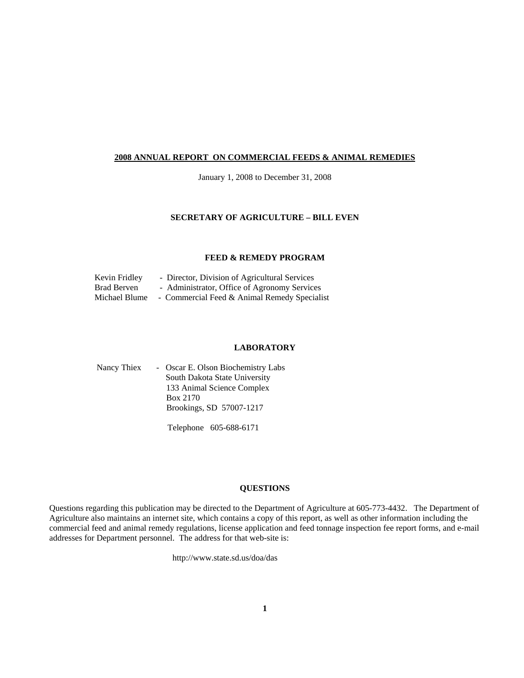#### **2008 ANNUAL REPORT ON COMMERCIAL FEEDS & ANIMAL REMEDIES**

January 1, 2008 to December 31, 2008

#### **SECRETARY OF AGRICULTURE – BILL EVEN**

#### **FEED & REMEDY PROGRAM**

| Kevin Fridley | - Director, Division of Agricultural Services |
|---------------|-----------------------------------------------|
| Brad Berven   | - Administrator, Office of Agronomy Services  |
| Michael Blume | - Commercial Feed & Animal Remedy Specialist  |

#### **LABORATORY**

| Nancy Thiex | - Oscar E. Olson Biochemistry Labs |
|-------------|------------------------------------|
|             | South Dakota State University      |
|             | 133 Animal Science Complex         |
|             | Box 2170                           |
|             | Brookings, SD 57007-1217           |
|             |                                    |

Telephone 605-688-6171

#### **QUESTIONS**

Questions regarding this publication may be directed to the Department of Agriculture at 605-773-4432. The Department of Agriculture also maintains an internet site, which contains a copy of this report, as well as other information including the commercial feed and animal remedy regulations, license application and feed tonnage inspection fee report forms, and e-mail addresses for Department personnel. The address for that web-site is:

http://www.state.sd.us/doa/das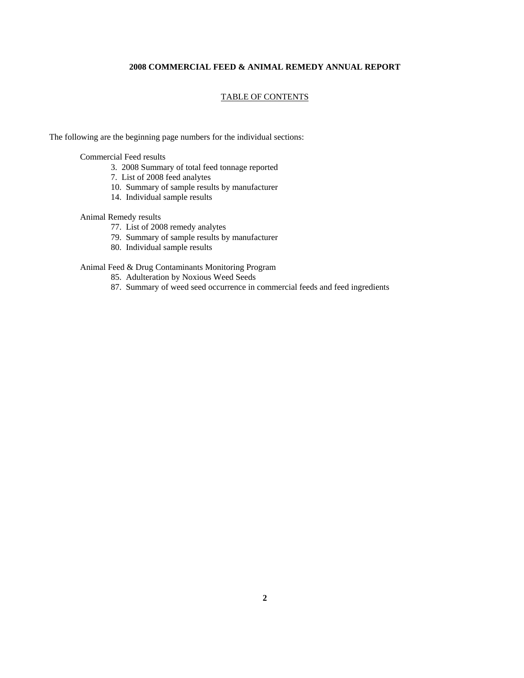#### **2008 COMMERCIAL FEED & ANIMAL REMEDY ANNUAL REPORT**

#### TABLE OF CONTENTS

The following are the beginning page numbers for the individual sections:

Commercial Feed results

- 3. 2008 Summary of total feed tonnage reported
- 7. List of 2008 feed analytes
- 10. Summary of sample results by manufacturer
- 14. Individual sample results

#### Animal Remedy results

- 77. List of 2008 remedy analytes
- 79. Summary of sample results by manufacturer
- 80. Individual sample results

#### Animal Feed & Drug Contaminants Monitoring Program

- 85. Adulteration by Noxious Weed Seeds
- 87. Summary of weed seed occurrence in commercial feeds and feed ingredients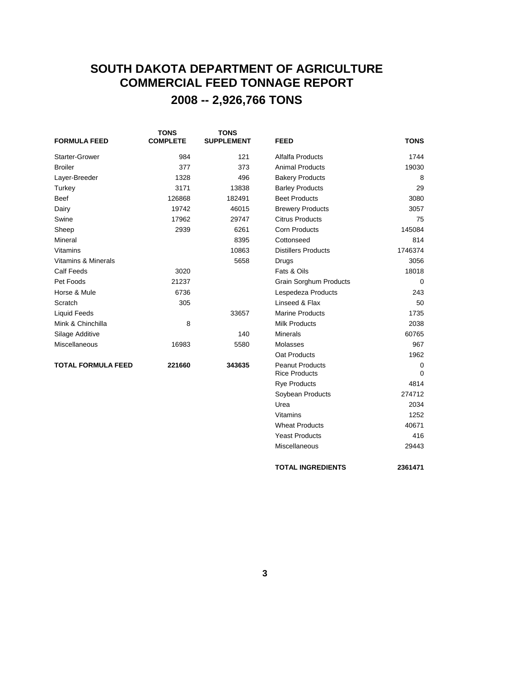## **SOUTH DAKOTA DEPARTMENT OF AGRICULTURE COMMERCIAL FEED TONNAGE REPORT 2008 -- 2,926,766 TONS**

| <b>FORMULA FEED</b>            | <b>TONS</b><br><b>COMPLETE</b> | <b>TONS</b><br><b>SUPPLEMENT</b> | <b>FEED</b>                                    | <b>TONS</b>             |
|--------------------------------|--------------------------------|----------------------------------|------------------------------------------------|-------------------------|
| <b>Starter-Grower</b>          | 984                            | 121                              | Alfalfa Products                               | 1744                    |
| <b>Broiler</b>                 | 377                            | 373                              | <b>Animal Products</b>                         | 19030                   |
| Layer-Breeder                  | 1328                           | 496                              | <b>Bakery Products</b>                         | 8                       |
| Turkey                         | 3171                           | 13838                            | <b>Barley Products</b>                         | 29                      |
| <b>Beef</b>                    | 126868                         | 182491                           | <b>Beet Products</b>                           | 3080                    |
| Dairy                          | 19742                          | 46015                            | <b>Brewery Products</b>                        | 3057                    |
| Swine                          | 17962                          | 29747                            | <b>Citrus Products</b>                         | 75                      |
| Sheep                          | 2939                           | 6261                             | <b>Corn Products</b>                           | 145084                  |
| Mineral                        |                                | 8395                             | Cottonseed                                     | 814                     |
| <b>Vitamins</b>                |                                | 10863                            | <b>Distillers Products</b>                     | 1746374                 |
| <b>Vitamins &amp; Minerals</b> |                                | 5658                             | Drugs                                          | 3056                    |
| <b>Calf Feeds</b>              | 3020                           |                                  | Fats & Oils                                    | 18018                   |
| Pet Foods                      | 21237                          |                                  | <b>Grain Sorghum Products</b>                  | $\mathbf 0$             |
| Horse & Mule                   | 6736                           |                                  | Lespedeza Products                             | 243                     |
| Scratch                        | 305                            |                                  | Linseed & Flax                                 | 50                      |
| <b>Liquid Feeds</b>            |                                | 33657                            | <b>Marine Products</b>                         | 1735                    |
| Mink & Chinchilla              | 8                              |                                  | <b>Milk Products</b>                           | 2038                    |
| Silage Additive                |                                | 140                              | <b>Minerals</b>                                | 60765                   |
| Miscellaneous                  | 16983                          | 5580                             | Molasses                                       | 967                     |
|                                |                                |                                  | Oat Products                                   | 1962                    |
| <b>TOTAL FORMULA FEED</b>      | 221660                         | 343635                           | <b>Peanut Products</b><br><b>Rice Products</b> | $\mathbf 0$<br>$\Omega$ |
|                                |                                |                                  | <b>Rye Products</b>                            | 4814                    |
|                                |                                |                                  | Soybean Products                               | 274712                  |

Urea 2034 Vitamins 1252 Wheat Products 40671 Yeast Products 416 Miscellaneous 29443

**TOTAL INGREDIENTS 2361471**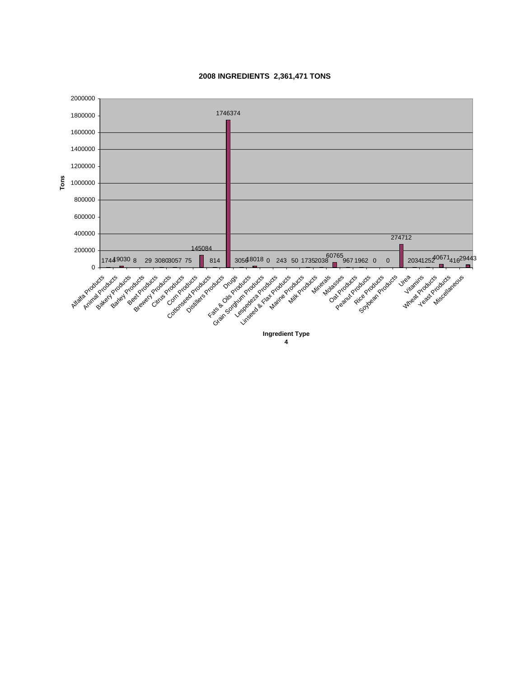

#### **2008 INGREDIENTS 2,361,471 TONS**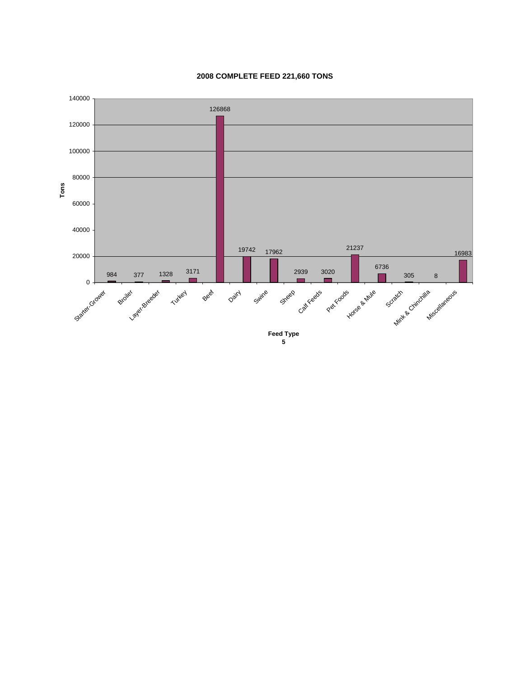

#### **2008 COMPLETE FEED 221,660 TONS**

**5**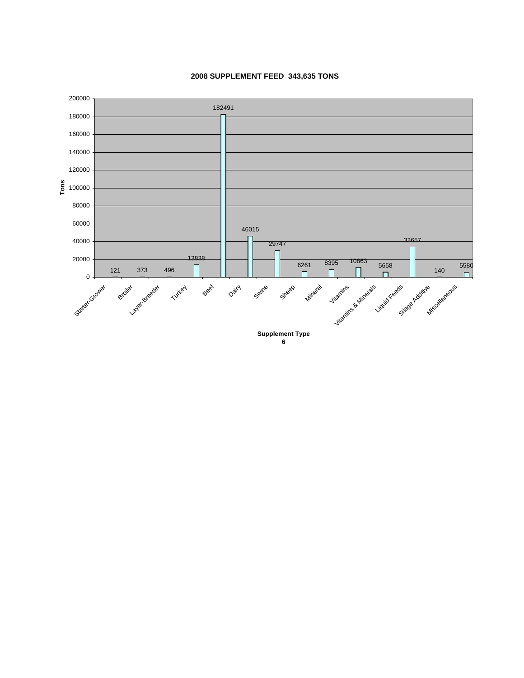

#### **2008 SUPPLEMENT FEED 343,635 TONS**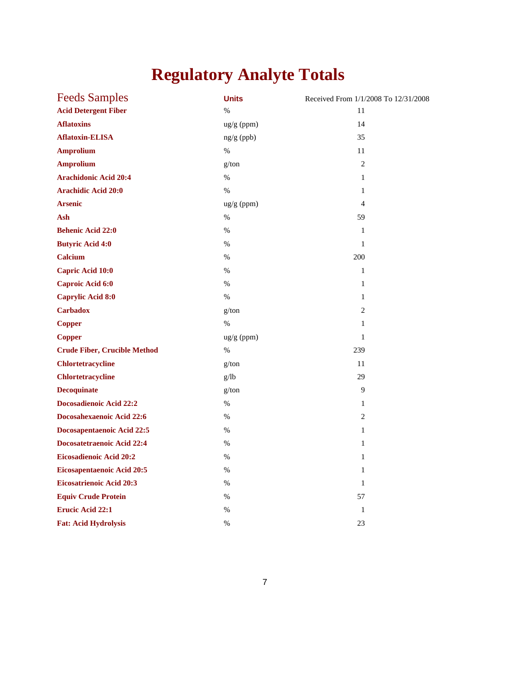# **Regulatory Analyte Totals**

| <b>Feeds Samples</b>                | <b>Units</b> | Received From 1/1/2008 To 12/31/2008 |
|-------------------------------------|--------------|--------------------------------------|
| <b>Acid Detergent Fiber</b>         | $\%$         | 11                                   |
| <b>Aflatoxins</b>                   | ug/g (ppm)   | 14                                   |
| <b>Aflatoxin-ELISA</b>              | $ng/g$ (ppb) | 35                                   |
| <b>Amprolium</b>                    | $\%$         | 11                                   |
| <b>Amprolium</b>                    | g/ton        | $\overline{2}$                       |
| <b>Arachidonic Acid 20:4</b>        | $\%$         | $\mathbf{1}$                         |
| <b>Arachidic Acid 20:0</b>          | $\%$         | $\mathbf{1}$                         |
| <b>Arsenic</b>                      | $ug/g$ (ppm) | 4                                    |
| Ash                                 | $\%$         | 59                                   |
| <b>Behenic Acid 22:0</b>            | $\%$         | $\mathbf{1}$                         |
| <b>Butyric Acid 4:0</b>             | $\%$         | $\mathbf{1}$                         |
| <b>Calcium</b>                      | %            | 200                                  |
| <b>Capric Acid 10:0</b>             | $\%$         | $\mathbf{1}$                         |
| Caproic Acid 6:0                    | $\%$         | $\mathbf{1}$                         |
| <b>Caprylic Acid 8:0</b>            | $\%$         | 1                                    |
| <b>Carbadox</b>                     | g/ton        | 2                                    |
| <b>Copper</b>                       | $\%$         | $\mathbf{1}$                         |
| <b>Copper</b>                       | ug/g (ppm)   | $\mathbf{1}$                         |
| <b>Crude Fiber, Crucible Method</b> | %            | 239                                  |
| <b>Chlortetracycline</b>            | g/ton        | 11                                   |
| <b>Chlortetracycline</b>            | g/lb         | 29                                   |
| <b>Decoquinate</b>                  | g/ton        | 9                                    |
| <b>Docosadienoic Acid 22:2</b>      | $\%$         | 1                                    |
| Docosahexaenoic Acid 22:6           | $\%$         | 2                                    |
| Docosapentaenoic Acid 22:5          | $\%$         | $\mathbf{1}$                         |
| <b>Docosatetraenoic Acid 22:4</b>   | $\%$         | $\mathbf{1}$                         |
| <b>Eicosadienoic Acid 20:2</b>      | $\%$         | $\mathbf{1}$                         |
| <b>Eicosapentaenoic Acid 20:5</b>   | $\%$         | $\mathbf{1}$                         |
| <b>Eicosatrienoic Acid 20:3</b>     | %            | $\mathbf{1}$                         |
| <b>Equiv Crude Protein</b>          | %            | 57                                   |
| <b>Erucic Acid 22:1</b>             | $\%$         | $\mathbf{1}$                         |
| <b>Fat: Acid Hydrolysis</b>         | %            | 23                                   |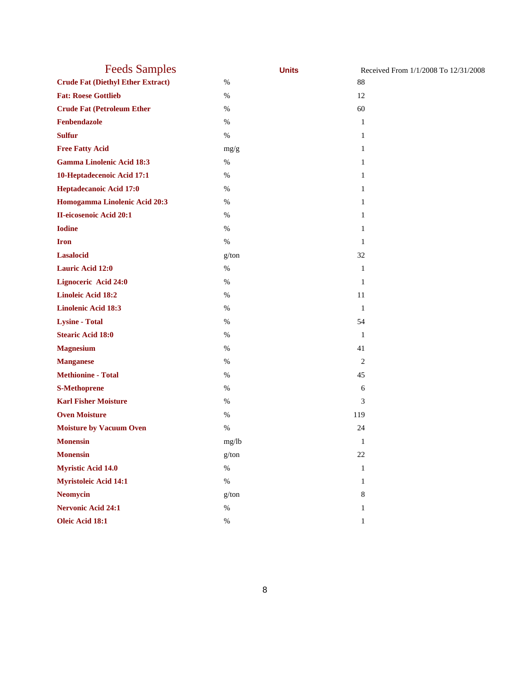| <b>Feeds Samples</b>                     |       | <b>Units</b> | Received From 1/1/2008 To 12/31/2008 |
|------------------------------------------|-------|--------------|--------------------------------------|
| <b>Crude Fat (Diethyl Ether Extract)</b> | $\%$  | 88           |                                      |
| <b>Fat: Roese Gottlieb</b>               | $\%$  | 12           |                                      |
| <b>Crude Fat (Petroleum Ether</b>        | $\%$  | 60           |                                      |
| Fenbendazole                             | $\%$  | 1            |                                      |
| <b>Sulfur</b>                            | $\%$  | 1            |                                      |
| <b>Free Fatty Acid</b>                   | mg/g  | 1            |                                      |
| <b>Gamma Linolenic Acid 18:3</b>         | $\%$  | 1            |                                      |
| 10-Heptadecenoic Acid 17:1               | $\%$  | 1            |                                      |
| Heptadecanoic Acid 17:0                  | $\%$  | 1            |                                      |
| Homogamma Linolenic Acid 20:3            | $\%$  | 1            |                                      |
| II-eicosenoic Acid 20:1                  | $\%$  | 1            |                                      |
| <b>Iodine</b>                            | $\%$  | 1            |                                      |
| <b>Iron</b>                              | $\%$  | 1            |                                      |
| <b>Lasalocid</b>                         | g/ton | 32           |                                      |
| <b>Lauric Acid 12:0</b>                  | $\%$  | $\mathbf{1}$ |                                      |
| <b>Lignoceric Acid 24:0</b>              | $\%$  | 1            |                                      |
| <b>Linoleic Acid 18:2</b>                | $\%$  | 11           |                                      |
| <b>Linolenic Acid 18:3</b>               | $\%$  | 1            |                                      |
| <b>Lysine - Total</b>                    | $\%$  | 54           |                                      |
| <b>Stearic Acid 18:0</b>                 | $\%$  | $\mathbf{1}$ |                                      |
| <b>Magnesium</b>                         | $\%$  | 41           |                                      |
| <b>Manganese</b>                         | $\%$  | 2            |                                      |
| <b>Methionine - Total</b>                | $\%$  | 45           |                                      |
| <b>S-Methoprene</b>                      | $\%$  | 6            |                                      |
| <b>Karl Fisher Moisture</b>              | $\%$  | 3            |                                      |
| <b>Oven Moisture</b>                     | $\%$  | 119          |                                      |
| <b>Moisture by Vacuum Oven</b>           | $\%$  | 24           |                                      |
| <b>Monensin</b>                          | mg/lb | $\mathbf{1}$ |                                      |
| <b>Monensin</b>                          | g/ton | $22\,$       |                                      |
| <b>Myristic Acid 14.0</b>                | $\%$  | $\mathbf{1}$ |                                      |
| <b>Myristoleic Acid 14:1</b>             | $\%$  | 1            |                                      |
| <b>Neomycin</b>                          | g/ton | 8            |                                      |
| <b>Nervonic Acid 24:1</b>                | $\%$  | 1            |                                      |
| Oleic Acid 18:1                          | $\%$  | $\mathbf{1}$ |                                      |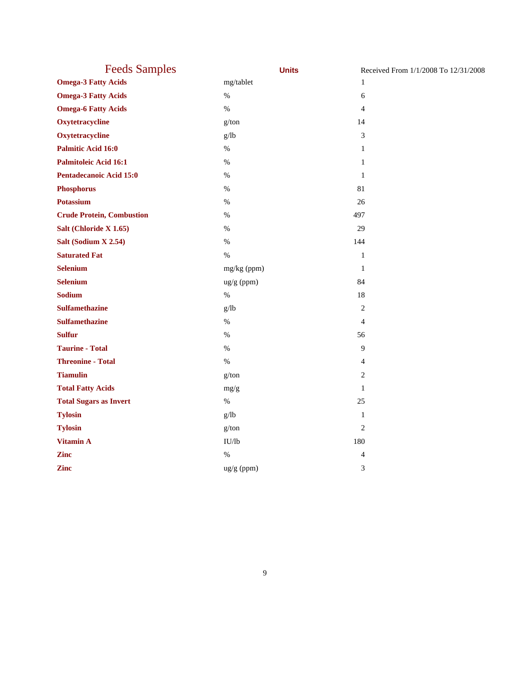| <b>Feeds Samples</b>             | <b>Units</b> | Received From 1/1/2008 To 12/31/2008 |
|----------------------------------|--------------|--------------------------------------|
| <b>Omega-3 Fatty Acids</b>       | mg/tablet    | 1                                    |
| <b>Omega-3 Fatty Acids</b>       | $\%$         | 6                                    |
| <b>Omega-6 Fatty Acids</b>       | $\%$         | $\overline{4}$                       |
| Oxytetracycline                  | g/ton        | 14                                   |
| Oxytetracycline                  | g/lb         | 3                                    |
| <b>Palmitic Acid 16:0</b>        | $\%$         | 1                                    |
| <b>Palmitoleic Acid 16:1</b>     | $\%$         | $\mathbf{1}$                         |
| Pentadecanoic Acid 15:0          | $\%$         | $\mathbf{1}$                         |
| <b>Phosphorus</b>                | $\%$         | 81                                   |
| <b>Potassium</b>                 | $\%$         | 26                                   |
| <b>Crude Protein, Combustion</b> | $\%$         | 497                                  |
| Salt (Chloride X 1.65)           | $\%$         | 29                                   |
| Salt (Sodium X 2.54)             | $\%$         | 144                                  |
| <b>Saturated Fat</b>             | $\%$         | $\mathbf{1}$                         |
| <b>Selenium</b>                  | mg/kg (ppm)  | $\mathbf{1}$                         |
| <b>Selenium</b>                  | $ug/g$ (ppm) | 84                                   |
| Sodium                           | $\%$         | 18                                   |
| <b>Sulfamethazine</b>            | g/lb         | $\mathfrak{2}$                       |
| <b>Sulfamethazine</b>            | $\%$         | $\overline{4}$                       |
| <b>Sulfur</b>                    | $\%$         | 56                                   |
| <b>Taurine - Total</b>           | $\%$         | 9                                    |
| <b>Threonine - Total</b>         | $\%$         | $\overline{\mathcal{A}}$             |
| <b>Tiamulin</b>                  | g/ton        | 2                                    |
| <b>Total Fatty Acids</b>         | mg/g         | $\mathbf{1}$                         |
| <b>Total Sugars as Invert</b>    | $\%$         | 25                                   |
| <b>Tylosin</b>                   | g/lb         | $\mathbf{1}$                         |
| <b>Tylosin</b>                   | g/ton        | $\overline{2}$                       |
| <b>Vitamin A</b>                 | IU/lb        | 180                                  |
| <b>Zinc</b>                      | $\%$         | 4                                    |
| <b>Zinc</b>                      | ug/g (ppm)   | 3                                    |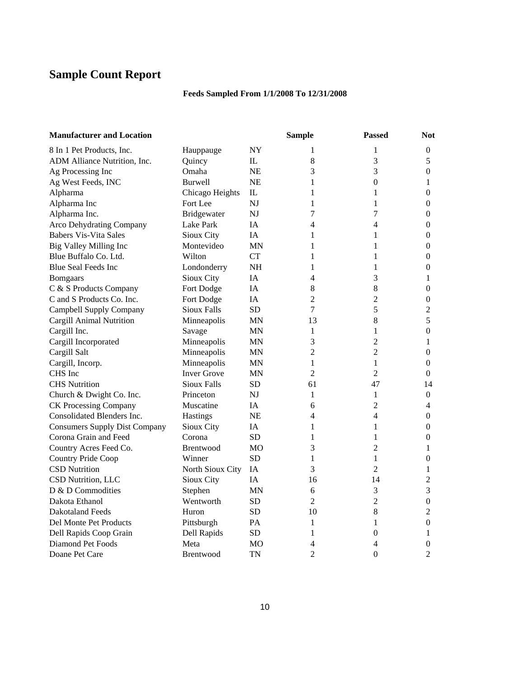## **Sample Count Report**

### **Feeds Sampled From 1/1/2008 To 12/31/2008**

| <b>Manufacturer and Location</b>     |                    |              | <b>Sample</b>  | <b>Passed</b>  | <b>Not</b>       |
|--------------------------------------|--------------------|--------------|----------------|----------------|------------------|
| 8 In 1 Pet Products, Inc.            | Hauppauge          | NY           | 1              | 1              | 0                |
| ADM Alliance Nutrition, Inc.         | Quincy             | $\mathbf{I}$ | 8              | 3              | 5                |
| Ag Processing Inc                    | Omaha              | <b>NE</b>    | 3              | 3              | $\boldsymbol{0}$ |
| Ag West Feeds, INC                   | <b>Burwell</b>     | <b>NE</b>    | $\mathbf{1}$   | $\overline{0}$ | $\mathbf{1}$     |
| Alpharma                             | Chicago Heights    | IL           | 1              | 1              | $\boldsymbol{0}$ |
| Alpharma Inc                         | Fort Lee           | <b>NJ</b>    | 1              | 1              | $\boldsymbol{0}$ |
| Alpharma Inc.                        | Bridgewater        | NJ           | 7              | 7              | $\boldsymbol{0}$ |
| <b>Arco Dehydrating Company</b>      | Lake Park          | IA           | 4              | 4              | 0                |
| <b>Babers Vis-Vita Sales</b>         | Sioux City         | IA           | 1              | 1              | $\boldsymbol{0}$ |
| Big Valley Milling Inc               | Montevideo         | <b>MN</b>    | 1              | 1              | $\boldsymbol{0}$ |
| Blue Buffalo Co. Ltd.                | Wilton             | <b>CT</b>    | 1              | 1              | 0                |
| <b>Blue Seal Feeds Inc</b>           | Londonderry        | <b>NH</b>    | 1              | 1              | $\boldsymbol{0}$ |
| <b>Bomgaars</b>                      | Sioux City         | IA           | 4              | 3              | 1                |
| C & S Products Company               | Fort Dodge         | <b>IA</b>    | 8              | $\,8\,$        | 0                |
| C and S Products Co. Inc.            | Fort Dodge         | IA           | $\mathfrak{2}$ | 2              | 0                |
| Campbell Supply Company              | <b>Sioux Falls</b> | <b>SD</b>    | 7              | 5              | $\overline{c}$   |
| <b>Cargill Animal Nutrition</b>      | Minneapolis        | MN           | 13             | $8\,$          | 5                |
| Cargill Inc.                         | Savage             | <b>MN</b>    | 1              | $\mathbf{1}$   | $\boldsymbol{0}$ |
| Cargill Incorporated                 | Minneapolis        | <b>MN</b>    | 3              | $\overline{c}$ | 1                |
| Cargill Salt                         | Minneapolis        | <b>MN</b>    | $\mathfrak{2}$ | $\overline{2}$ | $\boldsymbol{0}$ |
| Cargill, Incorp.                     | Minneapolis        | MN           | 1              | 1              | 0                |
| CHS Inc                              | <b>Inver Grove</b> | <b>MN</b>    | $\overline{2}$ | $\overline{2}$ | 0                |
| <b>CHS</b> Nutrition                 | <b>Sioux Falls</b> | <b>SD</b>    | 61             | 47             | 14               |
| Church & Dwight Co. Inc.             | Princeton          | NJ           | 1              | 1              | $\boldsymbol{0}$ |
| <b>CK Processing Company</b>         | Muscatine          | IA           | 6              | $\overline{2}$ | 4                |
| Consolidated Blenders Inc.           | Hastings           | <b>NE</b>    | 4              | 4              | $\boldsymbol{0}$ |
| <b>Consumers Supply Dist Company</b> | Sioux City         | IA           | 1              | 1              | $\overline{0}$   |
| Corona Grain and Feed                | Corona             | <b>SD</b>    | 1              | 1              | $\boldsymbol{0}$ |
| Country Acres Feed Co.               | <b>Brentwood</b>   | MO           | 3              | $\overline{2}$ | 1                |
| Country Pride Coop                   | Winner             | <b>SD</b>    | 1              | $\mathbf{1}$   | $\overline{0}$   |
| <b>CSD Nutrition</b>                 | North Sioux City   | IA           | 3              | $\overline{2}$ | 1                |
| CSD Nutrition, LLC                   | Sioux City         | IA           | 16             | 14             | $\overline{2}$   |
| D & D Commodities                    | Stephen            | MN           | 6              | 3              | 3                |
| Dakota Ethanol                       | Wentworth          | SD           | $\overline{2}$ | $\overline{c}$ | $\boldsymbol{0}$ |
| <b>Dakotaland Feeds</b>              | Huron              | <b>SD</b>    | 10             | 8              | $\overline{2}$   |
| Del Monte Pet Products               | Pittsburgh         | PA           | 1              | 1              | $\boldsymbol{0}$ |
| Dell Rapids Coop Grain               | Dell Rapids        | SD           | 1              | 0              | 1                |
| Diamond Pet Foods                    | Meta               | МO           | 4              | 4              | 0                |
| Doane Pet Care                       | Brentwood          | TN           | $\overline{2}$ | $\theta$       | $\overline{2}$   |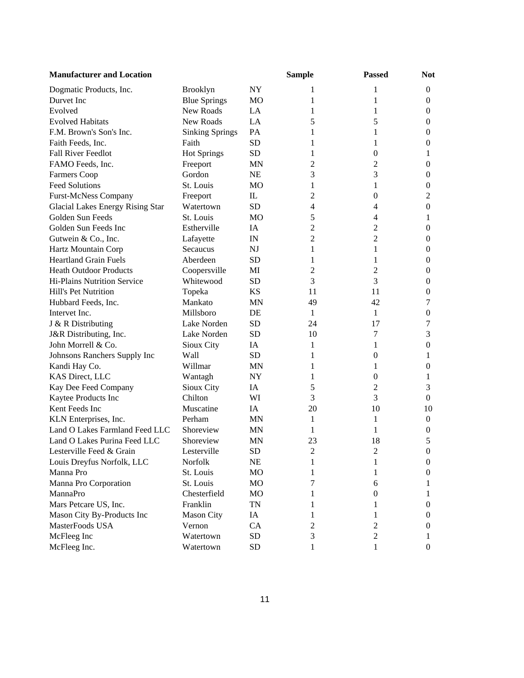| <b>Manufacturer and Location</b>        |                        |                | <b>Sample</b>  | <b>Passed</b>  | <b>Not</b>       |
|-----------------------------------------|------------------------|----------------|----------------|----------------|------------------|
| Dogmatic Products, Inc.                 | Brooklyn               | <b>NY</b>      | 1              | 1              | $\boldsymbol{0}$ |
| Durvet Inc                              | <b>Blue Springs</b>    | MO             | 1              | 1              | $\boldsymbol{0}$ |
| Evolved                                 | New Roads              | LA             | 1              | 1              | $\boldsymbol{0}$ |
| <b>Evolved Habitats</b>                 | New Roads              | LA             | 5              | 5              | $\boldsymbol{0}$ |
| F.M. Brown's Son's Inc.                 | <b>Sinking Springs</b> | PA             | 1              | 1              | $\boldsymbol{0}$ |
| Faith Feeds, Inc.                       | Faith                  | <b>SD</b>      | 1              | 1              | $\boldsymbol{0}$ |
| Fall River Feedlot                      | <b>Hot Springs</b>     | <b>SD</b>      | 1              | $\theta$       | 1                |
| FAMO Feeds, Inc.                        | Freeport               | <b>MN</b>      | $\overline{c}$ | 2              | $\boldsymbol{0}$ |
| <b>Farmers Coop</b>                     | Gordon                 | NE             | 3              | 3              | $\boldsymbol{0}$ |
| <b>Feed Solutions</b>                   | St. Louis              | MO             | 1              | 1              | $\boldsymbol{0}$ |
| <b>Furst-McNess Company</b>             | Freeport               | IL             | $\overline{2}$ | 0              | $\mathfrak{2}$   |
| <b>Glacial Lakes Energy Rising Star</b> | Watertown              | <b>SD</b>      | 4              | $\overline{4}$ | $\boldsymbol{0}$ |
| Golden Sun Feeds                        | St. Louis              | <b>MO</b>      | 5              | $\overline{4}$ | 1                |
| Golden Sun Feeds Inc                    | Estherville            | IA             | $\overline{c}$ | $\overline{c}$ | $\boldsymbol{0}$ |
| Gutwein & Co., Inc.                     | Lafayette              | IN             | $\overline{2}$ | $\overline{2}$ | $\boldsymbol{0}$ |
| Hartz Mountain Corp                     | Secaucus               | NJ             | 1              | 1              | $\boldsymbol{0}$ |
| <b>Heartland Grain Fuels</b>            | Aberdeen               | <b>SD</b>      | 1              | 1              | $\boldsymbol{0}$ |
| <b>Heath Outdoor Products</b>           | Coopersville           | MI             | $\overline{2}$ | 2              | $\boldsymbol{0}$ |
| Hi-Plains Nutrition Service             | Whitewood              | <b>SD</b>      | 3              | 3              | $\mathbf{0}$     |
| Hill's Pet Nutrition                    | Topeka                 | KS             | 11             | 11             | $\boldsymbol{0}$ |
| Hubbard Feeds, Inc.                     | Mankato                | <b>MN</b>      | 49             | 42             | 7                |
| Intervet Inc.                           | Millsboro              | DE             | 1              | 1              | $\mathbf{0}$     |
| J & R Distributing                      | Lake Norden            | SD             | 24             | 17             | 7                |
| J&R Distributing, Inc.                  | Lake Norden            | <b>SD</b>      | 10             | 7              | 3                |
| John Morrell & Co.                      | Sioux City             | IA             | 1              | 1              | $\boldsymbol{0}$ |
| Johnsons Ranchers Supply Inc            | Wall                   | <b>SD</b>      | 1              | 0              | 1                |
| Kandi Hay Co.                           | Willmar                | <b>MN</b>      | 1              | 1              | $\boldsymbol{0}$ |
| KAS Direct, LLC                         | Wantagh                | NY             | 1              | $\theta$       | 1                |
| Kay Dee Feed Company                    | Sioux City             | IA             | 5              | 2              | 3                |
| Kaytee Products Inc                     | Chilton                | WI             | 3              | 3              | $\boldsymbol{0}$ |
| Kent Feeds Inc                          | Muscatine              | IA             | 20             | 10             | 10               |
| KLN Enterprises, Inc.                   | Perham                 | <b>MN</b>      | 1              | 1              | $\boldsymbol{0}$ |
| Land O Lakes Farmland Feed LLC          | Shoreview              | <b>MN</b>      | 1              | 1              | $\boldsymbol{0}$ |
| Land O Lakes Purina Feed LLC            | Shoreview              | <b>MN</b>      | 23             | 18             | 5                |
| Lesterville Feed & Grain                | Lesterville            | <b>SD</b>      | $\overline{c}$ | $\overline{2}$ | $\boldsymbol{0}$ |
| Louis Dreyfus Norfolk, LLC              | Norfolk                | NE             | 1              | 1              | 0                |
| Manna Pro                               | St. Louis              | M <sub>O</sub> | 1              | 1              | 0                |
| Manna Pro Corporation                   | St. Louis              | MO             | 7              | 6              | 1                |
| MannaPro                                | Chesterfield           | MO             | 1              | 0              | 1                |
| Mars Petcare US, Inc.                   | Franklin               | <b>TN</b>      |                | 1              | 0                |
| Mason City By-Products Inc              | <b>Mason City</b>      | IA             |                | 1              | 0                |
| MasterFoods USA                         | Vernon                 | CA             | 2              | 2              | $\bf{0}$         |
| McFleeg Inc                             | Watertown              | SD             | 3              | $\overline{c}$ | 1                |
| McFleeg Inc.                            | Watertown              | <b>SD</b>      | 1              | 1              | $\boldsymbol{0}$ |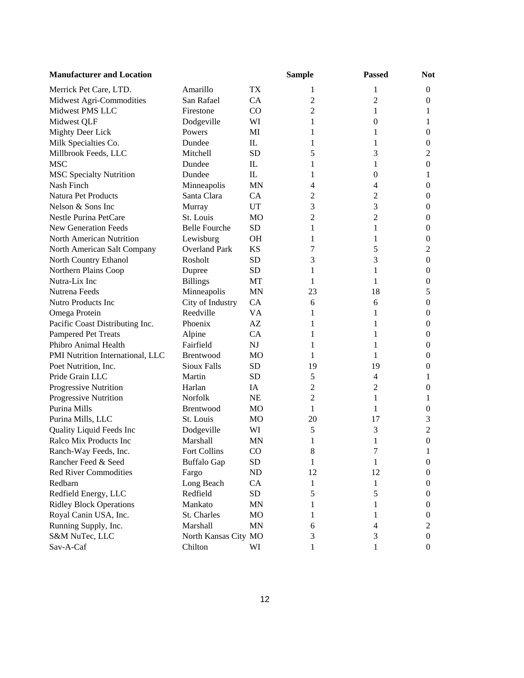| <b>Manufacturer and Location</b> |                      |                | <b>Sample</b>  | <b>Passed</b>  | <b>Not</b>       |
|----------------------------------|----------------------|----------------|----------------|----------------|------------------|
| Merrick Pet Care, LTD.           | Amarillo             | TX             | 1              | 1              | $\boldsymbol{0}$ |
| Midwest Agri-Commodities         | San Rafael           | CA             | 2              | 2              | $\boldsymbol{0}$ |
| Midwest PMS LLC                  | Firestone            | CO.            | 2              | 1              | 1                |
| Midwest QLF                      | Dodgeville           | WI             | 1              | $\overline{0}$ | 1                |
| Mighty Deer Lick                 | Powers               | MI             | 1              | 1              | $\boldsymbol{0}$ |
| Milk Specialties Co.             | Dundee               | $\mathbf{I}$   | 1              | 1              | $\boldsymbol{0}$ |
| Millbrook Feeds, LLC             | Mitchell             | <b>SD</b>      | 5              | 3              | 2                |
| <b>MSC</b>                       | Dundee               | $\mathbf{I}$   | 1              | 1              | $\boldsymbol{0}$ |
| <b>MSC Specialty Nutrition</b>   | Dundee               | $\mathbf{I}$   | 1              | 0              | 1                |
| Nash Finch                       | Minneapolis          | <b>MN</b>      | 4              | 4              | $\boldsymbol{0}$ |
| Natura Pet Products              | Santa Clara          | CA             | 2              | 2              | $\boldsymbol{0}$ |
| Nelson & Sons Inc                | Murray               | UT             | 3              | 3              | $\boldsymbol{0}$ |
| Nestle Purina PetCare            | St. Louis            | M <sub>O</sub> | $\overline{c}$ | $\overline{c}$ | $\boldsymbol{0}$ |
| <b>New Generation Feeds</b>      | <b>Belle Fourche</b> | SD             | 1              | 1              | $\boldsymbol{0}$ |
| North American Nutrition         | Lewisburg            | <b>OH</b>      | 1              | 1              | $\boldsymbol{0}$ |
| North American Salt Company      | <b>Overland Park</b> | <b>KS</b>      | 7              | 5              | $\mathfrak 2$    |
| North Country Ethanol            | Rosholt              | <b>SD</b>      | 3              | 3              | $\boldsymbol{0}$ |
| Northern Plains Coop             | Dupree               | SD             | 1              | 1              | $\boldsymbol{0}$ |
| Nutra-Lix Inc                    | <b>Billings</b>      | MT             | 1              | 1              | $\boldsymbol{0}$ |
| Nutrena Feeds                    | Minneapolis          | <b>MN</b>      | 23             | 18             | 5                |
| Nutro Products Inc               | City of Industry     | <b>CA</b>      | 6              | 6              | $\boldsymbol{0}$ |
| Omega Protein                    | Reedville            | VA             | 1              | 1              | $\boldsymbol{0}$ |
| Pacific Coast Distributing Inc.  | Phoenix              | AZ             | 1              | 1              | $\boldsymbol{0}$ |
| Pampered Pet Treats              | Alpine               | CA             | 1              | 1              | $\boldsymbol{0}$ |
| Phibro Animal Health             | Fairfield            | NJ             | 1              | 1              | $\boldsymbol{0}$ |
| PMI Nutrition International, LLC | Brentwood            | MO             | 1              | 1              | $\boldsymbol{0}$ |
| Poet Nutrition, Inc.             | <b>Sioux Falls</b>   | SD             | 19             | 19             | $\boldsymbol{0}$ |
| Pride Grain LLC                  | Martin               | SD             | 5              | 4              | 1                |
| Progressive Nutrition            | Harlan               | IA             | 2              | 2              | $\boldsymbol{0}$ |
| Progressive Nutrition            | Norfolk              | <b>NE</b>      | 2              | 1              | 1                |
| Purina Mills                     | Brentwood            | MO             | 1              | 1              | $\boldsymbol{0}$ |
| Purina Mills, LLC                | St. Louis            | MO             | 20             | 17             | 3                |
| Quality Liquid Feeds Inc         | Dodgeville           | WI             | 5              | 3              | $\overline{2}$   |
| Ralco Mix Products Inc           | Marshall             | <b>MN</b>      | 1              | 1              | $\mathbf{0}$     |
| Ranch-Way Feeds, Inc.            | Fort Collins         | CO             | 8              | 7              |                  |
| Rancher Feed & Seed              | <b>Buffalo Gap</b>   | <b>SD</b>      | 1              | 1              | $\boldsymbol{0}$ |
| <b>Red River Commodities</b>     | Fargo                | ND             | 12             | 12             | 0                |
| Redbarn                          | Long Beach           | CA             | 1              | 1              | 0                |
| Redfield Energy, LLC             | Redfield             | <b>SD</b>      | 5              | 5              | $\boldsymbol{0}$ |
| <b>Ridley Block Operations</b>   | Mankato              | MN             |                | 1              | $\boldsymbol{0}$ |
| Royal Canin USA, Inc.            | St. Charles          | MO             |                | 1              | $\boldsymbol{0}$ |
| Running Supply, Inc.             | Marshall             | <b>MN</b>      | 6              | 4              | 2                |
| S&M NuTec, LLC                   | North Kansas City MO |                | 3              | 3              | $\boldsymbol{0}$ |
| Sav-A-Caf                        | Chilton              | WI             | 1              | 1              | $\boldsymbol{0}$ |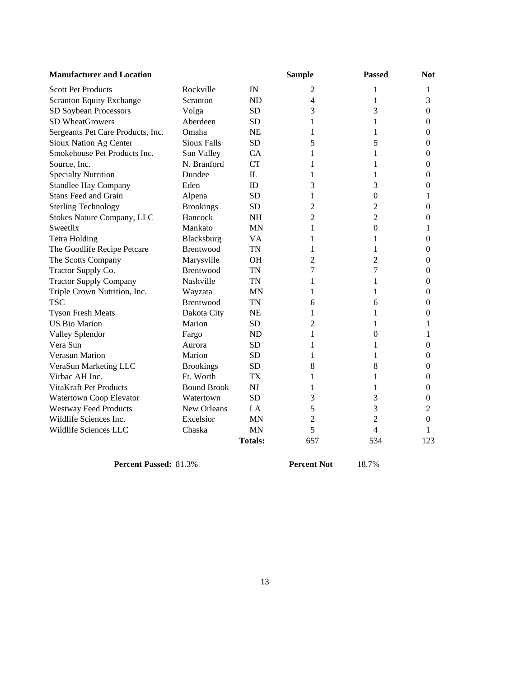| <b>Manufacturer and Location</b>  |                    |                | <b>Sample</b>  | <b>Passed</b>  | <b>Not</b>       |
|-----------------------------------|--------------------|----------------|----------------|----------------|------------------|
| <b>Scott Pet Products</b>         | Rockville          | IN             | 2              | 1              | 1                |
| <b>Scranton Equity Exchange</b>   | Scranton           | <b>ND</b>      | $\overline{4}$ | 1              | 3                |
| SD Soybean Processors             | Volga              | <b>SD</b>      | 3              | 3              | $\boldsymbol{0}$ |
| SD WheatGrowers                   | Aberdeen           | <b>SD</b>      | 1              | 1              | $\mathbf{0}$     |
| Sergeants Pet Care Products, Inc. | Omaha              | <b>NE</b>      | 1              | 1              | $\mathbf{0}$     |
| Sioux Nation Ag Center            | <b>Sioux Falls</b> | <b>SD</b>      | 5              | 5              | $\mathbf{0}$     |
| Smokehouse Pet Products Inc.      | Sun Valley         | CA             | 1              | 1              | $\mathbf{0}$     |
| Source, Inc.                      | N. Branford        | <b>CT</b>      | 1              | 1              | $\boldsymbol{0}$ |
| <b>Specialty Nutrition</b>        | Dundee             | $\mathbf{I}$   | 1              | 1              | $\mathbf{0}$     |
| Standlee Hay Company              | Eden               | ID             | 3              | 3              | $\boldsymbol{0}$ |
| <b>Stans Feed and Grain</b>       | Alpena             | <b>SD</b>      | 1              | $\overline{0}$ | 1                |
| <b>Sterling Technology</b>        | <b>Brookings</b>   | <b>SD</b>      | 2              | 2              | $\Omega$         |
| Stokes Nature Company, LLC        | Hancock            | <b>NH</b>      | 2              | $\overline{c}$ | $\Omega$         |
| Sweetlix                          | Mankato            | <b>MN</b>      | 1              | $\Omega$       | 1                |
| <b>Tetra Holding</b>              | Blacksburg         | <b>VA</b>      | 1              | 1              | $\mathbf{0}$     |
| The Goodlife Recipe Petcare       | Brentwood          | <b>TN</b>      | 1              | 1              | $\theta$         |
| The Scotts Company                | Marysville         | <b>OH</b>      | 2              | $\overline{c}$ | $\boldsymbol{0}$ |
| Tractor Supply Co.                | <b>Brentwood</b>   | <b>TN</b>      | 7              | 7              | $\mathbf{0}$     |
| <b>Tractor Supply Company</b>     | Nashville          | <b>TN</b>      | 1              | 1              | $\boldsymbol{0}$ |
| Triple Crown Nutrition, Inc.      | Wayzata            | <b>MN</b>      | 1              | 1              | $\mathbf{0}$     |
| <b>TSC</b>                        | Brentwood          | <b>TN</b>      | 6              | 6              | $\boldsymbol{0}$ |
| <b>Tyson Fresh Meats</b>          | Dakota City        | <b>NE</b>      | 1              | 1              | $\mathbf{0}$     |
| <b>US Bio Marion</b>              | Marion             | <b>SD</b>      | 2              | 1              | 1                |
| Valley Splendor                   | Fargo              | <b>ND</b>      | 1              | $\theta$       | 1                |
| Vera Sun                          | Aurora             | <b>SD</b>      | 1              | 1              | $\boldsymbol{0}$ |
| Verasun Marion                    | Marion             | <b>SD</b>      | 1              | 1              | $\mathbf{0}$     |
| VeraSun Marketing LLC             | <b>Brookings</b>   | <b>SD</b>      | 8              | 8              | $\mathbf{0}$     |
| Virbac AH Inc.                    | Ft. Worth          | <b>TX</b>      | 1              | 1              | $\mathbf{0}$     |
| VitaKraft Pet Products            | <b>Bound Brook</b> | NJ             | 1              | 1              | $\mathbf{0}$     |
| Watertown Coop Elevator           | Watertown          | <b>SD</b>      | 3              | 3              | $\boldsymbol{0}$ |
| <b>Westway Feed Products</b>      | New Orleans        | LA             | 5              | 3              | 2                |
| Wildlife Sciences Inc.            | Excelsior          | <b>MN</b>      | 2              | $\overline{c}$ | $\mathbf{0}$     |
| Wildlife Sciences LLC             | Chaska             | <b>MN</b>      | 5              | 4              | 1                |
|                                   |                    | <b>Totals:</b> | 657            | 534            | 123              |

**Percent Passed:** 81.3% **Percent Not** 18.7%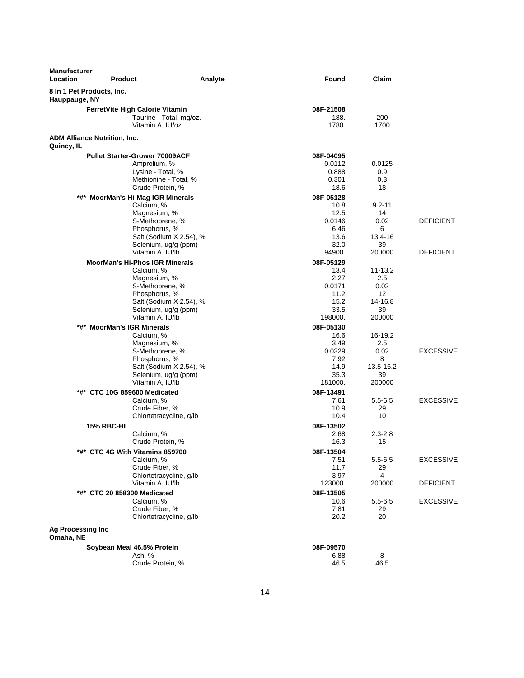| <b>Manufacturer</b><br>Location                   | <b>Product</b>                                                                                                                                      | Analyte                 | Found                                                                  | Claim                                                       |                                      |
|---------------------------------------------------|-----------------------------------------------------------------------------------------------------------------------------------------------------|-------------------------|------------------------------------------------------------------------|-------------------------------------------------------------|--------------------------------------|
| 8 In 1 Pet Products, Inc.<br>Hauppauge, NY        |                                                                                                                                                     |                         |                                                                        |                                                             |                                      |
|                                                   | FerretVite High Calorie Vitamin                                                                                                                     |                         | 08F-21508                                                              |                                                             |                                      |
|                                                   | Taurine - Total, mg/oz.<br>Vitamin A, IU/oz.                                                                                                        |                         | 188.<br>1780.                                                          | 200<br>1700                                                 |                                      |
| <b>ADM Alliance Nutrition, Inc.</b><br>Quincy, IL |                                                                                                                                                     |                         |                                                                        |                                                             |                                      |
|                                                   | <b>Pullet Starter-Grower 70009ACF</b><br>Amprolium, %<br>Lysine - Total, %<br>Methionine - Total, %<br>Crude Protein, %                             |                         | 08F-04095<br>0.0112<br>0.888<br>0.301<br>18.6                          | 0.0125<br>0.9<br>0.3<br>18                                  |                                      |
| *#*                                               | <b>MoorMan's Hi-Mag IGR Minerals</b><br>Calcium, %<br>Magnesium, %<br>S-Methoprene, %<br>Phosphorus, %<br>Selenium, ug/g (ppm)<br>Vitamin A, IU/lb  | Salt (Sodium X 2.54), % | 08F-05128<br>10.8<br>12.5<br>0.0146<br>6.46<br>13.6<br>32.0<br>94900.  | $9.2 - 11$<br>14<br>0.02<br>6<br>13.4-16<br>39<br>200000    | <b>DEFICIENT</b><br><b>DEFICIENT</b> |
|                                                   | <b>MoorMan's Hi-Phos IGR Minerals</b><br>Calcium, %<br>Magnesium, %<br>S-Methoprene, %<br>Phosphorus, %<br>Selenium, ug/g (ppm)<br>Vitamin A, IU/lb | Salt (Sodium X 2.54), % | 08F-05129<br>13.4<br>2.27<br>0.0171<br>11.2<br>15.2<br>33.5<br>198000. | $11 - 13.2$<br>2.5<br>0.02<br>12<br>14-16.8<br>39<br>200000 |                                      |
|                                                   | *#* MoorMan's IGR Minerals<br>Calcium, %<br>Magnesium, %<br>S-Methoprene, %<br>Phosphorus, %<br>Selenium, ug/g (ppm)<br>Vitamin A, IU/lb            | Salt (Sodium X 2.54), % | 08F-05130<br>16.6<br>3.49<br>0.0329<br>7.92<br>14.9<br>35.3<br>181000. | 16-19.2<br>2.5<br>0.02<br>8<br>13.5-16.2<br>39<br>200000    | <b>EXCESSIVE</b>                     |
|                                                   | *#* CTC 10G 859600 Medicated<br>Calcium, %<br>Crude Fiber, %<br>Chlortetracycline, g/lb<br><b>15% RBC-HL</b><br>Calcium, %                          |                         | 08F-13491<br>7.61<br>10.9<br>10.4<br>08F-13502<br>2.68                 | $5.5 - 6.5$<br>29<br>10<br>$2.3 - 2.8$                      | <b>EXCESSIVE</b>                     |
|                                                   | Crude Protein, %<br>*#* CTC 4G With Vitamins 859700<br>Calcium, %<br>Crude Fiber, %<br>Chlortetracycline, g/lb                                      |                         | 16.3<br>08F-13504<br>7.51<br>11.7<br>3.97                              | 15<br>$5.5 - 6.5$<br>29<br>4                                | <b>EXCESSIVE</b>                     |
|                                                   | Vitamin A, IU/lb<br>*#* CTC 20 858300 Medicated<br>Calcium, %<br>Crude Fiber, %<br>Chlortetracycline, g/lb                                          |                         | 123000.<br>08F-13505<br>10.6<br>7.81<br>20.2                           | 200000<br>$5.5 - 6.5$<br>29<br>20                           | <b>DEFICIENT</b><br><b>EXCESSIVE</b> |
| <b>Ag Processing Inc</b><br>Omaha, NE             |                                                                                                                                                     |                         |                                                                        |                                                             |                                      |
|                                                   | Soybean Meal 46.5% Protein<br>Ash, %<br>Crude Protein, %                                                                                            |                         | 08F-09570<br>6.88<br>46.5                                              | 8<br>46.5                                                   |                                      |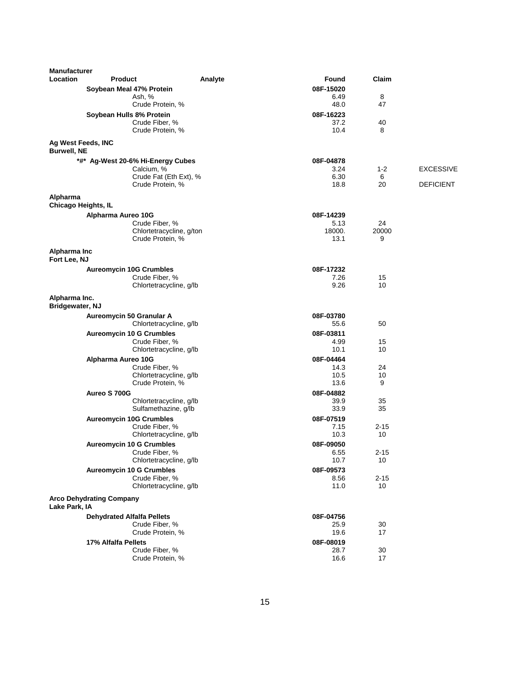| <b>Manufacturer</b>                      |                                                 |         |                   |          |                  |
|------------------------------------------|-------------------------------------------------|---------|-------------------|----------|------------------|
| Location                                 | <b>Product</b>                                  | Analyte | Found             | Claim    |                  |
|                                          | Soybean Meal 47% Protein                        |         | 08F-15020         |          |                  |
|                                          | Ash, %<br>Crude Protein, %                      |         | 6.49<br>48.0      | 8<br>47  |                  |
|                                          |                                                 |         |                   |          |                  |
|                                          | Soybean Hulls 8% Protein<br>Crude Fiber, %      |         | 08F-16223<br>37.2 | 40       |                  |
|                                          | Crude Protein, %                                |         | 10.4              | 8        |                  |
|                                          |                                                 |         |                   |          |                  |
| Ag West Feeds, INC<br><b>Burwell, NE</b> |                                                 |         |                   |          |                  |
|                                          | *#* Ag-West 20-6% Hi-Energy Cubes               |         | 08F-04878         |          |                  |
|                                          | Calcium, %                                      |         | 3.24              | $1 - 2$  | <b>EXCESSIVE</b> |
|                                          | Crude Fat (Eth Ext), %                          |         | 6.30              | 6        |                  |
|                                          | Crude Protein, %                                |         | 18.8              | 20       | <b>DEFICIENT</b> |
| Alpharma                                 |                                                 |         |                   |          |                  |
| <b>Chicago Heights, IL</b>               |                                                 |         |                   |          |                  |
|                                          | Alpharma Aureo 10G                              |         | 08F-14239         |          |                  |
|                                          | Crude Fiber, %                                  |         | 5.13              | 24       |                  |
|                                          | Chlortetracycline, g/ton                        |         | 18000.            | 20000    |                  |
|                                          | Crude Protein, %                                |         | 13.1              | 9        |                  |
| Alpharma Inc<br>Fort Lee, NJ             |                                                 |         |                   |          |                  |
|                                          | <b>Aureomycin 10G Crumbles</b>                  |         | 08F-17232         |          |                  |
|                                          | Crude Fiber, %                                  |         | 7.26              | 15       |                  |
|                                          | Chlortetracycline, g/lb                         |         | 9.26              | 10       |                  |
| Alpharma Inc.<br>Bridgewater, NJ         |                                                 |         |                   |          |                  |
|                                          | Aureomycin 50 Granular A                        |         | 08F-03780         |          |                  |
|                                          | Chlortetracycline, g/lb                         |         | 55.6              | 50       |                  |
|                                          | <b>Aureomycin 10 G Crumbles</b>                 |         | 08F-03811         |          |                  |
|                                          | Crude Fiber, %                                  |         | 4.99              | 15       |                  |
|                                          | Chlortetracycline, g/lb                         |         | 10.1              | 10       |                  |
|                                          | Alpharma Aureo 10G                              |         | 08F-04464         |          |                  |
|                                          | Crude Fiber, %                                  |         | 14.3              | 24       |                  |
|                                          | Chlortetracycline, g/lb                         |         | 10.5              | 10       |                  |
|                                          | Crude Protein, %                                |         | 13.6              | 9        |                  |
|                                          | Aureo S 700G                                    |         | 08F-04882         |          |                  |
|                                          | Chlortetracycline, g/lb<br>Sulfamethazine, g/lb |         | 39.9<br>33.9      | 35<br>35 |                  |
|                                          | <b>Aureomycin 10G Crumbles</b>                  |         | 08F-07519         |          |                  |
|                                          | Crude Fiber, %                                  |         | 7.15              | $2 - 15$ |                  |
|                                          | Chlortetracycline, g/lb                         |         | 10.3              | 10       |                  |
|                                          | <b>Aureomycin 10 G Crumbles</b>                 |         | 08F-09050         |          |                  |
|                                          | Crude Fiber, %                                  |         | 6.55              | $2 - 15$ |                  |
|                                          | Chlortetracycline, g/lb                         |         | 10.7              | 10       |                  |
|                                          | <b>Aureomycin 10 G Crumbles</b>                 |         | 08F-09573         |          |                  |
|                                          | Crude Fiber, %                                  |         | 8.56              | $2 - 15$ |                  |
|                                          | Chlortetracycline, g/lb                         |         | 11.0              | 10       |                  |
| Lake Park, IA                            | <b>Arco Dehydrating Company</b>                 |         |                   |          |                  |
|                                          | <b>Dehydrated Alfalfa Pellets</b>               |         | 08F-04756         |          |                  |
|                                          | Crude Fiber, %                                  |         | 25.9              | 30       |                  |
|                                          | Crude Protein, %                                |         | 19.6              | 17       |                  |
|                                          | 17% Alfalfa Pellets                             |         | 08F-08019         |          |                  |
|                                          | Crude Fiber, %                                  |         | 28.7              | 30       |                  |
|                                          | Crude Protein, %                                |         | 16.6              | 17       |                  |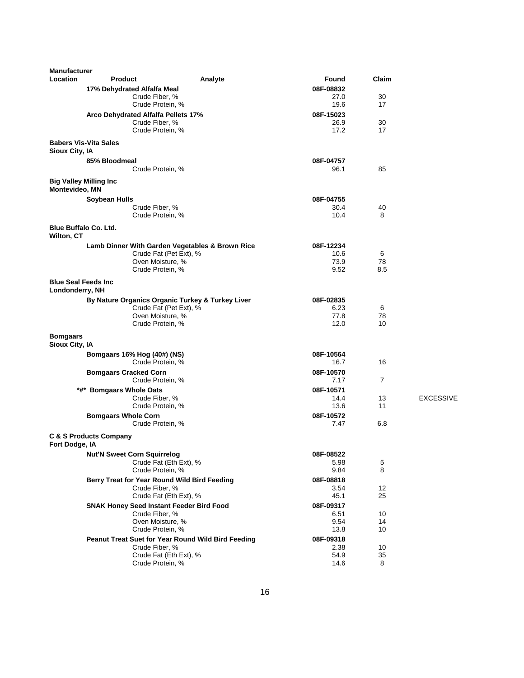| <b>Manufacturer</b>                            |                                    |                                                                      |                   |                |                  |
|------------------------------------------------|------------------------------------|----------------------------------------------------------------------|-------------------|----------------|------------------|
| <b>Location</b>                                | <b>Product</b>                     | Analyte                                                              | Found             | Claim          |                  |
|                                                | 17% Dehydrated Alfalfa Meal        |                                                                      | 08F-08832         |                |                  |
|                                                |                                    | Crude Fiber, %                                                       | 27.0              | 30             |                  |
|                                                |                                    | Crude Protein, %                                                     | 19.6              | 17             |                  |
|                                                |                                    | Arco Dehydrated Alfalfa Pellets 17%<br>Crude Fiber, %                | 08F-15023<br>26.9 | 30             |                  |
|                                                |                                    | Crude Protein, %                                                     | 17.2              | 17             |                  |
|                                                | <b>Babers Vis-Vita Sales</b>       |                                                                      |                   |                |                  |
| Sioux City, IA                                 |                                    |                                                                      |                   |                |                  |
|                                                | 85% Bloodmeal                      |                                                                      | 08F-04757         |                |                  |
|                                                |                                    | Crude Protein, %                                                     | 96.1              | 85             |                  |
| <b>Big Valley Milling Inc</b>                  |                                    |                                                                      |                   |                |                  |
| Montevideo, MN                                 |                                    |                                                                      |                   |                |                  |
|                                                | <b>Soybean Hulls</b>               |                                                                      | 08F-04755         |                |                  |
|                                                |                                    | Crude Fiber, %                                                       | 30.4              | 40             |                  |
|                                                |                                    | Crude Protein, %                                                     | 10.4              | 8              |                  |
| <b>Blue Buffalo Co. Ltd.</b>                   |                                    |                                                                      |                   |                |                  |
| Wilton, CT                                     |                                    |                                                                      |                   |                |                  |
|                                                |                                    | Lamb Dinner With Garden Vegetables & Brown Rice                      | 08F-12234         |                |                  |
|                                                |                                    | Crude Fat (Pet Ext), %                                               | 10.6              | 6              |                  |
|                                                |                                    | Oven Moisture, %                                                     | 73.9              | 78             |                  |
|                                                |                                    | Crude Protein, %                                                     | 9.52              | 8.5            |                  |
| <b>Blue Seal Feeds Inc.</b><br>Londonderry, NH |                                    |                                                                      |                   |                |                  |
|                                                |                                    | By Nature Organics Organic Turkey & Turkey Liver                     | 08F-02835         |                |                  |
|                                                |                                    | Crude Fat (Pet Ext), %                                               | 6.23              | 6              |                  |
|                                                |                                    | Oven Moisture, %                                                     | 77.8              | 78             |                  |
|                                                |                                    | Crude Protein, %                                                     | 12.0              | 10             |                  |
| <b>Bomgaars</b><br>Sioux City, IA              |                                    |                                                                      |                   |                |                  |
|                                                | Bomgaars 16% Hog (40#) (NS)        |                                                                      | 08F-10564         |                |                  |
|                                                |                                    | Crude Protein, %                                                     | 16.7              | 16             |                  |
|                                                | <b>Bomgaars Cracked Corn</b>       |                                                                      | 08F-10570         |                |                  |
|                                                |                                    | Crude Protein, %                                                     | 7.17              | $\overline{7}$ |                  |
|                                                | *#* Bomgaars Whole Oats            |                                                                      | 08F-10571         |                |                  |
|                                                |                                    | Crude Fiber, %<br>Crude Protein, %                                   | 14.4<br>13.6      | 13<br>11       | <b>EXCESSIVE</b> |
|                                                | <b>Bomgaars Whole Corn</b>         |                                                                      | 08F-10572         |                |                  |
|                                                |                                    | Crude Protein, %                                                     | 7.47              | 6.8            |                  |
|                                                |                                    |                                                                      |                   |                |                  |
| Fort Dodge, IA                                 | <b>C &amp; S Products Company</b>  |                                                                      |                   |                |                  |
|                                                | <b>Nut'N Sweet Corn Squirrelog</b> |                                                                      | 08F-08522         |                |                  |
|                                                |                                    | Crude Fat (Eth Ext), %                                               | 5.98              | 5              |                  |
|                                                |                                    | Crude Protein, %                                                     | 9.84              | 8              |                  |
|                                                |                                    | Berry Treat for Year Round Wild Bird Feeding                         | 08F-08818         |                |                  |
|                                                |                                    | Crude Fiber, %                                                       | 3.54              | 12             |                  |
|                                                |                                    | Crude Fat (Eth Ext), %                                               | 45.1              | 25             |                  |
|                                                |                                    | <b>SNAK Honey Seed Instant Feeder Bird Food</b>                      | 08F-09317         |                |                  |
|                                                |                                    | Crude Fiber, %                                                       | 6.51              | 10             |                  |
|                                                |                                    | Oven Moisture, %<br>Crude Protein, %                                 | 9.54              | 14<br>10       |                  |
|                                                |                                    |                                                                      | 13.8              |                |                  |
|                                                |                                    | Peanut Treat Suet for Year Round Wild Bird Feeding<br>Crude Fiber, % | 08F-09318<br>2.38 | 10             |                  |
|                                                |                                    | Crude Fat (Eth Ext), %                                               | 54.9              | 35             |                  |
|                                                |                                    | Crude Protein, %                                                     | 14.6              | 8              |                  |
|                                                |                                    |                                                                      |                   |                |                  |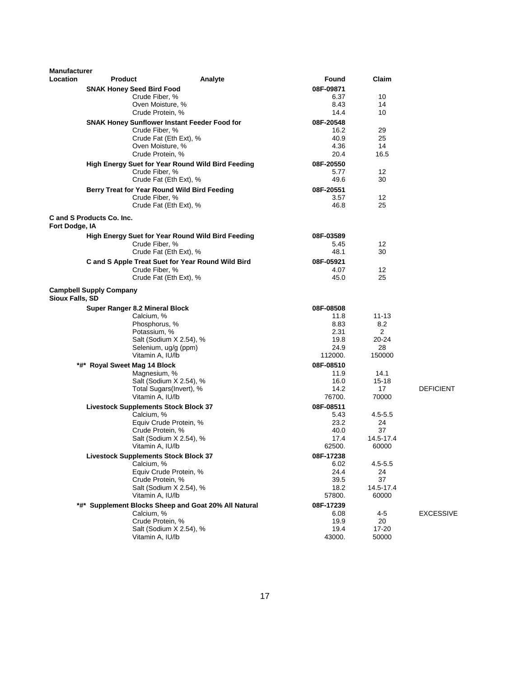| Manufacturer<br>Location | <b>Product</b>                              | Analyte                                                  | Found             | Claim       |                  |
|--------------------------|---------------------------------------------|----------------------------------------------------------|-------------------|-------------|------------------|
|                          | <b>SNAK Honey Seed Bird Food</b>            |                                                          | 08F-09871         |             |                  |
|                          | Crude Fiber, %                              |                                                          | 6.37              | 10          |                  |
|                          |                                             | Oven Moisture, %                                         | 8.43              | 14          |                  |
|                          |                                             | Crude Protein, %                                         | 14.4              | 10          |                  |
|                          |                                             | <b>SNAK Honey Sunflower Instant Feeder Food for</b>      | 08F-20548         |             |                  |
|                          | Crude Fiber, %                              |                                                          | 16.2              | 29          |                  |
|                          |                                             | Crude Fat (Eth Ext), %                                   | 40.9              | 25          |                  |
|                          |                                             | Oven Moisture, %                                         | 4.36              | 14          |                  |
|                          |                                             | Crude Protein, %                                         | 20.4              | 16.5        |                  |
|                          |                                             | <b>High Energy Suet for Year Round Wild Bird Feeding</b> | 08F-20550         |             |                  |
|                          | Crude Fiber, %                              |                                                          | 5.77              | 12          |                  |
|                          |                                             | Crude Fat (Eth Ext), %                                   | 49.6              | 30          |                  |
|                          |                                             | Berry Treat for Year Round Wild Bird Feeding             | 08F-20551         |             |                  |
|                          | Crude Fiber, %                              |                                                          | 3.57              | 12          |                  |
|                          |                                             | Crude Fat (Eth Ext), %                                   | 46.8              | 25          |                  |
|                          | C and S Products Co. Inc.                   |                                                          |                   |             |                  |
| Fort Dodge, IA           |                                             |                                                          |                   |             |                  |
|                          |                                             | High Energy Suet for Year Round Wild Bird Feeding        | 08F-03589         |             |                  |
|                          | Crude Fiber, %                              |                                                          | 5.45              | 12          |                  |
|                          |                                             | Crude Fat (Eth Ext), %                                   | 48.1              | 30          |                  |
|                          |                                             | C and S Apple Treat Suet for Year Round Wild Bird        | 08F-05921         |             |                  |
|                          | Crude Fiber, %                              |                                                          | 4.07              | 12          |                  |
|                          |                                             | Crude Fat (Eth Ext), %                                   | 45.0              | 25          |                  |
| Sioux Falls, SD          | <b>Campbell Supply Company</b>              |                                                          |                   |             |                  |
|                          | <b>Super Ranger 8.2 Mineral Block</b>       |                                                          | 08F-08508         |             |                  |
|                          | Calcium, %                                  |                                                          | 11.8              | $11 - 13$   |                  |
|                          | Phosphorus, %                               |                                                          | 8.83              | 8.2         |                  |
|                          | Potassium, %                                |                                                          | 2.31              | 2           |                  |
|                          |                                             | Salt (Sodium X 2.54), %                                  | 19.8              | 20-24       |                  |
|                          |                                             | Selenium, ug/g (ppm)                                     | 24.9              | 28          |                  |
|                          | Vitamin A, IU/lb                            |                                                          | 112000.           | 150000      |                  |
|                          | *#* Royal Sweet Mag 14 Block                |                                                          | 08F-08510         |             |                  |
|                          | Magnesium, %                                |                                                          | 11.9              | 14.1        |                  |
|                          |                                             | Salt (Sodium X 2.54), %                                  | 16.0              | $15 - 18$   |                  |
|                          |                                             | Total Sugars(Invert), %                                  | 14.2              | 17          | <b>DEFICIENT</b> |
|                          | Vitamin A, IU/lb                            |                                                          | 76700.            | 70000       |                  |
|                          | <b>Livestock Supplements Stock Block 37</b> |                                                          | 08F-08511         |             |                  |
|                          | Calcium, %                                  |                                                          | 5.43              | $4.5 - 5.5$ |                  |
|                          |                                             | Equiv Crude Protein, %<br>Crude Protein, %               | 23.2<br>40.0      | 24<br>37    |                  |
|                          |                                             | Salt (Sodium X 2.54), %                                  | 17.4              | 14.5-17.4   |                  |
|                          |                                             | Vitamin A, IU/lb                                         | 62500.            | 60000       |                  |
|                          | <b>Livestock Supplements Stock Block 37</b> |                                                          |                   |             |                  |
|                          | Calcium, %                                  |                                                          | 08F-17238<br>6.02 | $4.5 - 5.5$ |                  |
|                          |                                             | Equiv Crude Protein, %                                   | 24.4              | 24          |                  |
|                          |                                             | Crude Protein, %                                         | 39.5              | 37          |                  |
|                          |                                             | Salt (Sodium X 2.54), %                                  | 18.2              | 14.5-17.4   |                  |
|                          | Vitamin A, IU/lb                            |                                                          | 57800.            | 60000       |                  |
|                          |                                             | *#* Supplement Blocks Sheep and Goat 20% All Natural     | 08F-17239         |             |                  |
|                          | Calcium, %                                  |                                                          | 6.08              | $4 - 5$     | <b>EXCESSIVE</b> |
|                          |                                             | Crude Protein, %                                         | 19.9              | 20          |                  |
|                          |                                             | Salt (Sodium X 2.54), %                                  | 19.4              | 17-20       |                  |
|                          | Vitamin A, IU/lb                            |                                                          | 43000.            | 50000       |                  |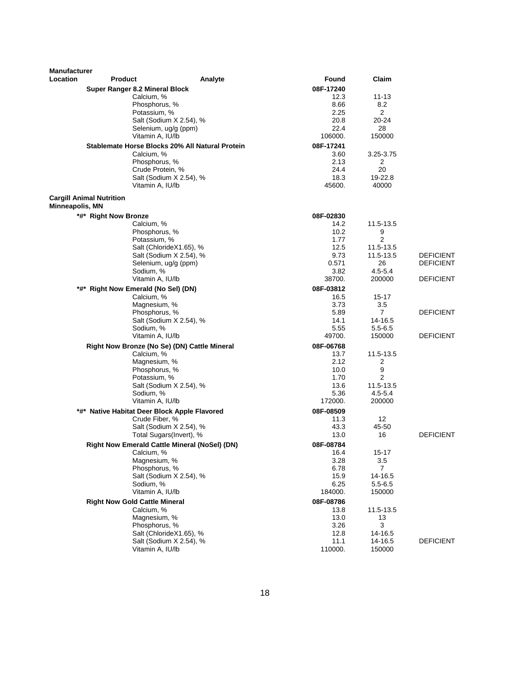| <b>Manufacturer</b><br>Location | <b>Product</b>                                       | Analyte                                            | Found             | Claim                 |                  |
|---------------------------------|------------------------------------------------------|----------------------------------------------------|-------------------|-----------------------|------------------|
|                                 |                                                      |                                                    |                   |                       |                  |
|                                 | Super Ranger 8.2 Mineral Block<br>Calcium, %         |                                                    | 08F-17240<br>12.3 | 11-13                 |                  |
|                                 | Phosphorus, %                                        |                                                    | 8.66              | 8.2                   |                  |
|                                 | Potassium, %                                         |                                                    | 2.25              | 2                     |                  |
|                                 |                                                      | Salt (Sodium X 2.54), %                            | 20.8              | 20-24                 |                  |
|                                 | Selenium, ug/g (ppm)                                 |                                                    | 22.4              | 28                    |                  |
|                                 | Vitamin A, IU/lb                                     |                                                    | 106000.           | 150000                |                  |
|                                 | Stablemate Horse Blocks 20% All Natural Protein      |                                                    | 08F-17241         |                       |                  |
|                                 | Calcium, %                                           |                                                    | 3.60              | 3.25-3.75             |                  |
|                                 | Phosphorus, %                                        |                                                    | 2.13              | 2                     |                  |
|                                 | Crude Protein, %                                     |                                                    | 24.4              | 20                    |                  |
|                                 |                                                      | Salt (Sodium X 2.54), %                            | 18.3              | 19-22.8               |                  |
|                                 | Vitamin A, IU/lb                                     |                                                    | 45600.            | 40000                 |                  |
| Minneapolis, MN                 | <b>Cargill Animal Nutrition</b>                      |                                                    |                   |                       |                  |
|                                 | *#* Right Now Bronze                                 |                                                    | 08F-02830         |                       |                  |
|                                 | Calcium, %                                           |                                                    | 14.2              | 11.5-13.5             |                  |
|                                 | Phosphorus, %                                        |                                                    | 10.2              | 9                     |                  |
|                                 | Potassium, %                                         |                                                    | 1.77              | 2                     |                  |
|                                 |                                                      | Salt (ChlorideX1.65), %                            | 12.5              | 11.5-13.5             |                  |
|                                 |                                                      | Salt (Sodium X 2.54), %                            | 9.73              | 11.5-13.5             | <b>DEFICIENT</b> |
|                                 | Selenium, ug/g (ppm)                                 |                                                    | 0.571             | 26                    | <b>DEFICIENT</b> |
|                                 | Sodium, %<br>Vitamin A, IU/lb                        |                                                    | 3.82<br>38700.    | $4.5 - 5.4$<br>200000 | <b>DEFICIENT</b> |
|                                 |                                                      |                                                    |                   |                       |                  |
|                                 | *#* Right Now Emerald (No Sel) (DN)<br>Calcium, %    |                                                    | 08F-03812<br>16.5 | 15-17                 |                  |
|                                 | Magnesium, %                                         |                                                    | 3.73              | 3.5                   |                  |
|                                 | Phosphorus, %                                        |                                                    | 5.89              | 7                     | <b>DEFICIENT</b> |
|                                 |                                                      | Salt (Sodium X 2.54), %                            | 14.1              | 14-16.5               |                  |
|                                 | Sodium, %                                            |                                                    | 5.55              | $5.5 - 6.5$           |                  |
|                                 | Vitamin A, IU/lb                                     |                                                    | 49700.            | 150000                | <b>DEFICIENT</b> |
|                                 | Right Now Bronze (No Se) (DN) Cattle Mineral         |                                                    | 08F-06768         |                       |                  |
|                                 | Calcium, %                                           |                                                    | 13.7              | 11.5-13.5             |                  |
|                                 | Magnesium, %                                         |                                                    | 2.12              | 2                     |                  |
|                                 | Phosphorus, %                                        |                                                    | 10.0              | 9                     |                  |
|                                 | Potassium, %                                         |                                                    | 1.70              | $\overline{2}$        |                  |
|                                 |                                                      | Salt (Sodium X 2.54), %                            | 13.6              | 11.5-13.5             |                  |
|                                 | Sodium, %                                            |                                                    | 5.36              | $4.5 - 5.4$           |                  |
|                                 | Vitamin A, IU/lb                                     |                                                    | 172000.           | 200000                |                  |
|                                 | *#* Native Habitat Deer Block Apple Flavored         |                                                    | 08F-08509         |                       |                  |
|                                 | Crude Fiber, %                                       |                                                    | 11.3              | 12                    |                  |
|                                 |                                                      | Salt (Sodium X 2.54), %<br>Total Sugars(Invert), % | 43.3<br>13.0      | 45-50<br>16           | <b>DEFICIENT</b> |
|                                 |                                                      |                                                    |                   |                       |                  |
|                                 | <b>Right Now Emerald Cattle Mineral (NoSel) (DN)</b> |                                                    | 08F-08784         | $15 - 17$             |                  |
|                                 | Calcium, %<br>Magnesium, %                           |                                                    | 16.4<br>3.28      | 3.5                   |                  |
|                                 | Phosphorus, %                                        |                                                    | 6.78              | $\overline{7}$        |                  |
|                                 |                                                      | Salt (Sodium X 2.54), %                            | 15.9              | 14-16.5               |                  |
|                                 | Sodium, %                                            |                                                    | 6.25              | $5.5 - 6.5$           |                  |
|                                 | Vitamin A, IU/lb                                     |                                                    | 184000.           | 150000                |                  |
|                                 | <b>Right Now Gold Cattle Mineral</b>                 |                                                    | 08F-08786         |                       |                  |
|                                 | Calcium, %                                           |                                                    | 13.8              | 11.5-13.5             |                  |
|                                 | Magnesium, %                                         |                                                    | 13.0              | 13                    |                  |
|                                 | Phosphorus, %                                        |                                                    | 3.26              | 3                     |                  |
|                                 |                                                      | Salt (ChlorideX1.65), %                            | 12.8              | 14-16.5               |                  |
|                                 |                                                      | Salt (Sodium X 2.54), %                            | 11.1              | 14-16.5               | <b>DEFICIENT</b> |
|                                 | Vitamin A, IU/lb                                     |                                                    | 110000.           | 150000                |                  |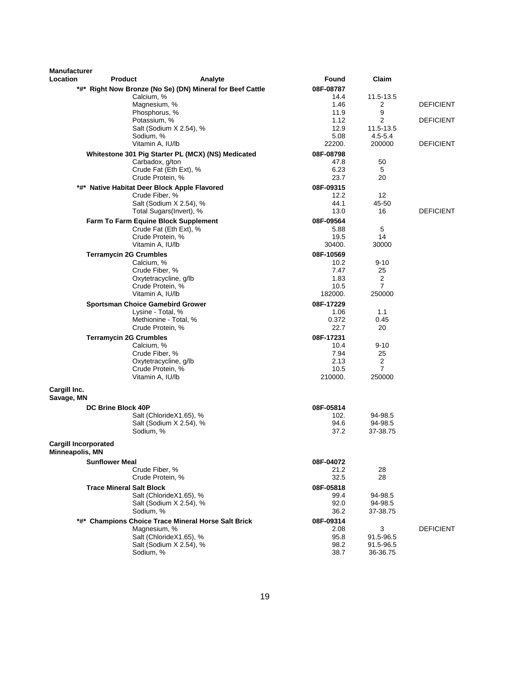| <b>Manufacturer</b>                            |                                 |                                                           |              |                          |                  |
|------------------------------------------------|---------------------------------|-----------------------------------------------------------|--------------|--------------------------|------------------|
| Location                                       | <b>Product</b>                  | Analyte                                                   | Found        | Claim                    |                  |
|                                                |                                 | *#* Right Now Bronze (No Se) (DN) Mineral for Beef Cattle | 08F-08787    |                          |                  |
|                                                |                                 | Calcium, %                                                | 14.4         | 11.5-13.5                |                  |
|                                                |                                 | Magnesium, %                                              | 1.46         | 2                        | <b>DEFICIENT</b> |
|                                                |                                 | Phosphorus, %                                             | 11.9         | 9                        |                  |
|                                                |                                 | Potassium, %                                              | 1.12         | $\overline{2}$           | <b>DEFICIENT</b> |
|                                                |                                 | Salt (Sodium X 2.54), %<br>Sodium, %                      | 12.9<br>5.08 | 11.5-13.5<br>$4.5 - 5.4$ |                  |
|                                                |                                 | Vitamin A, IU/lb                                          | 22200.       | 200000                   | <b>DEFICIENT</b> |
|                                                |                                 | Whitestone 301 Pig Starter PL (MCX) (NS) Medicated        | 08F-08798    |                          |                  |
|                                                |                                 | Carbadox, g/ton                                           | 47.8         | 50                       |                  |
|                                                |                                 | Crude Fat (Eth Ext), %                                    | 6.23         | 5                        |                  |
|                                                |                                 | Crude Protein, %                                          | 23.7         | 20                       |                  |
|                                                |                                 | *#* Native Habitat Deer Block Apple Flavored              | 08F-09315    |                          |                  |
|                                                |                                 | Crude Fiber, %                                            | 12.2         | $12 \overline{ }$        |                  |
|                                                |                                 | Salt (Sodium X 2.54), %                                   | 44.1         | 45-50                    |                  |
|                                                |                                 | Total Sugars(Invert), %                                   | 13.0         | 16                       | <b>DEFICIENT</b> |
|                                                |                                 | Farm To Farm Equine Block Supplement                      | 08F-09564    |                          |                  |
|                                                |                                 | Crude Fat (Eth Ext), %                                    | 5.88         | 5                        |                  |
|                                                |                                 | Crude Protein, %                                          | 19.5         | 14                       |                  |
|                                                |                                 | Vitamin A, IU/lb                                          | 30400.       | 30000                    |                  |
|                                                | <b>Terramycin 2G Crumbles</b>   |                                                           | 08F-10569    |                          |                  |
|                                                |                                 | Calcium, %                                                | 10.2         | $9 - 10$                 |                  |
|                                                |                                 | Crude Fiber, %<br>Oxytetracycline, g/lb                   | 7.47<br>1.83 | 25<br>$\overline{2}$     |                  |
|                                                |                                 | Crude Protein, %                                          | 10.5         | $\overline{7}$           |                  |
|                                                |                                 | Vitamin A, IU/lb                                          | 182000.      | 250000                   |                  |
|                                                |                                 | <b>Sportsman Choice Gamebird Grower</b>                   | 08F-17229    |                          |                  |
|                                                |                                 | Lysine - Total, %                                         | 1.06         | 1.1                      |                  |
|                                                |                                 | Methionine - Total, %                                     | 0.372        | 0.45                     |                  |
|                                                |                                 | Crude Protein, %                                          | 22.7         | 20                       |                  |
|                                                | <b>Terramycin 2G Crumbles</b>   |                                                           | 08F-17231    |                          |                  |
|                                                |                                 | Calcium, %                                                | 10.4         | $9 - 10$                 |                  |
|                                                |                                 | Crude Fiber, %                                            | 7.94         | 25                       |                  |
|                                                |                                 | Oxytetracycline, g/lb                                     | 2.13         | 2                        |                  |
|                                                |                                 | Crude Protein, %<br>Vitamin A, IU/lb                      | 10.5         | $\overline{7}$<br>250000 |                  |
|                                                |                                 |                                                           | 210000.      |                          |                  |
| Cargill Inc.<br>Savage, MN                     |                                 |                                                           |              |                          |                  |
|                                                | <b>DC Brine Block 40P</b>       |                                                           | 08F-05814    |                          |                  |
|                                                |                                 | Salt (ChlorideX1.65), %                                   | 102.         | 94-98.5                  |                  |
|                                                |                                 | Salt (Sodium X 2.54), %                                   | 94.6         | 94-98.5                  |                  |
|                                                |                                 | Sodium, %                                                 | 37.2         | 37-38.75                 |                  |
| <b>Cargill Incorporated</b><br>Minneapolis, MN |                                 |                                                           |              |                          |                  |
|                                                | <b>Sunflower Meal</b>           |                                                           | 08F-04072    |                          |                  |
|                                                |                                 | Crude Fiber, %                                            | 21.2         | 28                       |                  |
|                                                |                                 | Crude Protein, %                                          | 32.5         | 28                       |                  |
|                                                | <b>Trace Mineral Salt Block</b> |                                                           | 08F-05818    |                          |                  |
|                                                |                                 | Salt (ChlorideX1.65), %                                   | 99.4         | 94-98.5                  |                  |
|                                                |                                 | Salt (Sodium X 2.54), %<br>Sodium, %                      | 92.0<br>36.2 | 94-98.5<br>37-38.75      |                  |
|                                                |                                 | *#* Champions Choice Trace Mineral Horse Salt Brick       | 08F-09314    |                          |                  |
|                                                |                                 | Magnesium, %                                              | 2.08         | 3                        | <b>DEFICIENT</b> |
|                                                |                                 | Salt (ChlorideX1.65), %                                   | 95.8         | 91.5-96.5                |                  |
|                                                |                                 | Salt (Sodium X 2.54), %                                   | 98.2         | 91.5-96.5                |                  |
|                                                |                                 | Sodium, %                                                 | 38.7         | 36-36.75                 |                  |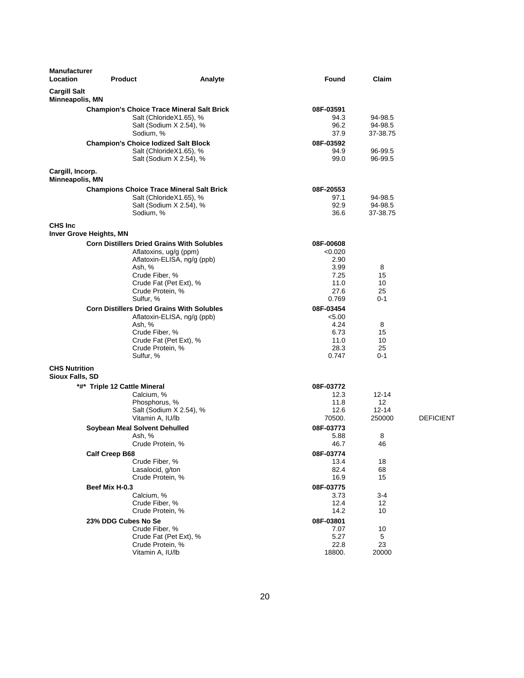| <b>Manufacturer</b><br>Location                   | <b>Product</b>                                                                                                                                                      | Analyte                     | Found                                                                 | Claim                                  |                  |
|---------------------------------------------------|---------------------------------------------------------------------------------------------------------------------------------------------------------------------|-----------------------------|-----------------------------------------------------------------------|----------------------------------------|------------------|
| <b>Cargill Salt</b><br>Minneapolis, MN            |                                                                                                                                                                     |                             |                                                                       |                                        |                  |
|                                                   | <b>Champion's Choice Trace Mineral Salt Brick</b><br>Salt (ChlorideX1.65), %<br>Salt (Sodium X 2.54), %<br>Sodium, %<br><b>Champion's Choice lodized Salt Block</b> |                             | 08F-03591<br>94.3<br>96.2<br>37.9<br>08F-03592                        | 94-98.5<br>94-98.5<br>37-38.75         |                  |
|                                                   | Salt (ChlorideX1.65), %<br>Salt (Sodium X 2.54), %                                                                                                                  |                             | 94.9<br>99.0                                                          | 96-99.5<br>96-99.5                     |                  |
| Cargill, Incorp.<br>Minneapolis, MN               |                                                                                                                                                                     |                             |                                                                       |                                        |                  |
|                                                   | <b>Champions Choice Trace Mineral Salt Brick</b><br>Salt (ChlorideX1.65), %<br>Salt (Sodium X 2.54), %<br>Sodium, %                                                 |                             | 08F-20553<br>97.1<br>92.9<br>36.6                                     | 94-98.5<br>94-98.5<br>37-38.75         |                  |
| <b>CHS Inc.</b><br><b>Inver Grove Heights, MN</b> |                                                                                                                                                                     |                             |                                                                       |                                        |                  |
|                                                   | <b>Corn Distillers Dried Grains With Solubles</b><br>Aflatoxins, ug/g (ppm)<br>Ash, %<br>Crude Fiber, %<br>Crude Fat (Pet Ext), %<br>Crude Protein, %<br>Sulfur, %  | Aflatoxin-ELISA, ng/g (ppb) | 08F-00608<br>< 0.020<br>2.90<br>3.99<br>7.25<br>11.0<br>27.6<br>0.769 | 8<br>15<br>10<br>25<br>$0 - 1$         |                  |
|                                                   | <b>Corn Distillers Dried Grains With Solubles</b><br>Ash, %<br>Crude Fiber, %<br>Crude Fat (Pet Ext), %<br>Crude Protein, %<br>Sulfur, %                            | Aflatoxin-ELISA, ng/g (ppb) | 08F-03454<br>< 5.00<br>4.24<br>6.73<br>11.0<br>28.3<br>0.747          | 8<br>15<br>10<br>25<br>$0 - 1$         |                  |
| <b>CHS Nutrition</b><br>Sioux Falls, SD           |                                                                                                                                                                     |                             |                                                                       |                                        |                  |
|                                                   | *#* Triple 12 Cattle Mineral<br>Calcium, %<br>Phosphorus, %<br>Salt (Sodium X 2.54), %<br>Vitamin A, IU/lb                                                          |                             | 08F-03772<br>12.3<br>11.8<br>12.6<br>70500.                           | $12 - 14$<br>12<br>$12 - 14$<br>250000 | <b>DEFICIENT</b> |
|                                                   | Soybean Meal Solvent Dehulled<br>Ash, %<br>Crude Protein, %                                                                                                         |                             | 08F-03773<br>5.88<br>46.7                                             | 8<br>46                                |                  |
|                                                   | <b>Calf Creep B68</b><br>Crude Fiber, %<br>Lasalocid, g/ton<br>Crude Protein, %                                                                                     |                             | 08F-03774<br>13.4<br>82.4<br>16.9                                     | 18<br>68<br>15                         |                  |
|                                                   | Beef Mix H-0.3<br>Calcium, %<br>Crude Fiber, %<br>Crude Protein, %                                                                                                  |                             | 08F-03775<br>3.73<br>12.4<br>14.2                                     | $3 - 4$<br>12<br>10                    |                  |
|                                                   | 23% DDG Cubes No Se<br>Crude Fiber, %<br>Crude Fat (Pet Ext), %<br>Crude Protein, %<br>Vitamin A, IU/lb                                                             |                             | 08F-03801<br>7.07<br>5.27<br>22.8<br>18800.                           | 10<br>5<br>23<br>20000                 |                  |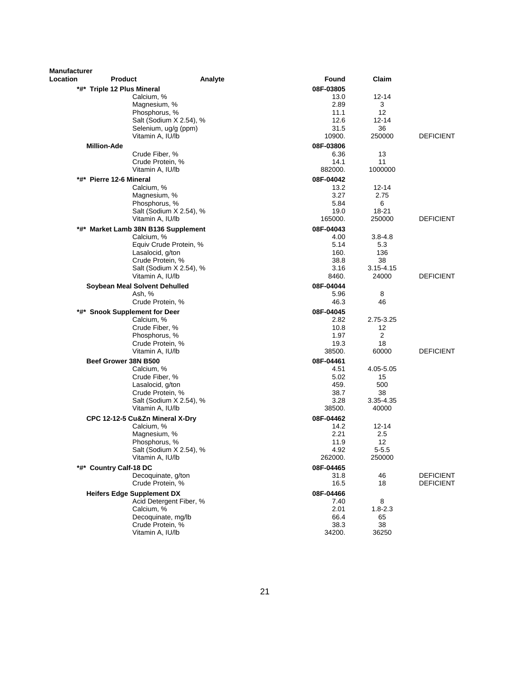| <b>Manufacturer</b> |                                      |                         |                   |                     |                  |
|---------------------|--------------------------------------|-------------------------|-------------------|---------------------|------------------|
| Location            | <b>Product</b>                       | Analyte                 | Found             | Claim               |                  |
|                     | *#* Triple 12 Plus Mineral           |                         | 08F-03805         |                     |                  |
|                     | Calcium, %                           |                         | 13.0              | $12 - 14$           |                  |
|                     | Magnesium, %                         |                         | 2.89              | 3                   |                  |
|                     | Phosphorus, %                        | Salt (Sodium X 2.54), % | 11.1<br>12.6      | 12<br>$12 - 14$     |                  |
|                     | Selenium, ug/g (ppm)                 |                         | 31.5              | 36                  |                  |
|                     | Vitamin A, IU/lb                     |                         | 10900.            | 250000              | <b>DEFICIENT</b> |
|                     | <b>Million-Ade</b>                   |                         | 08F-03806         |                     |                  |
|                     | Crude Fiber, %                       |                         | 6.36              | 13                  |                  |
|                     | Crude Protein, %                     |                         | 14.1              | 11                  |                  |
|                     | Vitamin A, IU/lb                     |                         | 882000.           | 1000000             |                  |
|                     | *#* Pierre 12-6 Mineral              |                         | 08F-04042         |                     |                  |
|                     | Calcium, %                           |                         | 13.2              | 12-14               |                  |
|                     | Magnesium, %                         |                         | 3.27              | 2.75                |                  |
|                     | Phosphorus, %                        | Salt (Sodium X 2.54), % | 5.84<br>19.0      | 6<br>18-21          |                  |
|                     | Vitamin A, IU/lb                     |                         | 165000.           | 250000              | <b>DEFICIENT</b> |
| *#*                 | Market Lamb 38N B136 Supplement      |                         | 08F-04043         |                     |                  |
|                     | Calcium, %                           |                         | 4.00              | $3.8 - 4.8$         |                  |
|                     |                                      | Equiv Crude Protein, %  | 5.14              | 5.3                 |                  |
|                     | Lasalocid, g/ton                     |                         | 160.              | 136                 |                  |
|                     | Crude Protein, %                     |                         | 38.8              | 38<br>$3.15 - 4.15$ |                  |
|                     | Vitamin A, IU/lb                     | Salt (Sodium X 2.54), % | 3.16<br>8460.     | 24000               | <b>DEFICIENT</b> |
|                     | Soybean Meal Solvent Dehulled        |                         | 08F-04044         |                     |                  |
|                     | Ash, %                               |                         | 5.96              | 8                   |                  |
|                     | Crude Protein, %                     |                         | 46.3              | 46                  |                  |
| *#*                 | <b>Snook Supplement for Deer</b>     |                         | 08F-04045         |                     |                  |
|                     | Calcium, %                           |                         | 2.82              | 2.75-3.25           |                  |
|                     | Crude Fiber, %                       |                         | 10.8              | 12                  |                  |
|                     | Phosphorus, %                        |                         | 1.97              | 2                   |                  |
|                     | Crude Protein, %<br>Vitamin A, IU/lb |                         | 19.3<br>38500.    | 18<br>60000         | <b>DEFICIENT</b> |
|                     |                                      |                         |                   |                     |                  |
|                     | Beef Grower 38N B500<br>Calcium, %   |                         | 08F-04461<br>4.51 | 4.05-5.05           |                  |
|                     | Crude Fiber, %                       |                         | 5.02              | 15                  |                  |
|                     | Lasalocid, g/ton                     |                         | 459.              | 500                 |                  |
|                     | Crude Protein, %                     |                         | 38.7              | 38                  |                  |
|                     |                                      | Salt (Sodium X 2.54), % | 3.28              | 3.35-4.35           |                  |
|                     | Vitamin A, IU/lb                     |                         | 38500.            | 40000               |                  |
|                     | CPC 12-12-5 Cu&Zn Mineral X-Dry      |                         | 08F-04462         |                     |                  |
|                     | Calcium, %<br>Magnesium, %           |                         | 14.2<br>2.21      | 12-14<br>2.5        |                  |
|                     | Phosphorus, %                        |                         | 11.9              | 12                  |                  |
|                     |                                      | Salt (Sodium X 2.54), % | 4.92              | $5 - 5.5$           |                  |
|                     | Vitamin A, IU/lb                     |                         | 262000.           | 250000              |                  |
|                     | *#* Country Calf-18 DC               |                         | 08F-04465         |                     |                  |
|                     | Decoquinate, g/ton                   |                         | 31.8              | 46                  | <b>DEFICIENT</b> |
|                     | Crude Protein, %                     |                         | 16.5              | 18                  | <b>DEFICIENT</b> |
|                     | <b>Heifers Edge Supplement DX</b>    |                         | 08F-04466         |                     |                  |
|                     | Calcium, %                           | Acid Detergent Fiber, % | 7.40<br>2.01      | 8<br>$1.8 - 2.3$    |                  |
|                     | Decoquinate, mg/lb                   |                         | 66.4              | 65                  |                  |
|                     | Crude Protein, %                     |                         | 38.3              | 38                  |                  |
|                     | Vitamin A, IU/lb                     |                         | 34200.            | 36250               |                  |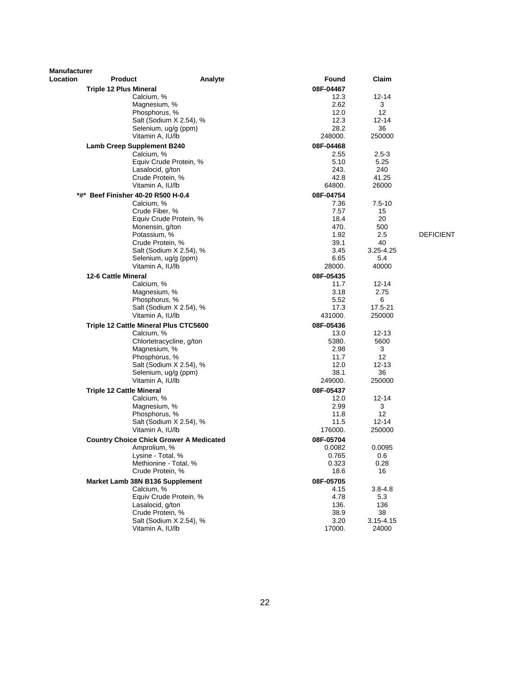| <b>Manufacturer</b> |                                                |                          |                   |               |                  |
|---------------------|------------------------------------------------|--------------------------|-------------------|---------------|------------------|
| <b>Location</b>     | <b>Product</b>                                 | Analyte                  | Found             | Claim         |                  |
|                     | <b>Triple 12 Plus Mineral</b>                  |                          | 08F-04467         |               |                  |
|                     | Calcium, %                                     |                          | 12.3              | 12-14         |                  |
|                     | Magnesium, %                                   |                          | 2.62              | 3             |                  |
|                     | Phosphorus, %                                  | Salt (Sodium X 2.54), %  | 12.0<br>12.3      | 12<br>12-14   |                  |
|                     | Selenium, ug/g (ppm)                           |                          | 28.2              | 36            |                  |
|                     | Vitamin A, IU/lb                               |                          | 248000.           | 250000        |                  |
|                     | <b>Lamb Creep Supplement B240</b>              |                          | 08F-04468         |               |                  |
|                     | Calcium, %                                     |                          | 2.55              | $2.5 - 3$     |                  |
|                     |                                                | Equiv Crude Protein, %   | 5.10              | 5.25          |                  |
|                     | Lasalocid, g/ton                               |                          | 243.              | 240           |                  |
|                     | Crude Protein, %                               |                          | 42.8              | 41.25         |                  |
|                     | Vitamin A, IU/lb                               |                          | 64800.            | 26000         |                  |
|                     | *#* Beef Finisher 40-20 R500 H-0.4             |                          | 08F-04754         |               |                  |
|                     | Calcium, %                                     |                          | 7.36              | $7.5 - 10$    |                  |
|                     | Crude Fiber, %                                 |                          | 7.57              | 15            |                  |
|                     |                                                | Equiv Crude Protein, %   | 18.4              | 20            |                  |
|                     | Monensin, g/ton                                |                          | 470.              | 500           |                  |
|                     | Potassium, %                                   |                          | 1.92              | 2.5           | <b>DEFICIENT</b> |
|                     | Crude Protein, %                               |                          | 39.1              | 40            |                  |
|                     |                                                | Salt (Sodium X 2.54), %  | 3.45              | 3.25-4.25     |                  |
|                     | Vitamin A, IU/lb                               | Selenium, ug/g (ppm)     | 6.65<br>28000.    | 5.4<br>40000  |                  |
|                     |                                                |                          |                   |               |                  |
|                     | 12-6 Cattle Mineral<br>Calcium, %              |                          | 08F-05435<br>11.7 | 12-14         |                  |
|                     | Magnesium, %                                   |                          | 3.18              | 2.75          |                  |
|                     | Phosphorus, %                                  |                          | 5.52              | 6             |                  |
|                     |                                                | Salt (Sodium X 2.54), %  | 17.3              | 17.5-21       |                  |
|                     | Vitamin A, IU/lb                               |                          | 431000.           | 250000        |                  |
|                     | Triple 12 Cattle Mineral Plus CTC5600          |                          | 08F-05436         |               |                  |
|                     | Calcium, %                                     |                          | 13.0              | $12 - 13$     |                  |
|                     |                                                | Chlortetracycline, g/ton | 5380.             | 5600          |                  |
|                     | Magnesium, %                                   |                          | 2.98              | 3             |                  |
|                     | Phosphorus, %                                  |                          | 11.7              | 12            |                  |
|                     |                                                | Salt (Sodium X 2.54), %  | 12.0              | $12 - 13$     |                  |
|                     | Selenium, ug/g (ppm)                           |                          | 38.1              | 36            |                  |
|                     | Vitamin A, IU/lb                               |                          | 249000.           | 250000        |                  |
|                     | <b>Triple 12 Cattle Mineral</b>                |                          | 08F-05437         |               |                  |
|                     | Calcium, %                                     |                          | 12.0              | 12-14         |                  |
|                     | Magnesium, %<br>Phosphorus, %                  |                          | 2.99<br>11.8      | 3<br>12       |                  |
|                     |                                                | Salt (Sodium X 2.54), %  | 11.5              | $12 - 14$     |                  |
|                     | Vitamin A, IU/lb                               |                          | 176000.           | 250000        |                  |
|                     | <b>Country Choice Chick Grower A Medicated</b> |                          | 08F-05704         |               |                  |
|                     | Amprolium, %                                   |                          | 0.0082            | 0.0095        |                  |
|                     | Lysine - Total, %                              |                          | 0.765             | 0.6           |                  |
|                     | Methionine - Total, %                          |                          | 0.323             | 0.28          |                  |
|                     | Crude Protein, %                               |                          | 18.6              | 16            |                  |
|                     | Market Lamb 38N B136 Supplement                |                          | 08F-05705         |               |                  |
|                     | Calcium, %                                     |                          | 4.15              | $3.8 - 4.8$   |                  |
|                     |                                                | Equiv Crude Protein, %   | 4.78              | 5.3           |                  |
|                     | Lasalocid, g/ton                               |                          | 136.              | 136           |                  |
|                     | Crude Protein, %                               |                          | 38.9              | 38            |                  |
|                     |                                                | Salt (Sodium X 2.54), %  | 3.20              | $3.15 - 4.15$ |                  |
|                     | Vitamin A, IU/lb                               |                          | 17000.            | 24000         |                  |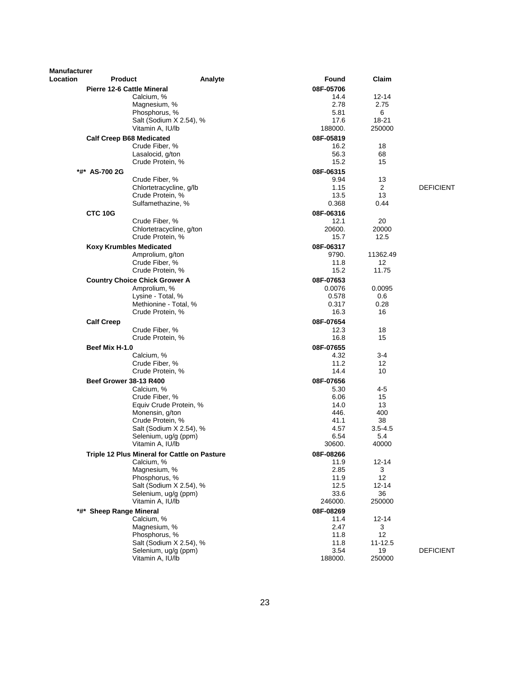| Manufacturer |                                                    |         |                   |                   |                  |
|--------------|----------------------------------------------------|---------|-------------------|-------------------|------------------|
| Location     | Product                                            | Analyte | Found             | Claim             |                  |
|              | <b>Pierre 12-6 Cattle Mineral</b>                  |         | 08F-05706         |                   |                  |
|              | Calcium, %                                         |         | 14.4              | $12 - 14$         |                  |
|              | Magnesium, %                                       |         | 2.78              | 2.75              |                  |
|              | Phosphorus, %                                      |         | 5.81              | 6                 |                  |
|              | Salt (Sodium X 2.54), %                            |         | 17.6              | 18-21             |                  |
|              | Vitamin A, IU/lb                                   |         | 188000.           | 250000            |                  |
|              | <b>Calf Creep B68 Medicated</b>                    |         | 08F-05819         |                   |                  |
|              | Crude Fiber, %                                     |         | 16.2              | 18                |                  |
|              | Lasalocid, g/ton                                   |         | 56.3              | 68                |                  |
|              | Crude Protein, %                                   |         | 15.2              | 15                |                  |
|              | *#* AS-700 2G                                      |         | 08F-06315         |                   |                  |
|              | Crude Fiber, %                                     |         | 9.94              | 13                |                  |
|              | Chlortetracycline, g/lb                            |         | 1.15              | 2<br>13           | <b>DEFICIENT</b> |
|              | Crude Protein, %<br>Sulfamethazine, %              |         | 13.5<br>0.368     | 0.44              |                  |
|              |                                                    |         |                   |                   |                  |
|              | <b>CTC 10G</b>                                     |         | 08F-06316<br>12.1 | 20                |                  |
|              | Crude Fiber, %<br>Chlortetracycline, g/ton         |         | 20600.            | 20000             |                  |
|              | Crude Protein, %                                   |         | 15.7              | 12.5              |                  |
|              |                                                    |         | 08F-06317         |                   |                  |
|              | <b>Koxy Krumbles Medicated</b><br>Amprolium, g/ton |         | 9790.             | 11362.49          |                  |
|              | Crude Fiber, %                                     |         | 11.8              | 12                |                  |
|              | Crude Protein, %                                   |         | 15.2              | 11.75             |                  |
|              | <b>Country Choice Chick Grower A</b>               |         | 08F-07653         |                   |                  |
|              | Amprolium, %                                       |         | 0.0076            | 0.0095            |                  |
|              | Lysine - Total, %                                  |         | 0.578             | 0.6               |                  |
|              | Methionine - Total, %                              |         | 0.317             | 0.28              |                  |
|              | Crude Protein, %                                   |         | 16.3              | 16                |                  |
|              | <b>Calf Creep</b>                                  |         | 08F-07654         |                   |                  |
|              | Crude Fiber, %                                     |         | 12.3              | 18                |                  |
|              | Crude Protein, %                                   |         | 16.8              | 15                |                  |
|              | Beef Mix H-1.0                                     |         | 08F-07655         |                   |                  |
|              | Calcium, %                                         |         | 4.32              | 3-4               |                  |
|              | Crude Fiber, %                                     |         | 11.2              | 12                |                  |
|              | Crude Protein, %                                   |         | 14.4              | 10                |                  |
|              | <b>Beef Grower 38-13 R400</b>                      |         | 08F-07656         |                   |                  |
|              | Calcium, %                                         |         | 5.30              | 4-5               |                  |
|              | Crude Fiber, %                                     |         | 6.06              | 15                |                  |
|              | Equiv Crude Protein, %                             |         | 14.0              | 13                |                  |
|              | Monensin, g/ton                                    |         | 446.<br>41.1      | 400<br>38         |                  |
|              | Crude Protein, %<br>Salt (Sodium X 2.54), %        |         | 4.57              | $3.5 - 4.5$       |                  |
|              | Selenium, ug/g (ppm)                               |         | 6.54              | 5.4               |                  |
|              | Vitamin A, IU/lb                                   |         | 30600.            | 40000             |                  |
|              | Triple 12 Plus Mineral for Cattle on Pasture       |         | 08F-08266         |                   |                  |
|              | Calcium, %                                         |         | 11.9              | $12 - 14$         |                  |
|              | Magnesium, %                                       |         | 2.85              | 3                 |                  |
|              | Phosphorus, %                                      |         | 11.9              | 12                |                  |
|              | Salt (Sodium X 2.54), %                            |         | 12.5              | $12 - 14$         |                  |
|              | Selenium, ug/g (ppm)                               |         | 33.6              | 36                |                  |
|              | Vitamin A, IU/lb                                   |         | 246000.           | 250000            |                  |
|              | *#* Sheep Range Mineral                            |         | 08F-08269         |                   |                  |
|              | Calcium, %                                         |         | 11.4              | $12 - 14$         |                  |
|              | Magnesium, %                                       |         | 2.47              | 3                 |                  |
|              | Phosphorus, %<br>Salt (Sodium X 2.54), %           |         | 11.8<br>11.8      | 12<br>$11 - 12.5$ |                  |
|              | Selenium, ug/g (ppm)                               |         | 3.54              | 19                | <b>DEFICIENT</b> |
|              | Vitamin A, IU/lb                                   |         | 188000.           | 250000            |                  |
|              |                                                    |         |                   |                   |                  |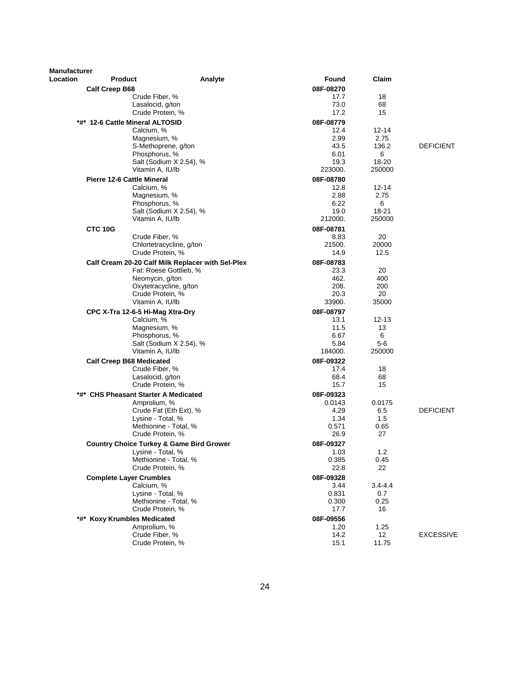| Manufacturer |                                      |                                                     |           |             |                  |
|--------------|--------------------------------------|-----------------------------------------------------|-----------|-------------|------------------|
| Location     | <b>Product</b>                       | Analyte                                             | Found     | Claim       |                  |
|              | <b>Calf Creep B68</b>                |                                                     | 08F-08270 |             |                  |
|              |                                      | Crude Fiber, %                                      | 17.7      | 18          |                  |
|              |                                      | Lasalocid, g/ton                                    | 73.0      | 68          |                  |
|              |                                      | Crude Protein, %                                    | 17.2      | 15          |                  |
|              | *#* 12-6 Cattle Mineral ALTOSID      |                                                     | 08F-08779 |             |                  |
|              | Calcium, %                           |                                                     | 12.4      | $12 - 14$   |                  |
|              |                                      | Magnesium, %                                        | 2.99      | 2.75        |                  |
|              |                                      | S-Methoprene, g/ton                                 | 43.5      | 136.2       | <b>DEFICIENT</b> |
|              |                                      | Phosphorus, %                                       | 6.01      | 6           |                  |
|              |                                      | Salt (Sodium X 2.54), %                             | 19.3      | 18-20       |                  |
|              |                                      | Vitamin A, IU/lb                                    | 223000.   | 250000      |                  |
|              | <b>Pierre 12-6 Cattle Mineral</b>    |                                                     | 08F-08780 |             |                  |
|              | Calcium, %                           |                                                     | 12.8      | 12-14       |                  |
|              |                                      | Magnesium, %                                        | 2.88      | 2.75        |                  |
|              |                                      | Phosphorus, %                                       | 6.22      | 6           |                  |
|              |                                      | Salt (Sodium X 2.54), %                             | 19.0      | 18-21       |                  |
|              |                                      | Vitamin A, IU/lb                                    | 212000.   | 250000      |                  |
|              | CTC 10G                              |                                                     | 08F-08781 |             |                  |
|              |                                      | Crude Fiber, %                                      | 8.83      | 20          |                  |
|              |                                      | Chlortetracycline, g/ton                            | 21500.    | 20000       |                  |
|              |                                      | Crude Protein, %                                    | 14.9      | 12.5        |                  |
|              |                                      | Calf Cream 20-20 Calf Milk Replacer with Sel-Plex   | 08F-08783 |             |                  |
|              |                                      | Fat: Roese Gottlieb, %                              | 23.3      | 20          |                  |
|              |                                      | Neomycin, g/ton                                     | 462.      | 400         |                  |
|              |                                      | Oxytetracycline, g/ton                              | 208.      | 200         |                  |
|              |                                      | Crude Protein, %                                    | 20.3      | 20          |                  |
|              |                                      | Vitamin A, IU/lb                                    | 33900.    | 35000       |                  |
|              | CPC X-Tra 12-6-5 Hi-Mag Xtra-Dry     |                                                     | 08F-08797 |             |                  |
|              | Calcium, %                           |                                                     | 13.1      | $12 - 13$   |                  |
|              |                                      | Magnesium, %                                        | 11.5      | 13          |                  |
|              |                                      | Phosphorus, %                                       | 6.67      | 6           |                  |
|              |                                      | Salt (Sodium X 2.54), %                             | 5.84      | $5-6$       |                  |
|              |                                      | Vitamin A, IU/lb                                    | 184000.   | 250000      |                  |
|              | <b>Calf Creep B68 Medicated</b>      |                                                     | 08F-09322 |             |                  |
|              |                                      | Crude Fiber, %                                      | 17.4      | 18          |                  |
|              |                                      | Lasalocid, g/ton                                    | 68.4      | 68          |                  |
|              |                                      | Crude Protein, %                                    | 15.7      | 15          |                  |
|              | *#* CHS Pheasant Starter A Medicated |                                                     | 08F-09323 |             |                  |
|              | Amprolium, %                         |                                                     | 0.0143    | 0.0175      |                  |
|              |                                      | Crude Fat (Eth Ext), %                              | 4.29      | 6.5         | <b>DEFICIENT</b> |
|              |                                      | Lysine - Total, %                                   | 1.34      | 1.5         |                  |
|              |                                      | Methionine - Total, %                               | 0.571     | 0.65        |                  |
|              |                                      | Crude Protein, %                                    | 26.9      | 27          |                  |
|              |                                      | <b>Country Choice Turkey &amp; Game Bird Grower</b> | 08F-09327 |             |                  |
|              | Lysine - Total, %                    |                                                     | 1.03      | 1.2         |                  |
|              |                                      | Methionine - Total, %                               | 0.385     | 0.45        |                  |
|              |                                      | Crude Protein, %                                    | 22.8      | 22          |                  |
|              | <b>Complete Layer Crumbles</b>       |                                                     | 08F-09328 |             |                  |
|              | Calcium, %                           |                                                     | 3.44      | $3.4 - 4.4$ |                  |
|              |                                      | Lysine - Total, %                                   | 0.831     | 0.7         |                  |
|              |                                      | Methionine - Total, %                               | 0.300     | 0.25        |                  |
|              |                                      | Crude Protein, %                                    | 17.7      | 16          |                  |
|              | *#* Koxy Krumbles Medicated          |                                                     | 08F-09556 |             |                  |
|              | Amprolium, %                         |                                                     | 1.20      | 1.25        |                  |
|              |                                      | Crude Fiber, %                                      | 14.2      | 12          | <b>EXCESSIVE</b> |
|              |                                      | Crude Protein, %                                    | 15.1      | 11.75       |                  |
|              |                                      |                                                     |           |             |                  |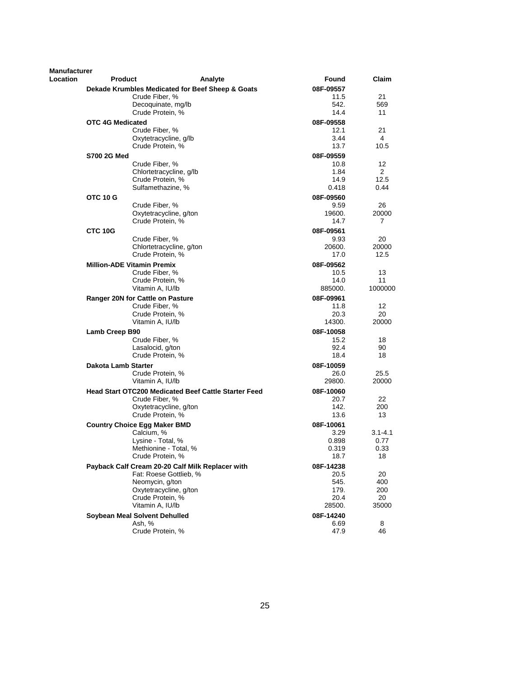| Manufacturer |                         |                                                             |         |           |              |
|--------------|-------------------------|-------------------------------------------------------------|---------|-----------|--------------|
| Location     | <b>Product</b>          |                                                             | Analyte | Found     | <b>Claim</b> |
|              |                         | Dekade Krumbles Medicated for Beef Sheep & Goats            |         | 08F-09557 |              |
|              |                         | Crude Fiber, %                                              |         | 11.5      | 21           |
|              |                         | Decoquinate, mg/lb                                          |         | 542.      | 569          |
|              |                         | Crude Protein, %                                            |         | 14.4      | 11           |
|              | <b>OTC 4G Medicated</b> |                                                             |         | 08F-09558 |              |
|              |                         | Crude Fiber, %                                              |         | 12.1      | 21           |
|              |                         | Oxytetracycline, g/lb                                       |         | 3.44      | 4            |
|              |                         | Crude Protein, %                                            |         | 13.7      | 10.5         |
|              | S700 2G Med             |                                                             |         | 08F-09559 |              |
|              |                         | Crude Fiber, %                                              |         | 10.8      | 12           |
|              |                         | Chlortetracycline, g/lb                                     |         | 1.84      | 2            |
|              |                         | Crude Protein, %                                            |         | 14.9      | 12.5         |
|              |                         | Sulfamethazine, %                                           |         | 0.418     | 0.44         |
|              | OTC 10 G                |                                                             |         | 08F-09560 |              |
|              |                         | Crude Fiber, %                                              |         | 9.59      | 26           |
|              |                         | Oxytetracycline, g/ton                                      |         | 19600.    | 20000        |
|              |                         | Crude Protein, %                                            |         | 14.7      | 7            |
|              | CTC 10G                 |                                                             |         | 08F-09561 |              |
|              |                         | Crude Fiber, %                                              |         | 9.93      | 20           |
|              |                         | Chlortetracycline, g/ton                                    |         | 20600.    | 20000        |
|              |                         | Crude Protein, %                                            |         | 17.0      | 12.5         |
|              |                         | <b>Million-ADE Vitamin Premix</b>                           |         | 08F-09562 |              |
|              |                         | Crude Fiber, %                                              |         | 10.5      | 13           |
|              |                         | Crude Protein, %                                            |         | 14.0      | 11           |
|              |                         | Vitamin A, IU/lb                                            |         | 885000.   | 1000000      |
|              |                         | Ranger 20N for Cattle on Pasture                            |         | 08F-09961 |              |
|              |                         | Crude Fiber, %                                              |         | 11.8      | 12           |
|              |                         | Crude Protein, %                                            |         | 20.3      | 20           |
|              |                         | Vitamin A, IU/lb                                            |         | 14300.    | 20000        |
|              | Lamb Creep B90          |                                                             |         | 08F-10058 |              |
|              |                         | Crude Fiber, %                                              |         | 15.2      | 18           |
|              |                         | Lasalocid, g/ton                                            |         | 92.4      | 90           |
|              |                         | Crude Protein, %                                            |         | 18.4      | 18           |
|              | Dakota Lamb Starter     |                                                             |         | 08F-10059 |              |
|              |                         | Crude Protein, %                                            |         | 26.0      | 25.5         |
|              |                         | Vitamin A, IU/lb                                            |         | 29800.    | 20000        |
|              |                         | <b>Head Start OTC200 Medicated Beef Cattle Starter Feed</b> |         | 08F-10060 |              |
|              |                         | Crude Fiber, %                                              |         | 20.7      | 22           |
|              |                         | Oxytetracycline, g/ton                                      |         | 142.      | 200          |
|              |                         | Crude Protein, %                                            |         | 13.6      | 13           |
|              |                         | <b>Country Choice Egg Maker BMD</b>                         |         | 08F-10061 |              |
|              |                         | Calcium, %                                                  |         | 3.29      | $3.1 - 4.1$  |
|              |                         | Lysine - Total, %                                           |         | 0.898     | 0.77         |
|              |                         | Methionine - Total, %                                       |         | 0.319     | 0.33         |
|              |                         | Crude Protein, %                                            |         | 18.7      | 18           |
|              |                         | Payback Calf Cream 20-20 Calf Milk Replacer with            |         | 08F-14238 |              |
|              |                         | Fat: Roese Gottlieb, %                                      |         | 20.5      | 20           |
|              |                         | Neomycin, g/ton                                             |         | 545.      | 400          |
|              |                         | Oxytetracycline, g/ton                                      |         | 179.      | 200          |
|              |                         | Crude Protein, %                                            |         | 20.4      | 20           |
|              |                         | Vitamin A, IU/lb                                            |         | 28500.    | 35000        |
|              |                         | Soybean Meal Solvent Dehulled                               |         | 08F-14240 |              |
|              |                         | Ash, %                                                      |         | 6.69      | 8            |
|              |                         | Crude Protein, %                                            |         | 47.9      | 46           |
|              |                         |                                                             |         |           |              |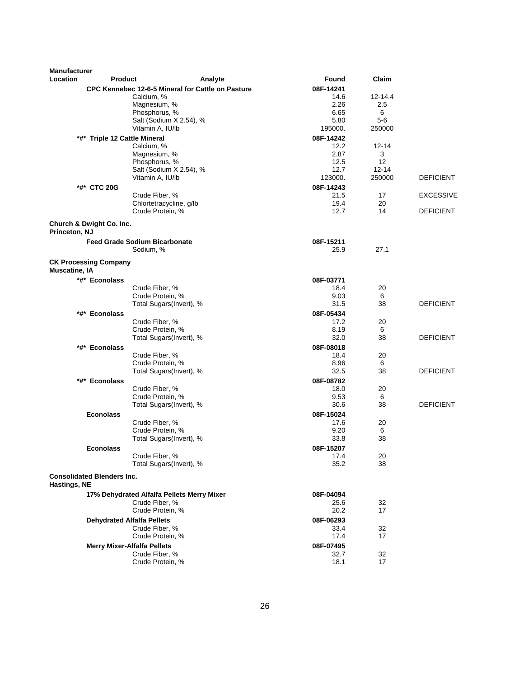| <b>Manufacturer</b><br>Location                      | <b>Product</b>                             | Analyte                                           | <b>Found</b> | Claim     |                  |
|------------------------------------------------------|--------------------------------------------|---------------------------------------------------|--------------|-----------|------------------|
|                                                      |                                            |                                                   | 08F-14241    |           |                  |
|                                                      | Calcium, %                                 | CPC Kennebec 12-6-5 Mineral for Cattle on Pasture | 14.6         | 12-14.4   |                  |
|                                                      | Magnesium, %                               |                                                   | 2.26         | 2.5       |                  |
|                                                      | Phosphorus, %                              |                                                   | 6.65         | 6         |                  |
|                                                      | Salt (Sodium X 2.54), %                    |                                                   | 5.80         | $5-6$     |                  |
|                                                      | Vitamin A, IU/lb                           |                                                   | 195000.      | 250000    |                  |
|                                                      | *#* Triple 12 Cattle Mineral               |                                                   | 08F-14242    |           |                  |
|                                                      | Calcium, %                                 |                                                   | 12.2         | $12 - 14$ |                  |
|                                                      | Magnesium, %                               |                                                   | 2.87         | 3         |                  |
|                                                      | Phosphorus, %                              |                                                   | 12.5         | 12        |                  |
|                                                      | Salt (Sodium X 2.54), %                    |                                                   | 12.7         | $12 - 14$ |                  |
|                                                      | Vitamin A, IU/lb                           |                                                   | 123000.      | 250000    | <b>DEFICIENT</b> |
| *#* CTC 20G                                          |                                            |                                                   | 08F-14243    |           |                  |
|                                                      | Crude Fiber, %                             |                                                   | 21.5         | 17        | <b>EXCESSIVE</b> |
|                                                      | Chlortetracycline, g/lb                    |                                                   | 19.4         | 20        |                  |
|                                                      | Crude Protein, %                           |                                                   | 12.7         | 14        | <b>DEFICIENT</b> |
| Church & Dwight Co. Inc.                             |                                            |                                                   |              |           |                  |
| Princeton, NJ                                        |                                            |                                                   |              |           |                  |
|                                                      | <b>Feed Grade Sodium Bicarbonate</b>       |                                                   | 08F-15211    |           |                  |
|                                                      | Sodium, %                                  |                                                   | 25.9         | 27.1      |                  |
| <b>CK Processing Company</b><br><b>Muscatine, IA</b> |                                            |                                                   |              |           |                  |
| *#* Econolass                                        |                                            |                                                   | 08F-03771    |           |                  |
|                                                      | Crude Fiber, %                             |                                                   | 18.4         | 20        |                  |
|                                                      | Crude Protein, %                           |                                                   | 9.03         | 6         |                  |
|                                                      | Total Sugars(Invert), %                    |                                                   | 31.5         | 38        | <b>DEFICIENT</b> |
| *#* Econolass                                        |                                            |                                                   | 08F-05434    |           |                  |
|                                                      | Crude Fiber, %                             |                                                   | 17.2         | 20        |                  |
|                                                      | Crude Protein, %                           |                                                   | 8.19         | 6         |                  |
|                                                      | Total Sugars(Invert), %                    |                                                   | 32.0         | 38        | <b>DEFICIENT</b> |
| *#* Econolass                                        |                                            |                                                   | 08F-08018    |           |                  |
|                                                      | Crude Fiber, %                             |                                                   | 18.4         | 20        |                  |
|                                                      | Crude Protein, %                           |                                                   | 8.96         | 6         |                  |
|                                                      | Total Sugars(Invert), %                    |                                                   | 32.5         | 38        | <b>DEFICIENT</b> |
| *#* Econolass                                        |                                            |                                                   | 08F-08782    |           |                  |
|                                                      | Crude Fiber, %                             |                                                   | 18.0         | 20        |                  |
|                                                      | Crude Protein, %                           |                                                   | 9.53         | 6         |                  |
|                                                      | Total Sugars(Invert), %                    |                                                   | 30.6         | 38        | <b>DEFICIENT</b> |
| <b>Econolass</b>                                     |                                            |                                                   | 08F-15024    |           |                  |
|                                                      | Crude Fiber, %                             |                                                   | 17.6         | 20        |                  |
|                                                      | Crude Protein, %                           |                                                   | 9.20         | 6         |                  |
|                                                      | Total Sugars(Invert), %                    |                                                   | 33.8         | 38        |                  |
| <b>Econolass</b>                                     |                                            |                                                   | 08F-15207    |           |                  |
|                                                      | Crude Fiber, %                             |                                                   | 17.4         | 20        |                  |
|                                                      | Total Sugars(Invert), %                    |                                                   | 35.2         | 38        |                  |
| <b>Consolidated Blenders Inc.</b>                    |                                            |                                                   |              |           |                  |
| Hastings, NE                                         |                                            |                                                   |              |           |                  |
|                                                      | 17% Dehydrated Alfalfa Pellets Merry Mixer |                                                   | 08F-04094    |           |                  |
|                                                      | Crude Fiber, %                             |                                                   | 25.6         | 32        |                  |
|                                                      | Crude Protein, %                           |                                                   | 20.2         | 17        |                  |
|                                                      | <b>Dehydrated Alfalfa Pellets</b>          |                                                   | 08F-06293    |           |                  |
|                                                      | Crude Fiber, %                             |                                                   | 33.4         | 32        |                  |
|                                                      | Crude Protein, %                           |                                                   | 17.4         | 17        |                  |
|                                                      | <b>Merry Mixer-Alfalfa Pellets</b>         |                                                   | 08F-07495    |           |                  |
|                                                      | Crude Fiber, %                             |                                                   | 32.7         | 32        |                  |
|                                                      | Crude Protein, %                           |                                                   | 18.1         | 17        |                  |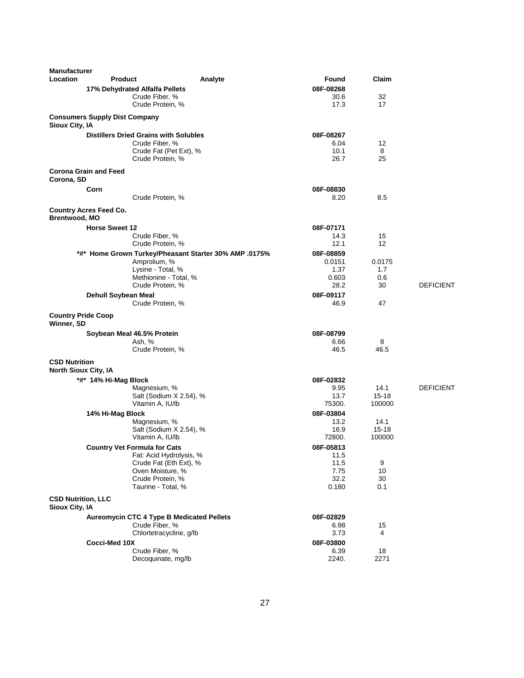| <b>Manufacturer</b>                                 |                                      |                                                       |         |              |           |                  |
|-----------------------------------------------------|--------------------------------------|-------------------------------------------------------|---------|--------------|-----------|------------------|
| Location                                            | <b>Product</b>                       |                                                       | Analyte | Found        | Claim     |                  |
|                                                     |                                      | 17% Dehydrated Alfalfa Pellets                        |         | 08F-08268    |           |                  |
|                                                     |                                      | Crude Fiber, %                                        |         | 30.6         | 32        |                  |
|                                                     |                                      | Crude Protein, %                                      |         | 17.3         | 17        |                  |
| Sioux City, IA                                      | <b>Consumers Supply Dist Company</b> |                                                       |         |              |           |                  |
|                                                     |                                      | <b>Distillers Dried Grains with Solubles</b>          |         | 08F-08267    |           |                  |
|                                                     |                                      | Crude Fiber, %                                        |         | 6.04         | 12        |                  |
|                                                     |                                      | Crude Fat (Pet Ext), %                                |         | 10.1         | 8         |                  |
|                                                     |                                      | Crude Protein, %                                      |         | 26.7         | 25        |                  |
| Corona, SD                                          | <b>Corona Grain and Feed</b>         |                                                       |         |              |           |                  |
|                                                     | Corn                                 |                                                       |         | 08F-08830    |           |                  |
|                                                     |                                      | Crude Protein, %                                      |         | 8.20         | 8.5       |                  |
| Brentwood, MO                                       | <b>Country Acres Feed Co.</b>        |                                                       |         |              |           |                  |
|                                                     | <b>Horse Sweet 12</b>                |                                                       |         | 08F-07171    |           |                  |
|                                                     |                                      | Crude Fiber, %                                        |         | 14.3         | 15        |                  |
|                                                     |                                      | Crude Protein, %                                      |         | 12.1         | 12        |                  |
|                                                     |                                      | *#* Home Grown Turkey/Pheasant Starter 30% AMP .0175% |         | 08F-08859    |           |                  |
|                                                     |                                      | Amprolium, %                                          |         | 0.0151       | 0.0175    |                  |
|                                                     |                                      | Lysine - Total, %                                     |         | 1.37         | 1.7       |                  |
|                                                     |                                      | Methionine - Total, %                                 |         | 0.603        | 0.6       |                  |
|                                                     |                                      | Crude Protein, %                                      |         | 28.2         | 30        | <b>DEFICIENT</b> |
|                                                     | Dehull Soybean Meal                  |                                                       |         | 08F-09117    |           |                  |
|                                                     |                                      | Crude Protein, %                                      |         | 46.9         | 47        |                  |
| <b>Country Pride Coop</b><br>Winner, SD             |                                      |                                                       |         |              |           |                  |
|                                                     |                                      | Soybean Meal 46.5% Protein                            |         | 08F-08799    |           |                  |
|                                                     |                                      | Ash, %                                                |         | 6.66         | 8         |                  |
|                                                     |                                      | Crude Protein, %                                      |         | 46.5         | 46.5      |                  |
| <b>CSD Nutrition</b><br><b>North Sioux City, IA</b> |                                      |                                                       |         |              |           |                  |
|                                                     | *#* 14% Hi-Mag Block                 |                                                       |         | 08F-02832    |           |                  |
|                                                     |                                      | Magnesium, %                                          |         | 9.95         | 14.1      | <b>DEFICIENT</b> |
|                                                     |                                      | Salt (Sodium X 2.54), %                               |         | 13.7         | $15 - 18$ |                  |
|                                                     |                                      | Vitamin A, IU/lb                                      |         | 75300.       | 100000    |                  |
|                                                     | 14% Hi-Mag Block                     |                                                       |         | 08F-03804    |           |                  |
|                                                     |                                      | Magnesium, %                                          |         | 13.2         | 14.1      |                  |
|                                                     |                                      | Salt (Sodium X 2.54), %                               |         | 16.9         | 15-18     |                  |
|                                                     |                                      | Vitamin A, IU/lb                                      |         | 72800.       | 100000    |                  |
|                                                     |                                      | <b>Country Vet Formula for Cats</b>                   |         | 08F-05813    |           |                  |
|                                                     |                                      | Fat: Acid Hydrolysis, %                               |         | 11.5         |           |                  |
|                                                     |                                      | Crude Fat (Eth Ext), %                                |         | 11.5         | 9         |                  |
|                                                     |                                      | Oven Moisture, %<br>Crude Protein, %                  |         | 7.75<br>32.2 | 10<br>30  |                  |
|                                                     |                                      | Taurine - Total, %                                    |         | 0.180        | 0.1       |                  |
|                                                     |                                      |                                                       |         |              |           |                  |
| <b>CSD Nutrition, LLC</b><br>Sioux City, IA         |                                      |                                                       |         |              |           |                  |
|                                                     |                                      | Aureomycin CTC 4 Type B Medicated Pellets             |         | 08F-02829    |           |                  |
|                                                     |                                      | Crude Fiber, %                                        |         | 6.98         | 15        |                  |
|                                                     |                                      | Chlortetracycline, q/lb                               |         | 3.73         | 4         |                  |
|                                                     | Cocci-Med 10X                        |                                                       |         | 08F-03800    |           |                  |
|                                                     |                                      | Crude Fiber, %                                        |         | 6.39         | 18        |                  |
|                                                     |                                      | Decoquinate, mg/lb                                    |         | 2240.        | 2271      |                  |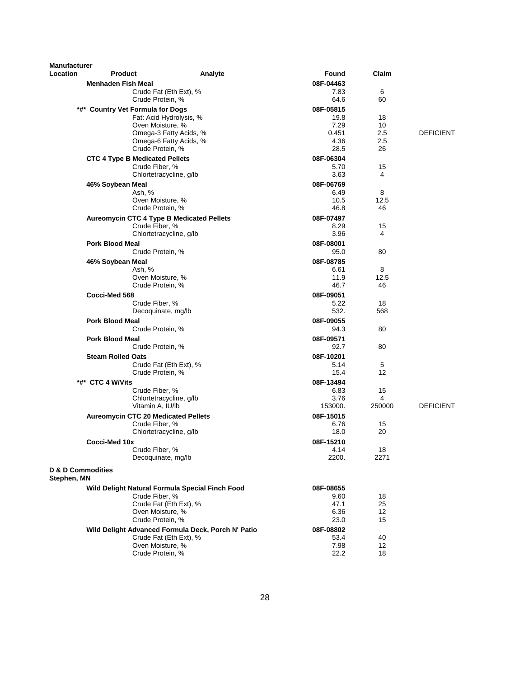| <b>Manufacturer</b> |                                            |                                                    |                   |             |                  |
|---------------------|--------------------------------------------|----------------------------------------------------|-------------------|-------------|------------------|
| Location            | <b>Product</b>                             | Analyte                                            | Found             | Claim       |                  |
|                     | <b>Menhaden Fish Meal</b>                  |                                                    | 08F-04463         |             |                  |
|                     |                                            | Crude Fat (Eth Ext), %                             | 7.83              | 6           |                  |
|                     | Crude Protein, %                           |                                                    | 64.6              | 60          |                  |
|                     | *#* Country Vet Formula for Dogs           | Fat: Acid Hydrolysis, %                            | 08F-05815<br>19.8 | 18          |                  |
|                     | Oven Moisture, %                           |                                                    | 7.29              | 10          |                  |
|                     |                                            | Omega-3 Fatty Acids, %                             | 0.451             | 2.5         | <b>DEFICIENT</b> |
|                     |                                            | Omega-6 Fatty Acids, %                             | 4.36              | 2.5         |                  |
|                     | Crude Protein, %                           |                                                    | 28.5              | 26          |                  |
|                     | <b>CTC 4 Type B Medicated Pellets</b>      |                                                    | 08F-06304         |             |                  |
|                     | Crude Fiber, %                             |                                                    | 5.70              | 15          |                  |
|                     |                                            | Chlortetracycline, g/lb                            | 3.63              | 4           |                  |
|                     | 46% Soybean Meal                           |                                                    | 08F-06769         |             |                  |
|                     | Ash, %<br>Oven Moisture, %                 |                                                    | 6.49<br>10.5      | 8<br>12.5   |                  |
|                     | Crude Protein, %                           |                                                    | 46.8              | 46          |                  |
|                     | Aureomycin CTC 4 Type B Medicated Pellets  |                                                    | 08F-07497         |             |                  |
|                     | Crude Fiber, %                             |                                                    | 8.29              | 15          |                  |
|                     |                                            | Chlortetracycline, g/lb                            | 3.96              | 4           |                  |
|                     | <b>Pork Blood Meal</b>                     |                                                    | 08F-08001         |             |                  |
|                     | Crude Protein, %                           |                                                    | 95.0              | 80          |                  |
|                     | 46% Soybean Meal                           |                                                    | 08F-08785         |             |                  |
|                     | Ash, %                                     |                                                    | 6.61              | 8           |                  |
|                     | Oven Moisture, %                           |                                                    | 11.9              | 12.5        |                  |
|                     | Crude Protein, %                           |                                                    | 46.7              | 46          |                  |
|                     | Cocci-Med 568<br>Crude Fiber, %            |                                                    | 08F-09051<br>5.22 | 18          |                  |
|                     |                                            | Decoquinate, mg/lb                                 | 532.              | 568         |                  |
|                     | <b>Pork Blood Meal</b>                     |                                                    | 08F-09055         |             |                  |
|                     | Crude Protein, %                           |                                                    | 94.3              | 80          |                  |
|                     | <b>Pork Blood Meal</b>                     |                                                    | 08F-09571         |             |                  |
|                     | Crude Protein, %                           |                                                    | 92.7              | 80          |                  |
|                     | <b>Steam Rolled Oats</b>                   |                                                    | 08F-10201         |             |                  |
|                     |                                            | Crude Fat (Eth Ext), %                             | 5.14              | 5           |                  |
|                     | Crude Protein, %                           |                                                    | 15.4              | 12          |                  |
|                     | *#* CTC 4 W/Vits                           |                                                    | 08F-13494         |             |                  |
|                     | Crude Fiber, %                             |                                                    | 6.83              | 15          |                  |
|                     | Vitamin A, IU/lb                           | Chlortetracycline, g/lb                            | 3.76<br>153000.   | 4<br>250000 | <b>DEFICIENT</b> |
|                     | <b>Aureomycin CTC 20 Medicated Pellets</b> |                                                    |                   |             |                  |
|                     | Crude Fiber, %                             |                                                    | 08F-15015<br>6.76 | 15          |                  |
|                     |                                            | Chlortetracycline, g/lb                            | 18.0              | 20          |                  |
|                     | Cocci-Med 10x                              |                                                    | 08F-15210         |             |                  |
|                     | Crude Fiber, %                             |                                                    | 4.14              | 18          |                  |
|                     |                                            | Decoquinate, mg/lb                                 | 2200.             | 2271        |                  |
| D & D Commodities   |                                            |                                                    |                   |             |                  |
| Stephen, MN         |                                            |                                                    |                   |             |                  |
|                     |                                            | Wild Delight Natural Formula Special Finch Food    | 08F-08655         |             |                  |
|                     | Crude Fiber, %                             |                                                    | 9.60              | 18          |                  |
|                     |                                            | Crude Fat (Eth Ext), %                             | 47.1              | 25          |                  |
|                     | Oven Moisture, %                           |                                                    | 6.36              | 12          |                  |
|                     | Crude Protein, %                           |                                                    | 23.0              | 15          |                  |
|                     |                                            | Wild Delight Advanced Formula Deck, Porch N' Patio | 08F-08802         |             |                  |
|                     | Oven Moisture, %                           | Crude Fat (Eth Ext), %                             | 53.4<br>7.98      | 40<br>12    |                  |
|                     | Crude Protein, %                           |                                                    | 22.2              | 18          |                  |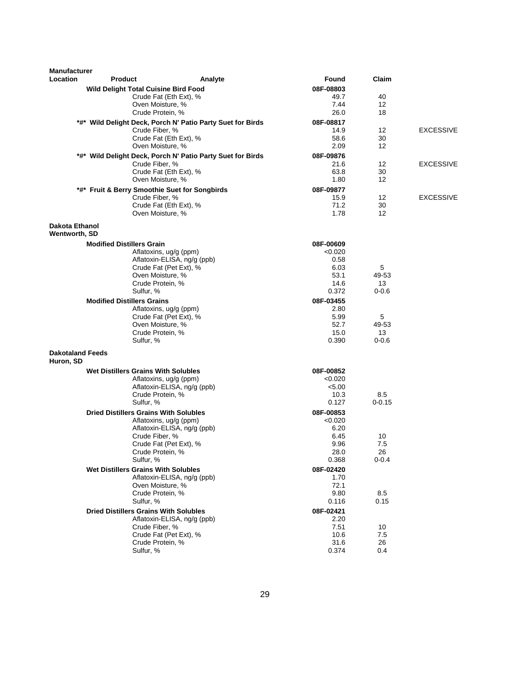| Manufacturer                         |                                   |                                               |                                                            |                   |                 |                  |
|--------------------------------------|-----------------------------------|-----------------------------------------------|------------------------------------------------------------|-------------------|-----------------|------------------|
| Location                             | <b>Product</b>                    |                                               | Analyte                                                    | Found             | Claim           |                  |
|                                      |                                   | <b>Wild Delight Total Cuisine Bird Food</b>   |                                                            | 08F-08803         |                 |                  |
|                                      |                                   | Crude Fat (Eth Ext), %                        |                                                            | 49.7              | 40              |                  |
|                                      |                                   | Oven Moisture, %                              |                                                            | 7.44              | 12              |                  |
|                                      |                                   | Crude Protein, %                              |                                                            | 26.0              | 18              |                  |
|                                      |                                   |                                               | *#* Wild Delight Deck, Porch N' Patio Party Suet for Birds | 08F-08817         |                 |                  |
|                                      |                                   | Crude Fiber, %                                |                                                            | 14.9<br>58.6      | 12<br>30        | <b>EXCESSIVE</b> |
|                                      |                                   | Crude Fat (Eth Ext), %<br>Oven Moisture, %    |                                                            | 2.09              | 12              |                  |
|                                      |                                   |                                               |                                                            |                   |                 |                  |
|                                      |                                   | Crude Fiber, %                                | *#* Wild Delight Deck, Porch N' Patio Party Suet for Birds | 08F-09876<br>21.6 | 12              | <b>EXCESSIVE</b> |
|                                      |                                   | Crude Fat (Eth Ext), %                        |                                                            | 63.8              | 30              |                  |
|                                      |                                   | Oven Moisture, %                              |                                                            | 1.80              | 12              |                  |
|                                      |                                   | *#* Fruit & Berry Smoothie Suet for Songbirds |                                                            | 08F-09877         |                 |                  |
|                                      |                                   | Crude Fiber, %                                |                                                            | 15.9              | 12              | <b>EXCESSIVE</b> |
|                                      |                                   | Crude Fat (Eth Ext), %                        |                                                            | 71.2              | 30              |                  |
|                                      |                                   | Oven Moisture, %                              |                                                            | 1.78              | 12              |                  |
| Dakota Ethanol<br>Wentworth, SD      |                                   |                                               |                                                            |                   |                 |                  |
|                                      | <b>Modified Distillers Grain</b>  |                                               |                                                            | 08F-00609         |                 |                  |
|                                      |                                   | Aflatoxins, ug/g (ppm)                        |                                                            | < 0.020           |                 |                  |
|                                      |                                   | Aflatoxin-ELISA, ng/g (ppb)                   |                                                            | 0.58              |                 |                  |
|                                      |                                   | Crude Fat (Pet Ext), %                        |                                                            | 6.03              | 5               |                  |
|                                      |                                   | Oven Moisture, %                              |                                                            | 53.1              | 49-53           |                  |
|                                      |                                   | Crude Protein, %                              |                                                            | 14.6              | 13              |                  |
|                                      |                                   | Sulfur, %                                     |                                                            | 0.372             | $0 - 0.6$       |                  |
|                                      | <b>Modified Distillers Grains</b> |                                               |                                                            | 08F-03455         |                 |                  |
|                                      |                                   | Aflatoxins, ug/g (ppm)                        |                                                            | 2.80              |                 |                  |
|                                      |                                   | Crude Fat (Pet Ext), %                        |                                                            | 5.99              | 5               |                  |
|                                      |                                   | Oven Moisture, %                              |                                                            | 52.7              | 49-53           |                  |
|                                      |                                   | Crude Protein, %<br>Sulfur, %                 |                                                            | 15.0<br>0.390     | 13<br>$0 - 0.6$ |                  |
|                                      |                                   |                                               |                                                            |                   |                 |                  |
| <b>Dakotaland Feeds</b><br>Huron, SD |                                   |                                               |                                                            |                   |                 |                  |
|                                      |                                   | <b>Wet Distillers Grains With Solubles</b>    |                                                            | 08F-00852         |                 |                  |
|                                      |                                   | Aflatoxins, ug/g (ppm)                        |                                                            | < 0.020           |                 |                  |
|                                      |                                   | Aflatoxin-ELISA, ng/g (ppb)                   |                                                            | < 5.00            |                 |                  |
|                                      |                                   | Crude Protein, %                              |                                                            | 10.3              | 8.5             |                  |
|                                      |                                   | Sulfur, %                                     |                                                            | 0.127             | $0 - 0.15$      |                  |
|                                      |                                   | <b>Dried Distillers Grains With Solubles</b>  |                                                            | 08F-00853         |                 |                  |
|                                      |                                   | Aflatoxins, ug/g (ppm)                        |                                                            | <0.020            |                 |                  |
|                                      |                                   | Aflatoxin-ELISA, ng/g (ppb)                   |                                                            | 6.20<br>6.45      | 10              |                  |
|                                      |                                   | Crude Fiber, %<br>Crude Fat (Pet Ext), %      |                                                            | 9.96              | 7.5             |                  |
|                                      |                                   | Crude Protein, %                              |                                                            | 28.0              | 26              |                  |
|                                      |                                   | Sulfur, %                                     |                                                            | 0.368             | $0 - 0.4$       |                  |
|                                      |                                   | <b>Wet Distillers Grains With Solubles</b>    |                                                            | 08F-02420         |                 |                  |
|                                      |                                   | Aflatoxin-ELISA, ng/g (ppb)                   |                                                            | 1.70              |                 |                  |
|                                      |                                   | Oven Moisture, %                              |                                                            | 72.1              |                 |                  |
|                                      |                                   | Crude Protein, %                              |                                                            | 9.80              | 8.5             |                  |
|                                      |                                   | Sulfur, %                                     |                                                            | 0.116             | 0.15            |                  |
|                                      |                                   | <b>Dried Distillers Grains With Solubles</b>  |                                                            | 08F-02421         |                 |                  |
|                                      |                                   | Aflatoxin-ELISA, ng/g (ppb)                   |                                                            | 2.20              |                 |                  |
|                                      |                                   | Crude Fiber, %                                |                                                            | 7.51              | 10              |                  |
|                                      |                                   | Crude Fat (Pet Ext), %                        |                                                            | 10.6              | 7.5             |                  |
|                                      |                                   | Crude Protein, %<br>Sulfur, %                 |                                                            | 31.6<br>0.374     | 26<br>0.4       |                  |
|                                      |                                   |                                               |                                                            |                   |                 |                  |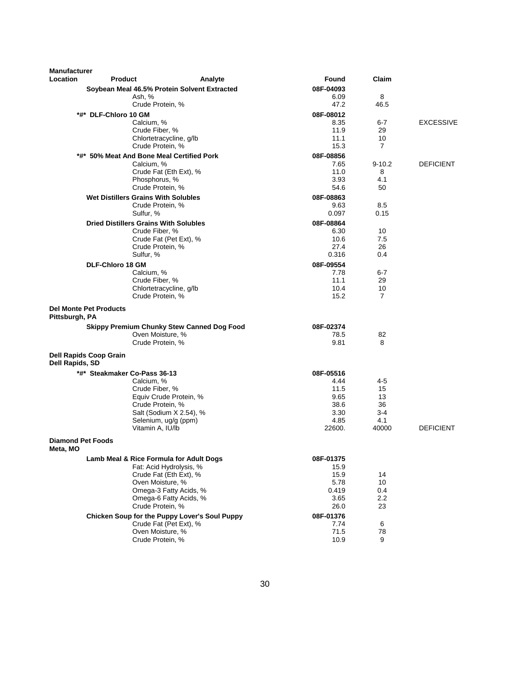| <b>Manufacturer</b><br>Location      | <b>Product</b>                               | Analyte                                                               | Found     | Claim          |                  |
|--------------------------------------|----------------------------------------------|-----------------------------------------------------------------------|-----------|----------------|------------------|
|                                      |                                              | Soybean Meal 46.5% Protein Solvent Extracted                          | 08F-04093 |                |                  |
|                                      | Ash, %                                       |                                                                       | 6.09      | 8              |                  |
|                                      |                                              | Crude Protein, %                                                      | 47.2      | 46.5           |                  |
|                                      | *#*  DLF-Chloro 10 GM                        |                                                                       | 08F-08012 |                |                  |
|                                      | Calcium, %                                   |                                                                       | 8.35      | $6 - 7$        | <b>EXCESSIVE</b> |
|                                      |                                              | Crude Fiber, %                                                        | 11.9      | 29             |                  |
|                                      |                                              | Chlortetracycline, g/lb                                               | 11.1      | 10             |                  |
|                                      |                                              | Crude Protein, %                                                      | 15.3      | $\overline{7}$ |                  |
|                                      |                                              | *#* 50% Meat And Bone Meal Certified Pork                             | 08F-08856 |                |                  |
|                                      | Calcium, %                                   |                                                                       | 7.65      | $9 - 10.2$     | <b>DEFICIENT</b> |
|                                      |                                              | Crude Fat (Eth Ext), %                                                | 11.0      | 8              |                  |
|                                      |                                              | Phosphorus, %                                                         | 3.93      | 4.1            |                  |
|                                      |                                              | Crude Protein, %                                                      | 54.6      | 50             |                  |
|                                      | <b>Wet Distillers Grains With Solubles</b>   |                                                                       | 08F-08863 |                |                  |
|                                      |                                              | Crude Protein, %                                                      | 9.63      | 8.5            |                  |
|                                      | Sulfur, %                                    |                                                                       | 0.097     | 0.15           |                  |
|                                      | <b>Dried Distillers Grains With Solubles</b> |                                                                       | 08F-08864 |                |                  |
|                                      |                                              | Crude Fiber, %                                                        | 6.30      | 10             |                  |
|                                      |                                              | Crude Fat (Pet Ext), %                                                | 10.6      | 7.5            |                  |
|                                      |                                              | Crude Protein, %                                                      | 27.4      | 26             |                  |
|                                      | Sulfur, %                                    |                                                                       | 0.316     | 0.4            |                  |
|                                      | <b>DLF-Chloro 18 GM</b>                      |                                                                       | 08F-09554 |                |                  |
|                                      | Calcium, %                                   |                                                                       | 7.78      | 6-7            |                  |
|                                      |                                              | Crude Fiber, %                                                        | 11.1      | 29             |                  |
|                                      |                                              | Chlortetracycline, g/lb                                               | 10.4      | 10             |                  |
|                                      |                                              | Crude Protein, %                                                      | 15.2      | 7              |                  |
| Pittsburgh, PA                       | <b>Del Monte Pet Products</b>                |                                                                       | 08F-02374 |                |                  |
|                                      |                                              | <b>Skippy Premium Chunky Stew Canned Dog Food</b><br>Oven Moisture, % | 78.5      | 82             |                  |
|                                      |                                              | Crude Protein, %                                                      | 9.81      | 8              |                  |
|                                      |                                              |                                                                       |           |                |                  |
| Dell Rapids, SD                      | <b>Dell Rapids Coop Grain</b>                |                                                                       |           |                |                  |
|                                      | *#* Steakmaker Co-Pass 36-13                 |                                                                       | 08F-05516 |                |                  |
|                                      | Calcium, %                                   |                                                                       | 4.44      | 4-5            |                  |
|                                      |                                              | Crude Fiber, %                                                        | 11.5      | 15             |                  |
|                                      |                                              | Equiv Crude Protein, %                                                | 9.65      | 13             |                  |
|                                      |                                              | Crude Protein, %                                                      | 38.6      | 36             |                  |
|                                      |                                              | Salt (Sodium X 2.54), %                                               | 3.30      | $3 - 4$        |                  |
|                                      |                                              | Selenium, ug/g (ppm)                                                  | 4.85      | 4.1            |                  |
|                                      |                                              | Vitamin A, IU/lb                                                      | 22600.    | 40000          | <b>DEFICIENT</b> |
| <b>Diamond Pet Foods</b><br>meta, mO |                                              |                                                                       |           |                |                  |
|                                      |                                              | Lamb Meal & Rice Formula for Adult Dogs                               | 08F-01375 |                |                  |
|                                      |                                              | Fat: Acid Hydrolysis, %                                               | 15.9      |                |                  |
|                                      |                                              | Crude Fat (Eth Ext), %                                                | 15.9      | 14             |                  |
|                                      |                                              | Oven Moisture, %                                                      | 5.78      | 10             |                  |
|                                      |                                              | Omega-3 Fatty Acids, %                                                | 0.419     | 0.4            |                  |
|                                      |                                              | Omega-6 Fatty Acids, %                                                | 3.65      | 2.2            |                  |
|                                      |                                              | Crude Protein, %                                                      | 26.0      | 23             |                  |
|                                      |                                              | Chicken Soup for the Puppy Lover's Soul Puppy                         | 08F-01376 |                |                  |
|                                      |                                              | Crude Fat (Pet Ext), %                                                | 7.74      | 6              |                  |
|                                      |                                              | Oven Moisture, %                                                      | 71.5      | 78             |                  |
|                                      |                                              | Crude Protein, %                                                      | 10.9      | 9              |                  |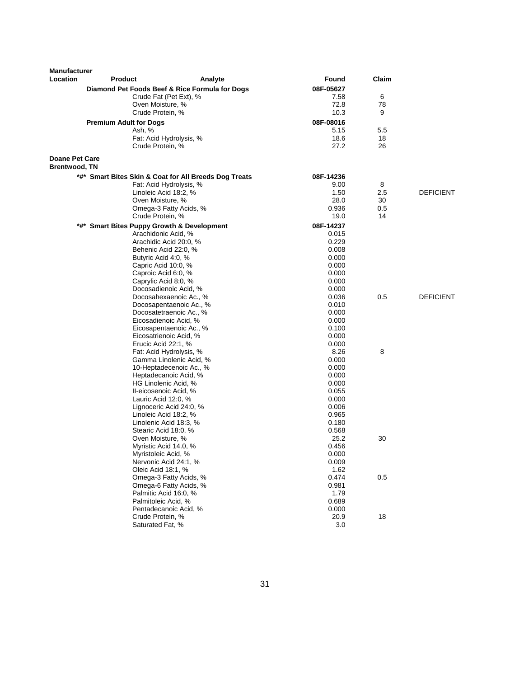| <b>Manufacturer</b>                           |                                            |                                                       |                |       |                  |
|-----------------------------------------------|--------------------------------------------|-------------------------------------------------------|----------------|-------|------------------|
| Location                                      | <b>Product</b>                             | Analyte                                               | Found          | Claim |                  |
|                                               |                                            | Diamond Pet Foods Beef & Rice Formula for Dogs        | 08F-05627      |       |                  |
|                                               |                                            | Crude Fat (Pet Ext), %                                | 7.58           | 6     |                  |
|                                               | Oven Moisture, %                           |                                                       | 72.8           | 78    |                  |
|                                               | Crude Protein, %                           |                                                       | 10.3           | 9     |                  |
|                                               | <b>Premium Adult for Dogs</b>              |                                                       | 08F-08016      |       |                  |
|                                               | Ash, %                                     |                                                       | 5.15           | 5.5   |                  |
|                                               |                                            | Fat: Acid Hydrolysis, %                               | 18.6           | 18    |                  |
|                                               | Crude Protein, %                           |                                                       | 27.2           | 26    |                  |
| <b>Doane Pet Care</b><br><b>Brentwood, TN</b> |                                            |                                                       |                |       |                  |
|                                               |                                            | *#* Smart Bites Skin & Coat for All Breeds Dog Treats | 08F-14236      |       |                  |
|                                               |                                            | Fat: Acid Hydrolysis, %                               | 9.00           | 8     |                  |
|                                               |                                            | Linoleic Acid 18:2, %                                 | 1.50           | 2.5   | <b>DEFICIENT</b> |
|                                               | Oven Moisture, %                           |                                                       | 28.0           | 30    |                  |
|                                               |                                            | Omega-3 Fatty Acids, %                                | 0.936          | 0.5   |                  |
|                                               | Crude Protein, %                           |                                                       | 19.0           | 14    |                  |
|                                               | *#* Smart Bites Puppy Growth & Development |                                                       | 08F-14237      |       |                  |
|                                               |                                            | Arachidonic Acid, %                                   | 0.015          |       |                  |
|                                               |                                            | Arachidic Acid 20:0, %                                | 0.229          |       |                  |
|                                               |                                            | Behenic Acid 22:0, %                                  | 0.008          |       |                  |
|                                               | Butyric Acid 4:0, %                        |                                                       | 0.000          |       |                  |
|                                               | Capric Acid 10:0, %                        |                                                       | 0.000          |       |                  |
|                                               |                                            | Caproic Acid 6:0, %                                   | 0.000          |       |                  |
|                                               |                                            | Caprylic Acid 8:0, %                                  | 0.000          |       |                  |
|                                               |                                            | Docosadienoic Acid, %                                 | 0.000          |       |                  |
|                                               |                                            | Docosahexaenoic Ac., %                                | 0.036          | 0.5   | <b>DEFICIENT</b> |
|                                               |                                            | Docosapentaenoic Ac., %                               | 0.010          |       |                  |
|                                               |                                            | Docosatetraenoic Ac., %                               | 0.000          |       |                  |
|                                               |                                            | Eicosadienoic Acid, %                                 | 0.000          |       |                  |
|                                               |                                            | Eicosapentaenoic Ac., %                               | 0.100          |       |                  |
|                                               |                                            | Eicosatrienoic Acid, %                                | 0.000          |       |                  |
|                                               | Erucic Acid 22:1, %                        |                                                       | 0.000          |       |                  |
|                                               |                                            | Fat: Acid Hydrolysis, %                               | 8.26           | 8     |                  |
|                                               |                                            | Gamma Linolenic Acid, %<br>10-Heptadecenoic Ac., %    | 0.000<br>0.000 |       |                  |
|                                               |                                            | Heptadecanoic Acid, %                                 | 0.000          |       |                  |
|                                               |                                            | HG Linolenic Acid, %                                  | 0.000          |       |                  |
|                                               |                                            | II-eicosenoic Acid, %                                 | 0.055          |       |                  |
|                                               | Lauric Acid 12:0, %                        |                                                       | 0.000          |       |                  |
|                                               |                                            | Lignoceric Acid 24:0, %                               | 0.006          |       |                  |
|                                               |                                            | Linoleic Acid 18:2, %                                 | 0.965          |       |                  |
|                                               |                                            | Linolenic Acid 18:3, %                                | 0.180          |       |                  |
|                                               |                                            | Stearic Acid 18:0, %                                  | 0.568          |       |                  |
|                                               | Oven Moisture, %                           |                                                       | 25.2           | 30    |                  |
|                                               |                                            | Myristic Acid 14.0, %                                 | 0.456          |       |                  |
|                                               | Myristoleic Acid, %                        |                                                       | 0.000          |       |                  |
|                                               |                                            | Nervonic Acid 24:1, %                                 | 0.009          |       |                  |
|                                               | Oleic Acid 18:1, %                         |                                                       | 1.62           |       |                  |
|                                               |                                            | Omega-3 Fatty Acids, %                                | 0.474          | 0.5   |                  |
|                                               |                                            | Omega-6 Fatty Acids, %                                | 0.981          |       |                  |
|                                               |                                            | Palmitic Acid 16:0, %                                 | 1.79           |       |                  |
|                                               | Palmitoleic Acid, %                        |                                                       | 0.689          |       |                  |
|                                               |                                            | Pentadecanoic Acid, %                                 | 0.000          |       |                  |
|                                               | Crude Protein, %                           |                                                       | 20.9           | $18$  |                  |
|                                               | Saturated Fat, %                           |                                                       | 3.0            |       |                  |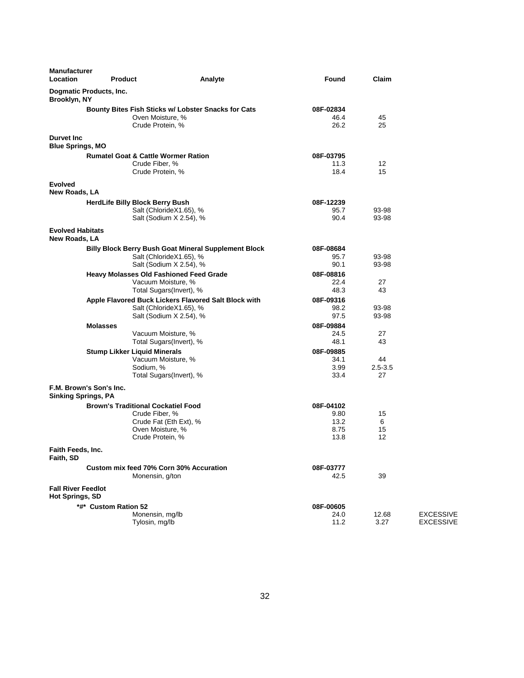| <b>Manufacturer</b><br><b>Location</b>       | <b>Product</b>                                                   | Analyte                                                                 | Found                     | Claim          |                  |
|----------------------------------------------|------------------------------------------------------------------|-------------------------------------------------------------------------|---------------------------|----------------|------------------|
| Brooklyn, NY                                 | Dogmatic Products, Inc.                                          |                                                                         |                           |                |                  |
|                                              | Crude Protein, %                                                 | Bounty Bites Fish Sticks w/ Lobster Snacks for Cats<br>Oven Moisture, % | 08F-02834<br>46.4<br>26.2 | 45<br>25       |                  |
| <b>Durvet Inc.</b>                           |                                                                  |                                                                         |                           |                |                  |
| <b>Blue Springs, MO</b>                      |                                                                  |                                                                         |                           |                |                  |
|                                              | <b>Rumatel Goat &amp; Cattle Wormer Ration</b><br>Crude Fiber, % |                                                                         | 08F-03795<br>11.3         | 12             |                  |
| <b>Evolved</b>                               | Crude Protein, %                                                 |                                                                         | 18.4                      | 15             |                  |
| New Roads, LA                                |                                                                  |                                                                         |                           |                |                  |
|                                              | <b>HerdLife Billy Block Berry Bush</b>                           | Salt (ChlorideX1.65), %<br>Salt (Sodium X 2.54), %                      | 08F-12239<br>95.7<br>90.4 | 93-98<br>93-98 |                  |
| <b>Evolved Habitats</b><br>New Roads, LA     |                                                                  |                                                                         |                           |                |                  |
|                                              |                                                                  | <b>Billy Block Berry Bush Goat Mineral Supplement Block</b>             | 08F-08684                 |                |                  |
|                                              |                                                                  | Salt (ChlorideX1.65), %                                                 | 95.7                      | 93-98          |                  |
|                                              |                                                                  | Salt (Sodium X 2.54), %                                                 | 90.1                      | 93-98          |                  |
|                                              | <b>Heavy Molasses Old Fashioned Feed Grade</b>                   |                                                                         | 08F-08816                 |                |                  |
|                                              |                                                                  | Vacuum Moisture, %                                                      | 22.4                      | 27             |                  |
|                                              |                                                                  | Total Sugars(Invert), %                                                 | 48.3                      | 43             |                  |
|                                              |                                                                  | Apple Flavored Buck Lickers Flavored Salt Block with                    | 08F-09316                 |                |                  |
|                                              |                                                                  | Salt (ChlorideX1.65), %                                                 | 98.2                      | 93-98          |                  |
|                                              |                                                                  | Salt (Sodium X 2.54), %                                                 | 97.5                      | 93-98          |                  |
|                                              | <b>Molasses</b>                                                  |                                                                         | 08F-09884                 |                |                  |
|                                              |                                                                  | Vacuum Moisture, %                                                      | 24.5                      | 27<br>43       |                  |
|                                              |                                                                  | Total Sugars(Invert), %                                                 | 48.1                      |                |                  |
|                                              | <b>Stump Likker Liquid Minerals</b>                              | Vacuum Moisture, %                                                      | 08F-09885<br>34.1         | 44             |                  |
|                                              | Sodium, %                                                        |                                                                         | 3.99                      | $2.5 - 3.5$    |                  |
|                                              |                                                                  | Total Sugars(Invert), %                                                 | 33.4                      | 27             |                  |
| <b>Sinking Springs, PA</b>                   | F.M. Brown's Son's Inc.                                          |                                                                         |                           |                |                  |
|                                              | <b>Brown's Traditional Cockatiel Food</b>                        |                                                                         | 08F-04102                 |                |                  |
|                                              | Crude Fiber, %                                                   |                                                                         | 9.80                      | 15             |                  |
|                                              |                                                                  | Crude Fat (Eth Ext), %                                                  | 13.2                      | 6              |                  |
|                                              |                                                                  | Oven Moisture, %                                                        | 8.75                      | 15             |                  |
|                                              | Crude Protein, %                                                 |                                                                         | 13.8                      | 12             |                  |
| Faith Feeds, Inc.<br>Faith, SD               |                                                                  |                                                                         |                           |                |                  |
|                                              | Custom mix feed 70% Corn 30% Accuration                          |                                                                         | 08F-03777                 |                |                  |
|                                              | Monensin, g/ton                                                  |                                                                         | 42.5                      | 39             |                  |
| <b>Fall River Feedlot</b><br>Hot Springs, SD |                                                                  |                                                                         |                           |                |                  |
|                                              | *#* Custom Ration 52                                             |                                                                         | 08F-00605                 |                |                  |
|                                              | Monensin, mg/lb                                                  |                                                                         | 24.0                      | 12.68          | <b>EXCESSIVE</b> |
|                                              | Tylosin, mg/lb                                                   |                                                                         | 11.2                      | 3.27           | <b>EXCESSIVE</b> |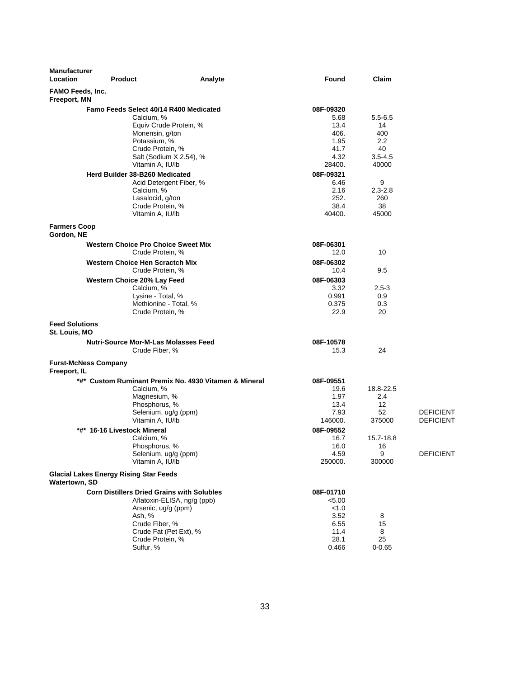| <b>Manufacturer</b><br>Location         | <b>Product</b>                                                                                                                                                   | Analyte                                               | Found                                                                 | Claim                                                             |                                      |
|-----------------------------------------|------------------------------------------------------------------------------------------------------------------------------------------------------------------|-------------------------------------------------------|-----------------------------------------------------------------------|-------------------------------------------------------------------|--------------------------------------|
| <b>FAMO Feeds, Inc.</b><br>Freeport, MN |                                                                                                                                                                  |                                                       |                                                                       |                                                                   |                                      |
|                                         | Famo Feeds Select 40/14 R400 Medicated<br>Calcium, %<br>Equiv Crude Protein, %<br>Monensin, g/ton<br>Potassium, %<br>Crude Protein, %<br>Salt (Sodium X 2.54), % |                                                       | 08F-09320<br>5.68<br>13.4<br>406.<br>1.95<br>41.7<br>4.32<br>28400.   | $5.5 - 6.5$<br>14<br>400<br>$2.2\,$<br>40<br>$3.5 - 4.5$<br>40000 |                                      |
|                                         | Vitamin A, IU/lb<br>Herd Builder 38-B260 Medicated<br>Acid Detergent Fiber, %<br>Calcium, %<br>Lasalocid, g/ton<br>Crude Protein, %<br>Vitamin A, IU/lb          |                                                       | 08F-09321<br>6.46<br>2.16<br>252.<br>38.4<br>40400.                   | 9<br>$2.3 - 2.8$<br>260<br>38<br>45000                            |                                      |
| <b>Farmers Coop</b><br>Gordon, NE       |                                                                                                                                                                  |                                                       |                                                                       |                                                                   |                                      |
|                                         | <b>Western Choice Pro Choice Sweet Mix</b><br>Crude Protein, %<br><b>Western Choice Hen Scractch Mix</b>                                                         |                                                       | 08F-06301<br>12.0<br>08F-06302                                        | 10                                                                |                                      |
|                                         | Crude Protein, %<br>Western Choice 20% Lay Feed<br>Calcium, %<br>Lysine - Total, %<br>Methionine - Total, %<br>Crude Protein, %                                  |                                                       | 10.4<br>08F-06303<br>3.32<br>0.991<br>0.375<br>22.9                   | 9.5<br>$2.5 - 3$<br>0.9<br>0.3<br>20                              |                                      |
| <b>Feed Solutions</b><br>St. Louis, MO  |                                                                                                                                                                  |                                                       |                                                                       |                                                                   |                                      |
|                                         | <b>Nutri-Source Mor-M-Las Molasses Feed</b><br>Crude Fiber, %                                                                                                    |                                                       | 08F-10578<br>15.3                                                     | 24                                                                |                                      |
| Freeport, IL                            | <b>Furst-McNess Company</b>                                                                                                                                      |                                                       |                                                                       |                                                                   |                                      |
|                                         | Calcium, %<br>Magnesium, %<br>Phosphorus, %<br>Selenium, ug/g (ppm)<br>Vitamin A, IU/lb                                                                          | *#* Custom Ruminant Premix No. 4930 Vitamen & Mineral | 08F-09551<br>19.6<br>1.97<br>13.4<br>7.93<br>146000.                  | 18.8-22.5<br>2.4<br>12<br>52<br>375000                            | <b>DEFICIENT</b><br><b>DEFICIENT</b> |
|                                         | *#* 16-16 Livestock Mineral<br>Calcium, %<br>Phosphorus, %<br>Selenium, ug/g (ppm)<br>Vitamin A, IU/lb                                                           |                                                       | 08F-09552<br>16.7<br>16.0<br>4.59<br>250000.                          | 15.7-18.8<br>16<br>9<br>300000                                    | <b>DEFICIENT</b>                     |
| Watertown, SD                           | <b>Glacial Lakes Energy Rising Star Feeds</b>                                                                                                                    |                                                       |                                                                       |                                                                   |                                      |
|                                         | <b>Corn Distillers Dried Grains with Solubles</b><br>Arsenic, ug/g (ppm)<br>Ash, %<br>Crude Fiber, %<br>Crude Fat (Pet Ext), %<br>Crude Protein, %<br>Sulfur, %  | Aflatoxin-ELISA, ng/g (ppb)                           | 08F-01710<br>< 5.00<br>< 1.0<br>3.52<br>6.55<br>11.4<br>28.1<br>0.466 | 8<br>15<br>8<br>25<br>$0 - 0.65$                                  |                                      |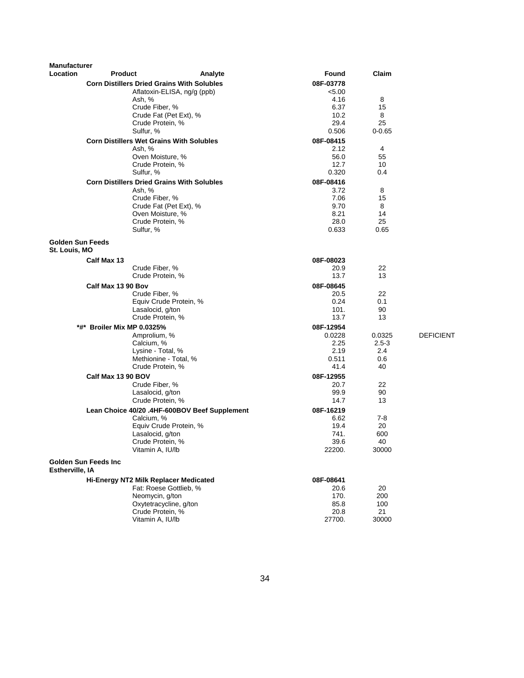| <b>Manufacturer</b>                      |                                                             |                                               |                     |            |                  |
|------------------------------------------|-------------------------------------------------------------|-----------------------------------------------|---------------------|------------|------------------|
| Location                                 | <b>Product</b>                                              | Analyte                                       | Found               | Claim      |                  |
|                                          | <b>Corn Distillers Dried Grains With Solubles</b>           |                                               | 08F-03778           |            |                  |
|                                          | Ash, %                                                      | Aflatoxin-ELISA, ng/g (ppb)                   | < 5.00<br>4.16      | 8          |                  |
|                                          |                                                             | Crude Fiber, %                                | 6.37                | 15         |                  |
|                                          |                                                             | Crude Fat (Pet Ext), %                        | 10.2                | 8          |                  |
|                                          |                                                             | Crude Protein, %                              | 29.4                | 25         |                  |
|                                          | Sulfur, %                                                   |                                               | 0.506               | $0 - 0.65$ |                  |
|                                          | <b>Corn Distillers Wet Grains With Solubles</b>             |                                               | 08F-08415           |            |                  |
|                                          | Ash, %                                                      |                                               | 2.12                | 4          |                  |
|                                          |                                                             | Oven Moisture, %                              | 56.0                | 55         |                  |
|                                          |                                                             | Crude Protein, %                              | 12.7<br>0.320       | 10<br>0.4  |                  |
|                                          | Sulfur, %                                                   |                                               |                     |            |                  |
|                                          | <b>Corn Distillers Dried Grains With Solubles</b><br>Ash, % |                                               | 08F-08416<br>3.72   | 8          |                  |
|                                          |                                                             | Crude Fiber, %                                | 7.06                | 15         |                  |
|                                          |                                                             | Crude Fat (Pet Ext), %                        | 9.70                | 8          |                  |
|                                          |                                                             | Oven Moisture, %                              | 8.21                | 14         |                  |
|                                          |                                                             | Crude Protein, %                              | 28.0                | 25         |                  |
|                                          | Sulfur, %                                                   |                                               | 0.633               | 0.65       |                  |
| <b>Golden Sun Feeds</b><br>St. Louis, MO |                                                             |                                               |                     |            |                  |
|                                          | Calf Max 13                                                 |                                               | 08F-08023           |            |                  |
|                                          |                                                             | Crude Fiber, %                                | 20.9                | 22         |                  |
|                                          |                                                             | Crude Protein, %                              | 13.7                | 13         |                  |
|                                          | Calf Max 13 90 Bov                                          |                                               | 08F-08645           |            |                  |
|                                          |                                                             | Crude Fiber, %                                | 20.5                | 22         |                  |
|                                          |                                                             | Equiv Crude Protein, %                        | 0.24                | 0.1        |                  |
|                                          |                                                             | Lasalocid, g/ton<br>Crude Protein, %          | 101.<br>13.7        | 90<br>13   |                  |
|                                          |                                                             |                                               |                     |            |                  |
|                                          | *#* Broiler Mix MP 0.0325%<br>Amprolium, %                  |                                               | 08F-12954<br>0.0228 | 0.0325     | <b>DEFICIENT</b> |
|                                          | Calcium, %                                                  |                                               | 2.25                | $2.5 - 3$  |                  |
|                                          |                                                             | Lysine - Total, %                             | 2.19                | 2.4        |                  |
|                                          |                                                             | Methionine - Total, %                         | 0.511               | 0.6        |                  |
|                                          |                                                             | Crude Protein, %                              | 41.4                | 40         |                  |
|                                          | Calf Max 13 90 BOV                                          |                                               | 08F-12955           |            |                  |
|                                          |                                                             | Crude Fiber, %                                | 20.7                | 22         |                  |
|                                          |                                                             | Lasalocid, g/ton                              | 99.9                | 90         |                  |
|                                          |                                                             | Crude Protein, %                              | 14.7                | 13         |                  |
|                                          |                                                             | Lean Choice 40/20 .4HF-600BOV Beef Supplement | 08F-16219           | $7-8$      |                  |
|                                          | Calcium, %                                                  | Equiv Crude Protein, %                        | 6.62<br>19.4        | 20         |                  |
|                                          |                                                             | Lasalocid, g/ton                              | 741.                | 600        |                  |
|                                          |                                                             | Crude Protein, %                              | 39.6                | 40         |                  |
|                                          |                                                             | Vitamin A, IU/lb                              | 22200.              | 30000      |                  |
| Estherville, IA                          | <b>Golden Sun Feeds Inc.</b>                                |                                               |                     |            |                  |
|                                          | Hi-Energy NT2 Milk Replacer Medicated                       |                                               | 08F-08641           |            |                  |
|                                          |                                                             | Fat: Roese Gottlieb, %                        | 20.6                | 20         |                  |
|                                          |                                                             | Neomycin, g/ton                               | 170.                | 200        |                  |
|                                          |                                                             | Oxytetracycline, g/ton                        | 85.8                | 100        |                  |
|                                          |                                                             | Crude Protein, %                              | 20.8                | 21         |                  |
|                                          |                                                             | Vitamin A, IU/lb                              | 27700.              | 30000      |                  |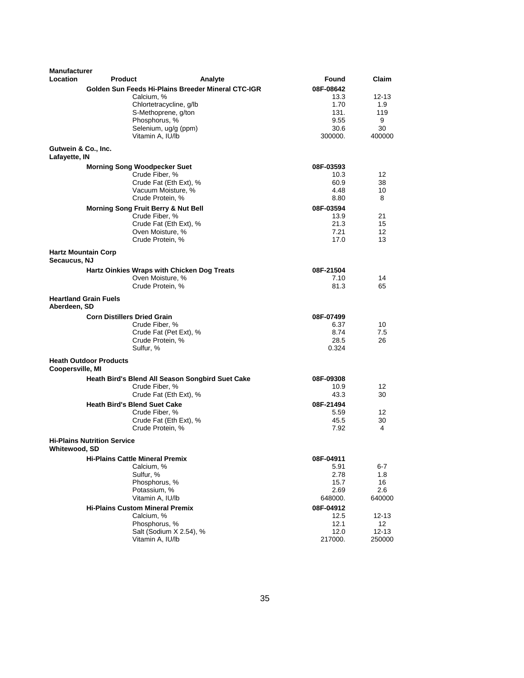| <b>Manufacturer</b>                  |                                                      |                                                    |                   |                       |
|--------------------------------------|------------------------------------------------------|----------------------------------------------------|-------------------|-----------------------|
| <b>Location</b>                      | Product                                              | Analyte                                            | Found             | Claim                 |
|                                      |                                                      | Golden Sun Feeds Hi-Plains Breeder Mineral CTC-IGR | 08F-08642         |                       |
|                                      | Calcium, %                                           |                                                    | 13.3              | $12 - 13$             |
|                                      |                                                      | Chlortetracycline, g/lb                            | 1.70              | 1.9                   |
|                                      |                                                      | S-Methoprene, g/ton                                | 131.              | 119                   |
|                                      | Phosphorus, %                                        | Selenium, ug/g (ppm)                               | 9.55<br>30.6      | 9<br>30               |
|                                      | Vitamin A, IU/lb                                     |                                                    | 300000.           | 400000                |
|                                      |                                                      |                                                    |                   |                       |
| Gutwein & Co., Inc.<br>Lafayette, IN |                                                      |                                                    |                   |                       |
|                                      | <b>Morning Song Woodpecker Suet</b>                  |                                                    | 08F-03593         |                       |
|                                      | Crude Fiber, %                                       |                                                    | 10.3              | 12                    |
|                                      |                                                      | Crude Fat (Eth Ext), %                             | 60.9              | 38                    |
|                                      |                                                      | Vacuum Moisture, %                                 | 4.48              | 10                    |
|                                      | Crude Protein, %                                     |                                                    | 8.80              | 8                     |
|                                      | Morning Song Fruit Berry & Nut Bell                  |                                                    | 08F-03594         |                       |
|                                      | Crude Fiber, %                                       |                                                    | 13.9              | 21                    |
|                                      |                                                      | Crude Fat (Eth Ext), %                             | 21.3              | 15                    |
|                                      | Oven Moisture, %<br>Crude Protein, %                 |                                                    | 7.21<br>17.0      | 12 <sup>2</sup><br>13 |
|                                      | <b>Hartz Mountain Corp</b>                           |                                                    |                   |                       |
| Secaucus, NJ                         |                                                      |                                                    |                   |                       |
|                                      | Hartz Oinkies Wraps with Chicken Dog Treats          |                                                    | 08F-21504         |                       |
|                                      | Oven Moisture, %                                     |                                                    | 7.10              | 14                    |
|                                      | Crude Protein, %                                     |                                                    | 81.3              | 65                    |
| Aberdeen, SD                         | <b>Heartland Grain Fuels</b>                         |                                                    |                   |                       |
|                                      | <b>Corn Distillers Dried Grain</b>                   |                                                    | 08F-07499         |                       |
|                                      | Crude Fiber, %                                       |                                                    | 6.37              | 10                    |
|                                      |                                                      | Crude Fat (Pet Ext), %                             | 8.74              | 7.5                   |
|                                      | Crude Protein, %                                     |                                                    | 28.5              | 26                    |
|                                      | Sulfur, %                                            |                                                    | 0.324             |                       |
| <b>Coopersville, MI</b>              | <b>Heath Outdoor Products</b>                        |                                                    |                   |                       |
|                                      |                                                      | Heath Bird's Blend All Season Songbird Suet Cake   | 08F-09308         |                       |
|                                      | Crude Fiber, %                                       |                                                    | 10.9              | 12                    |
|                                      |                                                      | Crude Fat (Eth Ext), %                             | 43.3              | 30                    |
|                                      | <b>Heath Bird's Blend Suet Cake</b>                  |                                                    | 08F-21494         |                       |
|                                      | Crude Fiber, %                                       |                                                    | 5.59              | 12                    |
|                                      |                                                      | Crude Fat (Eth Ext), %                             | 45.5              | 30                    |
|                                      | Crude Protein, %                                     |                                                    | 7.92              | 4                     |
|                                      | <b>Hi-Plains Nutrition Service</b>                   |                                                    |                   |                       |
| Whitewood, SD                        |                                                      |                                                    |                   |                       |
|                                      | <b>Hi-Plains Cattle Mineral Premix</b><br>Calcium, % |                                                    | 08F-04911<br>5.91 | 6-7                   |
|                                      | Sulfur, %                                            |                                                    | 2.78              | 1.8                   |
|                                      | Phosphorus, %                                        |                                                    | 15.7              | 16                    |
|                                      | Potassium, %                                         |                                                    | 2.69              | $2.6\,$               |
|                                      | Vitamin A, IU/lb                                     |                                                    | 648000.           | 640000                |
|                                      | <b>Hi-Plains Custom Mineral Premix</b>               |                                                    | 08F-04912         |                       |
|                                      | Calcium, %                                           |                                                    | 12.5              | 12-13                 |
|                                      | Phosphorus, %                                        |                                                    | 12.1              | 12                    |
|                                      |                                                      | Salt (Sodium X 2.54), %                            | 12.0              | $12 - 13$             |
|                                      | Vitamin A, IU/lb                                     |                                                    | 217000.           | 250000                |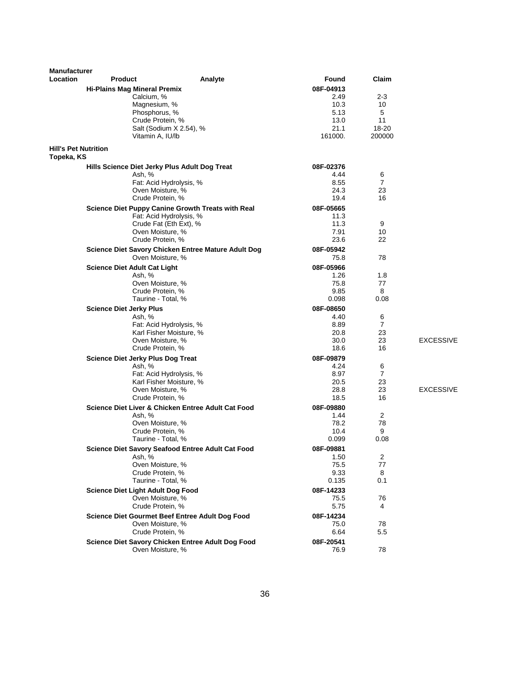| <b>Manufacturer</b>                       |                                               |                                                          |           |                |                  |
|-------------------------------------------|-----------------------------------------------|----------------------------------------------------------|-----------|----------------|------------------|
| <b>Location</b>                           | <b>Product</b>                                | Analyte                                                  | Found     | Claim          |                  |
|                                           | <b>Hi-Plains Mag Mineral Premix</b>           |                                                          | 08F-04913 |                |                  |
|                                           | Calcium, %                                    |                                                          | 2.49      | $2 - 3$        |                  |
|                                           | Magnesium, %                                  |                                                          | 10.3      | 10             |                  |
|                                           | Phosphorus, %                                 |                                                          | 5.13      | 5              |                  |
|                                           | Crude Protein, %                              |                                                          | 13.0      | 11             |                  |
|                                           |                                               | Salt (Sodium X 2.54), %                                  | 21.1      | 18-20          |                  |
|                                           | Vitamin A, IU/lb                              |                                                          | 161000.   | 200000         |                  |
| <b>Hill's Pet Nutrition</b><br>Topeka, KS |                                               |                                                          |           |                |                  |
|                                           | Hills Science Diet Jerky Plus Adult Dog Treat |                                                          | 08F-02376 |                |                  |
|                                           | Ash, %                                        |                                                          | 4.44      | 6              |                  |
|                                           |                                               | Fat: Acid Hydrolysis, %                                  | 8.55      | $\overline{7}$ |                  |
|                                           | Oven Moisture, %                              |                                                          | 24.3      | 23             |                  |
|                                           | Crude Protein, %                              |                                                          | 19.4      | 16             |                  |
|                                           |                                               | <b>Science Diet Puppy Canine Growth Treats with Real</b> | 08F-05665 |                |                  |
|                                           |                                               | Fat: Acid Hydrolysis, %                                  | 11.3      |                |                  |
|                                           |                                               | Crude Fat (Eth Ext), %                                   | 11.3      | 9              |                  |
|                                           | Oven Moisture, %                              |                                                          | 7.91      | 10             |                  |
|                                           | Crude Protein, %                              |                                                          | 23.6      | 22             |                  |
|                                           |                                               | Science Diet Savory Chicken Entree Mature Adult Dog      | 08F-05942 |                |                  |
|                                           |                                               | Oven Moisture, %                                         | 75.8      | 78             |                  |
|                                           | <b>Science Diet Adult Cat Light</b>           |                                                          | 08F-05966 |                |                  |
|                                           | Ash, %                                        |                                                          | 1.26      | 1.8            |                  |
|                                           |                                               | Oven Moisture, %                                         | 75.8      | 77             |                  |
|                                           | Crude Protein, %                              |                                                          | 9.85      | 8              |                  |
|                                           | Taurine - Total, %                            |                                                          | 0.098     | 0.08           |                  |
|                                           | <b>Science Diet Jerky Plus</b>                |                                                          | 08F-08650 |                |                  |
|                                           | Ash, %                                        |                                                          | 4.40      | 6              |                  |
|                                           |                                               | Fat: Acid Hydrolysis, %                                  | 8.89      | 7              |                  |
|                                           |                                               | Karl Fisher Moisture, %                                  | 20.8      | 23             |                  |
|                                           |                                               | Oven Moisture, %                                         | 30.0      | 23             | <b>EXCESSIVE</b> |
|                                           | Crude Protein, %                              |                                                          | 18.6      | 16             |                  |
|                                           | <b>Science Diet Jerky Plus Dog Treat</b>      |                                                          | 08F-09879 |                |                  |
|                                           | Ash, %                                        |                                                          | 4.24      | 6              |                  |
|                                           |                                               | Fat: Acid Hydrolysis, %                                  | 8.97      | $\overline{7}$ |                  |
|                                           |                                               | Karl Fisher Moisture, %                                  | 20.5      | 23             |                  |
|                                           |                                               | Oven Moisture, %                                         | 28.8      | 23             | <b>EXCESSIVE</b> |
|                                           | Crude Protein, %                              |                                                          | 18.5      | 16             |                  |
|                                           |                                               | Science Diet Liver & Chicken Entree Adult Cat Food       | 08F-09880 |                |                  |
|                                           | Ash, %                                        |                                                          | 1.44      | 2              |                  |
|                                           |                                               | Oven Moisture, %                                         | 78.2      | 78             |                  |
|                                           | Crude Protein, %                              |                                                          | 10.4      | 9              |                  |
|                                           |                                               | Taurine - Total, %                                       | 0.099     | 0.08           |                  |
|                                           |                                               | Science Diet Savory Seafood Entree Adult Cat Food        | 08F-09881 |                |                  |
|                                           | Ash, %                                        |                                                          | 1.50      | 2              |                  |
|                                           |                                               | Oven Moisture, %                                         | 75.5      | 77             |                  |
|                                           | Crude Protein, %                              |                                                          | 9.33      | 8              |                  |
|                                           |                                               | Taurine - Total, %                                       | 0.135     | 0.1            |                  |
|                                           | <b>Science Diet Light Adult Dog Food</b>      |                                                          | 08F-14233 |                |                  |
|                                           |                                               | Oven Moisture, %                                         | 75.5      | 76             |                  |
|                                           | Crude Protein, %                              |                                                          | 5.75      | 4              |                  |
|                                           |                                               | Science Diet Gourmet Beef Entree Adult Dog Food          | 08F-14234 |                |                  |
|                                           | Oven Moisture, %                              |                                                          | 75.0      | 78             |                  |
|                                           | Crude Protein, %                              |                                                          | 6.64      | 5.5            |                  |
|                                           |                                               | Science Diet Savory Chicken Entree Adult Dog Food        | 08F-20541 |                |                  |
|                                           |                                               | Oven Moisture, %                                         | 76.9      | 78             |                  |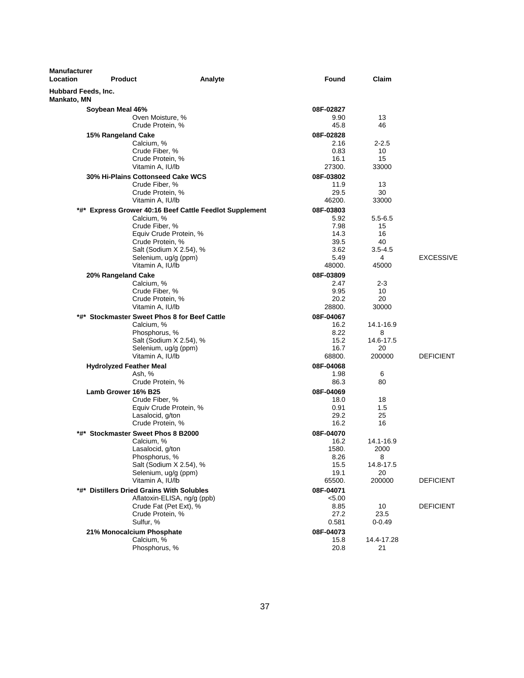| <b>Manufacturer</b><br>Location           | <b>Product</b>                               | Analyte                                                 | <b>Found</b>      | Claim              |                  |
|-------------------------------------------|----------------------------------------------|---------------------------------------------------------|-------------------|--------------------|------------------|
| Hubbard Feeds, Inc.<br><b>Mankato, MN</b> |                                              |                                                         |                   |                    |                  |
|                                           | Soybean Meal 46%                             |                                                         | 08F-02827         |                    |                  |
|                                           | Oven Moisture, %                             |                                                         | 9.90              | 13                 |                  |
|                                           | Crude Protein, %                             |                                                         | 45.8              | 46                 |                  |
|                                           | 15% Rangeland Cake                           |                                                         | 08F-02828         |                    |                  |
|                                           | Calcium, %                                   |                                                         | 2.16              | $2 - 2.5$          |                  |
|                                           | Crude Fiber, %                               |                                                         | 0.83              | 10                 |                  |
|                                           | Crude Protein, %                             |                                                         | 16.1              | 15                 |                  |
|                                           | Vitamin A, IU/lb                             |                                                         | 27300.            | 33000              |                  |
|                                           | 30% Hi-Plains Cottonseed Cake WCS            |                                                         | 08F-03802         |                    |                  |
|                                           | Crude Fiber, %                               |                                                         | 11.9              | 13                 |                  |
|                                           | Crude Protein, %<br>Vitamin A, IU/lb         |                                                         | 29.5<br>46200.    | 30<br>33000        |                  |
|                                           |                                              |                                                         |                   |                    |                  |
|                                           | Calcium, %                                   | *#* Express Grower 40:16 Beef Cattle Feedlot Supplement | 08F-03803<br>5.92 | $5.5 - 6.5$        |                  |
|                                           | Crude Fiber, %                               |                                                         | 7.98              | 15                 |                  |
|                                           |                                              | Equiv Crude Protein, %                                  | 14.3              | 16                 |                  |
|                                           | Crude Protein, %                             |                                                         | 39.5              | 40                 |                  |
|                                           |                                              | Salt (Sodium X 2.54), %                                 | 3.62              | $3.5 - 4.5$        |                  |
|                                           | Selenium, ug/g (ppm)                         |                                                         | 5.49              | 4                  | <b>EXCESSIVE</b> |
|                                           | Vitamin A, IU/lb                             |                                                         | 48000.            | 45000              |                  |
|                                           | 20% Rangeland Cake                           |                                                         | 08F-03809         |                    |                  |
|                                           | Calcium, %                                   |                                                         | 2.47              | 2-3                |                  |
|                                           | Crude Fiber, %                               |                                                         | 9.95              | 10                 |                  |
|                                           | Crude Protein, %<br>Vitamin A, IU/lb         |                                                         | 20.2<br>28800.    | 20<br>30000        |                  |
|                                           | *#* Stockmaster Sweet Phos 8 for Beef Cattle |                                                         |                   |                    |                  |
|                                           | Calcium, %                                   |                                                         | 08F-04067<br>16.2 | 14.1-16.9          |                  |
|                                           | Phosphorus, %                                |                                                         | 8.22              | 8                  |                  |
|                                           |                                              | Salt (Sodium X 2.54), %                                 | 15.2              | 14.6-17.5          |                  |
|                                           | Selenium, ug/g (ppm)                         |                                                         | 16.7              | 20                 |                  |
|                                           | Vitamin A, IU/lb                             |                                                         | 68800.            | 200000             | <b>DEFICIENT</b> |
|                                           | <b>Hydrolyzed Feather Meal</b>               |                                                         | 08F-04068         |                    |                  |
|                                           | Ash, %                                       |                                                         | 1.98              | 6                  |                  |
|                                           | Crude Protein, %                             |                                                         | 86.3              | 80                 |                  |
|                                           | Lamb Grower 16% B25                          |                                                         | 08F-04069         |                    |                  |
|                                           | Crude Fiber, %                               |                                                         | 18.0              | 18                 |                  |
|                                           |                                              | Equiv Crude Protein, %                                  | 0.91              | 1.5                |                  |
|                                           | Lasalocid, g/ton<br>Crude Protein, %         |                                                         | 29.2<br>16.2      | 25<br>16           |                  |
| *#*                                       | <b>Stockmaster Sweet Phos 8 B2000</b>        |                                                         | 08F-04070         |                    |                  |
|                                           | Calcium, %                                   |                                                         | 16.2              | 14.1-16.9          |                  |
|                                           | Lasalocid, g/ton                             |                                                         | 1580.             | 2000               |                  |
|                                           | Phosphorus, %                                |                                                         | 8.26              | 8                  |                  |
|                                           |                                              | Salt (Sodium X 2.54), %                                 | 15.5              | 14.8-17.5          |                  |
|                                           | Selenium, ug/g (ppm)                         |                                                         | 19.1              | 20                 |                  |
|                                           | Vitamin A, IU/lb                             |                                                         | 65500.            | 200000             | <b>DEFICIENT</b> |
|                                           | *#* Distillers Dried Grains With Solubles    |                                                         | 08F-04071         |                    |                  |
|                                           |                                              | Aflatoxin-ELISA, ng/g (ppb)                             | < 5.00            |                    |                  |
|                                           |                                              | Crude Fat (Pet Ext), %                                  | 8.85              | 10                 | <b>DEFICIENT</b> |
|                                           | Crude Protein, %<br>Sulfur, %                |                                                         | 27.2<br>0.581     | 23.5<br>$0 - 0.49$ |                  |
|                                           |                                              |                                                         | 08F-04073         |                    |                  |
|                                           | 21% Monocalcium Phosphate<br>Calcium, %      |                                                         | 15.8              | 14.4-17.28         |                  |
|                                           | Phosphorus, %                                |                                                         | 20.8              | 21                 |                  |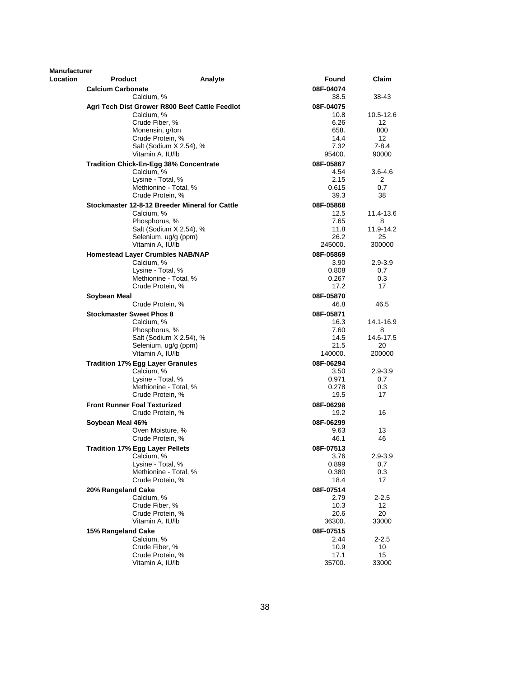| Manufacturer |                                 |                                                |         |           |             |
|--------------|---------------------------------|------------------------------------------------|---------|-----------|-------------|
| Location     | <b>Product</b>                  |                                                | Analyte | Found     | Claim       |
|              | <b>Calcium Carbonate</b>        |                                                |         | 08F-04074 |             |
|              |                                 | Calcium, %                                     |         | 38.5      | 38-43       |
|              |                                 | Agri Tech Dist Grower R800 Beef Cattle Feedlot |         | 08F-04075 |             |
|              |                                 | Calcium, %                                     |         | 10.8      | 10.5-12.6   |
|              |                                 | Crude Fiber, %                                 |         | 6.26      | 12          |
|              |                                 | Monensin, g/ton                                |         | 658.      | 800         |
|              |                                 | Crude Protein, %                               |         | 14.4      | 12          |
|              |                                 | Salt (Sodium X 2.54), %                        |         | 7.32      | 7-8.4       |
|              |                                 | Vitamin A, IU/lb                               |         | 95400.    | 90000       |
|              |                                 | <b>Tradition Chick-En-Egg 38% Concentrate</b>  |         | 08F-05867 |             |
|              |                                 | Calcium, %                                     |         | 4.54      | 3.6-4.6     |
|              |                                 | Lysine - Total, %                              |         | 2.15      | 2           |
|              |                                 | Methionine - Total, %                          |         | 0.615     | 0.7         |
|              |                                 | Crude Protein, %                               |         | 39.3      | 38          |
|              |                                 | Stockmaster 12-8-12 Breeder Mineral for Cattle |         | 08F-05868 |             |
|              |                                 | Calcium, %                                     |         | 12.5      | 11.4-13.6   |
|              |                                 | Phosphorus, %                                  |         | 7.65      | 8           |
|              |                                 | Salt (Sodium X 2.54), %                        |         | 11.8      | 11.9-14.2   |
|              |                                 | Selenium, ug/g (ppm)                           |         | 26.2      | 25          |
|              |                                 | Vitamin A, IU/lb                               |         | 245000.   | 300000      |
|              |                                 | <b>Homestead Layer Crumbles NAB/NAP</b>        |         | 08F-05869 |             |
|              |                                 | Calcium, %                                     |         | 3.90      | $2.9 - 3.9$ |
|              |                                 | Lysine - Total, %                              |         | 0.808     | 0.7         |
|              |                                 | Methionine - Total, %                          |         | 0.267     | 0.3         |
|              |                                 | Crude Protein, %                               |         | 17.2      | 17          |
|              | Soybean Meal                    |                                                |         | 08F-05870 |             |
|              |                                 | Crude Protein, %                               |         | 46.8      | 46.5        |
|              | <b>Stockmaster Sweet Phos 8</b> |                                                |         | 08F-05871 |             |
|              |                                 | Calcium, %                                     |         | 16.3      | 14.1-16.9   |
|              |                                 | Phosphorus, %                                  |         | 7.60      | 8           |
|              |                                 | Salt (Sodium X 2.54), %                        |         | 14.5      | 14.6-17.5   |
|              |                                 | Selenium, ug/g (ppm)                           |         | 21.5      | 20          |
|              |                                 | Vitamin A, IU/lb                               |         | 140000.   | 200000      |
|              |                                 | <b>Tradition 17% Egg Layer Granules</b>        |         | 08F-06294 |             |
|              |                                 | Calcium, %                                     |         | 3.50      | $2.9 - 3.9$ |
|              |                                 | Lysine - Total, %                              |         | 0.971     | 0.7         |
|              |                                 | Methionine - Total, %                          |         | 0.278     | 0.3         |
|              |                                 | Crude Protein, %                               |         | 19.5      | 17          |
|              |                                 | <b>Front Runner Foal Texturized</b>            |         | 08F-06298 |             |
|              |                                 | Crude Protein, %                               |         | 19.2      | 16          |
|              | Soybean Meal 46%                |                                                |         | 08F-06299 |             |
|              |                                 | Oven Moisture, %                               |         | 9.63      | 13          |
|              |                                 | Crude Protein, %                               |         | 46.1      | 46          |
|              |                                 | <b>Tradition 17% Egg Layer Pellets</b>         |         | 08F-07513 |             |
|              |                                 | Calcium, %                                     |         | 3.76      | $2.9 - 3.9$ |
|              |                                 | Lysine - Total, %                              |         | 0.899     | 0.7         |
|              |                                 | Methionine - Total, %                          |         | 0.380     | 0.3         |
|              |                                 | Crude Protein, %                               |         | 18.4      | 17          |
|              | 20% Rangeland Cake              |                                                |         | 08F-07514 |             |
|              |                                 | Calcium, %                                     |         | 2.79      | $2 - 2.5$   |
|              |                                 | Crude Fiber, %                                 |         | 10.3      | 12          |
|              |                                 | Crude Protein, %                               |         | 20.6      | 20          |
|              |                                 | Vitamin A, IU/lb                               |         | 36300.    | 33000       |
|              | 15% Rangeland Cake              |                                                |         | 08F-07515 |             |
|              |                                 | Calcium, %                                     |         | 2.44      | $2 - 2.5$   |
|              |                                 | Crude Fiber, %                                 |         | 10.9      | 10          |
|              |                                 | Crude Protein, %                               |         | 17.1      | 15          |
|              |                                 | Vitamin A, IU/lb                               |         | 35700.    | 33000       |
|              |                                 |                                                |         |           |             |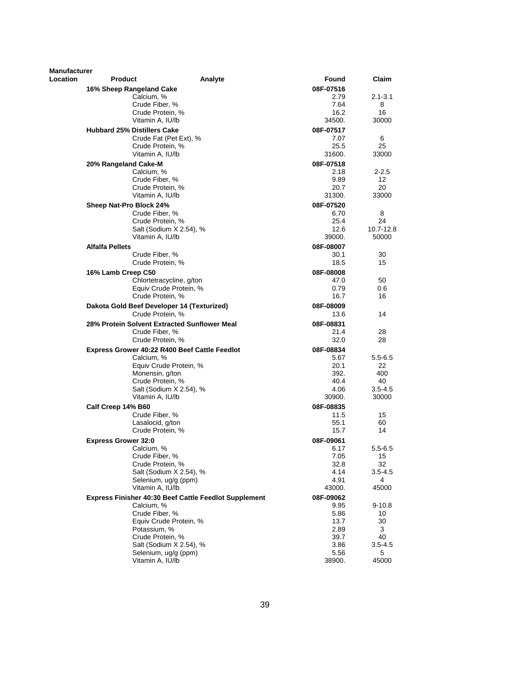| Manufacturer |                                                              |                   |                    |
|--------------|--------------------------------------------------------------|-------------------|--------------------|
| Location     | Product                                                      | Found<br>Analyte  | Claim              |
|              | 16% Sheep Rangeland Cake                                     | 08F-07516         |                    |
|              | Calcium, %                                                   | 2.79              | $2.1 - 3.1$        |
|              | Crude Fiber, %                                               | 7.64              | 8                  |
|              | Crude Protein, %                                             | 16.2<br>34500.    | 16                 |
|              | Vitamin A, IU/lb                                             |                   | 30000              |
|              | <b>Hubbard 25% Distillers Cake</b><br>Crude Fat (Pet Ext), % | 08F-07517<br>7.07 | 6                  |
|              | Crude Protein, %                                             | 25.5              | 25                 |
|              | Vitamin A. IU/lb                                             | 31600.            | 33000              |
|              | 20% Rangeland Cake-M                                         | 08F-07518         |                    |
|              | Calcium, %                                                   | 2.18              | $2 - 2.5$          |
|              | Crude Fiber, %                                               | 9.89              | 12                 |
|              | Crude Protein, %                                             | 20.7              | 20                 |
|              | Vitamin A, IU/lb                                             | 31300.            | 33000              |
|              | Sheep Nat-Pro Block 24%                                      | 08F-07520         |                    |
|              | Crude Fiber, %                                               | 6.70              | 8                  |
|              | Crude Protein, %                                             | 25.4              | 24                 |
|              | Salt (Sodium X 2.54), %<br>Vitamin A, IU/lb                  | 12.6<br>39000.    | 10.7-12.8<br>50000 |
|              |                                                              | 08F-08007         |                    |
|              | <b>Alfalfa Pellets</b><br>Crude Fiber, %                     | 30.1              | 30                 |
|              | Crude Protein, %                                             | 18.5              | 15                 |
|              | 16% Lamb Creep C50                                           | 08F-08008         |                    |
|              | Chlortetracycline, g/ton                                     | 47.0              | 50                 |
|              | Equiv Crude Protein, %                                       | 0.79              | 0.6                |
|              | Crude Protein, %                                             | 16.7              | 16                 |
|              | Dakota Gold Beef Developer 14 (Texturized)                   | 08F-08009         |                    |
|              | Crude Protein, %                                             | 13.6              | 14                 |
|              | 28% Protein Solvent Extracted Sunflower Meal                 | 08F-08831         |                    |
|              | Crude Fiber, %                                               | 21.4              | 28                 |
|              | Crude Protein, %                                             | 32.0              | 28                 |
|              | Express Grower 40:22 R400 Beef Cattle Feedlot                | 08F-08834         |                    |
|              | Calcium, %                                                   | 5.67              | $5.5 - 6.5$        |
|              | Equiv Crude Protein, %<br>Monensin, g/ton                    | 20.1<br>392.      | 22<br>400          |
|              | Crude Protein, %                                             | 40.4              | 40                 |
|              | Salt (Sodium X 2.54), %                                      | 4.06              | $3.5 - 4.5$        |
|              | Vitamin A, IU/lb                                             | 30900.            | 30000              |
|              | Calf Creep 14% B60                                           | 08F-08835         |                    |
|              | Crude Fiber, %                                               | 11.5              | 15                 |
|              | Lasalocid, g/ton                                             | 55.1              | 60                 |
|              | Crude Protein, %                                             | 15.7              | 14                 |
|              | <b>Express Grower 32:0</b>                                   | 08F-09061         |                    |
|              | Calcium, %                                                   | 6.17              | $5.5 - 6.5$        |
|              | Crude Fiber, %<br>Crude Protein, %                           | 7.05<br>32.8      | 15<br>32           |
|              | Salt (Sodium X 2.54), %                                      | 4.14              | $3.5 - 4.5$        |
|              | Selenium, ug/g (ppm)                                         | 4.91              | 4                  |
|              | Vitamin A, IU/lb                                             | 43000.            | 45000              |
|              | <b>Express Finisher 40:30 Beef Cattle Feedlot Supplement</b> | 08F-09062         |                    |
|              | Calcium, %                                                   | 9.95              | $9 - 10.8$         |
|              | Crude Fiber, %                                               | 5.86              | 10                 |
|              | Equiv Crude Protein, %                                       | 13.7              | 30                 |
|              | Potassium, %                                                 | 2.89              | 3<br>40            |
|              | Crude Protein, %<br>Salt (Sodium X 2.54), %                  | 39.7<br>3.86      | $3.5 - 4.5$        |
|              | Selenium, ug/g (ppm)                                         | 5.56              | 5                  |
|              | Vitamin A, IU/lb                                             | 38900.            | 45000              |
|              |                                                              |                   |                    |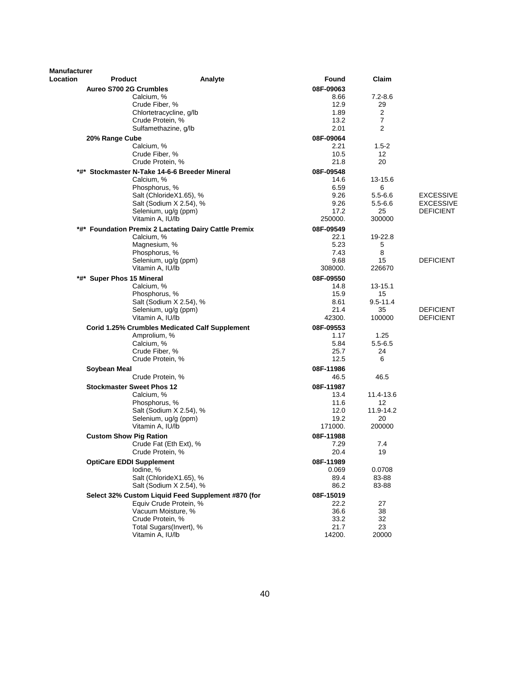| <b>Manufacturer</b> |                                                |                                                       |                   |                     |                  |
|---------------------|------------------------------------------------|-------------------------------------------------------|-------------------|---------------------|------------------|
| <b>Location</b>     | <b>Product</b>                                 | Analyte                                               | Found             | Claim               |                  |
|                     | Aureo S700 2G Crumbles                         |                                                       | 08F-09063         |                     |                  |
|                     | Calcium, %                                     |                                                       | 8.66              | $7.2 - 8.6$         |                  |
|                     | Crude Fiber, %                                 |                                                       | 12.9              | 29                  |                  |
|                     | Crude Protein, %                               | Chlortetracycline, q/lb                               | 1.89<br>13.2      | 2<br>$\overline{7}$ |                  |
|                     |                                                | Sulfamethazine, g/lb                                  | 2.01              | $\overline{2}$      |                  |
|                     | 20% Range Cube                                 |                                                       | 08F-09064         |                     |                  |
|                     | Calcium, %                                     |                                                       | 2.21              | $1.5 - 2$           |                  |
|                     | Crude Fiber, %                                 |                                                       | 10.5              | 12                  |                  |
|                     | Crude Protein, %                               |                                                       | 21.8              | 20                  |                  |
|                     | *#* Stockmaster N-Take 14-6-6 Breeder Mineral  |                                                       | 08F-09548         |                     |                  |
|                     | Calcium, %                                     |                                                       | 14.6              | 13-15.6             |                  |
|                     | Phosphorus, %                                  |                                                       | 6.59              | 6                   |                  |
|                     |                                                | Salt (ChlorideX1.65), %                               | 9.26              | $5.5 - 6.6$         | <b>EXCESSIVE</b> |
|                     |                                                | Salt (Sodium X 2.54), %                               | 9.26              | $5.5 - 6.6$         | <b>EXCESSIVE</b> |
|                     |                                                | Selenium, ug/g (ppm)                                  | 17.2              | 25                  | <b>DEFICIENT</b> |
|                     | Vitamin A, IU/lb                               |                                                       | 250000.           | 300000              |                  |
|                     |                                                | *#* Foundation Premix 2 Lactating Dairy Cattle Premix | 08F-09549         |                     |                  |
|                     | Calcium, %<br>Magnesium, %                     |                                                       | 22.1<br>5.23      | 19-22.8<br>5        |                  |
|                     | Phosphorus, %                                  |                                                       | 7.43              | 8                   |                  |
|                     |                                                | Selenium, ug/g (ppm)                                  | 9.68              | 15                  | <b>DEFICIENT</b> |
|                     | Vitamin A, IU/lb                               |                                                       | 308000.           | 226670              |                  |
|                     | *#* Super Phos 15 Mineral                      |                                                       | 08F-09550         |                     |                  |
|                     | Calcium, %                                     |                                                       | 14.8              | 13-15.1             |                  |
|                     | Phosphorus, %                                  |                                                       | 15.9              | 15                  |                  |
|                     |                                                | Salt (Sodium X 2.54), %                               | 8.61              | $9.5 - 11.4$        |                  |
|                     |                                                | Selenium, ug/g (ppm)                                  | 21.4              | 35                  | <b>DEFICIENT</b> |
|                     | Vitamin A, IU/lb                               |                                                       | 42300.            | 100000              | <b>DEFICIENT</b> |
|                     |                                                | <b>Corid 1.25% Crumbles Medicated Calf Supplement</b> | 08F-09553         |                     |                  |
|                     | Amprolium, %                                   |                                                       | 1.17              | 1.25                |                  |
|                     | Calcium, %                                     |                                                       | 5.84              | $5.5 - 6.5$         |                  |
|                     | Crude Fiber, %<br>Crude Protein, %             |                                                       | 25.7<br>12.5      | 24<br>6             |                  |
|                     |                                                |                                                       |                   |                     |                  |
|                     | Soybean Meal<br>Crude Protein, %               |                                                       | 08F-11986<br>46.5 | 46.5                |                  |
|                     |                                                |                                                       |                   |                     |                  |
|                     | <b>Stockmaster Sweet Phos 12</b><br>Calcium, % |                                                       | 08F-11987<br>13.4 | 11.4-13.6           |                  |
|                     | Phosphorus, %                                  |                                                       | 11.6              | 12                  |                  |
|                     |                                                | Salt (Sodium X 2.54), %                               | 12.0              | 11.9-14.2           |                  |
|                     |                                                | Selenium, ug/g (ppm)                                  | 19.2              | 20                  |                  |
|                     | Vitamin A, IU/lb                               |                                                       | 171000.           | 200000              |                  |
|                     | <b>Custom Show Pig Ration</b>                  |                                                       | 08F-11988         |                     |                  |
|                     |                                                | Crude Fat (Eth Ext), %                                | 7.29              | 7.4                 |                  |
|                     | Crude Protein, %                               |                                                       | 20.4              | 19                  |                  |
|                     | <b>OptiCare EDDI Supplement</b>                |                                                       | 08F-11989         |                     |                  |
|                     | lodine, %                                      |                                                       | 0.069             | 0.0708              |                  |
|                     |                                                | Salt (ChlorideX1.65), %                               | 89.4              | 83-88               |                  |
|                     |                                                | Salt (Sodium X 2.54), %                               | 86.2              | 83-88               |                  |
|                     |                                                | Select 32% Custom Liquid Feed Supplement #870 (for    | 08F-15019         |                     |                  |
|                     |                                                | Equiv Crude Protein, %                                | 22.2              | 27                  |                  |
|                     |                                                | Vacuum Moisture, %                                    | 36.6              | 38                  |                  |
|                     | Crude Protein, %                               |                                                       | 33.2              | 32                  |                  |
|                     | Vitamin A, IU/lb                               | Total Sugars(Invert), %                               | 21.7<br>14200.    | 23<br>20000         |                  |
|                     |                                                |                                                       |                   |                     |                  |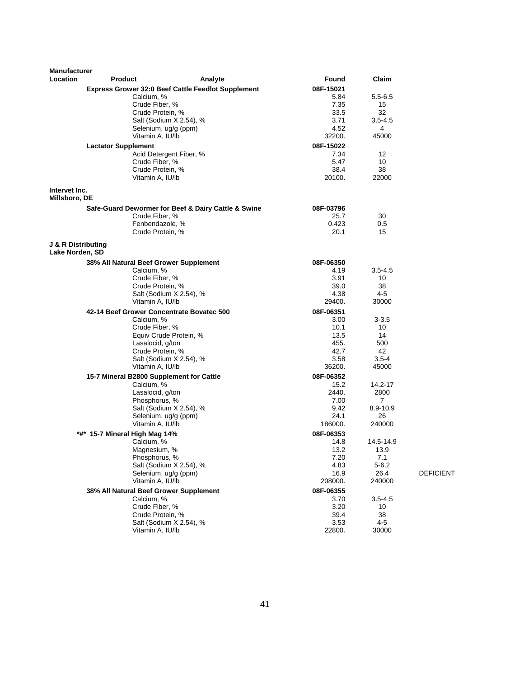| <b>Manufacturer</b>                              |                                           |                                                           |              |                  |                  |
|--------------------------------------------------|-------------------------------------------|-----------------------------------------------------------|--------------|------------------|------------------|
| <b>Location</b>                                  | <b>Product</b>                            | Analyte                                                   | Found        | Claim            |                  |
|                                                  |                                           | <b>Express Grower 32:0 Beef Cattle Feedlot Supplement</b> | 08F-15021    |                  |                  |
|                                                  | Calcium, %                                |                                                           | 5.84         | $5.5 - 6.5$      |                  |
|                                                  | Crude Fiber, %<br>Crude Protein, %        |                                                           | 7.35<br>33.5 | 15<br>32         |                  |
|                                                  |                                           | Salt (Sodium X 2.54), %                                   | 3.71         | $3.5 - 4.5$      |                  |
|                                                  |                                           | Selenium, ug/g (ppm)                                      | 4.52         | 4                |                  |
|                                                  | Vitamin A, IU/lb                          |                                                           | 32200.       | 45000            |                  |
|                                                  | <b>Lactator Supplement</b>                |                                                           | 08F-15022    |                  |                  |
|                                                  |                                           | Acid Detergent Fiber, %                                   | 7.34         | 12               |                  |
|                                                  | Crude Fiber, %                            |                                                           | 5.47         | 10               |                  |
|                                                  | Crude Protein, %                          |                                                           | 38.4         | 38               |                  |
|                                                  | Vitamin A, IU/lb                          |                                                           | 20100.       | 22000            |                  |
| Intervet Inc.<br>Millsboro, DE                   |                                           |                                                           |              |                  |                  |
|                                                  |                                           | Safe-Guard Dewormer for Beef & Dairy Cattle & Swine       | 08F-03796    |                  |                  |
|                                                  | Crude Fiber, %                            |                                                           | 25.7         | 30               |                  |
|                                                  |                                           | Fenbendazole, %                                           | 0.423        | 0.5              |                  |
|                                                  | Crude Protein, %                          |                                                           | 20.1         | 15               |                  |
| <b>J &amp; R Distributing</b><br>Lake Norden, SD |                                           |                                                           |              |                  |                  |
|                                                  | 38% All Natural Beef Grower Supplement    |                                                           | 08F-06350    |                  |                  |
|                                                  | Calcium, %                                |                                                           | 4.19         | $3.5 - 4.5$      |                  |
|                                                  | Crude Fiber, %                            |                                                           | 3.91         | 10               |                  |
|                                                  | Crude Protein, %                          |                                                           | 39.0         | 38               |                  |
|                                                  |                                           | Salt (Sodium X 2.54), %                                   | 4.38         | 4-5              |                  |
|                                                  | Vitamin A. IU/lb                          |                                                           | 29400.       | 30000            |                  |
|                                                  | 42-14 Beef Grower Concentrate Bovatec 500 |                                                           | 08F-06351    |                  |                  |
|                                                  | Calcium, %                                |                                                           | 3.00         | 3-3.5            |                  |
|                                                  | Crude Fiber, %                            |                                                           | 10.1         | 10               |                  |
|                                                  |                                           | Equiv Crude Protein, %                                    | 13.5         | 14               |                  |
|                                                  | Lasalocid, g/ton<br>Crude Protein, %      |                                                           | 455.<br>42.7 | 500<br>42        |                  |
|                                                  |                                           | Salt (Sodium X 2.54), %                                   | 3.58         | $3.5 - 4$        |                  |
|                                                  | Vitamin A, IU/lb                          |                                                           | 36200.       | 45000            |                  |
|                                                  | 15-7 Mineral B2800 Supplement for Cattle  |                                                           | 08F-06352    |                  |                  |
|                                                  | Calcium, %                                |                                                           | 15.2         | 14.2-17          |                  |
|                                                  | Lasalocid, g/ton                          |                                                           | 2440.        | 2800             |                  |
|                                                  | Phosphorus, %                             |                                                           | 7.00         | 7                |                  |
|                                                  |                                           | Salt (Sodium X 2.54), %                                   | 9.42         | 8.9-10.9         |                  |
|                                                  |                                           | Selenium, ug/g (ppm)                                      | 24.1         | 26               |                  |
|                                                  | Vitamin A, IU/lb                          |                                                           | 186000.      | 240000           |                  |
|                                                  | *#* 15-7 Mineral High Mag 14%             |                                                           | 08F-06353    |                  |                  |
|                                                  | Calcium, %                                |                                                           | 14.8         | 14.5-14.9        |                  |
|                                                  | Magnesium, %                              |                                                           | 13.2         | 13.9             |                  |
|                                                  | Phosphorus, %                             | Salt (Sodium X 2.54), %                                   | 7.20<br>4.83 | 7.1<br>$5 - 6.2$ |                  |
|                                                  |                                           | Selenium, ug/g (ppm)                                      | 16.9         | 26.4             | <b>DEFICIENT</b> |
|                                                  | Vitamin A, IU/lb                          |                                                           | 208000.      | 240000           |                  |
|                                                  | 38% All Natural Beef Grower Supplement    |                                                           | 08F-06355    |                  |                  |
|                                                  | Calcium, %                                |                                                           | 3.70         | $3.5 - 4.5$      |                  |
|                                                  | Crude Fiber, %                            |                                                           | 3.20         | 10               |                  |
|                                                  | Crude Protein, %                          |                                                           | 39.4         | 38               |                  |
|                                                  |                                           | Salt (Sodium X 2.54), %                                   | 3.53         | 4-5              |                  |
|                                                  | Vitamin A, IU/lb                          |                                                           | 22800.       | 30000            |                  |
|                                                  |                                           |                                                           |              |                  |                  |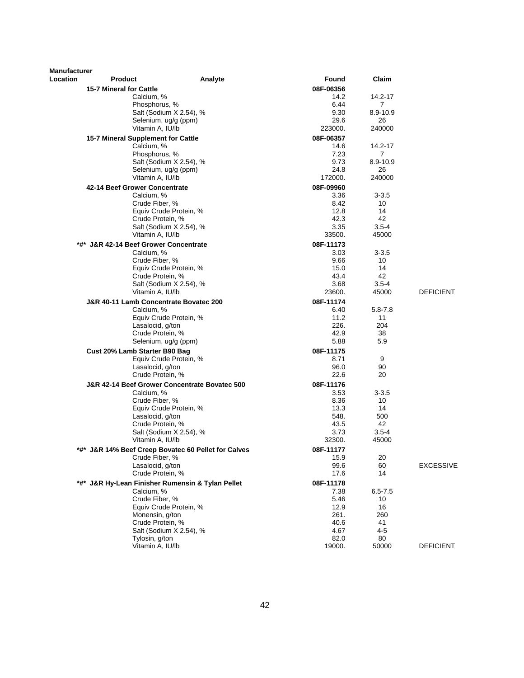| <b>Manufacturer</b> |                                                                |                                                     |              |                            |                  |
|---------------------|----------------------------------------------------------------|-----------------------------------------------------|--------------|----------------------------|------------------|
| Location            | <b>Product</b>                                                 | Analyte                                             | Found        | Claim                      |                  |
|                     | <b>15-7 Mineral for Cattle</b>                                 |                                                     | 08F-06356    |                            |                  |
|                     | Calcium, %                                                     |                                                     | 14.2         | 14.2-17                    |                  |
|                     | Phosphorus, %                                                  | Salt (Sodium X 2.54), %                             | 6.44<br>9.30 | $\overline{7}$<br>8.9-10.9 |                  |
|                     |                                                                | Selenium, ug/g (ppm)                                | 29.6         | 26                         |                  |
|                     | Vitamin A, IU/lb                                               |                                                     | 223000.      | 240000                     |                  |
|                     | 15-7 Mineral Supplement for Cattle                             |                                                     | 08F-06357    |                            |                  |
|                     | Calcium, %                                                     |                                                     | 14.6         | 14.2-17                    |                  |
|                     | Phosphorus, %                                                  |                                                     | 7.23         | 7                          |                  |
|                     |                                                                | Salt (Sodium X 2.54), %                             | 9.73         | 8.9-10.9                   |                  |
|                     |                                                                | Selenium, ug/g (ppm)                                | 24.8         | 26                         |                  |
|                     | Vitamin A. IU/lb                                               |                                                     | 172000.      | 240000                     |                  |
|                     | 42-14 Beef Grower Concentrate                                  |                                                     | 08F-09960    |                            |                  |
|                     | Calcium, %                                                     |                                                     | 3.36         | $3 - 3.5$                  |                  |
|                     | Crude Fiber, %                                                 |                                                     | 8.42         | 10                         |                  |
|                     |                                                                | Equiv Crude Protein, %                              | 12.8         | 14                         |                  |
|                     | Crude Protein, %                                               | Salt (Sodium X 2.54), %                             | 42.3<br>3.35 | 42<br>$3.5 - 4$            |                  |
|                     | Vitamin A, IU/lb                                               |                                                     | 33500.       | 45000                      |                  |
|                     | *#* J&R 42-14 Beef Grower Concentrate                          |                                                     | 08F-11173    |                            |                  |
|                     | Calcium, %                                                     |                                                     | 3.03         | $3 - 3.5$                  |                  |
|                     | Crude Fiber, %                                                 |                                                     | 9.66         | 10                         |                  |
|                     |                                                                | Equiv Crude Protein, %                              | 15.0         | 14                         |                  |
|                     | Crude Protein, %                                               |                                                     | 43.4         | 42                         |                  |
|                     |                                                                | Salt (Sodium X 2.54), %                             | 3.68         | $3.5 - 4$                  |                  |
|                     | Vitamin A, IU/lb                                               |                                                     | 23600.       | 45000                      | <b>DEFICIENT</b> |
|                     | J&R 40-11 Lamb Concentrate Bovatec 200                         |                                                     | 08F-11174    |                            |                  |
|                     | Calcium, %                                                     |                                                     | 6.40         | $5.8 - 7.8$                |                  |
|                     |                                                                | Equiv Crude Protein, %                              | 11.2         | 11                         |                  |
|                     | Lasalocid, g/ton                                               |                                                     | 226.         | 204                        |                  |
|                     | Crude Protein, %                                               | Selenium, ug/g (ppm)                                | 42.9<br>5.88 | 38<br>5.9                  |                  |
|                     |                                                                |                                                     |              |                            |                  |
|                     | Cust 20% Lamb Starter B90 Bag                                  |                                                     | 08F-11175    | 9                          |                  |
|                     | Lasalocid, g/ton                                               | Equiv Crude Protein, %                              | 8.71<br>96.0 | 90                         |                  |
|                     | Crude Protein, %                                               |                                                     | 22.6         | 20                         |                  |
|                     |                                                                | J&R 42-14 Beef Grower Concentrate Bovatec 500       | 08F-11176    |                            |                  |
|                     | Calcium, %                                                     |                                                     | 3.53         | $3 - 3.5$                  |                  |
|                     | Crude Fiber, %                                                 |                                                     | 8.36         | 10                         |                  |
|                     |                                                                | Equiv Crude Protein, %                              | 13.3         | 14                         |                  |
|                     | Lasalocid, g/ton                                               |                                                     | 548.         | 500                        |                  |
|                     | Crude Protein, %                                               |                                                     | 43.5         | 42                         |                  |
|                     |                                                                | Salt (Sodium X 2.54), %                             | 3.73         | $3.5 - 4$                  |                  |
|                     | Vitamin A, IU/lb                                               |                                                     | 32300.       | 45000                      |                  |
|                     |                                                                | *#* J&R 14% Beef Creep Bovatec 60 Pellet for Calves | 08F-11177    |                            |                  |
|                     | Crude Fiber, %                                                 |                                                     | 15.9         | 20                         |                  |
|                     | Lasalocid, g/ton<br>Crude Protein, %                           |                                                     | 99.6<br>17.6 | 60<br>14                   | <b>EXCESSIVE</b> |
|                     |                                                                |                                                     |              |                            |                  |
|                     | *#* J&R Hy-Lean Finisher Rumensin & Tylan Pellet<br>Calcium, % |                                                     | 08F-11178    | $6.5 - 7.5$                |                  |
|                     | Crude Fiber, %                                                 |                                                     | 7.38<br>5.46 | 10                         |                  |
|                     |                                                                | Equiv Crude Protein, %                              | 12.9         | 16                         |                  |
|                     | Monensin, g/ton                                                |                                                     | 261.         | 260                        |                  |
|                     | Crude Protein, %                                               |                                                     | 40.6         | 41                         |                  |
|                     |                                                                | Salt (Sodium X 2.54), %                             | 4.67         | $4 - 5$                    |                  |
|                     | Tylosin, g/ton                                                 |                                                     | 82.0         | 80                         |                  |
|                     | Vitamin A, IU/lb                                               |                                                     | 19000.       | 50000                      | <b>DEFICIENT</b> |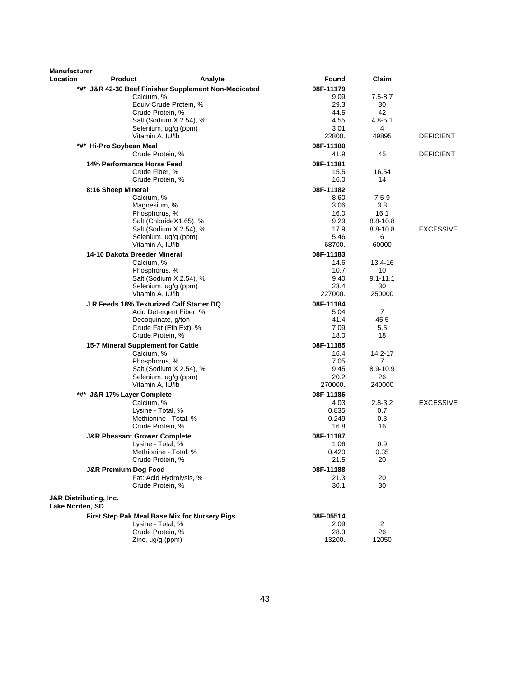| <b>Manufacturer</b><br>Location                      | <b>Product</b>                                               | Analyte                                              | Found             | Claim          |                  |
|------------------------------------------------------|--------------------------------------------------------------|------------------------------------------------------|-------------------|----------------|------------------|
|                                                      |                                                              | *#* J&R 42-30 Beef Finisher Supplement Non-Medicated | 08F-11179         |                |                  |
|                                                      | Calcium, %                                                   |                                                      | 9.09              | $7.5 - 8.7$    |                  |
|                                                      |                                                              | Equiv Crude Protein, %                               | 29.3              | 30             |                  |
|                                                      | Crude Protein, %                                             |                                                      | 44.5              | 42             |                  |
|                                                      |                                                              | Salt (Sodium X 2.54), %                              | 4.55              | $4.8 - 5.1$    |                  |
|                                                      |                                                              | Selenium, ug/g (ppm)                                 | 3.01              | 4              |                  |
|                                                      | Vitamin A, IU/lb                                             |                                                      | 22800.            | 49895          | <b>DEFICIENT</b> |
|                                                      | *#* Hi-Pro Soybean Meal                                      |                                                      | 08F-11180         |                |                  |
|                                                      | Crude Protein, %                                             |                                                      | 41.9              | 45             | <b>DEFICIENT</b> |
|                                                      | 14% Performance Horse Feed                                   |                                                      | 08F-11181         |                |                  |
|                                                      | Crude Fiber, %                                               |                                                      | 15.5              | 16.54          |                  |
|                                                      | Crude Protein, %                                             |                                                      | 16.0              | 14             |                  |
|                                                      | 8:16 Sheep Mineral                                           |                                                      | 08F-11182         |                |                  |
|                                                      | Calcium, %                                                   |                                                      | 8.60              | $7.5 - 9$      |                  |
|                                                      | Magnesium, %                                                 |                                                      | 3.06              | 3.8            |                  |
|                                                      | Phosphorus, %                                                |                                                      | 16.0              | 16.1           |                  |
|                                                      |                                                              | Salt (ChlorideX1.65), %                              | 9.29              | $8.8 - 10.8$   |                  |
|                                                      |                                                              | Salt (Sodium X 2.54), %<br>Selenium, ug/g (ppm)      | 17.9<br>5.46      | 8.8-10.8<br>6  | <b>EXCESSIVE</b> |
|                                                      | Vitamin A, IU/lb                                             |                                                      | 68700.            | 60000          |                  |
|                                                      |                                                              |                                                      | 08F-11183         |                |                  |
|                                                      | 14-10 Dakota Breeder Mineral<br>Calcium, %                   |                                                      | 14.6              | 13.4-16        |                  |
|                                                      | Phosphorus, %                                                |                                                      | 10.7              | 10             |                  |
|                                                      |                                                              | Salt (Sodium X 2.54), %                              | 9.40              | $9.1 - 11.1$   |                  |
|                                                      |                                                              | Selenium, ug/g (ppm)                                 | 23.4              | 30             |                  |
|                                                      | Vitamin A, IU/lb                                             |                                                      | 227000.           | 250000         |                  |
|                                                      | J R Feeds 18% Texturized Calf Starter DQ                     |                                                      | 08F-11184         |                |                  |
|                                                      |                                                              | Acid Detergent Fiber, %                              | 5.04              | $\overline{7}$ |                  |
|                                                      |                                                              | Decoquinate, g/ton                                   | 41.4              | 45.5           |                  |
|                                                      |                                                              | Crude Fat (Eth Ext), %                               | 7.09              | 5.5            |                  |
|                                                      | Crude Protein, %                                             |                                                      | 18.0              | 18             |                  |
|                                                      | 15-7 Mineral Supplement for Cattle                           |                                                      | 08F-11185         |                |                  |
|                                                      | Calcium, %                                                   |                                                      | 16.4              | 14.2-17        |                  |
|                                                      | Phosphorus, %                                                |                                                      | 7.05              | 7              |                  |
|                                                      |                                                              | Salt (Sodium X 2.54), %                              | 9.45              | 8.9-10.9       |                  |
|                                                      |                                                              | Selenium, ug/g (ppm)                                 | 20.2              | 26             |                  |
|                                                      | Vitamin A, IU/lb                                             |                                                      | 270000.           | 240000         |                  |
|                                                      | *#* J&R 17% Layer Complete                                   |                                                      | 08F-11186         |                |                  |
|                                                      | Calcium, %                                                   |                                                      | 4.03              | $2.8 - 3.2$    | <b>EXCESSIVE</b> |
|                                                      | Lysine - Total, %                                            | Methionine - Total, %                                | 0.835<br>0.249    | 0.7<br>0.3     |                  |
|                                                      | Crude Protein, %                                             |                                                      | 16.8              | 16             |                  |
|                                                      |                                                              |                                                      |                   |                |                  |
|                                                      | <b>J&amp;R Pheasant Grower Complete</b><br>Lysine - Total, % |                                                      | 08F-11187<br>1.06 | 0.9            |                  |
|                                                      |                                                              | Methionine - Total, %                                | 0.420             | 0.35           |                  |
|                                                      | Crude Protein, %                                             |                                                      | 21.5              | 20             |                  |
|                                                      | <b>J&amp;R Premium Dog Food</b>                              |                                                      | 08F-11188         |                |                  |
|                                                      |                                                              | Fat: Acid Hydrolysis, %                              | 21.3              | 20             |                  |
|                                                      | Crude Protein, %                                             |                                                      | 30.1              | 30             |                  |
| <b>J&amp;R Distributing, Inc.</b><br>Lake Norden, SD |                                                              |                                                      |                   |                |                  |
|                                                      |                                                              | First Step Pak Meal Base Mix for Nursery Pigs        | 08F-05514         |                |                  |
|                                                      | Lysine - Total, %                                            |                                                      | 2.09              | 2              |                  |
|                                                      | Crude Protein, %                                             |                                                      | 28.3              | 26             |                  |
|                                                      | Zinc, ug/g (ppm)                                             |                                                      | 13200.            | 12050          |                  |
|                                                      |                                                              |                                                      |                   |                |                  |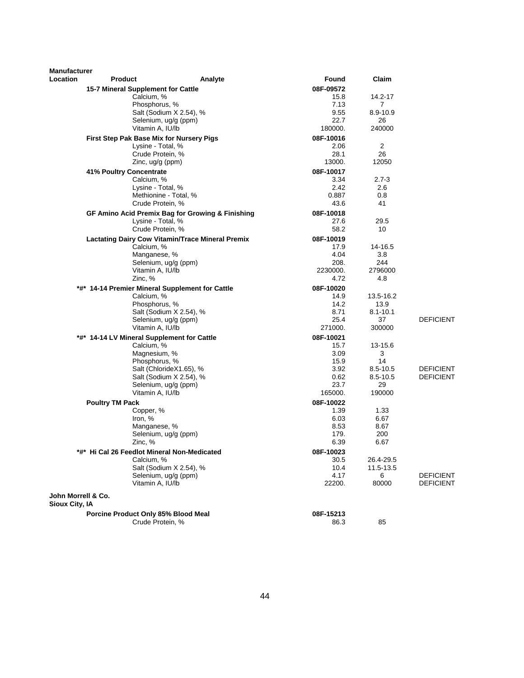| <b>Manufacturer</b><br><b>Location</b> |                                                         |                                                         |                   | Claim                |                                      |
|----------------------------------------|---------------------------------------------------------|---------------------------------------------------------|-------------------|----------------------|--------------------------------------|
|                                        | <b>Product</b>                                          | Analyte                                                 | Found             |                      |                                      |
|                                        | 15-7 Mineral Supplement for Cattle                      |                                                         | 08F-09572         |                      |                                      |
|                                        | Calcium, %<br>Phosphorus, %                             |                                                         | 15.8<br>7.13      | 14.2-17<br>7         |                                      |
|                                        |                                                         | Salt (Sodium X 2.54), %                                 | 9.55              | 8.9-10.9             |                                      |
|                                        |                                                         | Selenium, ug/g (ppm)                                    | 22.7              | 26                   |                                      |
|                                        | Vitamin A, IU/lb                                        |                                                         | 180000.           | 240000               |                                      |
|                                        | First Step Pak Base Mix for Nursery Pigs                |                                                         | 08F-10016         |                      |                                      |
|                                        | Lysine - Total, %                                       |                                                         | 2.06              | $\overline{2}$       |                                      |
|                                        | Crude Protein, %                                        |                                                         | 28.1              | 26                   |                                      |
|                                        | Zinc, $uq/q$ (ppm)                                      |                                                         | 13000.            | 12050                |                                      |
|                                        | 41% Poultry Concentrate                                 |                                                         | 08F-10017         |                      |                                      |
|                                        | Calcium, %                                              |                                                         | 3.34              | $2.7 - 3$            |                                      |
|                                        | Lysine - Total, %                                       | Methionine - Total, %                                   | 2.42<br>0.887     | 2.6<br>0.8           |                                      |
|                                        | Crude Protein, %                                        |                                                         | 43.6              | 41                   |                                      |
|                                        |                                                         |                                                         |                   |                      |                                      |
|                                        | Lysine - Total, %                                       | GF Amino Acid Premix Bag for Growing & Finishing        | 08F-10018<br>27.6 | 29.5                 |                                      |
|                                        | Crude Protein, %                                        |                                                         | 58.2              | 10                   |                                      |
|                                        |                                                         | <b>Lactating Dairy Cow Vitamin/Trace Mineral Premix</b> | 08F-10019         |                      |                                      |
|                                        | Calcium, %                                              |                                                         | 17.9              | 14-16.5              |                                      |
|                                        | Manganese, %                                            |                                                         | 4.04              | 3.8                  |                                      |
|                                        |                                                         | Selenium, ug/g (ppm)                                    | 208.              | 244                  |                                      |
|                                        | Vitamin A, IU/lb                                        |                                                         | 2230000.          | 2796000              |                                      |
|                                        | Zinc, %                                                 |                                                         | 4.72              | 4.8                  |                                      |
|                                        | *#* 14-14 Premier Mineral Supplement for Cattle         |                                                         | 08F-10020         |                      |                                      |
|                                        | Calcium, %                                              |                                                         | 14.9              | 13.5-16.2            |                                      |
|                                        | Phosphorus, %                                           | Salt (Sodium X 2.54), %                                 | 14.2<br>8.71      | 13.9<br>$8.1 - 10.1$ |                                      |
|                                        |                                                         | Selenium, ug/g (ppm)                                    | 25.4              | 37                   | <b>DEFICIENT</b>                     |
|                                        | Vitamin A, IU/lb                                        |                                                         | 271000.           | 300000               |                                      |
|                                        | *#* 14-14 LV Mineral Supplement for Cattle              |                                                         | 08F-10021         |                      |                                      |
|                                        | Calcium, %                                              |                                                         | 15.7              | 13-15.6              |                                      |
|                                        | Magnesium, %                                            |                                                         | 3.09              | 3                    |                                      |
|                                        | Phosphorus, %                                           |                                                         | 15.9              | 14                   |                                      |
|                                        |                                                         | Salt (ChlorideX1.65), %                                 | 3.92              | 8.5-10.5             | <b>DEFICIENT</b>                     |
|                                        |                                                         | Salt (Sodium X 2.54), %<br>Selenium, ug/g (ppm)         | 0.62<br>23.7      | 8.5-10.5<br>29       | <b>DEFICIENT</b>                     |
|                                        | Vitamin A, IU/lb                                        |                                                         | 165000.           | 190000               |                                      |
|                                        | <b>Poultry TM Pack</b>                                  |                                                         | 08F-10022         |                      |                                      |
|                                        | Copper, %                                               |                                                         | 1.39              | 1.33                 |                                      |
|                                        | Iron, %                                                 |                                                         | 6.03              | 6.67                 |                                      |
|                                        | Manganese, %                                            |                                                         | 8.53              | 8.67                 |                                      |
|                                        |                                                         | Selenium, ug/g (ppm)                                    | 179.              | 200                  |                                      |
|                                        | Zinc, %                                                 |                                                         | 6.39              | 6.67                 |                                      |
|                                        | *#* Hi Cal 26 Feedlot Mineral Non-Medicated             |                                                         | 08F-10023         |                      |                                      |
|                                        | Calcium, %                                              |                                                         | 30.5              | 26.4-29.5            |                                      |
|                                        |                                                         | Salt (Sodium X 2.54), %                                 | 10.4              | 11.5-13.5            |                                      |
|                                        | Vitamin A, IU/lb                                        | Selenium, ug/g (ppm)                                    | 4.17<br>22200.    | 6<br>80000           | <b>DEFICIENT</b><br><b>DEFICIENT</b> |
|                                        |                                                         |                                                         |                   |                      |                                      |
| John Morrell & Co.<br>Sioux City, IA   |                                                         |                                                         |                   |                      |                                      |
|                                        |                                                         |                                                         |                   |                      |                                      |
|                                        | Porcine Product Only 85% Blood Meal<br>Crude Protein, % |                                                         | 08F-15213<br>86.3 | 85                   |                                      |
|                                        |                                                         |                                                         |                   |                      |                                      |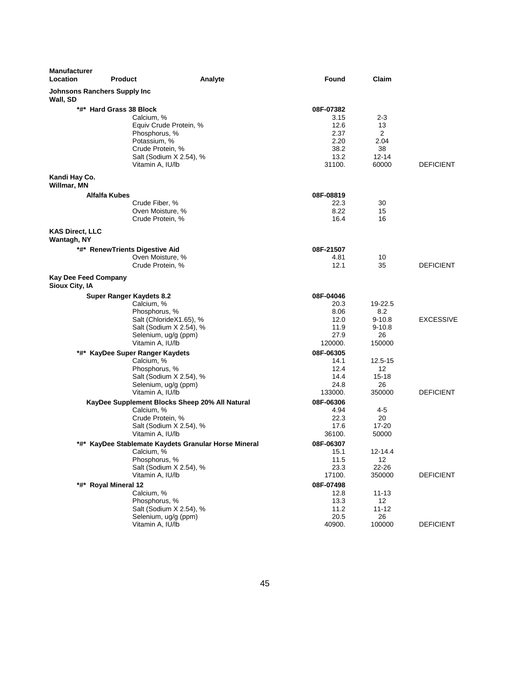| Manufacturer<br>Location                        | <b>Product</b><br>Analyte                                                                                                                                           | Found                                                               | Claim                                                       |                  |
|-------------------------------------------------|---------------------------------------------------------------------------------------------------------------------------------------------------------------------|---------------------------------------------------------------------|-------------------------------------------------------------|------------------|
| <b>Johnsons Ranchers Supply Inc</b><br>Wall, SD |                                                                                                                                                                     |                                                                     |                                                             |                  |
|                                                 | *#* Hard Grass 38 Block<br>Calcium, %<br>Equiv Crude Protein, %<br>Phosphorus, %<br>Potassium, %<br>Crude Protein, %<br>Salt (Sodium X 2.54), %<br>Vitamin A, IU/lb | 08F-07382<br>3.15<br>12.6<br>2.37<br>2.20<br>38.2<br>13.2<br>31100. | 2-3<br>13<br>$\overline{2}$<br>2.04<br>38<br>12-14<br>60000 | <b>DEFICIENT</b> |
| Kandi Hay Co.<br>Willmar, MN                    |                                                                                                                                                                     |                                                                     |                                                             |                  |
| Alfalfa Kubes                                   | Crude Fiber, %<br>Oven Moisture, %<br>Crude Protein, %                                                                                                              | 08F-08819<br>22.3<br>8.22<br>16.4                                   | 30<br>15<br>16                                              |                  |
| <b>KAS Direct, LLC</b><br>Wantagh, NY           |                                                                                                                                                                     |                                                                     |                                                             |                  |
|                                                 | *#* RenewTrients Digestive Aid<br>Oven Moisture, %<br>Crude Protein, %                                                                                              | 08F-21507<br>4.81<br>12.1                                           | 10<br>35                                                    | <b>DEFICIENT</b> |
| <b>Kay Dee Feed Company</b><br>Sioux City, IA   |                                                                                                                                                                     |                                                                     |                                                             |                  |
|                                                 | <b>Super Ranger Kaydets 8.2</b><br>Calcium, %<br>Phosphorus, %<br>Salt (ChlorideX1.65), %<br>Salt (Sodium X 2.54), %<br>Selenium, ug/g (ppm)<br>Vitamin A, IU/lb    | 08F-04046<br>20.3<br>8.06<br>12.0<br>11.9<br>27.9<br>120000.        | 19-22.5<br>8.2<br>$9 - 10.8$<br>$9 - 10.8$<br>26<br>150000  | <b>EXCESSIVE</b> |
|                                                 | *#* KayDee Super Ranger Kaydets<br>Calcium, %<br>Phosphorus, %<br>Salt (Sodium X 2.54), %<br>Selenium, ug/g (ppm)<br>Vitamin A, IU/lb                               | 08F-06305<br>14.1<br>12.4<br>14.4<br>24.8<br>133000.                | 12.5-15<br>12<br>$15 - 18$<br>26<br>350000                  | <b>DEFICIENT</b> |
|                                                 | KayDee Supplement Blocks Sheep 20% All Natural<br>Calcium, %<br>Crude Protein, %<br>Salt (Sodium X 2.54), %<br>Vitamin A, IU/lb                                     | 08F-06306<br>4.94<br>22.3<br>17.6<br>36100.                         | 4-5<br>20<br>17-20<br>50000                                 |                  |
| *#*                                             | KayDee Stablemate Kaydets Granular Horse Mineral<br>Calcium, %<br>Phosphorus, %<br>Salt (Sodium X 2.54), %<br>Vitamin A, IU/lb                                      | 08F-06307<br>15.1<br>11.5<br>23.3<br>17100.                         | 12-14.4<br>12<br>22-26<br>350000                            | <b>DEFICIENT</b> |
|                                                 | *#* Royal Mineral 12<br>Calcium, %<br>Phosphorus, %<br>Salt (Sodium X 2.54), %<br>Selenium, ug/g (ppm)<br>Vitamin A, IU/lb                                          | 08F-07498<br>12.8<br>13.3<br>11.2<br>20.5<br>40900.                 | $11 - 13$<br>12<br>$11 - 12$<br>26<br>100000                | <b>DEFICIENT</b> |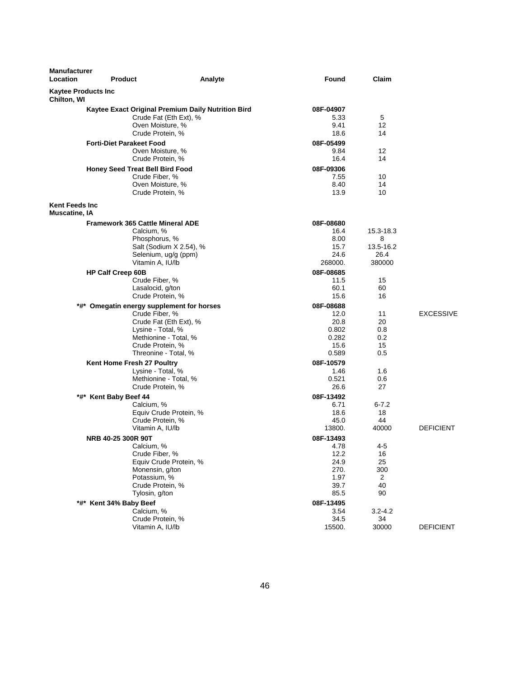| <b>Manufacturer</b><br>Location               | <b>Product</b>                                                                                                                                                                  | Analyte | Found                                                             | Claim                                         |                  |
|-----------------------------------------------|---------------------------------------------------------------------------------------------------------------------------------------------------------------------------------|---------|-------------------------------------------------------------------|-----------------------------------------------|------------------|
| <b>Kaytee Products Inc</b><br>Chilton, WI     |                                                                                                                                                                                 |         |                                                                   |                                               |                  |
|                                               | Kaytee Exact Original Premium Daily Nutrition Bird<br>Crude Fat (Eth Ext), %<br>Oven Moisture, %<br>Crude Protein, %                                                            |         | 08F-04907<br>5.33<br>9.41<br>18.6                                 | 5<br>12<br>14                                 |                  |
|                                               | <b>Forti-Diet Parakeet Food</b><br>Oven Moisture, %<br>Crude Protein, %                                                                                                         |         | 08F-05499<br>9.84<br>16.4                                         | 12<br>14                                      |                  |
|                                               | Honey Seed Treat Bell Bird Food<br>Crude Fiber, %<br>Oven Moisture, %<br>Crude Protein, %                                                                                       |         | 08F-09306<br>7.55<br>8.40<br>13.9                                 | 10<br>14<br>10                                |                  |
| <b>Kent Feeds Inc</b><br><b>Muscatine, IA</b> |                                                                                                                                                                                 |         |                                                                   |                                               |                  |
|                                               | Framework 365 Cattle Mineral ADE<br>Calcium, %<br>Phosphorus, %<br>Salt (Sodium X 2.54), %<br>Selenium, ug/g (ppm)<br>Vitamin A, IU/lb                                          |         | 08F-08680<br>16.4<br>8.00<br>15.7<br>24.6<br>268000.              | 15.3-18.3<br>8<br>13.5-16.2<br>26.4<br>380000 |                  |
|                                               | HP Calf Creep 60B<br>Crude Fiber, %<br>Lasalocid, g/ton<br>Crude Protein, %                                                                                                     |         | 08F-08685<br>11.5<br>60.1<br>15.6                                 | 15<br>60<br>16                                |                  |
|                                               | *#* Omegatin energy supplement for horses<br>Crude Fiber, %<br>Crude Fat (Eth Ext), %<br>Lysine - Total, %<br>Methionine - Total, %<br>Crude Protein, %<br>Threonine - Total, % |         | 08F-08688<br>12.0<br>20.8<br>0.802<br>0.282<br>15.6<br>0.589      | 11<br>20<br>0.8<br>0.2<br>15<br>0.5           | <b>EXCESSIVE</b> |
|                                               | Kent Home Fresh 27 Poultry<br>Lysine - Total, %<br>Methionine - Total, %<br>Crude Protein, %                                                                                    |         | 08F-10579<br>1.46<br>0.521<br>26.6                                | 1.6<br>0.6<br>27                              |                  |
|                                               | *#* Kent Baby Beef 44<br>Calcium, %<br>Equiv Crude Protein, %<br>Crude Protein, %<br>Vitamin A, IU/lb                                                                           |         | 08F-13492<br>6.71<br>18.6<br>45.0<br>13800.                       | $6 - 7.2$<br>18<br>44<br>40000                | <b>DEFICIENT</b> |
|                                               | NRB 40-25 300R 90T<br>Calcium, %<br>Crude Fiber, %<br>Equiv Crude Protein, %<br>Monensin, g/ton<br>Potassium, %<br>Crude Protein, %<br>Tylosin, g/ton                           |         | 08F-13493<br>4.78<br>12.2<br>24.9<br>270.<br>1.97<br>39.7<br>85.5 | $4 - 5$<br>16<br>25<br>300<br>2<br>40<br>90   |                  |
|                                               | *#* Kent 34% Baby Beef<br>Calcium, %<br>Crude Protein, %<br>Vitamin A, IU/lb                                                                                                    |         | 08F-13495<br>3.54<br>34.5<br>15500.                               | $3.2 - 4.2$<br>34<br>30000                    | <b>DEFICIENT</b> |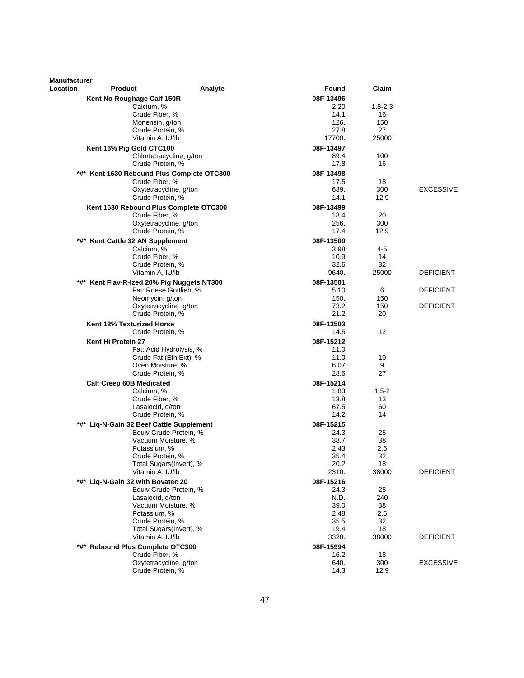| Manufacturer |                                                   |              |                   |                  |
|--------------|---------------------------------------------------|--------------|-------------------|------------------|
| Location     | Product<br>Analyte                                | Found        | Claim             |                  |
|              | Kent No Roughage Calf 150R                        | 08F-13496    |                   |                  |
|              | Calcium, %                                        | 2.20         | $1.8 - 2.3$       |                  |
|              | Crude Fiber, %                                    | 14.1         | 16                |                  |
|              | Monensin, g/ton                                   | 126.<br>27.8 | 150<br>27         |                  |
|              | Crude Protein, %<br>Vitamin A, IU/lb              | 17700.       | 25000             |                  |
|              | Kent 16% Pig Gold CTC100                          | 08F-13497    |                   |                  |
|              | Chlortetracycline, g/ton                          | 89.4         | 100               |                  |
|              | Crude Protein, %                                  | 17.8         | 16                |                  |
|              | *#* Kent 1630 Rebound Plus Complete OTC300        | 08F-13498    |                   |                  |
|              | Crude Fiber, %                                    | 17.5         | 18                |                  |
|              | Oxytetracycline, g/ton                            | 639.         | 300               | <b>EXCESSIVE</b> |
|              | Crude Protein, %                                  | 14.1         | 12.9              |                  |
|              | Kent 1630 Rebound Plus Complete OTC300            | 08F-13499    |                   |                  |
|              | Crude Fiber, %                                    | 18.4         | 20                |                  |
|              | Oxytetracycline, g/ton                            | 256.         | 300               |                  |
|              | Crude Protein, %                                  | 17.4         | 12.9              |                  |
|              | *#* Kent Cattle 32 AN Supplement                  | 08F-13500    |                   |                  |
|              | Calcium, %<br>Crude Fiber, %                      | 3.98<br>10.9 | 4-5<br>14         |                  |
|              | Crude Protein, %                                  | 32.6         | 32                |                  |
|              | Vitamin A, IU/lb                                  | 9640.        | 25000             | <b>DEFICIENT</b> |
|              | *#* Kent Flav-R-Ized 20% Pig Nuggets NT300        | 08F-13501    |                   |                  |
|              | Fat: Roese Gottlieb, %                            | 5.10         | 6                 | <b>DEFICIENT</b> |
|              | Neomycin, g/ton                                   | 150.         | 150               |                  |
|              | Oxytetracycline, g/ton                            | 73.2         | 150               | <b>DEFICIENT</b> |
|              | Crude Protein, %                                  | 21.2         | 20                |                  |
|              | Kent 12% Texturized Horse                         | 08F-13503    |                   |                  |
|              | Crude Protein, %                                  | 14.5         | $12 \overline{ }$ |                  |
|              | Kent Hi Protein 27                                | 08F-15212    |                   |                  |
|              | Fat: Acid Hydrolysis, %<br>Crude Fat (Eth Ext), % | 11.0<br>11.0 | 10                |                  |
|              | Oven Moisture, %                                  | 6.07         | 9                 |                  |
|              | Crude Protein, %                                  | 28.6         | 27                |                  |
|              | <b>Calf Creep 60B Medicated</b>                   | 08F-15214    |                   |                  |
|              | Calcium, %                                        | 1.83         | $1.5 - 2$         |                  |
|              | Crude Fiber, %                                    | 13.8         | 13                |                  |
|              | Lasalocid, g/ton                                  | 67.5         | 60                |                  |
|              | Crude Protein, %                                  | 14.2         | 14                |                  |
| *#*          | Liq-N-Gain 32 Beef Cattle Supplement              | 08F-15215    |                   |                  |
|              | Equiv Crude Protein, %<br>Vacuum Moisture, %      | 24.3<br>38.7 | 25<br>38          |                  |
|              | Potassium, %                                      | 2.43         | 2.5               |                  |
|              | Crude Protein, %                                  | 35.4         | 32                |                  |
|              | Total Sugars(Invert), %                           | 20.2         | 18                |                  |
|              | Vitamin A, IU/lb                                  | 2310.        | 38000             | <b>DEFICIENT</b> |
|              | *#* Liq-N-Gain 32 with Bovatec 20                 | 08F-15216    |                   |                  |
|              | Equiv Crude Protein, %                            | 24.3         | 25                |                  |
|              | Lasalocid, g/ton                                  | N.D.         | 240               |                  |
|              | Vacuum Moisture, %<br>Potassium, %                | 39.0<br>2.48 | 38<br>2.5         |                  |
|              | Crude Protein, %                                  | 35.5         | 32                |                  |
|              | Total Sugars(Invert), %                           | 19.4         | 18                |                  |
|              | Vitamin A, IU/lb                                  | 3320.        | 38000             | <b>DEFICIENT</b> |
|              | *#* Rebound Plus Complete OTC300                  | 08F-15994    |                   |                  |
|              | Crude Fiber, %                                    | 16.2         | 18                |                  |
|              | Oxytetracycline, g/ton                            | 640.         | 300               | <b>EXCESSIVE</b> |
|              | Crude Protein, %                                  | 14.3         | 12.9              |                  |
|              |                                                   |              |                   |                  |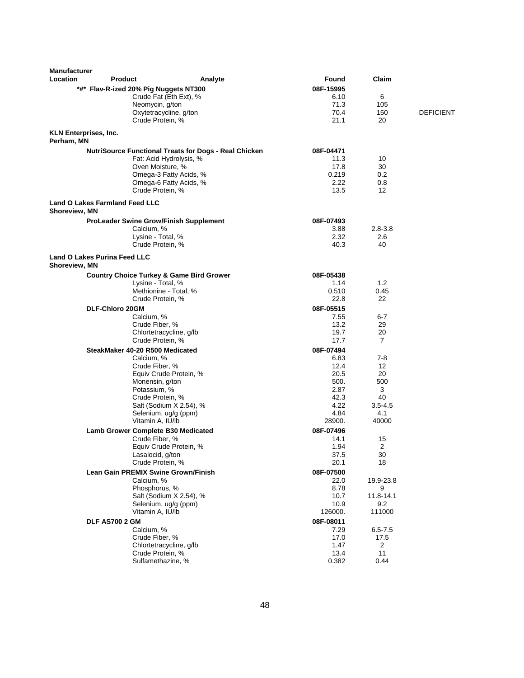| <b>Manufacturer</b><br><b>Location</b> | <b>Product</b>                        |                                                                 | Analyte                                                      | Found             | Claim                    |                  |
|----------------------------------------|---------------------------------------|-----------------------------------------------------------------|--------------------------------------------------------------|-------------------|--------------------------|------------------|
|                                        |                                       |                                                                 |                                                              | 08F-15995         |                          |                  |
|                                        |                                       | *#* Flav-R-ized 20% Pig Nuggets NT300<br>Crude Fat (Eth Ext), % |                                                              | 6.10              | 6                        |                  |
|                                        |                                       | Neomycin, g/ton                                                 |                                                              | 71.3              | 105                      |                  |
|                                        |                                       | Oxytetracycline, g/ton                                          |                                                              | 70.4              | 150                      | <b>DEFICIENT</b> |
|                                        |                                       | Crude Protein, %                                                |                                                              | 21.1              | 20                       |                  |
| Perham, MN                             | <b>KLN Enterprises, Inc.</b>          |                                                                 |                                                              |                   |                          |                  |
|                                        |                                       |                                                                 | <b>NutriSource Functional Treats for Dogs - Real Chicken</b> | 08F-04471         |                          |                  |
|                                        |                                       | Fat: Acid Hydrolysis, %                                         |                                                              | 11.3              | 10                       |                  |
|                                        |                                       | Oven Moisture, %                                                |                                                              | 17.8              | 30                       |                  |
|                                        |                                       | Omega-3 Fatty Acids, %                                          |                                                              | 0.219             | 0.2                      |                  |
|                                        |                                       | Omega-6 Fatty Acids, %<br>Crude Protein, %                      |                                                              | 2.22<br>13.5      | 0.8<br>$12 \overline{ }$ |                  |
|                                        | <b>Land O Lakes Farmland Feed LLC</b> |                                                                 |                                                              |                   |                          |                  |
| Shoreview, MN                          |                                       |                                                                 |                                                              |                   |                          |                  |
|                                        |                                       | <b>ProLeader Swine Grow/Finish Supplement</b><br>Calcium, %     |                                                              | 08F-07493<br>3.88 | $2.8 - 3.8$              |                  |
|                                        |                                       | Lysine - Total, %                                               |                                                              | 2.32              | 2.6                      |                  |
|                                        |                                       | Crude Protein, %                                                |                                                              | 40.3              | 40                       |                  |
| Shoreview, MN                          | Land O Lakes Purina Feed LLC          |                                                                 |                                                              |                   |                          |                  |
|                                        |                                       | <b>Country Choice Turkey &amp; Game Bird Grower</b>             |                                                              | 08F-05438         |                          |                  |
|                                        |                                       | Lysine - Total, %                                               |                                                              | 1.14              | 1.2                      |                  |
|                                        |                                       | Methionine - Total. %                                           |                                                              | 0.510             | 0.45                     |                  |
|                                        |                                       | Crude Protein, %                                                |                                                              | 22.8              | 22                       |                  |
|                                        | <b>DLF-Chloro 20GM</b>                |                                                                 |                                                              | 08F-05515         |                          |                  |
|                                        |                                       | Calcium, %                                                      |                                                              | 7.55              | $6 - 7$                  |                  |
|                                        |                                       | Crude Fiber, %                                                  |                                                              | 13.2              | 29                       |                  |
|                                        |                                       | Chlortetracycline, g/lb<br>Crude Protein, %                     |                                                              | 19.7<br>17.7      | 20<br>$\overline{7}$     |                  |
|                                        |                                       | SteakMaker 40-20 R500 Medicated                                 |                                                              | 08F-07494         |                          |                  |
|                                        |                                       | Calcium, %                                                      |                                                              | 6.83              | $7-8$                    |                  |
|                                        |                                       | Crude Fiber, %                                                  |                                                              | 12.4              | 12                       |                  |
|                                        |                                       | Equiv Crude Protein, %                                          |                                                              | 20.5              | 20                       |                  |
|                                        |                                       | Monensin, g/ton                                                 |                                                              | 500.              | 500                      |                  |
|                                        |                                       | Potassium, %                                                    |                                                              | 2.87<br>42.3      | 3<br>40                  |                  |
|                                        |                                       | Crude Protein, %<br>Salt (Sodium X 2.54), %                     |                                                              | 4.22              | $3.5 - 4.5$              |                  |
|                                        |                                       | Selenium, ug/g (ppm)                                            |                                                              | 4.84              | 4.1                      |                  |
|                                        |                                       | Vitamin A, IU/lb                                                |                                                              | 28900.            | 40000                    |                  |
|                                        |                                       | Lamb Grower Complete B30 Medicated                              |                                                              | 08F-07496         |                          |                  |
|                                        |                                       | Crude Fiber, %                                                  |                                                              | 14.1              | 15                       |                  |
|                                        |                                       | Equiv Crude Protein, %                                          |                                                              | 1.94              | 2                        |                  |
|                                        |                                       | Lasalocid, g/ton<br>Crude Protein, %                            |                                                              | 37.5<br>20.1      | 30<br>18                 |                  |
|                                        |                                       | Lean Gain PREMIX Swine Grown/Finish                             |                                                              | 08F-07500         |                          |                  |
|                                        |                                       | Calcium, %                                                      |                                                              | 22.0              | 19.9-23.8                |                  |
|                                        |                                       | Phosphorus, %                                                   |                                                              | 8.78              | 9                        |                  |
|                                        |                                       | Salt (Sodium X 2.54), %                                         |                                                              | 10.7              | 11.8-14.1                |                  |
|                                        |                                       | Selenium, ug/g (ppm)                                            |                                                              | 10.9              | 9.2                      |                  |
|                                        |                                       | Vitamin A, IU/lb                                                |                                                              | 126000.           | 111000                   |                  |
|                                        | <b>DLF AS700 2 GM</b>                 |                                                                 |                                                              | 08F-08011         |                          |                  |
|                                        |                                       | Calcium, %                                                      |                                                              | 7.29              | $6.5 - 7.5$              |                  |
|                                        |                                       | Crude Fiber, %<br>Chlortetracycline, g/lb                       |                                                              | 17.0<br>1.47      | 17.5<br>$\overline{2}$   |                  |
|                                        |                                       | Crude Protein, %                                                |                                                              | 13.4              | 11                       |                  |
|                                        |                                       | Sulfamethazine, %                                               |                                                              | 0.382             | 0.44                     |                  |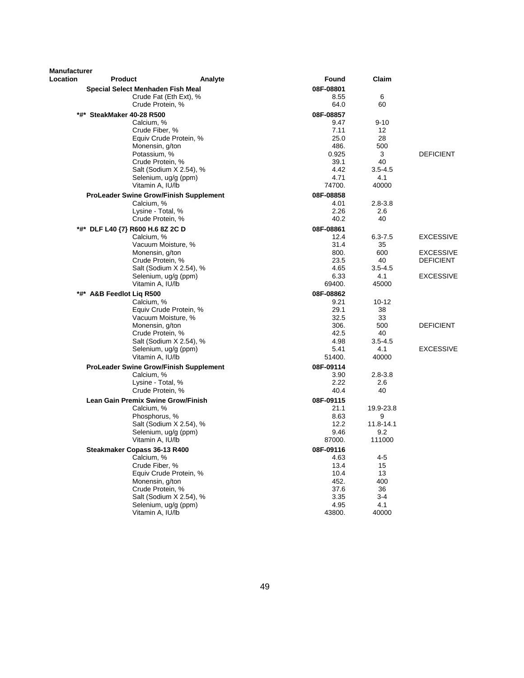| Special Select Menhaden Fish Meal<br>08F-08801<br>6<br>Crude Fat (Eth Ext), %<br>8.55<br>60<br>Crude Protein, %<br>64.0<br>*#* SteakMaker 40-28 R500<br>08F-08857<br>Calcium, %<br>9.47<br>$9 - 10$<br>Crude Fiber, %<br>7.11<br>12<br>Equiv Crude Protein, %<br>25.0<br>28<br>486.<br>500<br>Monensin, g/ton<br>Potassium, %<br>0.925<br>3<br><b>DEFICIENT</b><br>40<br>Crude Protein, %<br>39.1<br>Salt (Sodium X 2.54), %<br>4.42<br>$3.5 - 4.5$<br>4.71<br>Selenium, ug/g (ppm)<br>4.1<br>Vitamin A, IU/lb<br>40000<br>74700.<br><b>ProLeader Swine Grow/Finish Supplement</b><br>08F-08858<br>Calcium, %<br>4.01<br>$2.8 - 3.8$<br>2.26<br>Lysine - Total, %<br>2.6<br>Crude Protein, %<br>40<br>40.2<br>*#* DLF L40 {7} R600 H.6 8Z 2C D<br>08F-08861<br>Calcium, %<br><b>EXCESSIVE</b><br>12.4<br>$6.3 - 7.5$<br>Vacuum Moisture, %<br>31.4<br>35<br>Monensin, g/ton<br>800.<br>600<br><b>EXCESSIVE</b><br>Crude Protein, %<br>23.5<br>40<br><b>DEFICIENT</b><br>Salt (Sodium X 2.54), %<br>$3.5 - 4.5$<br>4.65<br><b>EXCESSIVE</b><br>Selenium, ug/g (ppm)<br>6.33<br>4.1<br>Vitamin A, IU/lb<br>69400.<br>45000<br>08F-08862<br>*#* A&B Feedlot Liq R500<br>9.21<br>$10 - 12$<br>Calcium, %<br>29.1<br>Equiv Crude Protein, %<br>38<br>Vacuum Moisture, %<br>32.5<br>33<br>Monensin, g/ton<br>306.<br>500<br><b>DEFICIENT</b><br>Crude Protein, %<br>42.5<br>40<br>Salt (Sodium X 2.54), %<br>4.98<br>$3.5 - 4.5$<br>5.41<br>4.1<br><b>EXCESSIVE</b><br>Selenium, ug/g (ppm)<br>Vitamin A, IU/lb<br>40000<br>51400.<br><b>ProLeader Swine Grow/Finish Supplement</b><br>08F-09114<br>Calcium, %<br>$2.8 - 3.8$<br>3.90<br>Lysine - Total, %<br>2.6<br>2.22<br>Crude Protein, %<br>40.4<br>40<br>Lean Gain Premix Swine Grow/Finish<br>08F-09115<br>Calcium, %<br>21.1<br>19.9-23.8<br>Phosphorus, %<br>8.63<br>9<br>Salt (Sodium X 2.54), %<br>12.2<br>11.8-14.1<br>Selenium, ug/g (ppm)<br>9.46<br>9.2<br>Vitamin A, IU/lb<br>87000.<br>111000<br>Steakmaker Copass 36-13 R400<br>08F-09116<br>Calcium, %<br>4.63<br>$4 - 5$<br>Crude Fiber, %<br>13.4<br>15<br>Equiv Crude Protein, %<br>10.4<br>13<br>Monensin, g/ton<br>400<br>452.<br>Crude Protein, %<br>37.6<br>36<br>$3 - 4$<br>Salt (Sodium X 2.54), %<br>3.35<br>4.1<br>4.95<br>Selenium, ug/g (ppm)<br>Vitamin A, IU/lb<br>43800.<br>40000 | Manufacturer |                |         |       |       |  |
|----------------------------------------------------------------------------------------------------------------------------------------------------------------------------------------------------------------------------------------------------------------------------------------------------------------------------------------------------------------------------------------------------------------------------------------------------------------------------------------------------------------------------------------------------------------------------------------------------------------------------------------------------------------------------------------------------------------------------------------------------------------------------------------------------------------------------------------------------------------------------------------------------------------------------------------------------------------------------------------------------------------------------------------------------------------------------------------------------------------------------------------------------------------------------------------------------------------------------------------------------------------------------------------------------------------------------------------------------------------------------------------------------------------------------------------------------------------------------------------------------------------------------------------------------------------------------------------------------------------------------------------------------------------------------------------------------------------------------------------------------------------------------------------------------------------------------------------------------------------------------------------------------------------------------------------------------------------------------------------------------------------------------------------------------------------------------------------------------------------------------------------------------------------------------------------------------------------------------------------------------------------------------------------------------------------|--------------|----------------|---------|-------|-------|--|
|                                                                                                                                                                                                                                                                                                                                                                                                                                                                                                                                                                                                                                                                                                                                                                                                                                                                                                                                                                                                                                                                                                                                                                                                                                                                                                                                                                                                                                                                                                                                                                                                                                                                                                                                                                                                                                                                                                                                                                                                                                                                                                                                                                                                                                                                                                                | Location     | <b>Product</b> | Analyte | Found | Claim |  |
|                                                                                                                                                                                                                                                                                                                                                                                                                                                                                                                                                                                                                                                                                                                                                                                                                                                                                                                                                                                                                                                                                                                                                                                                                                                                                                                                                                                                                                                                                                                                                                                                                                                                                                                                                                                                                                                                                                                                                                                                                                                                                                                                                                                                                                                                                                                |              |                |         |       |       |  |
|                                                                                                                                                                                                                                                                                                                                                                                                                                                                                                                                                                                                                                                                                                                                                                                                                                                                                                                                                                                                                                                                                                                                                                                                                                                                                                                                                                                                                                                                                                                                                                                                                                                                                                                                                                                                                                                                                                                                                                                                                                                                                                                                                                                                                                                                                                                |              |                |         |       |       |  |
|                                                                                                                                                                                                                                                                                                                                                                                                                                                                                                                                                                                                                                                                                                                                                                                                                                                                                                                                                                                                                                                                                                                                                                                                                                                                                                                                                                                                                                                                                                                                                                                                                                                                                                                                                                                                                                                                                                                                                                                                                                                                                                                                                                                                                                                                                                                |              |                |         |       |       |  |
|                                                                                                                                                                                                                                                                                                                                                                                                                                                                                                                                                                                                                                                                                                                                                                                                                                                                                                                                                                                                                                                                                                                                                                                                                                                                                                                                                                                                                                                                                                                                                                                                                                                                                                                                                                                                                                                                                                                                                                                                                                                                                                                                                                                                                                                                                                                |              |                |         |       |       |  |
|                                                                                                                                                                                                                                                                                                                                                                                                                                                                                                                                                                                                                                                                                                                                                                                                                                                                                                                                                                                                                                                                                                                                                                                                                                                                                                                                                                                                                                                                                                                                                                                                                                                                                                                                                                                                                                                                                                                                                                                                                                                                                                                                                                                                                                                                                                                |              |                |         |       |       |  |
|                                                                                                                                                                                                                                                                                                                                                                                                                                                                                                                                                                                                                                                                                                                                                                                                                                                                                                                                                                                                                                                                                                                                                                                                                                                                                                                                                                                                                                                                                                                                                                                                                                                                                                                                                                                                                                                                                                                                                                                                                                                                                                                                                                                                                                                                                                                |              |                |         |       |       |  |
|                                                                                                                                                                                                                                                                                                                                                                                                                                                                                                                                                                                                                                                                                                                                                                                                                                                                                                                                                                                                                                                                                                                                                                                                                                                                                                                                                                                                                                                                                                                                                                                                                                                                                                                                                                                                                                                                                                                                                                                                                                                                                                                                                                                                                                                                                                                |              |                |         |       |       |  |
|                                                                                                                                                                                                                                                                                                                                                                                                                                                                                                                                                                                                                                                                                                                                                                                                                                                                                                                                                                                                                                                                                                                                                                                                                                                                                                                                                                                                                                                                                                                                                                                                                                                                                                                                                                                                                                                                                                                                                                                                                                                                                                                                                                                                                                                                                                                |              |                |         |       |       |  |
|                                                                                                                                                                                                                                                                                                                                                                                                                                                                                                                                                                                                                                                                                                                                                                                                                                                                                                                                                                                                                                                                                                                                                                                                                                                                                                                                                                                                                                                                                                                                                                                                                                                                                                                                                                                                                                                                                                                                                                                                                                                                                                                                                                                                                                                                                                                |              |                |         |       |       |  |
|                                                                                                                                                                                                                                                                                                                                                                                                                                                                                                                                                                                                                                                                                                                                                                                                                                                                                                                                                                                                                                                                                                                                                                                                                                                                                                                                                                                                                                                                                                                                                                                                                                                                                                                                                                                                                                                                                                                                                                                                                                                                                                                                                                                                                                                                                                                |              |                |         |       |       |  |
|                                                                                                                                                                                                                                                                                                                                                                                                                                                                                                                                                                                                                                                                                                                                                                                                                                                                                                                                                                                                                                                                                                                                                                                                                                                                                                                                                                                                                                                                                                                                                                                                                                                                                                                                                                                                                                                                                                                                                                                                                                                                                                                                                                                                                                                                                                                |              |                |         |       |       |  |
|                                                                                                                                                                                                                                                                                                                                                                                                                                                                                                                                                                                                                                                                                                                                                                                                                                                                                                                                                                                                                                                                                                                                                                                                                                                                                                                                                                                                                                                                                                                                                                                                                                                                                                                                                                                                                                                                                                                                                                                                                                                                                                                                                                                                                                                                                                                |              |                |         |       |       |  |
|                                                                                                                                                                                                                                                                                                                                                                                                                                                                                                                                                                                                                                                                                                                                                                                                                                                                                                                                                                                                                                                                                                                                                                                                                                                                                                                                                                                                                                                                                                                                                                                                                                                                                                                                                                                                                                                                                                                                                                                                                                                                                                                                                                                                                                                                                                                |              |                |         |       |       |  |
|                                                                                                                                                                                                                                                                                                                                                                                                                                                                                                                                                                                                                                                                                                                                                                                                                                                                                                                                                                                                                                                                                                                                                                                                                                                                                                                                                                                                                                                                                                                                                                                                                                                                                                                                                                                                                                                                                                                                                                                                                                                                                                                                                                                                                                                                                                                |              |                |         |       |       |  |
|                                                                                                                                                                                                                                                                                                                                                                                                                                                                                                                                                                                                                                                                                                                                                                                                                                                                                                                                                                                                                                                                                                                                                                                                                                                                                                                                                                                                                                                                                                                                                                                                                                                                                                                                                                                                                                                                                                                                                                                                                                                                                                                                                                                                                                                                                                                |              |                |         |       |       |  |
|                                                                                                                                                                                                                                                                                                                                                                                                                                                                                                                                                                                                                                                                                                                                                                                                                                                                                                                                                                                                                                                                                                                                                                                                                                                                                                                                                                                                                                                                                                                                                                                                                                                                                                                                                                                                                                                                                                                                                                                                                                                                                                                                                                                                                                                                                                                |              |                |         |       |       |  |
|                                                                                                                                                                                                                                                                                                                                                                                                                                                                                                                                                                                                                                                                                                                                                                                                                                                                                                                                                                                                                                                                                                                                                                                                                                                                                                                                                                                                                                                                                                                                                                                                                                                                                                                                                                                                                                                                                                                                                                                                                                                                                                                                                                                                                                                                                                                |              |                |         |       |       |  |
|                                                                                                                                                                                                                                                                                                                                                                                                                                                                                                                                                                                                                                                                                                                                                                                                                                                                                                                                                                                                                                                                                                                                                                                                                                                                                                                                                                                                                                                                                                                                                                                                                                                                                                                                                                                                                                                                                                                                                                                                                                                                                                                                                                                                                                                                                                                |              |                |         |       |       |  |
|                                                                                                                                                                                                                                                                                                                                                                                                                                                                                                                                                                                                                                                                                                                                                                                                                                                                                                                                                                                                                                                                                                                                                                                                                                                                                                                                                                                                                                                                                                                                                                                                                                                                                                                                                                                                                                                                                                                                                                                                                                                                                                                                                                                                                                                                                                                |              |                |         |       |       |  |
|                                                                                                                                                                                                                                                                                                                                                                                                                                                                                                                                                                                                                                                                                                                                                                                                                                                                                                                                                                                                                                                                                                                                                                                                                                                                                                                                                                                                                                                                                                                                                                                                                                                                                                                                                                                                                                                                                                                                                                                                                                                                                                                                                                                                                                                                                                                |              |                |         |       |       |  |
|                                                                                                                                                                                                                                                                                                                                                                                                                                                                                                                                                                                                                                                                                                                                                                                                                                                                                                                                                                                                                                                                                                                                                                                                                                                                                                                                                                                                                                                                                                                                                                                                                                                                                                                                                                                                                                                                                                                                                                                                                                                                                                                                                                                                                                                                                                                |              |                |         |       |       |  |
|                                                                                                                                                                                                                                                                                                                                                                                                                                                                                                                                                                                                                                                                                                                                                                                                                                                                                                                                                                                                                                                                                                                                                                                                                                                                                                                                                                                                                                                                                                                                                                                                                                                                                                                                                                                                                                                                                                                                                                                                                                                                                                                                                                                                                                                                                                                |              |                |         |       |       |  |
|                                                                                                                                                                                                                                                                                                                                                                                                                                                                                                                                                                                                                                                                                                                                                                                                                                                                                                                                                                                                                                                                                                                                                                                                                                                                                                                                                                                                                                                                                                                                                                                                                                                                                                                                                                                                                                                                                                                                                                                                                                                                                                                                                                                                                                                                                                                |              |                |         |       |       |  |
|                                                                                                                                                                                                                                                                                                                                                                                                                                                                                                                                                                                                                                                                                                                                                                                                                                                                                                                                                                                                                                                                                                                                                                                                                                                                                                                                                                                                                                                                                                                                                                                                                                                                                                                                                                                                                                                                                                                                                                                                                                                                                                                                                                                                                                                                                                                |              |                |         |       |       |  |
|                                                                                                                                                                                                                                                                                                                                                                                                                                                                                                                                                                                                                                                                                                                                                                                                                                                                                                                                                                                                                                                                                                                                                                                                                                                                                                                                                                                                                                                                                                                                                                                                                                                                                                                                                                                                                                                                                                                                                                                                                                                                                                                                                                                                                                                                                                                |              |                |         |       |       |  |
|                                                                                                                                                                                                                                                                                                                                                                                                                                                                                                                                                                                                                                                                                                                                                                                                                                                                                                                                                                                                                                                                                                                                                                                                                                                                                                                                                                                                                                                                                                                                                                                                                                                                                                                                                                                                                                                                                                                                                                                                                                                                                                                                                                                                                                                                                                                |              |                |         |       |       |  |
|                                                                                                                                                                                                                                                                                                                                                                                                                                                                                                                                                                                                                                                                                                                                                                                                                                                                                                                                                                                                                                                                                                                                                                                                                                                                                                                                                                                                                                                                                                                                                                                                                                                                                                                                                                                                                                                                                                                                                                                                                                                                                                                                                                                                                                                                                                                |              |                |         |       |       |  |
|                                                                                                                                                                                                                                                                                                                                                                                                                                                                                                                                                                                                                                                                                                                                                                                                                                                                                                                                                                                                                                                                                                                                                                                                                                                                                                                                                                                                                                                                                                                                                                                                                                                                                                                                                                                                                                                                                                                                                                                                                                                                                                                                                                                                                                                                                                                |              |                |         |       |       |  |
|                                                                                                                                                                                                                                                                                                                                                                                                                                                                                                                                                                                                                                                                                                                                                                                                                                                                                                                                                                                                                                                                                                                                                                                                                                                                                                                                                                                                                                                                                                                                                                                                                                                                                                                                                                                                                                                                                                                                                                                                                                                                                                                                                                                                                                                                                                                |              |                |         |       |       |  |
|                                                                                                                                                                                                                                                                                                                                                                                                                                                                                                                                                                                                                                                                                                                                                                                                                                                                                                                                                                                                                                                                                                                                                                                                                                                                                                                                                                                                                                                                                                                                                                                                                                                                                                                                                                                                                                                                                                                                                                                                                                                                                                                                                                                                                                                                                                                |              |                |         |       |       |  |
|                                                                                                                                                                                                                                                                                                                                                                                                                                                                                                                                                                                                                                                                                                                                                                                                                                                                                                                                                                                                                                                                                                                                                                                                                                                                                                                                                                                                                                                                                                                                                                                                                                                                                                                                                                                                                                                                                                                                                                                                                                                                                                                                                                                                                                                                                                                |              |                |         |       |       |  |
|                                                                                                                                                                                                                                                                                                                                                                                                                                                                                                                                                                                                                                                                                                                                                                                                                                                                                                                                                                                                                                                                                                                                                                                                                                                                                                                                                                                                                                                                                                                                                                                                                                                                                                                                                                                                                                                                                                                                                                                                                                                                                                                                                                                                                                                                                                                |              |                |         |       |       |  |
|                                                                                                                                                                                                                                                                                                                                                                                                                                                                                                                                                                                                                                                                                                                                                                                                                                                                                                                                                                                                                                                                                                                                                                                                                                                                                                                                                                                                                                                                                                                                                                                                                                                                                                                                                                                                                                                                                                                                                                                                                                                                                                                                                                                                                                                                                                                |              |                |         |       |       |  |
|                                                                                                                                                                                                                                                                                                                                                                                                                                                                                                                                                                                                                                                                                                                                                                                                                                                                                                                                                                                                                                                                                                                                                                                                                                                                                                                                                                                                                                                                                                                                                                                                                                                                                                                                                                                                                                                                                                                                                                                                                                                                                                                                                                                                                                                                                                                |              |                |         |       |       |  |
|                                                                                                                                                                                                                                                                                                                                                                                                                                                                                                                                                                                                                                                                                                                                                                                                                                                                                                                                                                                                                                                                                                                                                                                                                                                                                                                                                                                                                                                                                                                                                                                                                                                                                                                                                                                                                                                                                                                                                                                                                                                                                                                                                                                                                                                                                                                |              |                |         |       |       |  |
|                                                                                                                                                                                                                                                                                                                                                                                                                                                                                                                                                                                                                                                                                                                                                                                                                                                                                                                                                                                                                                                                                                                                                                                                                                                                                                                                                                                                                                                                                                                                                                                                                                                                                                                                                                                                                                                                                                                                                                                                                                                                                                                                                                                                                                                                                                                |              |                |         |       |       |  |
|                                                                                                                                                                                                                                                                                                                                                                                                                                                                                                                                                                                                                                                                                                                                                                                                                                                                                                                                                                                                                                                                                                                                                                                                                                                                                                                                                                                                                                                                                                                                                                                                                                                                                                                                                                                                                                                                                                                                                                                                                                                                                                                                                                                                                                                                                                                |              |                |         |       |       |  |
|                                                                                                                                                                                                                                                                                                                                                                                                                                                                                                                                                                                                                                                                                                                                                                                                                                                                                                                                                                                                                                                                                                                                                                                                                                                                                                                                                                                                                                                                                                                                                                                                                                                                                                                                                                                                                                                                                                                                                                                                                                                                                                                                                                                                                                                                                                                |              |                |         |       |       |  |
|                                                                                                                                                                                                                                                                                                                                                                                                                                                                                                                                                                                                                                                                                                                                                                                                                                                                                                                                                                                                                                                                                                                                                                                                                                                                                                                                                                                                                                                                                                                                                                                                                                                                                                                                                                                                                                                                                                                                                                                                                                                                                                                                                                                                                                                                                                                |              |                |         |       |       |  |
|                                                                                                                                                                                                                                                                                                                                                                                                                                                                                                                                                                                                                                                                                                                                                                                                                                                                                                                                                                                                                                                                                                                                                                                                                                                                                                                                                                                                                                                                                                                                                                                                                                                                                                                                                                                                                                                                                                                                                                                                                                                                                                                                                                                                                                                                                                                |              |                |         |       |       |  |
|                                                                                                                                                                                                                                                                                                                                                                                                                                                                                                                                                                                                                                                                                                                                                                                                                                                                                                                                                                                                                                                                                                                                                                                                                                                                                                                                                                                                                                                                                                                                                                                                                                                                                                                                                                                                                                                                                                                                                                                                                                                                                                                                                                                                                                                                                                                |              |                |         |       |       |  |
|                                                                                                                                                                                                                                                                                                                                                                                                                                                                                                                                                                                                                                                                                                                                                                                                                                                                                                                                                                                                                                                                                                                                                                                                                                                                                                                                                                                                                                                                                                                                                                                                                                                                                                                                                                                                                                                                                                                                                                                                                                                                                                                                                                                                                                                                                                                |              |                |         |       |       |  |
|                                                                                                                                                                                                                                                                                                                                                                                                                                                                                                                                                                                                                                                                                                                                                                                                                                                                                                                                                                                                                                                                                                                                                                                                                                                                                                                                                                                                                                                                                                                                                                                                                                                                                                                                                                                                                                                                                                                                                                                                                                                                                                                                                                                                                                                                                                                |              |                |         |       |       |  |
|                                                                                                                                                                                                                                                                                                                                                                                                                                                                                                                                                                                                                                                                                                                                                                                                                                                                                                                                                                                                                                                                                                                                                                                                                                                                                                                                                                                                                                                                                                                                                                                                                                                                                                                                                                                                                                                                                                                                                                                                                                                                                                                                                                                                                                                                                                                |              |                |         |       |       |  |
|                                                                                                                                                                                                                                                                                                                                                                                                                                                                                                                                                                                                                                                                                                                                                                                                                                                                                                                                                                                                                                                                                                                                                                                                                                                                                                                                                                                                                                                                                                                                                                                                                                                                                                                                                                                                                                                                                                                                                                                                                                                                                                                                                                                                                                                                                                                |              |                |         |       |       |  |
|                                                                                                                                                                                                                                                                                                                                                                                                                                                                                                                                                                                                                                                                                                                                                                                                                                                                                                                                                                                                                                                                                                                                                                                                                                                                                                                                                                                                                                                                                                                                                                                                                                                                                                                                                                                                                                                                                                                                                                                                                                                                                                                                                                                                                                                                                                                |              |                |         |       |       |  |
|                                                                                                                                                                                                                                                                                                                                                                                                                                                                                                                                                                                                                                                                                                                                                                                                                                                                                                                                                                                                                                                                                                                                                                                                                                                                                                                                                                                                                                                                                                                                                                                                                                                                                                                                                                                                                                                                                                                                                                                                                                                                                                                                                                                                                                                                                                                |              |                |         |       |       |  |
|                                                                                                                                                                                                                                                                                                                                                                                                                                                                                                                                                                                                                                                                                                                                                                                                                                                                                                                                                                                                                                                                                                                                                                                                                                                                                                                                                                                                                                                                                                                                                                                                                                                                                                                                                                                                                                                                                                                                                                                                                                                                                                                                                                                                                                                                                                                |              |                |         |       |       |  |
|                                                                                                                                                                                                                                                                                                                                                                                                                                                                                                                                                                                                                                                                                                                                                                                                                                                                                                                                                                                                                                                                                                                                                                                                                                                                                                                                                                                                                                                                                                                                                                                                                                                                                                                                                                                                                                                                                                                                                                                                                                                                                                                                                                                                                                                                                                                |              |                |         |       |       |  |
|                                                                                                                                                                                                                                                                                                                                                                                                                                                                                                                                                                                                                                                                                                                                                                                                                                                                                                                                                                                                                                                                                                                                                                                                                                                                                                                                                                                                                                                                                                                                                                                                                                                                                                                                                                                                                                                                                                                                                                                                                                                                                                                                                                                                                                                                                                                |              |                |         |       |       |  |
|                                                                                                                                                                                                                                                                                                                                                                                                                                                                                                                                                                                                                                                                                                                                                                                                                                                                                                                                                                                                                                                                                                                                                                                                                                                                                                                                                                                                                                                                                                                                                                                                                                                                                                                                                                                                                                                                                                                                                                                                                                                                                                                                                                                                                                                                                                                |              |                |         |       |       |  |
|                                                                                                                                                                                                                                                                                                                                                                                                                                                                                                                                                                                                                                                                                                                                                                                                                                                                                                                                                                                                                                                                                                                                                                                                                                                                                                                                                                                                                                                                                                                                                                                                                                                                                                                                                                                                                                                                                                                                                                                                                                                                                                                                                                                                                                                                                                                |              |                |         |       |       |  |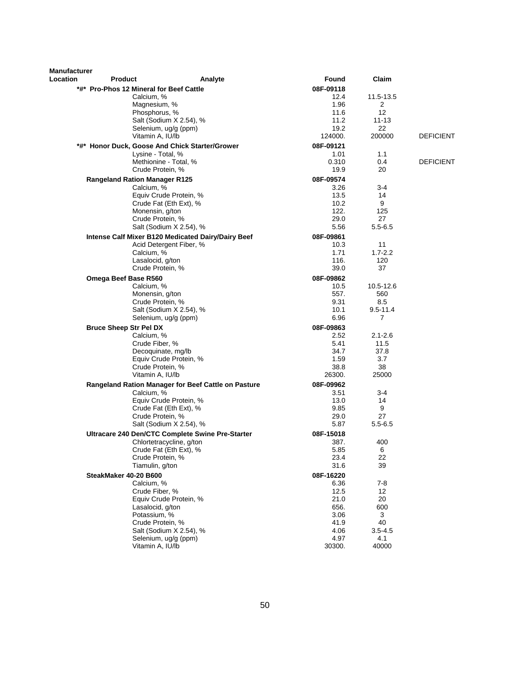| <b>Manufacturer</b> |                                         |                                                                     |                   |                     |                  |
|---------------------|-----------------------------------------|---------------------------------------------------------------------|-------------------|---------------------|------------------|
| Location            | <b>Product</b>                          | Analyte                                                             | Found             | Claim               |                  |
|                     | *#* Pro-Phos 12 Mineral for Beef Cattle |                                                                     | 08F-09118         |                     |                  |
|                     | Calcium, %                              |                                                                     | 12.4              | 11.5-13.5           |                  |
|                     | Magnesium, %                            |                                                                     | 1.96              | 2                   |                  |
|                     | Phosphorus, %                           |                                                                     | 11.6              | 12                  |                  |
|                     |                                         | Salt (Sodium X 2.54), %                                             | 11.2              | $11 - 13$           |                  |
|                     | Vitamin A, IU/lb                        | Selenium, ug/g (ppm)                                                | 19.2<br>124000.   | 22<br>200000        | <b>DEFICIENT</b> |
|                     |                                         |                                                                     |                   |                     |                  |
|                     |                                         | *#* Honor Duck, Goose And Chick Starter/Grower<br>Lysine - Total, % | 08F-09121<br>1.01 | 1.1                 |                  |
|                     |                                         | Methionine - Total, %                                               | 0.310             | 0.4                 | <b>DEFICIENT</b> |
|                     |                                         | Crude Protein, %                                                    | 19.9              | 20                  |                  |
|                     | <b>Rangeland Ration Manager R125</b>    |                                                                     | 08F-09574         |                     |                  |
|                     | Calcium, %                              |                                                                     | 3.26              | $3 - 4$             |                  |
|                     |                                         | Equiv Crude Protein, %                                              | 13.5              | 14                  |                  |
|                     |                                         | Crude Fat (Eth Ext), %                                              | 10.2              | 9                   |                  |
|                     | Monensin, g/ton                         |                                                                     | 122.              | 125                 |                  |
|                     |                                         | Crude Protein, %                                                    | 29.0              | 27                  |                  |
|                     |                                         | Salt (Sodium X 2.54), %                                             | 5.56              | $5.5 - 6.5$         |                  |
|                     |                                         | Intense Calf Mixer B120 Medicated Dairy/Dairy Beef                  | 08F-09861         |                     |                  |
|                     |                                         | Acid Detergent Fiber, %                                             | 10.3              | 11                  |                  |
|                     | Calcium, %                              |                                                                     | 1.71              | $1.7 - 2.2$         |                  |
|                     | Lasalocid, g/ton                        |                                                                     | 116.              | 120                 |                  |
|                     |                                         | Crude Protein, %                                                    | 39.0              | 37                  |                  |
|                     | Omega Beef Base R560                    |                                                                     | 08F-09862         |                     |                  |
|                     | Calcium, %                              |                                                                     | 10.5              | 10.5-12.6           |                  |
|                     | Monensin, g/ton                         |                                                                     | 557.              | 560                 |                  |
|                     |                                         | Crude Protein, %                                                    | 9.31              | 8.5<br>$9.5 - 11.4$ |                  |
|                     |                                         | Salt (Sodium X 2.54), %<br>Selenium, ug/g (ppm)                     | 10.1<br>6.96      | 7                   |                  |
|                     |                                         |                                                                     |                   |                     |                  |
|                     | <b>Bruce Sheep Str Pel DX</b>           |                                                                     | 08F-09863<br>2.52 |                     |                  |
|                     | Calcium, %<br>Crude Fiber, %            |                                                                     | 5.41              | $2.1 - 2.6$<br>11.5 |                  |
|                     |                                         | Decoquinate, mg/lb                                                  | 34.7              | 37.8                |                  |
|                     |                                         | Equiv Crude Protein, %                                              | 1.59              | 3.7                 |                  |
|                     |                                         | Crude Protein, %                                                    | 38.8              | 38                  |                  |
|                     | Vitamin A, IU/lb                        |                                                                     | 26300.            | 25000               |                  |
|                     |                                         | Rangeland Ration Manager for Beef Cattle on Pasture                 | 08F-09962         |                     |                  |
|                     | Calcium, %                              |                                                                     | 3.51              | $3 - 4$             |                  |
|                     |                                         | Equiv Crude Protein, %                                              | 13.0              | 14                  |                  |
|                     |                                         | Crude Fat (Eth Ext), %                                              | 9.85              | 9                   |                  |
|                     |                                         | Crude Protein, %                                                    | 29.0              | 27                  |                  |
|                     |                                         | Salt (Sodium X 2.54), %                                             | 5.87              | $5.5 - 6.5$         |                  |
|                     |                                         | Ultracare 240 Den/CTC Complete Swine Pre-Starter                    | 08F-15018         |                     |                  |
|                     |                                         | Chlortetracycline, g/ton                                            | 387.              | 400                 |                  |
|                     |                                         | Crude Fat (Eth Ext), %                                              | 5.85              | 6                   |                  |
|                     | Tiamulin, g/ton                         | Crude Protein, %                                                    | 23.4<br>31.6      | 22<br>39            |                  |
|                     |                                         |                                                                     |                   |                     |                  |
|                     | SteakMaker 40-20 B600                   |                                                                     | 08F-16220         |                     |                  |
|                     | Calcium, %<br>Crude Fiber, %            |                                                                     | 6.36<br>12.5      | $7 - 8$<br>12       |                  |
|                     |                                         | Equiv Crude Protein, %                                              | 21.0              | 20                  |                  |
|                     | Lasalocid, g/ton                        |                                                                     | 656.              | 600                 |                  |
|                     | Potassium, %                            |                                                                     | 3.06              | 3                   |                  |
|                     |                                         | Crude Protein, %                                                    | 41.9              | 40                  |                  |
|                     |                                         | Salt (Sodium X 2.54), %                                             | 4.06              | $3.5 - 4.5$         |                  |
|                     |                                         | Selenium, ug/g (ppm)                                                | 4.97              | 4.1                 |                  |
|                     | Vitamin A, IU/lb                        |                                                                     | 30300.            | 40000               |                  |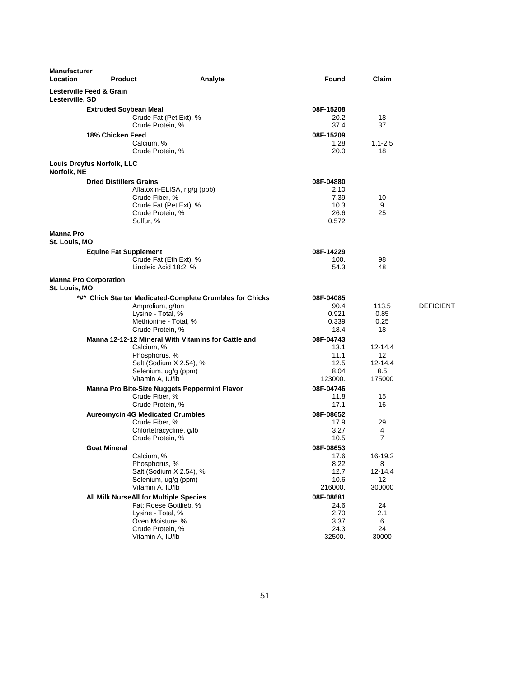| <b>Manufacturer</b><br>Location                        | <b>Product</b>                                                                                                                                    | Analyte                                                  | Found                                                | Claim                                                            |                  |
|--------------------------------------------------------|---------------------------------------------------------------------------------------------------------------------------------------------------|----------------------------------------------------------|------------------------------------------------------|------------------------------------------------------------------|------------------|
| <b>Lesterville Feed &amp; Grain</b><br>Lesterville, SD |                                                                                                                                                   |                                                          |                                                      |                                                                  |                  |
|                                                        | <b>Extruded Soybean Meal</b><br>Crude Fat (Pet Ext), %<br>Crude Protein, %<br>18% Chicken Feed                                                    |                                                          | 08F-15208<br>20.2<br>37.4<br>08F-15209               | 18<br>37                                                         |                  |
|                                                        | Calcium, %<br>Crude Protein, %                                                                                                                    |                                                          | 1.28<br>20.0                                         | $1.1 - 2.5$<br>18                                                |                  |
| Louis Dreyfus Norfolk, LLC<br>Norfolk, NE              |                                                                                                                                                   |                                                          |                                                      |                                                                  |                  |
|                                                        | <b>Dried Distillers Grains</b><br>Aflatoxin-ELISA, ng/g (ppb)<br>Crude Fiber, %<br>Crude Fat (Pet Ext), %<br>Crude Protein, %<br>Sulfur, %        |                                                          | 08F-04880<br>2.10<br>7.39<br>10.3<br>26.6<br>0.572   | 10<br>9<br>25                                                    |                  |
| <b>Manna Pro</b><br>St. Louis, MO                      |                                                                                                                                                   |                                                          |                                                      |                                                                  |                  |
|                                                        | <b>Equine Fat Supplement</b><br>Crude Fat (Eth Ext), %<br>Linoleic Acid 18:2, %                                                                   |                                                          | 08F-14229<br>100.<br>54.3                            | 98<br>48                                                         |                  |
| <b>Manna Pro Corporation</b><br>St. Louis, MO          |                                                                                                                                                   |                                                          |                                                      |                                                                  |                  |
|                                                        | Amprolium, g/ton<br>Lysine - Total, %<br>Methionine - Total, %<br>Crude Protein, %                                                                | *#* Chick Starter Medicated-Complete Crumbles for Chicks | 08F-04085<br>90.4<br>0.921<br>0.339<br>18.4          | 113.5<br>0.85<br>0.25<br>18                                      | <b>DEFICIENT</b> |
|                                                        | Calcium, %<br>Phosphorus, %<br>Salt (Sodium X 2.54), %<br>Selenium, ug/g (ppm)<br>Vitamin A, IU/lb                                                | Manna 12-12-12 Mineral With Vitamins for Cattle and      | 08F-04743<br>13.1<br>11.1<br>12.5<br>8.04<br>123000. | $12 - 14.4$<br>$12 \overline{ }$<br>$12 - 14.4$<br>8.5<br>175000 |                  |
|                                                        | Manna Pro Bite-Size Nuggets Peppermint Flavor<br>Crude Fiber, %<br>Crude Protein, %                                                               |                                                          | 08F-04746<br>11.8<br>17.1                            | 15<br>16                                                         |                  |
|                                                        | <b>Aureomycin 4G Medicated Crumbles</b><br>Crude Fiber, %<br>Chlortetracycline, g/lb<br>Crude Protein, %                                          |                                                          | 08F-08652<br>17.9<br>3.27<br>10.5                    | 29<br>4<br>$\overline{7}$                                        |                  |
|                                                        | <b>Goat Mineral</b><br>Calcium, %<br>Phosphorus, %<br>Salt (Sodium X 2.54), %<br>Selenium, ug/g (ppm)<br>Vitamin A, IU/lb                         |                                                          | 08F-08653<br>17.6<br>8.22<br>12.7<br>10.6<br>216000. | 16-19.2<br>8<br>12-14.4<br>12<br>300000                          |                  |
|                                                        | All Milk NurseAll for Multiple Species<br>Fat: Roese Gottlieb, %<br>Lysine - Total, %<br>Oven Moisture, %<br>Crude Protein, %<br>Vitamin A, IU/lb |                                                          | 08F-08681<br>24.6<br>2.70<br>3.37<br>24.3<br>32500.  | 24<br>2.1<br>6<br>24<br>30000                                    |                  |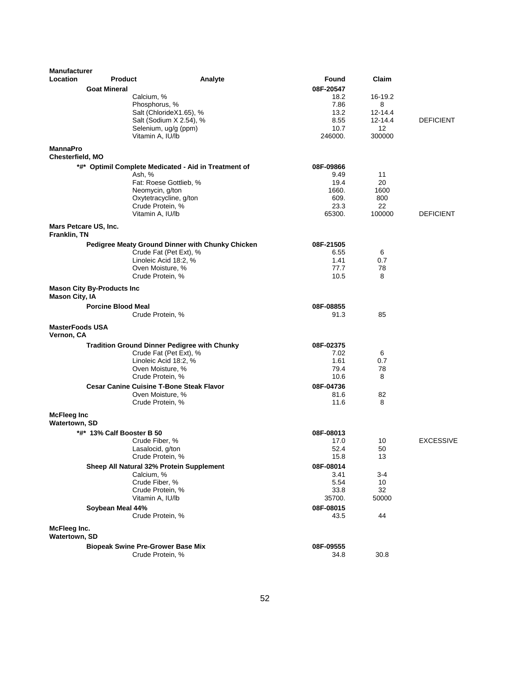| <b>Product</b><br>Analyte<br>Found<br><b>Goat Mineral</b><br>08F-20547<br>16-19.2<br>Calcium, %<br>18.2<br>Phosphorus, %<br>7.86<br>8<br>Salt (ChlorideX1.65), %<br>13.2<br>12-14.4<br>8.55<br>Salt (Sodium X 2.54), %<br>$12 - 14.4$<br><b>DEFICIENT</b><br>Selenium, ug/g (ppm)<br>10.7<br>12<br>246000.<br>300000<br>Vitamin A, IU/lb<br><b>MannaPro</b><br>Chesterfield, MO<br>*#* Optimil Complete Medicated - Aid in Treatment of<br>08F-09866<br>Ash, %<br>9.49<br>11<br>19.4<br>20<br>Fat: Roese Gottlieb, %<br>1660.<br>Neomycin, g/ton<br>1600<br>609.<br>Oxytetracycline, g/ton<br>800<br>Crude Protein, %<br>23.3<br>22<br>100000<br>Vitamin A, IU/lb<br>65300.<br><b>DEFICIENT</b><br>Mars Petcare US, Inc.<br>Franklin, TN<br>Pedigree Meaty Ground Dinner with Chunky Chicken<br>08F-21505<br>Crude Fat (Pet Ext), %<br>6.55<br>6<br>Linoleic Acid 18:2, %<br>1.41<br>0.7<br>Oven Moisture, %<br>77.7<br>78<br>Crude Protein, %<br>10.5<br>8<br><b>Mason City By-Products Inc</b><br><b>Mason City, IA</b><br><b>Porcine Blood Meal</b><br>08F-08855<br>Crude Protein, %<br>91.3<br>85<br><b>MasterFoods USA</b><br>Vernon, CA<br>08F-02375<br><b>Tradition Ground Dinner Pedigree with Chunky</b><br>Crude Fat (Pet Ext), %<br>7.02<br>6<br>1.61<br>Linoleic Acid 18:2, %<br>0.7<br>79.4<br>Oven Moisture, %<br>78<br>Crude Protein, %<br>10.6<br>8<br><b>Cesar Canine Cuisine T-Bone Steak Flavor</b><br>08F-04736<br>82<br>Oven Moisture, %<br>81.6<br>11.6<br>8<br>Crude Protein, %<br><b>McFleeg Inc</b><br><b>Watertown, SD</b><br>*#* 13% Calf Booster B 50<br>08F-08013<br><b>EXCESSIVE</b><br>Crude Fiber, %<br>17.0<br>10<br>52.4<br>Lasalocid, g/ton<br>50<br>Crude Protein, %<br>15.8<br>13<br>Sheep All Natural 32% Protein Supplement<br>08F-08014<br>Calcium, %<br>3.41<br>3-4<br>Crude Fiber, %<br>5.54<br>10<br>32<br>Crude Protein, %<br>33.8<br>Vitamin A, IU/lb<br>50000<br>35700.<br>Soybean Meal 44%<br>08F-08015<br>Crude Protein, %<br>43.5<br>44<br>McFleeg Inc.<br>Watertown, SD<br><b>Biopeak Swine Pre-Grower Base Mix</b><br>08F-09555<br>Crude Protein, %<br>34.8<br>30.8 | <b>Manufacturer</b> |  |       |  |
|------------------------------------------------------------------------------------------------------------------------------------------------------------------------------------------------------------------------------------------------------------------------------------------------------------------------------------------------------------------------------------------------------------------------------------------------------------------------------------------------------------------------------------------------------------------------------------------------------------------------------------------------------------------------------------------------------------------------------------------------------------------------------------------------------------------------------------------------------------------------------------------------------------------------------------------------------------------------------------------------------------------------------------------------------------------------------------------------------------------------------------------------------------------------------------------------------------------------------------------------------------------------------------------------------------------------------------------------------------------------------------------------------------------------------------------------------------------------------------------------------------------------------------------------------------------------------------------------------------------------------------------------------------------------------------------------------------------------------------------------------------------------------------------------------------------------------------------------------------------------------------------------------------------------------------------------------------------------------------------------------------------------------------------------------------------------------------------------------------------------|---------------------|--|-------|--|
|                                                                                                                                                                                                                                                                                                                                                                                                                                                                                                                                                                                                                                                                                                                                                                                                                                                                                                                                                                                                                                                                                                                                                                                                                                                                                                                                                                                                                                                                                                                                                                                                                                                                                                                                                                                                                                                                                                                                                                                                                                                                                                                        | Location            |  | Claim |  |
|                                                                                                                                                                                                                                                                                                                                                                                                                                                                                                                                                                                                                                                                                                                                                                                                                                                                                                                                                                                                                                                                                                                                                                                                                                                                                                                                                                                                                                                                                                                                                                                                                                                                                                                                                                                                                                                                                                                                                                                                                                                                                                                        |                     |  |       |  |
|                                                                                                                                                                                                                                                                                                                                                                                                                                                                                                                                                                                                                                                                                                                                                                                                                                                                                                                                                                                                                                                                                                                                                                                                                                                                                                                                                                                                                                                                                                                                                                                                                                                                                                                                                                                                                                                                                                                                                                                                                                                                                                                        |                     |  |       |  |
|                                                                                                                                                                                                                                                                                                                                                                                                                                                                                                                                                                                                                                                                                                                                                                                                                                                                                                                                                                                                                                                                                                                                                                                                                                                                                                                                                                                                                                                                                                                                                                                                                                                                                                                                                                                                                                                                                                                                                                                                                                                                                                                        |                     |  |       |  |
|                                                                                                                                                                                                                                                                                                                                                                                                                                                                                                                                                                                                                                                                                                                                                                                                                                                                                                                                                                                                                                                                                                                                                                                                                                                                                                                                                                                                                                                                                                                                                                                                                                                                                                                                                                                                                                                                                                                                                                                                                                                                                                                        |                     |  |       |  |
|                                                                                                                                                                                                                                                                                                                                                                                                                                                                                                                                                                                                                                                                                                                                                                                                                                                                                                                                                                                                                                                                                                                                                                                                                                                                                                                                                                                                                                                                                                                                                                                                                                                                                                                                                                                                                                                                                                                                                                                                                                                                                                                        |                     |  |       |  |
|                                                                                                                                                                                                                                                                                                                                                                                                                                                                                                                                                                                                                                                                                                                                                                                                                                                                                                                                                                                                                                                                                                                                                                                                                                                                                                                                                                                                                                                                                                                                                                                                                                                                                                                                                                                                                                                                                                                                                                                                                                                                                                                        |                     |  |       |  |
|                                                                                                                                                                                                                                                                                                                                                                                                                                                                                                                                                                                                                                                                                                                                                                                                                                                                                                                                                                                                                                                                                                                                                                                                                                                                                                                                                                                                                                                                                                                                                                                                                                                                                                                                                                                                                                                                                                                                                                                                                                                                                                                        |                     |  |       |  |
|                                                                                                                                                                                                                                                                                                                                                                                                                                                                                                                                                                                                                                                                                                                                                                                                                                                                                                                                                                                                                                                                                                                                                                                                                                                                                                                                                                                                                                                                                                                                                                                                                                                                                                                                                                                                                                                                                                                                                                                                                                                                                                                        |                     |  |       |  |
|                                                                                                                                                                                                                                                                                                                                                                                                                                                                                                                                                                                                                                                                                                                                                                                                                                                                                                                                                                                                                                                                                                                                                                                                                                                                                                                                                                                                                                                                                                                                                                                                                                                                                                                                                                                                                                                                                                                                                                                                                                                                                                                        |                     |  |       |  |
|                                                                                                                                                                                                                                                                                                                                                                                                                                                                                                                                                                                                                                                                                                                                                                                                                                                                                                                                                                                                                                                                                                                                                                                                                                                                                                                                                                                                                                                                                                                                                                                                                                                                                                                                                                                                                                                                                                                                                                                                                                                                                                                        |                     |  |       |  |
|                                                                                                                                                                                                                                                                                                                                                                                                                                                                                                                                                                                                                                                                                                                                                                                                                                                                                                                                                                                                                                                                                                                                                                                                                                                                                                                                                                                                                                                                                                                                                                                                                                                                                                                                                                                                                                                                                                                                                                                                                                                                                                                        |                     |  |       |  |
|                                                                                                                                                                                                                                                                                                                                                                                                                                                                                                                                                                                                                                                                                                                                                                                                                                                                                                                                                                                                                                                                                                                                                                                                                                                                                                                                                                                                                                                                                                                                                                                                                                                                                                                                                                                                                                                                                                                                                                                                                                                                                                                        |                     |  |       |  |
|                                                                                                                                                                                                                                                                                                                                                                                                                                                                                                                                                                                                                                                                                                                                                                                                                                                                                                                                                                                                                                                                                                                                                                                                                                                                                                                                                                                                                                                                                                                                                                                                                                                                                                                                                                                                                                                                                                                                                                                                                                                                                                                        |                     |  |       |  |
|                                                                                                                                                                                                                                                                                                                                                                                                                                                                                                                                                                                                                                                                                                                                                                                                                                                                                                                                                                                                                                                                                                                                                                                                                                                                                                                                                                                                                                                                                                                                                                                                                                                                                                                                                                                                                                                                                                                                                                                                                                                                                                                        |                     |  |       |  |
|                                                                                                                                                                                                                                                                                                                                                                                                                                                                                                                                                                                                                                                                                                                                                                                                                                                                                                                                                                                                                                                                                                                                                                                                                                                                                                                                                                                                                                                                                                                                                                                                                                                                                                                                                                                                                                                                                                                                                                                                                                                                                                                        |                     |  |       |  |
|                                                                                                                                                                                                                                                                                                                                                                                                                                                                                                                                                                                                                                                                                                                                                                                                                                                                                                                                                                                                                                                                                                                                                                                                                                                                                                                                                                                                                                                                                                                                                                                                                                                                                                                                                                                                                                                                                                                                                                                                                                                                                                                        |                     |  |       |  |
|                                                                                                                                                                                                                                                                                                                                                                                                                                                                                                                                                                                                                                                                                                                                                                                                                                                                                                                                                                                                                                                                                                                                                                                                                                                                                                                                                                                                                                                                                                                                                                                                                                                                                                                                                                                                                                                                                                                                                                                                                                                                                                                        |                     |  |       |  |
|                                                                                                                                                                                                                                                                                                                                                                                                                                                                                                                                                                                                                                                                                                                                                                                                                                                                                                                                                                                                                                                                                                                                                                                                                                                                                                                                                                                                                                                                                                                                                                                                                                                                                                                                                                                                                                                                                                                                                                                                                                                                                                                        |                     |  |       |  |
|                                                                                                                                                                                                                                                                                                                                                                                                                                                                                                                                                                                                                                                                                                                                                                                                                                                                                                                                                                                                                                                                                                                                                                                                                                                                                                                                                                                                                                                                                                                                                                                                                                                                                                                                                                                                                                                                                                                                                                                                                                                                                                                        |                     |  |       |  |
|                                                                                                                                                                                                                                                                                                                                                                                                                                                                                                                                                                                                                                                                                                                                                                                                                                                                                                                                                                                                                                                                                                                                                                                                                                                                                                                                                                                                                                                                                                                                                                                                                                                                                                                                                                                                                                                                                                                                                                                                                                                                                                                        |                     |  |       |  |
|                                                                                                                                                                                                                                                                                                                                                                                                                                                                                                                                                                                                                                                                                                                                                                                                                                                                                                                                                                                                                                                                                                                                                                                                                                                                                                                                                                                                                                                                                                                                                                                                                                                                                                                                                                                                                                                                                                                                                                                                                                                                                                                        |                     |  |       |  |
|                                                                                                                                                                                                                                                                                                                                                                                                                                                                                                                                                                                                                                                                                                                                                                                                                                                                                                                                                                                                                                                                                                                                                                                                                                                                                                                                                                                                                                                                                                                                                                                                                                                                                                                                                                                                                                                                                                                                                                                                                                                                                                                        |                     |  |       |  |
|                                                                                                                                                                                                                                                                                                                                                                                                                                                                                                                                                                                                                                                                                                                                                                                                                                                                                                                                                                                                                                                                                                                                                                                                                                                                                                                                                                                                                                                                                                                                                                                                                                                                                                                                                                                                                                                                                                                                                                                                                                                                                                                        |                     |  |       |  |
|                                                                                                                                                                                                                                                                                                                                                                                                                                                                                                                                                                                                                                                                                                                                                                                                                                                                                                                                                                                                                                                                                                                                                                                                                                                                                                                                                                                                                                                                                                                                                                                                                                                                                                                                                                                                                                                                                                                                                                                                                                                                                                                        |                     |  |       |  |
|                                                                                                                                                                                                                                                                                                                                                                                                                                                                                                                                                                                                                                                                                                                                                                                                                                                                                                                                                                                                                                                                                                                                                                                                                                                                                                                                                                                                                                                                                                                                                                                                                                                                                                                                                                                                                                                                                                                                                                                                                                                                                                                        |                     |  |       |  |
|                                                                                                                                                                                                                                                                                                                                                                                                                                                                                                                                                                                                                                                                                                                                                                                                                                                                                                                                                                                                                                                                                                                                                                                                                                                                                                                                                                                                                                                                                                                                                                                                                                                                                                                                                                                                                                                                                                                                                                                                                                                                                                                        |                     |  |       |  |
|                                                                                                                                                                                                                                                                                                                                                                                                                                                                                                                                                                                                                                                                                                                                                                                                                                                                                                                                                                                                                                                                                                                                                                                                                                                                                                                                                                                                                                                                                                                                                                                                                                                                                                                                                                                                                                                                                                                                                                                                                                                                                                                        |                     |  |       |  |
|                                                                                                                                                                                                                                                                                                                                                                                                                                                                                                                                                                                                                                                                                                                                                                                                                                                                                                                                                                                                                                                                                                                                                                                                                                                                                                                                                                                                                                                                                                                                                                                                                                                                                                                                                                                                                                                                                                                                                                                                                                                                                                                        |                     |  |       |  |
|                                                                                                                                                                                                                                                                                                                                                                                                                                                                                                                                                                                                                                                                                                                                                                                                                                                                                                                                                                                                                                                                                                                                                                                                                                                                                                                                                                                                                                                                                                                                                                                                                                                                                                                                                                                                                                                                                                                                                                                                                                                                                                                        |                     |  |       |  |
|                                                                                                                                                                                                                                                                                                                                                                                                                                                                                                                                                                                                                                                                                                                                                                                                                                                                                                                                                                                                                                                                                                                                                                                                                                                                                                                                                                                                                                                                                                                                                                                                                                                                                                                                                                                                                                                                                                                                                                                                                                                                                                                        |                     |  |       |  |
|                                                                                                                                                                                                                                                                                                                                                                                                                                                                                                                                                                                                                                                                                                                                                                                                                                                                                                                                                                                                                                                                                                                                                                                                                                                                                                                                                                                                                                                                                                                                                                                                                                                                                                                                                                                                                                                                                                                                                                                                                                                                                                                        |                     |  |       |  |
|                                                                                                                                                                                                                                                                                                                                                                                                                                                                                                                                                                                                                                                                                                                                                                                                                                                                                                                                                                                                                                                                                                                                                                                                                                                                                                                                                                                                                                                                                                                                                                                                                                                                                                                                                                                                                                                                                                                                                                                                                                                                                                                        |                     |  |       |  |
|                                                                                                                                                                                                                                                                                                                                                                                                                                                                                                                                                                                                                                                                                                                                                                                                                                                                                                                                                                                                                                                                                                                                                                                                                                                                                                                                                                                                                                                                                                                                                                                                                                                                                                                                                                                                                                                                                                                                                                                                                                                                                                                        |                     |  |       |  |
|                                                                                                                                                                                                                                                                                                                                                                                                                                                                                                                                                                                                                                                                                                                                                                                                                                                                                                                                                                                                                                                                                                                                                                                                                                                                                                                                                                                                                                                                                                                                                                                                                                                                                                                                                                                                                                                                                                                                                                                                                                                                                                                        |                     |  |       |  |
|                                                                                                                                                                                                                                                                                                                                                                                                                                                                                                                                                                                                                                                                                                                                                                                                                                                                                                                                                                                                                                                                                                                                                                                                                                                                                                                                                                                                                                                                                                                                                                                                                                                                                                                                                                                                                                                                                                                                                                                                                                                                                                                        |                     |  |       |  |
|                                                                                                                                                                                                                                                                                                                                                                                                                                                                                                                                                                                                                                                                                                                                                                                                                                                                                                                                                                                                                                                                                                                                                                                                                                                                                                                                                                                                                                                                                                                                                                                                                                                                                                                                                                                                                                                                                                                                                                                                                                                                                                                        |                     |  |       |  |
|                                                                                                                                                                                                                                                                                                                                                                                                                                                                                                                                                                                                                                                                                                                                                                                                                                                                                                                                                                                                                                                                                                                                                                                                                                                                                                                                                                                                                                                                                                                                                                                                                                                                                                                                                                                                                                                                                                                                                                                                                                                                                                                        |                     |  |       |  |
|                                                                                                                                                                                                                                                                                                                                                                                                                                                                                                                                                                                                                                                                                                                                                                                                                                                                                                                                                                                                                                                                                                                                                                                                                                                                                                                                                                                                                                                                                                                                                                                                                                                                                                                                                                                                                                                                                                                                                                                                                                                                                                                        |                     |  |       |  |
|                                                                                                                                                                                                                                                                                                                                                                                                                                                                                                                                                                                                                                                                                                                                                                                                                                                                                                                                                                                                                                                                                                                                                                                                                                                                                                                                                                                                                                                                                                                                                                                                                                                                                                                                                                                                                                                                                                                                                                                                                                                                                                                        |                     |  |       |  |
|                                                                                                                                                                                                                                                                                                                                                                                                                                                                                                                                                                                                                                                                                                                                                                                                                                                                                                                                                                                                                                                                                                                                                                                                                                                                                                                                                                                                                                                                                                                                                                                                                                                                                                                                                                                                                                                                                                                                                                                                                                                                                                                        |                     |  |       |  |
|                                                                                                                                                                                                                                                                                                                                                                                                                                                                                                                                                                                                                                                                                                                                                                                                                                                                                                                                                                                                                                                                                                                                                                                                                                                                                                                                                                                                                                                                                                                                                                                                                                                                                                                                                                                                                                                                                                                                                                                                                                                                                                                        |                     |  |       |  |
|                                                                                                                                                                                                                                                                                                                                                                                                                                                                                                                                                                                                                                                                                                                                                                                                                                                                                                                                                                                                                                                                                                                                                                                                                                                                                                                                                                                                                                                                                                                                                                                                                                                                                                                                                                                                                                                                                                                                                                                                                                                                                                                        |                     |  |       |  |
|                                                                                                                                                                                                                                                                                                                                                                                                                                                                                                                                                                                                                                                                                                                                                                                                                                                                                                                                                                                                                                                                                                                                                                                                                                                                                                                                                                                                                                                                                                                                                                                                                                                                                                                                                                                                                                                                                                                                                                                                                                                                                                                        |                     |  |       |  |
|                                                                                                                                                                                                                                                                                                                                                                                                                                                                                                                                                                                                                                                                                                                                                                                                                                                                                                                                                                                                                                                                                                                                                                                                                                                                                                                                                                                                                                                                                                                                                                                                                                                                                                                                                                                                                                                                                                                                                                                                                                                                                                                        |                     |  |       |  |
|                                                                                                                                                                                                                                                                                                                                                                                                                                                                                                                                                                                                                                                                                                                                                                                                                                                                                                                                                                                                                                                                                                                                                                                                                                                                                                                                                                                                                                                                                                                                                                                                                                                                                                                                                                                                                                                                                                                                                                                                                                                                                                                        |                     |  |       |  |
|                                                                                                                                                                                                                                                                                                                                                                                                                                                                                                                                                                                                                                                                                                                                                                                                                                                                                                                                                                                                                                                                                                                                                                                                                                                                                                                                                                                                                                                                                                                                                                                                                                                                                                                                                                                                                                                                                                                                                                                                                                                                                                                        |                     |  |       |  |
|                                                                                                                                                                                                                                                                                                                                                                                                                                                                                                                                                                                                                                                                                                                                                                                                                                                                                                                                                                                                                                                                                                                                                                                                                                                                                                                                                                                                                                                                                                                                                                                                                                                                                                                                                                                                                                                                                                                                                                                                                                                                                                                        |                     |  |       |  |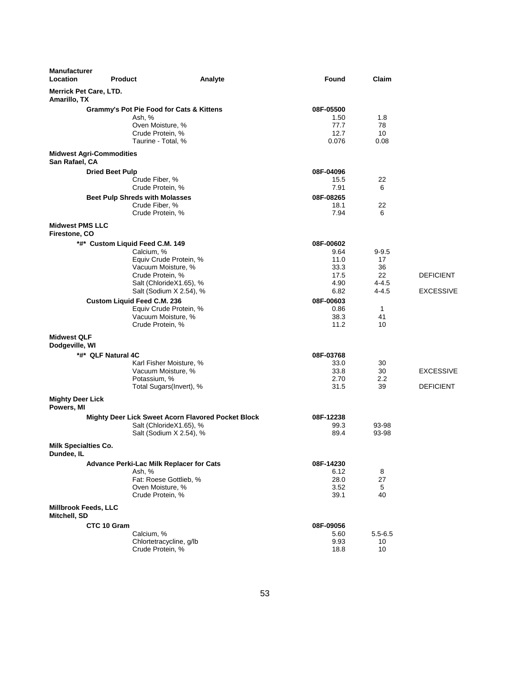| <b>Manufacturer</b><br>Location             | <b>Product</b>                           | Analyte                                            | Found     | Claim       |                  |
|---------------------------------------------|------------------------------------------|----------------------------------------------------|-----------|-------------|------------------|
| Amarillo, TX                                | <b>Merrick Pet Care, LTD.</b>            |                                                    |           |             |                  |
|                                             | Grammy's Pot Pie Food for Cats & Kittens |                                                    | 08F-05500 |             |                  |
|                                             | Ash, %                                   |                                                    | 1.50      | 1.8         |                  |
|                                             | Oven Moisture, %                         |                                                    | 77.7      | 78          |                  |
|                                             | Crude Protein, %                         |                                                    | 12.7      | 10          |                  |
|                                             | Taurine - Total, %                       |                                                    | 0.076     | 0.08        |                  |
| San Rafael, CA                              | <b>Midwest Agri-Commodities</b>          |                                                    |           |             |                  |
|                                             | <b>Dried Beet Pulp</b>                   |                                                    | 08F-04096 |             |                  |
|                                             | Crude Fiber, %                           |                                                    | 15.5      | 22          |                  |
|                                             | Crude Protein, %                         |                                                    | 7.91      | 6           |                  |
|                                             | <b>Beet Pulp Shreds with Molasses</b>    |                                                    | 08F-08265 |             |                  |
|                                             | Crude Fiber, %                           |                                                    | 18.1      | 22          |                  |
|                                             | Crude Protein, %                         |                                                    | 7.94      | 6           |                  |
| <b>Midwest PMS LLC</b><br>Firestone, CO     |                                          |                                                    |           |             |                  |
|                                             | *#* Custom Liquid Feed C.M. 149          |                                                    | 08F-00602 |             |                  |
|                                             | Calcium, %                               |                                                    | 9.64      | $9 - 9.5$   |                  |
|                                             |                                          | Equiv Crude Protein, %                             | 11.0      | 17          |                  |
|                                             | Vacuum Moisture, %                       |                                                    | 33.3      | 36          |                  |
|                                             | Crude Protein, %                         |                                                    | 17.5      | 22          | <b>DEFICIENT</b> |
|                                             |                                          | Salt (ChlorideX1.65), %                            | 4.90      | $4 - 4.5$   |                  |
|                                             |                                          | Salt (Sodium X 2.54), %                            | 6.82      | $4 - 4.5$   | <b>EXCESSIVE</b> |
|                                             | <b>Custom Liquid Feed C.M. 236</b>       |                                                    | 08F-00603 |             |                  |
|                                             |                                          | Equiv Crude Protein, %                             | 0.86      | 1           |                  |
|                                             | Vacuum Moisture, %                       |                                                    | 38.3      | 41          |                  |
|                                             | Crude Protein, %                         |                                                    | 11.2      | 10          |                  |
| <b>Midwest QLF</b><br>Dodgeville, WI        |                                          |                                                    |           |             |                  |
|                                             | *#* QLF Natural 4C                       |                                                    | 08F-03768 |             |                  |
|                                             |                                          | Karl Fisher Moisture, %                            | 33.0      | 30          |                  |
|                                             | Vacuum Moisture, %                       |                                                    | 33.8      | 30          | <b>EXCESSIVE</b> |
|                                             | Potassium, %                             |                                                    | 2.70      | $2.2\,$     |                  |
|                                             |                                          | Total Sugars(Invert), %                            | 31.5      | 39          | <b>DEFICIENT</b> |
| <b>Mighty Deer Lick</b><br>Powers, MI       |                                          |                                                    |           |             |                  |
|                                             |                                          | Mighty Deer Lick Sweet Acorn Flavored Pocket Block | 08F-12238 |             |                  |
|                                             |                                          | Salt (ChlorideX1.65), %                            | 99.3      | 93-98       |                  |
|                                             |                                          | Salt (Sodium X 2.54), %                            | 89.4      | 93-98       |                  |
| <b>Milk Specialties Co.</b><br>Dundee, IL   |                                          |                                                    |           |             |                  |
|                                             | Advance Perki-Lac Milk Replacer for Cats |                                                    | 08F-14230 |             |                  |
|                                             | Ash, %                                   |                                                    | 6.12      | 8           |                  |
|                                             |                                          | Fat: Roese Gottlieb, %                             | 28.0      | 27          |                  |
|                                             | Oven Moisture, %                         |                                                    | 3.52      | 5           |                  |
|                                             | Crude Protein, %                         |                                                    | 39.1      | 40          |                  |
| <b>Millbrook Feeds, LLC</b><br>Mitchell, SD |                                          |                                                    |           |             |                  |
|                                             | CTC 10 Gram                              |                                                    | 08F-09056 |             |                  |
|                                             | Calcium, %                               |                                                    | 5.60      | $5.5 - 6.5$ |                  |
|                                             | Chlortetracycline, g/lb                  |                                                    | 9.93      | 10          |                  |
|                                             | Crude Protein, %                         |                                                    | 18.8      | 10          |                  |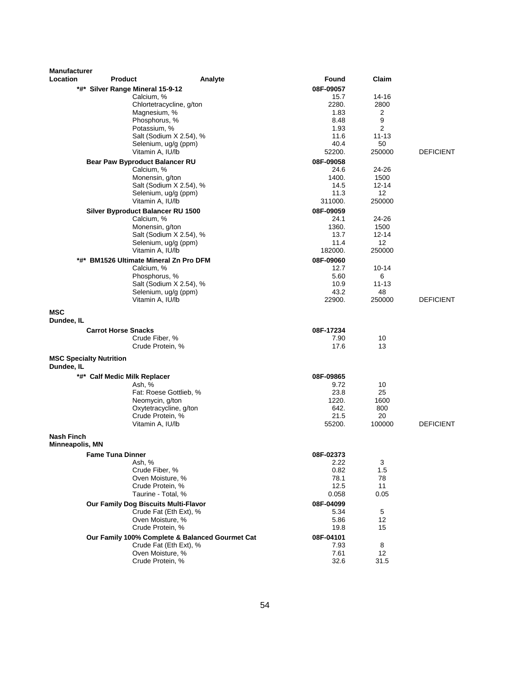| <b>Manufacturer</b><br>Location | <b>Product</b>                              | Analyte                                         | Found     | Claim     |                  |
|---------------------------------|---------------------------------------------|-------------------------------------------------|-----------|-----------|------------------|
|                                 | *#* Silver Range Mineral 15-9-12            |                                                 | 08F-09057 |           |                  |
|                                 | Calcium, %                                  |                                                 | 15.7      | 14-16     |                  |
|                                 |                                             | Chlortetracycline, g/ton                        | 2280.     | 2800      |                  |
|                                 | Magnesium, %                                |                                                 | 1.83      | 2         |                  |
|                                 | Phosphorus, %                               |                                                 | 8.48      | 9         |                  |
|                                 | Potassium, %                                |                                                 | 1.93      | 2         |                  |
|                                 |                                             | Salt (Sodium X 2.54), %                         | 11.6      | $11 - 13$ |                  |
|                                 | Selenium, ug/g (ppm)                        |                                                 | 40.4      | 50        |                  |
|                                 | Vitamin A, IU/lb                            |                                                 | 52200.    | 250000    | <b>DEFICIENT</b> |
|                                 | Bear Paw Byproduct Balancer RU              |                                                 | 08F-09058 |           |                  |
|                                 | Calcium, %                                  |                                                 | 24.6      | 24-26     |                  |
|                                 | Monensin, g/ton                             |                                                 | 1400.     | 1500      |                  |
|                                 |                                             | Salt (Sodium X 2.54), %                         | 14.5      | $12 - 14$ |                  |
|                                 | Selenium, ug/g (ppm)                        |                                                 | 11.3      | 12        |                  |
|                                 | Vitamin A, IU/lb                            |                                                 | 311000.   | 250000    |                  |
|                                 | Silver Byproduct Balancer RU 1500           |                                                 | 08F-09059 |           |                  |
|                                 | Calcium, %                                  |                                                 | 24.1      | 24-26     |                  |
|                                 | Monensin, g/ton                             |                                                 | 1360.     | 1500      |                  |
|                                 |                                             | Salt (Sodium X 2.54), %                         | 13.7      | 12-14     |                  |
|                                 | Selenium, ug/g (ppm)                        |                                                 | 11.4      | 12        |                  |
|                                 | Vitamin A, IU/lb                            |                                                 | 182000.   | 250000    |                  |
| *#*                             | <b>BM1526 Ultimate Mineral Zn Pro DFM</b>   |                                                 | 08F-09060 |           |                  |
|                                 | Calcium, %                                  |                                                 | 12.7      | 10-14     |                  |
|                                 | Phosphorus, %                               |                                                 | 5.60      | 6         |                  |
|                                 |                                             | Salt (Sodium X 2.54), %                         | 10.9      | $11 - 13$ |                  |
|                                 | Selenium, ug/g (ppm)                        |                                                 | 43.2      | 48        |                  |
|                                 | Vitamin A, IU/lb                            |                                                 | 22900.    | 250000    | <b>DEFICIENT</b> |
|                                 |                                             |                                                 |           |           |                  |
| MSC<br>Dundee, IL               |                                             |                                                 |           |           |                  |
|                                 | <b>Carrot Horse Snacks</b>                  |                                                 | 08F-17234 |           |                  |
|                                 | Crude Fiber, %                              |                                                 | 7.90      | 10        |                  |
|                                 | Crude Protein, %                            |                                                 | 17.6      | 13        |                  |
| Dundee, IL                      | <b>MSC Specialty Nutrition</b>              |                                                 |           |           |                  |
|                                 | *#* Calf Medic Milk Replacer                |                                                 | 08F-09865 |           |                  |
|                                 | Ash, %                                      |                                                 | 9.72      | 10        |                  |
|                                 |                                             | Fat: Roese Gottlieb, %                          | 23.8      | 25        |                  |
|                                 | Neomycin, g/ton                             |                                                 | 1220.     | 1600      |                  |
|                                 | Oxytetracycline, g/ton                      |                                                 | 642.      | 800       |                  |
|                                 | Crude Protein, %                            |                                                 | 21.5      | 20        |                  |
|                                 | Vitamin A, IU/lb                            |                                                 | 55200.    | 100000    | <b>DEFICIENT</b> |
| Nash Finch                      |                                             |                                                 |           |           |                  |
| <b>Minneapolis, MN</b>          |                                             |                                                 |           |           |                  |
|                                 | <b>Fame Tuna Dinner</b>                     |                                                 | 08F-02373 |           |                  |
|                                 | Ash, %                                      |                                                 | 2.22      | 3         |                  |
|                                 | Crude Fiber, %                              |                                                 | 0.82      | 1.5       |                  |
|                                 | Oven Moisture, %                            |                                                 | 78.1      | 78        |                  |
|                                 | Crude Protein, %                            |                                                 | 12.5      | 11        |                  |
|                                 | Taurine - Total, %                          |                                                 | 0.058     | 0.05      |                  |
|                                 | <b>Our Family Dog Biscuits Multi-Flavor</b> |                                                 | 08F-04099 |           |                  |
|                                 |                                             | Crude Fat (Eth Ext), %                          | 5.34      | 5         |                  |
|                                 | Oven Moisture, %                            |                                                 | 5.86      | 12        |                  |
|                                 | Crude Protein, %                            |                                                 | 19.8      | 15        |                  |
|                                 |                                             | Our Family 100% Complete & Balanced Gourmet Cat | 08F-04101 |           |                  |
|                                 |                                             | Crude Fat (Eth Ext), %                          | 7.93      | 8         |                  |
|                                 | Oven Moisture, %                            |                                                 | 7.61      | 12        |                  |
|                                 | Crude Protein, %                            |                                                 | 32.6      | 31.5      |                  |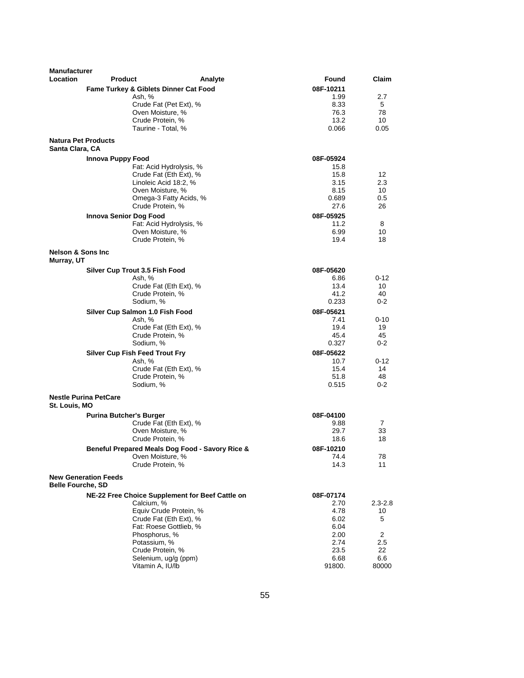| <b>Manufacturer</b>                        |                                                  |         |                   |                       |
|--------------------------------------------|--------------------------------------------------|---------|-------------------|-----------------------|
| <b>Location</b>                            | <b>Product</b>                                   | Analyte | Found             | <b>Claim</b>          |
|                                            | <b>Fame Turkey &amp; Giblets Dinner Cat Food</b> |         | 08F-10211         |                       |
|                                            | Ash, %                                           |         | 1.99              | 2.7                   |
|                                            | Crude Fat (Pet Ext), %                           |         | 8.33              | 5                     |
|                                            | Oven Moisture, %                                 |         | 76.3              | 78                    |
|                                            | Crude Protein, %                                 |         | 13.2              | 10                    |
|                                            | Taurine - Total, %                               |         | 0.066             | 0.05                  |
| Santa Clara, CA                            | <b>Natura Pet Products</b>                       |         |                   |                       |
|                                            | Innova Puppy Food                                |         | 08F-05924         |                       |
|                                            | Fat: Acid Hydrolysis, %                          |         | 15.8              |                       |
|                                            | Crude Fat (Eth Ext), %                           |         | 15.8              | 12                    |
|                                            | Linoleic Acid 18:2, %                            |         | 3.15              | 2.3                   |
|                                            | Oven Moisture, %                                 |         | 8.15              | 10                    |
|                                            | Omega-3 Fatty Acids, %                           |         | 0.689             | 0.5                   |
|                                            | Crude Protein, %                                 |         | 27.6              | 26                    |
|                                            | <b>Innova Senior Dog Food</b>                    |         | 08F-05925         |                       |
|                                            | Fat: Acid Hydrolysis, %                          |         | 11.2              | 8                     |
|                                            | Oven Moisture, %                                 |         | 6.99              | 10                    |
|                                            | Crude Protein, %                                 |         | 19.4              | 18                    |
| <b>Nelson &amp; Sons Inc</b><br>Murray, UT |                                                  |         |                   |                       |
|                                            | Silver Cup Trout 3.5 Fish Food                   |         | 08F-05620         |                       |
|                                            | Ash, %                                           |         | 6.86              | $0 - 12$              |
|                                            | Crude Fat (Eth Ext), %                           |         | 13.4              | 10                    |
|                                            | Crude Protein, %<br>Sodium, %                    |         | 41.2<br>0.233     | 40<br>$0 - 2$         |
|                                            |                                                  |         |                   |                       |
|                                            | Silver Cup Salmon 1.0 Fish Food<br>Ash, %        |         | 08F-05621<br>7.41 | $0 - 10$              |
|                                            | Crude Fat (Eth Ext), %                           |         | 19.4              | 19                    |
|                                            | Crude Protein, %                                 |         | 45.4              | 45                    |
|                                            | Sodium, %                                        |         | 0.327             | $0 - 2$               |
|                                            | <b>Silver Cup Fish Feed Trout Fry</b>            |         | 08F-05622         |                       |
|                                            | Ash, %                                           |         | 10.7              | 0-12                  |
|                                            | Crude Fat (Eth Ext), %                           |         | 15.4              | 14                    |
|                                            | Crude Protein, %                                 |         | 51.8              | 48                    |
|                                            | Sodium, %                                        |         | 0.515             | $0 - 2$               |
| St. Louis, MO                              | <b>Nestle Purina PetCare</b>                     |         |                   |                       |
|                                            | <b>Purina Butcher's Burger</b>                   |         | 08F-04100         |                       |
|                                            | Crude Fat (Eth Ext), %                           |         | 9.88              | 7                     |
|                                            | Oven Moisture, %                                 |         | 29.7              | 33                    |
|                                            | Crude Protein, %                                 |         | 18.6              | 18                    |
|                                            | Beneful Prepared Meals Dog Food - Savory Rice &  |         | 08F-10210         |                       |
|                                            | Oven Moisture, %                                 |         | 74.4              | 78                    |
|                                            | Crude Protein, %                                 |         | 14.3              | 11                    |
| <b>Belle Fourche, SD</b>                   | <b>New Generation Feeds</b>                      |         |                   |                       |
|                                            | NE-22 Free Choice Supplement for Beef Cattle on  |         | 08F-07174         |                       |
|                                            | Calcium, %                                       |         | 2.70              | $2.3 - 2.8$           |
|                                            | Equiv Crude Protein, %                           |         | 4.78              | 10                    |
|                                            | Crude Fat (Eth Ext), %                           |         | 6.02              | 5                     |
|                                            | Fat: Roese Gottlieb, %                           |         | 6.04              |                       |
|                                            | Phosphorus, %<br>Potassium, %                    |         | 2.00<br>2.74      | $\overline{2}$<br>2.5 |
|                                            | Crude Protein, %                                 |         | 23.5              | 22                    |
|                                            | Selenium, ug/g (ppm)                             |         | 6.68              | 6.6                   |
|                                            | Vitamin A, IU/lb                                 |         | 91800.            | 80000                 |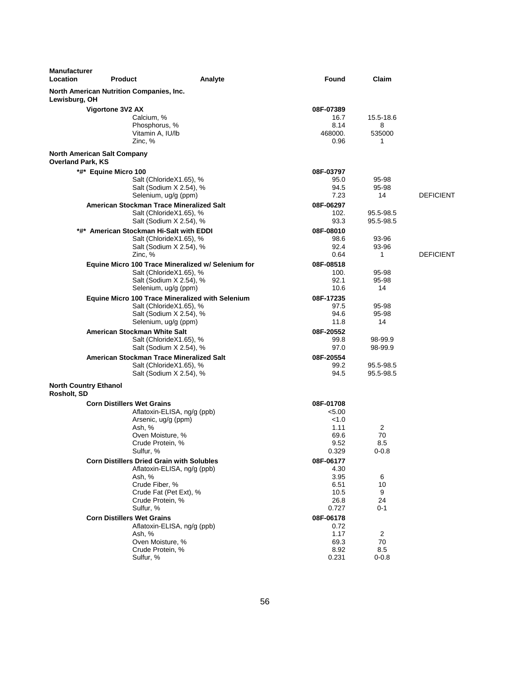| <b>Manufacturer</b><br>Location | Product                                                                 | Analyte                                                                                                                          | Found                                                         | Claim                         |                  |
|---------------------------------|-------------------------------------------------------------------------|----------------------------------------------------------------------------------------------------------------------------------|---------------------------------------------------------------|-------------------------------|------------------|
| Lewisburg, OH                   | <b>North American Nutrition Companies, Inc.</b>                         |                                                                                                                                  |                                                               |                               |                  |
|                                 | Vigortone 3V2 AX<br>Calcium, %<br>Zinc, %                               | Phosphorus, %<br>Vitamin A, IU/lb                                                                                                | 08F-07389<br>16.7<br>8.14<br>468000.<br>0.96                  | 15.5-18.6<br>8<br>535000<br>1 |                  |
| <b>Overland Park, KS</b>        | <b>North American Salt Company</b>                                      |                                                                                                                                  |                                                               |                               |                  |
|                                 | *#* Equine Micro 100                                                    | Salt (ChlorideX1.65), %<br>Salt (Sodium X 2.54), %<br>Selenium, ug/g (ppm)                                                       | 08F-03797<br>95.0<br>94.5<br>7.23                             | 95-98<br>95-98<br>14          | <b>DEFICIENT</b> |
|                                 |                                                                         | American Stockman Trace Mineralized Salt<br>Salt (ChlorideX1.65), %<br>Salt (Sodium X 2.54), %                                   | 08F-06297<br>102.<br>93.3                                     | 95.5-98.5<br>95.5-98.5        |                  |
|                                 | *#* American Stockman Hi-Salt with EDDI<br>Zinc, %                      | Salt (ChlorideX1.65), %<br>Salt (Sodium X 2.54), %                                                                               | 08F-08010<br>98.6<br>92.4<br>0.64                             | 93-96<br>93-96<br>1           | <b>DEFICIENT</b> |
|                                 |                                                                         | Equine Micro 100 Trace Mineralized w/ Selenium for<br>Salt (ChlorideX1.65), %<br>Salt (Sodium X 2.54), %<br>Selenium, ug/g (ppm) | 08F-08518<br>100.<br>92.1<br>10.6                             | 95-98<br>95-98<br>14          |                  |
|                                 |                                                                         | Equine Micro 100 Trace Mineralized with Selenium<br>Salt (ChlorideX1.65), %<br>Salt (Sodium X 2.54), %<br>Selenium, ug/g (ppm)   | 08F-17235<br>97.5<br>94.6<br>11.8                             | 95-98<br>95-98<br>14          |                  |
|                                 | American Stockman White Salt                                            | Salt (ChlorideX1.65), %<br>Salt (Sodium X 2.54), %                                                                               | 08F-20552<br>99.8<br>97.0                                     | 98-99.9<br>98-99.9            |                  |
|                                 |                                                                         | American Stockman Trace Mineralized Salt<br>Salt (ChlorideX1.65), %<br>Salt (Sodium X 2.54), %                                   | 08F-20554<br>99.2<br>94.5                                     | 95.5-98.5<br>95.5-98.5        |                  |
| Rosholt, SD                     | <b>North Country Ethanol</b>                                            |                                                                                                                                  |                                                               |                               |                  |
|                                 | <b>Corn Distillers Wet Grains</b><br>Ash. %<br>Sulfur, %                | Aflatoxin-ELISA, ng/g (ppb)<br>Arsenic, ug/g (ppm)<br>Oven Moisture, %<br>Crude Protein, %                                       | 08F-01708<br>< 5.00<br>< 1.0<br>1.11<br>69.6<br>9.52<br>0.329 | 2<br>70<br>8.5<br>$0 - 0.8$   |                  |
|                                 | <b>Corn Distillers Dried Grain with Solubles</b><br>Ash, %<br>Sulfur, % | Aflatoxin-ELISA, ng/g (ppb)<br>Crude Fiber, %<br>Crude Fat (Pet Ext), %<br>Crude Protein, %                                      | 08F-06177<br>4.30<br>3.95<br>6.51<br>10.5<br>26.8<br>0.727    | 6<br>10<br>9<br>24<br>$0 - 1$ |                  |
|                                 | <b>Corn Distillers Wet Grains</b><br>Ash, %<br>Sulfur, %                | Aflatoxin-ELISA, ng/g (ppb)<br>Oven Moisture, %<br>Crude Protein, %                                                              | 08F-06178<br>0.72<br>1.17<br>69.3<br>8.92<br>0.231            | 2<br>70<br>8.5<br>$0 - 0.8$   |                  |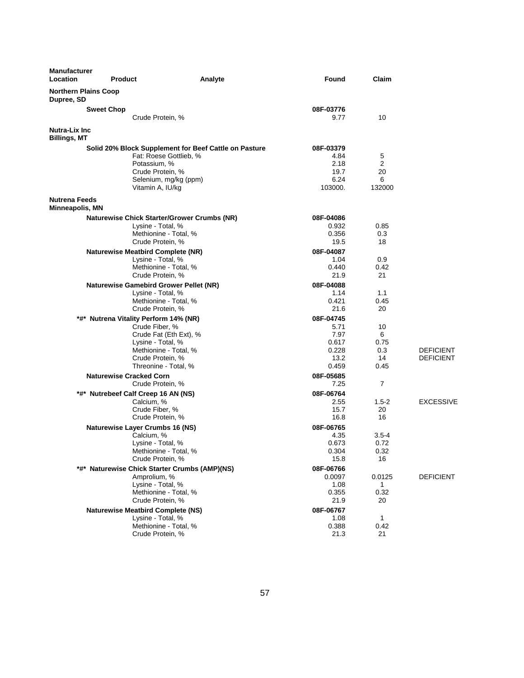| <b>Manufacturer</b><br><b>Location</b>         | <b>Product</b>    | Analyte                                                                                                                                                                     | <b>Found</b>                                                 | Claim                                |                                      |
|------------------------------------------------|-------------------|-----------------------------------------------------------------------------------------------------------------------------------------------------------------------------|--------------------------------------------------------------|--------------------------------------|--------------------------------------|
| <b>Northern Plains Coop</b><br>Dupree, SD      |                   |                                                                                                                                                                             |                                                              |                                      |                                      |
|                                                | <b>Sweet Chop</b> |                                                                                                                                                                             | 08F-03776                                                    |                                      |                                      |
|                                                |                   | Crude Protein, %                                                                                                                                                            | 9.77                                                         | 10                                   |                                      |
| <b>Nutra-Lix Inc.</b><br>Billings, MT          |                   |                                                                                                                                                                             |                                                              |                                      |                                      |
|                                                |                   | Solid 20% Block Supplement for Beef Cattle on Pasture<br>Fat: Roese Gottlieb, %<br>Potassium, %<br>Crude Protein, %<br>Selenium, mg/kg (ppm)<br>Vitamin A, IU/kg            | 08F-03379<br>4.84<br>2.18<br>19.7<br>6.24<br>103000.         | 5<br>2<br>20<br>6<br>132000          |                                      |
| <b>Nutrena Feeds</b><br><b>Minneapolis, MN</b> |                   |                                                                                                                                                                             |                                                              |                                      |                                      |
|                                                |                   | <b>Naturewise Chick Starter/Grower Crumbs (NR)</b><br>Lysine - Total, %<br>Methionine - Total, %<br>Crude Protein, %                                                        | 08F-04086<br>0.932<br>0.356<br>19.5                          | 0.85<br>0.3<br>18                    |                                      |
|                                                |                   | <b>Naturewise Meatbird Complete (NR)</b><br>Lysine - Total, %<br>Methionine - Total, %<br>Crude Protein, %                                                                  | 08F-04087<br>1.04<br>0.440<br>21.9                           | 0.9<br>0.42<br>21                    |                                      |
|                                                |                   | <b>Naturewise Gamebird Grower Pellet (NR)</b><br>Lysine - Total, %<br>Methionine - Total, %<br>Crude Protein, %                                                             | 08F-04088<br>1.14<br>0.421<br>21.6                           | 1.1<br>0.45<br>20                    |                                      |
|                                                |                   | *#* Nutrena Vitality Perform 14% (NR)<br>Crude Fiber, %<br>Crude Fat (Eth Ext), %<br>Lysine - Total, %<br>Methionine - Total, %<br>Crude Protein, %<br>Threonine - Total, % | 08F-04745<br>5.71<br>7.97<br>0.617<br>0.228<br>13.2<br>0.459 | 10<br>6<br>0.75<br>0.3<br>14<br>0.45 | <b>DEFICIENT</b><br><b>DEFICIENT</b> |
|                                                |                   | <b>Naturewise Cracked Corn</b><br>Crude Protein, %                                                                                                                          | 08F-05685<br>7.25                                            | 7                                    |                                      |
|                                                |                   | *#* Nutrebeef Calf Creep 16 AN (NS)<br>Calcium, %<br>Crude Fiber, %<br>Crude Protein, %                                                                                     | 08F-06764<br>2.55<br>15.7<br>16.8                            | $1.5-2$<br>20<br>16                  | <b>EXCESSIVE</b>                     |
|                                                |                   | <b>Naturewise Layer Crumbs 16 (NS)</b><br>Calcium, %<br>Lysine - Total, %<br>Methionine - Total, %<br>Crude Protein, %                                                      | 08F-06765<br>4.35<br>0.673<br>0.304<br>15.8                  | $3.5 - 4$<br>0.72<br>0.32<br>16      |                                      |
|                                                |                   | *#* Naturewise Chick Starter Crumbs (AMP)(NS)<br>Amprolium, %<br>Lysine - Total, %<br>Methionine - Total, %<br>Crude Protein, %                                             | 08F-06766<br>0.0097<br>1.08<br>0.355<br>21.9                 | 0.0125<br>1<br>0.32<br>20            | <b>DEFICIENT</b>                     |
|                                                |                   | <b>Naturewise Meatbird Complete (NS)</b><br>Lysine - Total, %<br>Methionine - Total, %<br>Crude Protein, %                                                                  | 08F-06767<br>1.08<br>0.388<br>21.3                           | 1<br>0.42<br>21                      |                                      |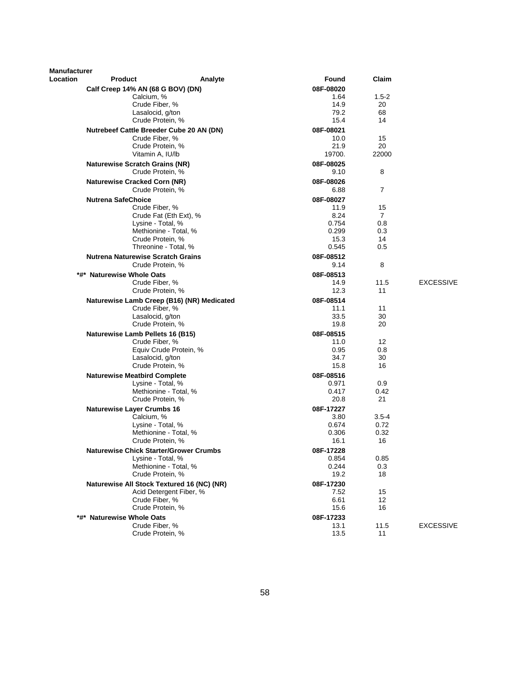| Manufacturer |                                               |           |                |                  |
|--------------|-----------------------------------------------|-----------|----------------|------------------|
| Location     | Product<br>Analyte                            | Found     | Claim          |                  |
|              | Calf Creep 14% AN (68 G BOV) (DN)             | 08F-08020 |                |                  |
|              | Calcium, %                                    | 1.64      | $1.5 - 2$      |                  |
|              | Crude Fiber, %                                | 14.9      | 20             |                  |
|              | Lasalocid, g/ton                              | 79.2      | 68             |                  |
|              | Crude Protein, %                              | 15.4      | 14             |                  |
|              | Nutrebeef Cattle Breeder Cube 20 AN (DN)      | 08F-08021 |                |                  |
|              | Crude Fiber, %                                | 10.0      | 15             |                  |
|              | Crude Protein, %                              | 21.9      | 20             |                  |
|              | Vitamin A, IU/lb                              | 19700.    | 22000          |                  |
|              | <b>Naturewise Scratch Grains (NR)</b>         | 08F-08025 |                |                  |
|              | Crude Protein, %                              | 9.10      | 8              |                  |
|              | <b>Naturewise Cracked Corn (NR)</b>           | 08F-08026 |                |                  |
|              | Crude Protein, %                              | 6.88      | 7              |                  |
|              | <b>Nutrena SafeChoice</b>                     | 08F-08027 |                |                  |
|              | Crude Fiber, %                                | 11.9      | 15             |                  |
|              | Crude Fat (Eth Ext), %                        | 8.24      | $\overline{7}$ |                  |
|              | Lysine - Total, %                             | 0.754     | 0.8            |                  |
|              | Methionine - Total, %                         | 0.299     | 0.3            |                  |
|              | Crude Protein, %                              | 15.3      | 14             |                  |
|              | Threonine - Total, %                          | 0.545     | 0.5            |                  |
|              | <b>Nutrena Naturewise Scratch Grains</b>      | 08F-08512 |                |                  |
|              | Crude Protein, %                              | 9.14      | 8              |                  |
|              |                                               |           |                |                  |
|              | <b>Naturewise Whole Oats</b><br>*#*           | 08F-08513 |                |                  |
|              | Crude Fiber, %                                | 14.9      | 11.5           | <b>EXCESSIVE</b> |
|              | Crude Protein, %                              | 12.3      | 11             |                  |
|              | Naturewise Lamb Creep (B16) (NR) Medicated    | 08F-08514 |                |                  |
|              | Crude Fiber, %                                | 11.1      | 11             |                  |
|              | Lasalocid, g/ton                              | 33.5      | 30             |                  |
|              | Crude Protein, %                              | 19.8      | 20             |                  |
|              | Naturewise Lamb Pellets 16 (B15)              | 08F-08515 |                |                  |
|              | Crude Fiber, %                                | 11.0      | 12             |                  |
|              | Equiv Crude Protein, %                        | 0.95      | 0.8            |                  |
|              | Lasalocid, g/ton                              | 34.7      | 30             |                  |
|              | Crude Protein, %                              | 15.8      | 16             |                  |
|              | <b>Naturewise Meatbird Complete</b>           | 08F-08516 |                |                  |
|              | Lysine - Total, %                             | 0.971     | 0.9            |                  |
|              | Methionine - Total, %                         | 0.417     | 0.42           |                  |
|              | Crude Protein, %                              | 20.8      | 21             |                  |
|              | <b>Naturewise Layer Crumbs 16</b>             | 08F-17227 |                |                  |
|              | Calcium, %                                    | 3.80      | $3.5 - 4$      |                  |
|              | Lysine - Total, %                             | 0.674     | 0.72           |                  |
|              | Methionine - Total, %                         | 0.306     | 0.32           |                  |
|              | Crude Protein, %                              | 16.1      | 16             |                  |
|              | <b>Naturewise Chick Starter/Grower Crumbs</b> | 08F-17228 |                |                  |
|              | Lysine - Total, %                             | 0.854     | 0.85           |                  |
|              | Methionine - Total, %                         | 0.244     | 0.3            |                  |
|              | Crude Protein, %                              | 19.2      | 18             |                  |
|              | Naturewise All Stock Textured 16 (NC) (NR)    | 08F-17230 |                |                  |
|              | Acid Detergent Fiber, %                       | 7.52      | 15             |                  |
|              | Crude Fiber, %                                | 6.61      | 12             |                  |
|              | Crude Protein, %                              | 15.6      | 16             |                  |
|              | <b>Naturewise Whole Oats</b>                  | 08F-17233 |                |                  |
|              | Crude Fiber, %                                | 13.1      | 11.5           | <b>EXCESSIVE</b> |
|              | Crude Protein, %                              | 13.5      | 11             |                  |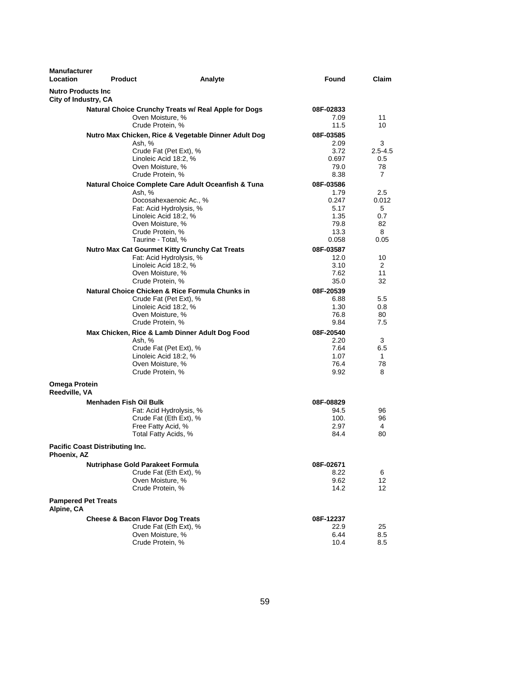| <b>Manufacturer</b><br>Location                    | <b>Product</b>                         |                                                      | Analyte | Found         | <b>Claim</b>   |
|----------------------------------------------------|----------------------------------------|------------------------------------------------------|---------|---------------|----------------|
| <b>Nutro Products Inc.</b><br>City of Industry, CA |                                        |                                                      |         |               |                |
|                                                    |                                        | Natural Choice Crunchy Treats w/ Real Apple for Dogs |         | 08F-02833     |                |
|                                                    |                                        | Oven Moisture, %                                     |         | 7.09          | 11             |
|                                                    |                                        | Crude Protein, %                                     |         | 11.5          | 10             |
|                                                    |                                        | Nutro Max Chicken, Rice & Vegetable Dinner Adult Dog |         | 08F-03585     |                |
|                                                    |                                        | Ash, %                                               |         | 2.09          | 3              |
|                                                    |                                        | Crude Fat (Pet Ext), %                               |         | 3.72          | $2.5 - 4.5$    |
|                                                    |                                        | Linoleic Acid 18:2, %<br>Oven Moisture, %            |         | 0.697<br>79.0 | 0.5<br>78      |
|                                                    |                                        | Crude Protein, %                                     |         | 8.38          | $\overline{7}$ |
|                                                    |                                        | Natural Choice Complete Care Adult Oceanfish & Tuna  |         | 08F-03586     |                |
|                                                    |                                        | Ash, %                                               |         | 1.79          | 2.5            |
|                                                    |                                        | Docosahexaenoic Ac., %                               |         | 0.247         | 0.012          |
|                                                    |                                        | Fat: Acid Hydrolysis, %                              |         | 5.17          | 5              |
|                                                    |                                        | Linoleic Acid 18:2, %                                |         | 1.35          | 0.7            |
|                                                    |                                        | Oven Moisture, %<br>Crude Protein, %                 |         | 79.8<br>13.3  | 82<br>8        |
|                                                    |                                        | Taurine - Total, %                                   |         | 0.058         | 0.05           |
|                                                    |                                        | Nutro Max Cat Gourmet Kitty Crunchy Cat Treats       |         | 08F-03587     |                |
|                                                    |                                        | Fat: Acid Hydrolysis, %                              |         | 12.0          | 10             |
|                                                    |                                        | Linoleic Acid 18:2, %                                |         | 3.10          | 2              |
|                                                    |                                        | Oven Moisture, %                                     |         | 7.62          | 11             |
|                                                    |                                        | Crude Protein, %                                     |         | 35.0          | 32             |
|                                                    |                                        | Natural Choice Chicken & Rice Formula Chunks in      |         | 08F-20539     |                |
|                                                    |                                        | Crude Fat (Pet Ext), %                               |         | 6.88          | 5.5            |
|                                                    |                                        | Linoleic Acid 18:2, %<br>Oven Moisture, %            |         | 1.30<br>76.8  | 0.8<br>80      |
|                                                    |                                        | Crude Protein, %                                     |         | 9.84          | 7.5            |
|                                                    |                                        | Max Chicken, Rice & Lamb Dinner Adult Dog Food       |         | 08F-20540     |                |
|                                                    |                                        | Ash, %                                               |         | 2.20          | 3              |
|                                                    |                                        | Crude Fat (Pet Ext), %                               |         | 7.64          | 6.5            |
|                                                    |                                        | Linoleic Acid 18:2, %                                |         | 1.07          | $\mathbf{1}$   |
|                                                    |                                        | Oven Moisture, %                                     |         | 76.4          | 78             |
|                                                    |                                        | Crude Protein, %                                     |         | 9.92          | 8              |
| Omega Protein<br>Reedville, VA                     |                                        |                                                      |         |               |                |
|                                                    | <b>Menhaden Fish Oil Bulk</b>          |                                                      |         | 08F-08829     |                |
|                                                    |                                        | Fat: Acid Hydrolysis, %                              |         | 94.5          | 96             |
|                                                    |                                        | Crude Fat (Eth Ext), %<br>Free Fatty Acid, %         |         | 100.<br>2.97  | 96<br>4        |
|                                                    |                                        | Total Fatty Acids, %                                 |         | 84.4          | 80             |
| Phoenix, AZ                                        | <b>Pacific Coast Distributing Inc.</b> |                                                      |         |               |                |
|                                                    |                                        | <b>Nutriphase Gold Parakeet Formula</b>              |         | 08F-02671     |                |
|                                                    |                                        | Crude Fat (Eth Ext), %                               |         | 8.22          | 6              |
|                                                    |                                        | Oven Moisture, %                                     |         | 9.62          | 12             |
|                                                    |                                        | Crude Protein, %                                     |         | 14.2          | 12             |
| Alpine, CA                                         | <b>Pampered Pet Treats</b>             |                                                      |         |               |                |
|                                                    |                                        | <b>Cheese &amp; Bacon Flavor Dog Treats</b>          |         | 08F-12237     |                |
|                                                    |                                        | Crude Fat (Eth Ext), %                               |         | 22.9          | 25             |
|                                                    |                                        | Oven Moisture, %                                     |         | 6.44          | 8.5            |
|                                                    |                                        | Crude Protein, %                                     |         | 10.4          | 8.5            |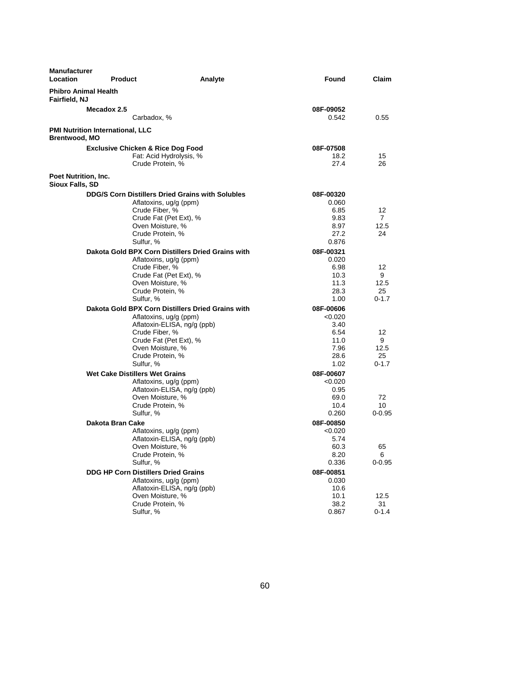| <b>Manufacturer</b><br><b>Location</b>                          | <b>Product</b>                                                                                                            | Analyte                                                                                                    | Found                                                                | Claim                              |
|-----------------------------------------------------------------|---------------------------------------------------------------------------------------------------------------------------|------------------------------------------------------------------------------------------------------------|----------------------------------------------------------------------|------------------------------------|
| <b>Phibro Animal Health</b><br>Fairfield, NJ                    |                                                                                                                           |                                                                                                            |                                                                      |                                    |
|                                                                 | Mecadox 2.5<br>Carbadox, %                                                                                                |                                                                                                            | 08F-09052<br>0.542                                                   | 0.55                               |
| <b>PMI Nutrition International, LLC</b><br><b>Brentwood, MO</b> |                                                                                                                           |                                                                                                            |                                                                      |                                    |
|                                                                 | <b>Exclusive Chicken &amp; Rice Dog Food</b><br>Crude Protein, %                                                          | Fat: Acid Hydrolysis, %                                                                                    | 08F-07508<br>18.2<br>27.4                                            | 15<br>26                           |
| Poet Nutrition, Inc.<br><b>Sioux Falls, SD</b>                  |                                                                                                                           |                                                                                                            |                                                                      |                                    |
|                                                                 | Aflatoxins, ug/g (ppm)<br>Crude Fiber, %<br>Oven Moisture, %<br>Crude Protein, %<br>Sulfur, %                             | <b>DDG/S Corn Distillers Dried Grains with Solubles</b><br>Crude Fat (Pet Ext), %                          | 08F-00320<br>0.060<br>6.85<br>9.83<br>8.97<br>27.2<br>0.876          | 12<br>$\overline{7}$<br>12.5<br>24 |
|                                                                 | Aflatoxins, ug/g (ppm)<br>Crude Fiber, %<br>Oven Moisture, %<br>Crude Protein, %<br>Sulfur, %                             | Dakota Gold BPX Corn Distillers Dried Grains with<br>Crude Fat (Pet Ext), %                                | 08F-00321<br>0.020<br>6.98<br>10.3<br>11.3<br>28.3<br>1.00           | 12<br>9<br>12.5<br>25<br>$0 - 1.7$ |
|                                                                 | Aflatoxins, ug/g (ppm)<br>Crude Fiber, %<br>Oven Moisture, %<br>Crude Protein, %<br>Sulfur, %                             | Dakota Gold BPX Corn Distillers Dried Grains with<br>Aflatoxin-ELISA, ng/g (ppb)<br>Crude Fat (Pet Ext), % | 08F-00606<br>< 0.020<br>3.40<br>6.54<br>11.0<br>7.96<br>28.6<br>1.02 | 12<br>9<br>12.5<br>25<br>$0 - 1.7$ |
|                                                                 | <b>Wet Cake Distillers Wet Grains</b><br>Aflatoxins, ug/g (ppm)<br>Oven Moisture, %<br>Crude Protein, %<br>Sulfur, %      | Aflatoxin-ELISA, ng/g (ppb)                                                                                | 08F-00607<br>< 0.020<br>0.95<br>69.0<br>10.4<br>0.260                | 72<br>10<br>$0 - 0.95$             |
|                                                                 | Dakota Bran Cake<br>Aflatoxins, ug/g (ppm)<br>Oven Moisture, %<br>Crude Protein, %<br>Sulfur, %                           | Aflatoxin-ELISA, ng/g (ppb)                                                                                | 08F-00850<br>< 0.020<br>5.74<br>60.3<br>8.20<br>0.336                | 65<br>6<br>$0 - 0.95$              |
|                                                                 | <b>DDG HP Corn Distillers Dried Grains</b><br>Aflatoxins, ug/g (ppm)<br>Oven Moisture, %<br>Crude Protein, %<br>Sulfur, % | Aflatoxin-ELISA, ng/g (ppb)                                                                                | 08F-00851<br>0.030<br>10.6<br>10.1<br>38.2<br>0.867                  | 12.5<br>31<br>$0 - 1.4$            |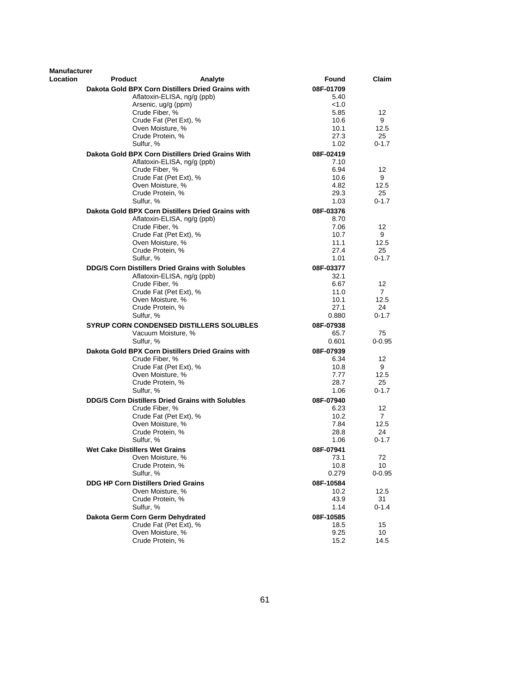| Manufacturer |                                            |                                                         |           |                   |
|--------------|--------------------------------------------|---------------------------------------------------------|-----------|-------------------|
| Location     | <b>Product</b>                             | Analyte                                                 | Found     | Claim             |
|              |                                            | Dakota Gold BPX Corn Distillers Dried Grains with       | 08F-01709 |                   |
|              |                                            | Aflatoxin-ELISA, ng/g (ppb)                             | 5.40      |                   |
|              |                                            | Arsenic, ug/g (ppm)                                     | < 1.0     |                   |
|              | Crude Fiber, %                             |                                                         | 5.85      | $12 \overline{ }$ |
|              |                                            | Crude Fat (Pet Ext), %                                  | 10.6      | 9                 |
|              | Oven Moisture, %                           |                                                         | 10.1      | 12.5              |
|              | Crude Protein, %                           |                                                         | 27.3      | 25                |
|              | Sulfur, %                                  |                                                         | 1.02      | $0 - 1.7$         |
|              |                                            | Dakota Gold BPX Corn Distillers Dried Grains With       | 08F-02419 |                   |
|              |                                            | Aflatoxin-ELISA, ng/g (ppb)                             | 7.10      |                   |
|              | Crude Fiber, %                             |                                                         | 6.94      | 12                |
|              |                                            | Crude Fat (Pet Ext), %                                  | 10.6      | 9                 |
|              | Oven Moisture, %                           |                                                         | 4.82      | 12.5              |
|              | Crude Protein, %                           |                                                         | 29.3      | 25                |
|              | Sulfur, %                                  |                                                         | 1.03      | $0 - 1.7$         |
|              |                                            | Dakota Gold BPX Corn Distillers Dried Grains with       | 08F-03376 |                   |
|              |                                            | Aflatoxin-ELISA, ng/g (ppb)                             | 8.70      |                   |
|              | Crude Fiber, %                             |                                                         | 7.06      | 12                |
|              |                                            | Crude Fat (Pet Ext), %                                  | 10.7      | 9                 |
|              | Oven Moisture, %                           |                                                         | 11.1      | 12.5              |
|              | Crude Protein, %                           |                                                         | 27.4      | 25                |
|              | Sulfur, %                                  |                                                         | 1.01      | $0 - 1.7$         |
|              |                                            | <b>DDG/S Corn Distillers Dried Grains with Solubles</b> | 08F-03377 |                   |
|              |                                            | Aflatoxin-ELISA, ng/g (ppb)                             | 32.1      |                   |
|              | Crude Fiber, %                             |                                                         | 6.67      | 12                |
|              |                                            | Crude Fat (Pet Ext), %                                  | 11.0      | $\overline{7}$    |
|              | Oven Moisture, %                           |                                                         | 10.1      | 12.5              |
|              | Crude Protein, %                           |                                                         | 27.1      | 24                |
|              | Sulfur, %                                  |                                                         | 0.880     | $0 - 1.7$         |
|              |                                            | <b>SYRUP CORN CONDENSED DISTILLERS SOLUBLES</b>         | 08F-07938 |                   |
|              |                                            | Vacuum Moisture, %                                      | 65.7      | 75                |
|              | Sulfur, %                                  |                                                         | 0.601     | $0 - 0.95$        |
|              |                                            | Dakota Gold BPX Corn Distillers Dried Grains with       | 08F-07939 |                   |
|              | Crude Fiber, %                             |                                                         | 6.34      | 12                |
|              |                                            | Crude Fat (Pet Ext), %                                  | 10.8      | 9                 |
|              | Oven Moisture, %                           |                                                         | 7.77      | 12.5              |
|              | Crude Protein, %                           |                                                         | 28.7      | 25                |
|              | Sulfur, %                                  |                                                         | 1.06      | $0 - 1.7$         |
|              |                                            | DDG/S Corn Distillers Dried Grains with Solubles        | 08F-07940 |                   |
|              | Crude Fiber, %                             |                                                         | 6.23      | 12                |
|              |                                            | Crude Fat (Pet Ext), %                                  | 10.2      | $\mathbf{7}$      |
|              | Oven Moisture, %                           |                                                         | 7.84      | 12.5              |
|              | Crude Protein, %                           |                                                         | 28.8      | 24                |
|              | Sulfur, %                                  |                                                         | 1.06      | $0 - 1.7$         |
|              | Wet Cake Distillers Wet Grains             |                                                         | 08F-07941 |                   |
|              | Oven Moisture, %                           |                                                         | 73.1      | 72                |
|              | Crude Protein, %                           |                                                         | 10.8      | 10                |
|              | Sulfur, %                                  |                                                         | 0.279     | $0 - 0.95$        |
|              | <b>DDG HP Corn Distillers Dried Grains</b> |                                                         | 08F-10584 |                   |
|              | Oven Moisture, %                           |                                                         | 10.2      | 12.5              |
|              | Crude Protein, %                           |                                                         | 43.9      | 31                |
|              | Sulfur, %                                  |                                                         | 1.14      | $0 - 1.4$         |
|              | Dakota Germ Corn Germ Dehydrated           |                                                         | 08F-10585 |                   |
|              |                                            | Crude Fat (Pet Ext), %                                  | 18.5      | 15                |
|              | Oven Moisture, %                           |                                                         | 9.25      | 10                |
|              | Crude Protein, %                           |                                                         | 15.2      | 14.5              |
|              |                                            |                                                         |           |                   |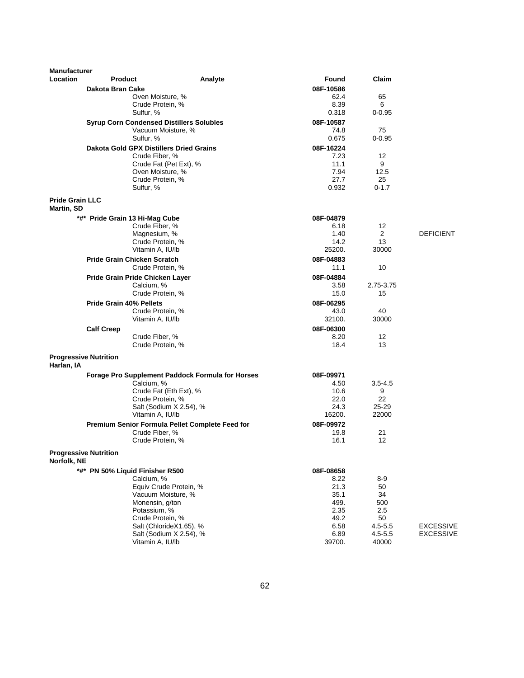| <b>Product</b><br>Analyte<br>Found<br>Dakota Bran Cake<br>08F-10586<br>Oven Moisture, %<br>62.4<br>65<br>Crude Protein, %<br>8.39<br>6<br>Sulfur, %<br>0.318<br>$0 - 0.95$<br><b>Syrup Corn Condensed Distillers Solubles</b><br>08F-10587<br>Vacuum Moisture, %<br>75<br>74.8<br>Sulfur, %<br>0.675<br>$0 - 0.95$<br><b>Dakota Gold GPX Distillers Dried Grains</b><br>08F-16224<br>Crude Fiber, %<br>7.23<br>12<br>11.1<br>9<br>Crude Fat (Pet Ext), %<br>Oven Moisture, %<br>7.94<br>12.5<br>Crude Protein, %<br>27.7<br>25<br>0.932<br>Sulfur, %<br>$0 - 1.7$<br><b>Pride Grain LLC</b><br>Martin, SD<br>*#* Pride Grain 13 Hi-Mag Cube<br>08F-04879<br>Crude Fiber, %<br>6.18<br>12<br>1.40<br>$\overline{2}$<br>Magnesium, %<br><b>DEFICIENT</b><br>Crude Protein, %<br>14.2<br>13<br>Vitamin A, IU/lb<br>30000<br>25200.<br><b>Pride Grain Chicken Scratch</b><br>08F-04883<br>10<br>Crude Protein, %<br>11.1<br>08F-04884<br>Pride Grain Pride Chicken Layer<br>2.75-3.75<br>Calcium, %<br>3.58<br>Crude Protein, %<br>15.0<br>15<br><b>Pride Grain 40% Pellets</b><br>08F-06295<br>40<br>Crude Protein, %<br>43.0<br>30000<br>Vitamin A, IU/lb<br>32100.<br><b>Calf Creep</b><br>08F-06300<br>12<br>Crude Fiber, %<br>8.20<br>Crude Protein, %<br>18.4<br>13<br><b>Progressive Nutrition</b><br>Harlan, IA<br>Forage Pro Supplement Paddock Formula for Horses<br>08F-09971<br>Calcium, %<br>4.50<br>$3.5 - 4.5$<br>Crude Fat (Eth Ext), %<br>10.6<br>9<br>22<br>Crude Protein, %<br>22.0<br>Salt (Sodium X 2.54), %<br>24.3<br>$25 - 29$<br>Vitamin A, IU/lb<br>16200.<br>22000<br>Premium Senior Formula Pellet Complete Feed for<br>08F-09972<br>Crude Fiber, %<br>19.8<br>21<br>12<br>Crude Protein, %<br>16.1<br><b>Progressive Nutrition</b><br>Norfolk, NE<br>*#* PN 50% Liquid Finisher R500<br>08F-08658<br>Calcium, %<br>$8-9$<br>8.22<br>Equiv Crude Protein, %<br>21.3<br>50<br>Vacuum Moisture, %<br>35.1<br>34<br>Monensin, g/ton<br>499.<br>500<br>2.35<br>2.5<br>Potassium, %<br>50<br>Crude Protein, %<br>49.2<br>Salt (ChlorideX1.65), %<br>6.58<br>$4.5 - 5.5$<br><b>EXCESSIVE</b><br>Salt (Sodium X 2.54), %<br>6.89<br><b>EXCESSIVE</b><br>$4.5 - 5.5$<br>Vitamin A, IU/lb<br>39700.<br>40000 | <b>Manufacturer</b> |  |  |       |  |
|-----------------------------------------------------------------------------------------------------------------------------------------------------------------------------------------------------------------------------------------------------------------------------------------------------------------------------------------------------------------------------------------------------------------------------------------------------------------------------------------------------------------------------------------------------------------------------------------------------------------------------------------------------------------------------------------------------------------------------------------------------------------------------------------------------------------------------------------------------------------------------------------------------------------------------------------------------------------------------------------------------------------------------------------------------------------------------------------------------------------------------------------------------------------------------------------------------------------------------------------------------------------------------------------------------------------------------------------------------------------------------------------------------------------------------------------------------------------------------------------------------------------------------------------------------------------------------------------------------------------------------------------------------------------------------------------------------------------------------------------------------------------------------------------------------------------------------------------------------------------------------------------------------------------------------------------------------------------------------------------------------------------------------------------------------------------------------------------------------------------------------------------------------------------------------------------------------------------------------|---------------------|--|--|-------|--|
|                                                                                                                                                                                                                                                                                                                                                                                                                                                                                                                                                                                                                                                                                                                                                                                                                                                                                                                                                                                                                                                                                                                                                                                                                                                                                                                                                                                                                                                                                                                                                                                                                                                                                                                                                                                                                                                                                                                                                                                                                                                                                                                                                                                                                             | <b>Location</b>     |  |  | Claim |  |
|                                                                                                                                                                                                                                                                                                                                                                                                                                                                                                                                                                                                                                                                                                                                                                                                                                                                                                                                                                                                                                                                                                                                                                                                                                                                                                                                                                                                                                                                                                                                                                                                                                                                                                                                                                                                                                                                                                                                                                                                                                                                                                                                                                                                                             |                     |  |  |       |  |
|                                                                                                                                                                                                                                                                                                                                                                                                                                                                                                                                                                                                                                                                                                                                                                                                                                                                                                                                                                                                                                                                                                                                                                                                                                                                                                                                                                                                                                                                                                                                                                                                                                                                                                                                                                                                                                                                                                                                                                                                                                                                                                                                                                                                                             |                     |  |  |       |  |
|                                                                                                                                                                                                                                                                                                                                                                                                                                                                                                                                                                                                                                                                                                                                                                                                                                                                                                                                                                                                                                                                                                                                                                                                                                                                                                                                                                                                                                                                                                                                                                                                                                                                                                                                                                                                                                                                                                                                                                                                                                                                                                                                                                                                                             |                     |  |  |       |  |
|                                                                                                                                                                                                                                                                                                                                                                                                                                                                                                                                                                                                                                                                                                                                                                                                                                                                                                                                                                                                                                                                                                                                                                                                                                                                                                                                                                                                                                                                                                                                                                                                                                                                                                                                                                                                                                                                                                                                                                                                                                                                                                                                                                                                                             |                     |  |  |       |  |
|                                                                                                                                                                                                                                                                                                                                                                                                                                                                                                                                                                                                                                                                                                                                                                                                                                                                                                                                                                                                                                                                                                                                                                                                                                                                                                                                                                                                                                                                                                                                                                                                                                                                                                                                                                                                                                                                                                                                                                                                                                                                                                                                                                                                                             |                     |  |  |       |  |
|                                                                                                                                                                                                                                                                                                                                                                                                                                                                                                                                                                                                                                                                                                                                                                                                                                                                                                                                                                                                                                                                                                                                                                                                                                                                                                                                                                                                                                                                                                                                                                                                                                                                                                                                                                                                                                                                                                                                                                                                                                                                                                                                                                                                                             |                     |  |  |       |  |
|                                                                                                                                                                                                                                                                                                                                                                                                                                                                                                                                                                                                                                                                                                                                                                                                                                                                                                                                                                                                                                                                                                                                                                                                                                                                                                                                                                                                                                                                                                                                                                                                                                                                                                                                                                                                                                                                                                                                                                                                                                                                                                                                                                                                                             |                     |  |  |       |  |
|                                                                                                                                                                                                                                                                                                                                                                                                                                                                                                                                                                                                                                                                                                                                                                                                                                                                                                                                                                                                                                                                                                                                                                                                                                                                                                                                                                                                                                                                                                                                                                                                                                                                                                                                                                                                                                                                                                                                                                                                                                                                                                                                                                                                                             |                     |  |  |       |  |
|                                                                                                                                                                                                                                                                                                                                                                                                                                                                                                                                                                                                                                                                                                                                                                                                                                                                                                                                                                                                                                                                                                                                                                                                                                                                                                                                                                                                                                                                                                                                                                                                                                                                                                                                                                                                                                                                                                                                                                                                                                                                                                                                                                                                                             |                     |  |  |       |  |
|                                                                                                                                                                                                                                                                                                                                                                                                                                                                                                                                                                                                                                                                                                                                                                                                                                                                                                                                                                                                                                                                                                                                                                                                                                                                                                                                                                                                                                                                                                                                                                                                                                                                                                                                                                                                                                                                                                                                                                                                                                                                                                                                                                                                                             |                     |  |  |       |  |
|                                                                                                                                                                                                                                                                                                                                                                                                                                                                                                                                                                                                                                                                                                                                                                                                                                                                                                                                                                                                                                                                                                                                                                                                                                                                                                                                                                                                                                                                                                                                                                                                                                                                                                                                                                                                                                                                                                                                                                                                                                                                                                                                                                                                                             |                     |  |  |       |  |
|                                                                                                                                                                                                                                                                                                                                                                                                                                                                                                                                                                                                                                                                                                                                                                                                                                                                                                                                                                                                                                                                                                                                                                                                                                                                                                                                                                                                                                                                                                                                                                                                                                                                                                                                                                                                                                                                                                                                                                                                                                                                                                                                                                                                                             |                     |  |  |       |  |
|                                                                                                                                                                                                                                                                                                                                                                                                                                                                                                                                                                                                                                                                                                                                                                                                                                                                                                                                                                                                                                                                                                                                                                                                                                                                                                                                                                                                                                                                                                                                                                                                                                                                                                                                                                                                                                                                                                                                                                                                                                                                                                                                                                                                                             |                     |  |  |       |  |
|                                                                                                                                                                                                                                                                                                                                                                                                                                                                                                                                                                                                                                                                                                                                                                                                                                                                                                                                                                                                                                                                                                                                                                                                                                                                                                                                                                                                                                                                                                                                                                                                                                                                                                                                                                                                                                                                                                                                                                                                                                                                                                                                                                                                                             |                     |  |  |       |  |
|                                                                                                                                                                                                                                                                                                                                                                                                                                                                                                                                                                                                                                                                                                                                                                                                                                                                                                                                                                                                                                                                                                                                                                                                                                                                                                                                                                                                                                                                                                                                                                                                                                                                                                                                                                                                                                                                                                                                                                                                                                                                                                                                                                                                                             |                     |  |  |       |  |
|                                                                                                                                                                                                                                                                                                                                                                                                                                                                                                                                                                                                                                                                                                                                                                                                                                                                                                                                                                                                                                                                                                                                                                                                                                                                                                                                                                                                                                                                                                                                                                                                                                                                                                                                                                                                                                                                                                                                                                                                                                                                                                                                                                                                                             |                     |  |  |       |  |
|                                                                                                                                                                                                                                                                                                                                                                                                                                                                                                                                                                                                                                                                                                                                                                                                                                                                                                                                                                                                                                                                                                                                                                                                                                                                                                                                                                                                                                                                                                                                                                                                                                                                                                                                                                                                                                                                                                                                                                                                                                                                                                                                                                                                                             |                     |  |  |       |  |
|                                                                                                                                                                                                                                                                                                                                                                                                                                                                                                                                                                                                                                                                                                                                                                                                                                                                                                                                                                                                                                                                                                                                                                                                                                                                                                                                                                                                                                                                                                                                                                                                                                                                                                                                                                                                                                                                                                                                                                                                                                                                                                                                                                                                                             |                     |  |  |       |  |
|                                                                                                                                                                                                                                                                                                                                                                                                                                                                                                                                                                                                                                                                                                                                                                                                                                                                                                                                                                                                                                                                                                                                                                                                                                                                                                                                                                                                                                                                                                                                                                                                                                                                                                                                                                                                                                                                                                                                                                                                                                                                                                                                                                                                                             |                     |  |  |       |  |
|                                                                                                                                                                                                                                                                                                                                                                                                                                                                                                                                                                                                                                                                                                                                                                                                                                                                                                                                                                                                                                                                                                                                                                                                                                                                                                                                                                                                                                                                                                                                                                                                                                                                                                                                                                                                                                                                                                                                                                                                                                                                                                                                                                                                                             |                     |  |  |       |  |
|                                                                                                                                                                                                                                                                                                                                                                                                                                                                                                                                                                                                                                                                                                                                                                                                                                                                                                                                                                                                                                                                                                                                                                                                                                                                                                                                                                                                                                                                                                                                                                                                                                                                                                                                                                                                                                                                                                                                                                                                                                                                                                                                                                                                                             |                     |  |  |       |  |
|                                                                                                                                                                                                                                                                                                                                                                                                                                                                                                                                                                                                                                                                                                                                                                                                                                                                                                                                                                                                                                                                                                                                                                                                                                                                                                                                                                                                                                                                                                                                                                                                                                                                                                                                                                                                                                                                                                                                                                                                                                                                                                                                                                                                                             |                     |  |  |       |  |
|                                                                                                                                                                                                                                                                                                                                                                                                                                                                                                                                                                                                                                                                                                                                                                                                                                                                                                                                                                                                                                                                                                                                                                                                                                                                                                                                                                                                                                                                                                                                                                                                                                                                                                                                                                                                                                                                                                                                                                                                                                                                                                                                                                                                                             |                     |  |  |       |  |
|                                                                                                                                                                                                                                                                                                                                                                                                                                                                                                                                                                                                                                                                                                                                                                                                                                                                                                                                                                                                                                                                                                                                                                                                                                                                                                                                                                                                                                                                                                                                                                                                                                                                                                                                                                                                                                                                                                                                                                                                                                                                                                                                                                                                                             |                     |  |  |       |  |
|                                                                                                                                                                                                                                                                                                                                                                                                                                                                                                                                                                                                                                                                                                                                                                                                                                                                                                                                                                                                                                                                                                                                                                                                                                                                                                                                                                                                                                                                                                                                                                                                                                                                                                                                                                                                                                                                                                                                                                                                                                                                                                                                                                                                                             |                     |  |  |       |  |
|                                                                                                                                                                                                                                                                                                                                                                                                                                                                                                                                                                                                                                                                                                                                                                                                                                                                                                                                                                                                                                                                                                                                                                                                                                                                                                                                                                                                                                                                                                                                                                                                                                                                                                                                                                                                                                                                                                                                                                                                                                                                                                                                                                                                                             |                     |  |  |       |  |
|                                                                                                                                                                                                                                                                                                                                                                                                                                                                                                                                                                                                                                                                                                                                                                                                                                                                                                                                                                                                                                                                                                                                                                                                                                                                                                                                                                                                                                                                                                                                                                                                                                                                                                                                                                                                                                                                                                                                                                                                                                                                                                                                                                                                                             |                     |  |  |       |  |
|                                                                                                                                                                                                                                                                                                                                                                                                                                                                                                                                                                                                                                                                                                                                                                                                                                                                                                                                                                                                                                                                                                                                                                                                                                                                                                                                                                                                                                                                                                                                                                                                                                                                                                                                                                                                                                                                                                                                                                                                                                                                                                                                                                                                                             |                     |  |  |       |  |
|                                                                                                                                                                                                                                                                                                                                                                                                                                                                                                                                                                                                                                                                                                                                                                                                                                                                                                                                                                                                                                                                                                                                                                                                                                                                                                                                                                                                                                                                                                                                                                                                                                                                                                                                                                                                                                                                                                                                                                                                                                                                                                                                                                                                                             |                     |  |  |       |  |
|                                                                                                                                                                                                                                                                                                                                                                                                                                                                                                                                                                                                                                                                                                                                                                                                                                                                                                                                                                                                                                                                                                                                                                                                                                                                                                                                                                                                                                                                                                                                                                                                                                                                                                                                                                                                                                                                                                                                                                                                                                                                                                                                                                                                                             |                     |  |  |       |  |
|                                                                                                                                                                                                                                                                                                                                                                                                                                                                                                                                                                                                                                                                                                                                                                                                                                                                                                                                                                                                                                                                                                                                                                                                                                                                                                                                                                                                                                                                                                                                                                                                                                                                                                                                                                                                                                                                                                                                                                                                                                                                                                                                                                                                                             |                     |  |  |       |  |
|                                                                                                                                                                                                                                                                                                                                                                                                                                                                                                                                                                                                                                                                                                                                                                                                                                                                                                                                                                                                                                                                                                                                                                                                                                                                                                                                                                                                                                                                                                                                                                                                                                                                                                                                                                                                                                                                                                                                                                                                                                                                                                                                                                                                                             |                     |  |  |       |  |
|                                                                                                                                                                                                                                                                                                                                                                                                                                                                                                                                                                                                                                                                                                                                                                                                                                                                                                                                                                                                                                                                                                                                                                                                                                                                                                                                                                                                                                                                                                                                                                                                                                                                                                                                                                                                                                                                                                                                                                                                                                                                                                                                                                                                                             |                     |  |  |       |  |
|                                                                                                                                                                                                                                                                                                                                                                                                                                                                                                                                                                                                                                                                                                                                                                                                                                                                                                                                                                                                                                                                                                                                                                                                                                                                                                                                                                                                                                                                                                                                                                                                                                                                                                                                                                                                                                                                                                                                                                                                                                                                                                                                                                                                                             |                     |  |  |       |  |
|                                                                                                                                                                                                                                                                                                                                                                                                                                                                                                                                                                                                                                                                                                                                                                                                                                                                                                                                                                                                                                                                                                                                                                                                                                                                                                                                                                                                                                                                                                                                                                                                                                                                                                                                                                                                                                                                                                                                                                                                                                                                                                                                                                                                                             |                     |  |  |       |  |
|                                                                                                                                                                                                                                                                                                                                                                                                                                                                                                                                                                                                                                                                                                                                                                                                                                                                                                                                                                                                                                                                                                                                                                                                                                                                                                                                                                                                                                                                                                                                                                                                                                                                                                                                                                                                                                                                                                                                                                                                                                                                                                                                                                                                                             |                     |  |  |       |  |
|                                                                                                                                                                                                                                                                                                                                                                                                                                                                                                                                                                                                                                                                                                                                                                                                                                                                                                                                                                                                                                                                                                                                                                                                                                                                                                                                                                                                                                                                                                                                                                                                                                                                                                                                                                                                                                                                                                                                                                                                                                                                                                                                                                                                                             |                     |  |  |       |  |
|                                                                                                                                                                                                                                                                                                                                                                                                                                                                                                                                                                                                                                                                                                                                                                                                                                                                                                                                                                                                                                                                                                                                                                                                                                                                                                                                                                                                                                                                                                                                                                                                                                                                                                                                                                                                                                                                                                                                                                                                                                                                                                                                                                                                                             |                     |  |  |       |  |
|                                                                                                                                                                                                                                                                                                                                                                                                                                                                                                                                                                                                                                                                                                                                                                                                                                                                                                                                                                                                                                                                                                                                                                                                                                                                                                                                                                                                                                                                                                                                                                                                                                                                                                                                                                                                                                                                                                                                                                                                                                                                                                                                                                                                                             |                     |  |  |       |  |
|                                                                                                                                                                                                                                                                                                                                                                                                                                                                                                                                                                                                                                                                                                                                                                                                                                                                                                                                                                                                                                                                                                                                                                                                                                                                                                                                                                                                                                                                                                                                                                                                                                                                                                                                                                                                                                                                                                                                                                                                                                                                                                                                                                                                                             |                     |  |  |       |  |
|                                                                                                                                                                                                                                                                                                                                                                                                                                                                                                                                                                                                                                                                                                                                                                                                                                                                                                                                                                                                                                                                                                                                                                                                                                                                                                                                                                                                                                                                                                                                                                                                                                                                                                                                                                                                                                                                                                                                                                                                                                                                                                                                                                                                                             |                     |  |  |       |  |
|                                                                                                                                                                                                                                                                                                                                                                                                                                                                                                                                                                                                                                                                                                                                                                                                                                                                                                                                                                                                                                                                                                                                                                                                                                                                                                                                                                                                                                                                                                                                                                                                                                                                                                                                                                                                                                                                                                                                                                                                                                                                                                                                                                                                                             |                     |  |  |       |  |
|                                                                                                                                                                                                                                                                                                                                                                                                                                                                                                                                                                                                                                                                                                                                                                                                                                                                                                                                                                                                                                                                                                                                                                                                                                                                                                                                                                                                                                                                                                                                                                                                                                                                                                                                                                                                                                                                                                                                                                                                                                                                                                                                                                                                                             |                     |  |  |       |  |
|                                                                                                                                                                                                                                                                                                                                                                                                                                                                                                                                                                                                                                                                                                                                                                                                                                                                                                                                                                                                                                                                                                                                                                                                                                                                                                                                                                                                                                                                                                                                                                                                                                                                                                                                                                                                                                                                                                                                                                                                                                                                                                                                                                                                                             |                     |  |  |       |  |
|                                                                                                                                                                                                                                                                                                                                                                                                                                                                                                                                                                                                                                                                                                                                                                                                                                                                                                                                                                                                                                                                                                                                                                                                                                                                                                                                                                                                                                                                                                                                                                                                                                                                                                                                                                                                                                                                                                                                                                                                                                                                                                                                                                                                                             |                     |  |  |       |  |
|                                                                                                                                                                                                                                                                                                                                                                                                                                                                                                                                                                                                                                                                                                                                                                                                                                                                                                                                                                                                                                                                                                                                                                                                                                                                                                                                                                                                                                                                                                                                                                                                                                                                                                                                                                                                                                                                                                                                                                                                                                                                                                                                                                                                                             |                     |  |  |       |  |
|                                                                                                                                                                                                                                                                                                                                                                                                                                                                                                                                                                                                                                                                                                                                                                                                                                                                                                                                                                                                                                                                                                                                                                                                                                                                                                                                                                                                                                                                                                                                                                                                                                                                                                                                                                                                                                                                                                                                                                                                                                                                                                                                                                                                                             |                     |  |  |       |  |
|                                                                                                                                                                                                                                                                                                                                                                                                                                                                                                                                                                                                                                                                                                                                                                                                                                                                                                                                                                                                                                                                                                                                                                                                                                                                                                                                                                                                                                                                                                                                                                                                                                                                                                                                                                                                                                                                                                                                                                                                                                                                                                                                                                                                                             |                     |  |  |       |  |
|                                                                                                                                                                                                                                                                                                                                                                                                                                                                                                                                                                                                                                                                                                                                                                                                                                                                                                                                                                                                                                                                                                                                                                                                                                                                                                                                                                                                                                                                                                                                                                                                                                                                                                                                                                                                                                                                                                                                                                                                                                                                                                                                                                                                                             |                     |  |  |       |  |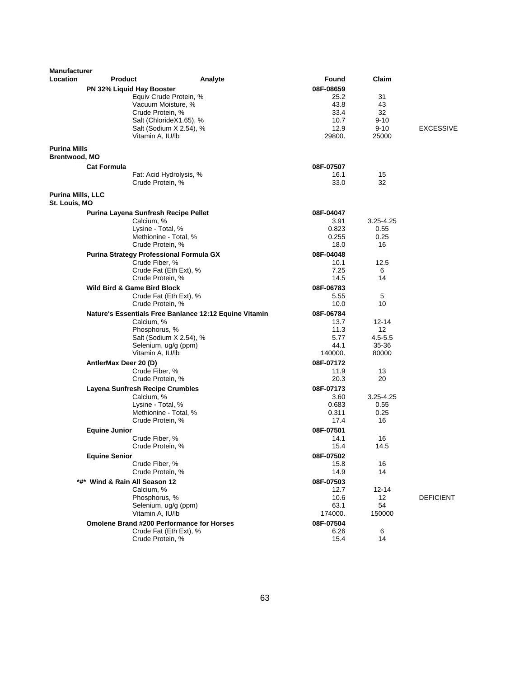| <b>Manufacturer</b>                         |                                 |                                                                  |                   |                   |                  |
|---------------------------------------------|---------------------------------|------------------------------------------------------------------|-------------------|-------------------|------------------|
| Location                                    | <b>Product</b>                  | Analyte                                                          | Found             | Claim             |                  |
|                                             | PN 32% Liquid Hay Booster       |                                                                  | 08F-08659         |                   |                  |
|                                             |                                 | Equiv Crude Protein, %                                           | 25.2              | 31                |                  |
|                                             |                                 | Vacuum Moisture, %                                               | 43.8              | 43                |                  |
|                                             |                                 | Crude Protein, %<br>Salt (ChlorideX1.65), %                      | 33.4<br>10.7      | 32<br>$9 - 10$    |                  |
|                                             |                                 | Salt (Sodium X 2.54), %                                          | 12.9              | $9 - 10$          | <b>EXCESSIVE</b> |
|                                             |                                 | Vitamin A, IU/lb                                                 | 29800.            | 25000             |                  |
|                                             |                                 |                                                                  |                   |                   |                  |
| <b>Purina Mills</b><br><b>Brentwood, MO</b> |                                 |                                                                  |                   |                   |                  |
|                                             | <b>Cat Formula</b>              |                                                                  | 08F-07507         |                   |                  |
|                                             |                                 | Fat: Acid Hydrolysis, %                                          | 16.1              | 15                |                  |
|                                             |                                 | Crude Protein, %                                                 | 33.0              | 32                |                  |
| <b>Purina Mills, LLC</b>                    |                                 |                                                                  |                   |                   |                  |
| St. Louis, MO                               |                                 |                                                                  |                   |                   |                  |
|                                             |                                 | Purina Layena Sunfresh Recipe Pellet                             | 08F-04047         |                   |                  |
|                                             |                                 | Calcium, %                                                       | 3.91              | $3.25 - 4.25$     |                  |
|                                             |                                 | Lysine - Total, %                                                | 0.823             | 0.55              |                  |
|                                             |                                 | Methionine - Total, %                                            | 0.255             | 0.25              |                  |
|                                             |                                 | Crude Protein, %                                                 | 18.0              | 16                |                  |
|                                             |                                 | <b>Purina Strategy Professional Formula GX</b><br>Crude Fiber, % | 08F-04048<br>10.1 | 12.5              |                  |
|                                             |                                 | Crude Fat (Eth Ext), %                                           | 7.25              | 6                 |                  |
|                                             |                                 | Crude Protein, %                                                 | 14.5              | 14                |                  |
|                                             | Wild Bird & Game Bird Block     |                                                                  | 08F-06783         |                   |                  |
|                                             |                                 | Crude Fat (Eth Ext), %                                           | 5.55              | 5                 |                  |
|                                             |                                 | Crude Protein, %                                                 | 10.0              | 10                |                  |
|                                             |                                 | Nature's Essentials Free Banlance 12:12 Equine Vitamin           | 08F-06784         |                   |                  |
|                                             |                                 | Calcium, %                                                       | 13.7              | 12-14             |                  |
|                                             |                                 | Phosphorus, %<br>Salt (Sodium X 2.54), %                         | 11.3<br>5.77      | 12<br>$4.5 - 5.5$ |                  |
|                                             |                                 | Selenium, ug/g (ppm)                                             | 44.1              | 35-36             |                  |
|                                             |                                 | Vitamin A, IU/lb                                                 | 140000.           | 80000             |                  |
|                                             | AntlerMax Deer 20 (D)           |                                                                  | 08F-07172         |                   |                  |
|                                             |                                 | Crude Fiber, %                                                   | 11.9              | 13                |                  |
|                                             |                                 | Crude Protein, %                                                 | 20.3              | 20                |                  |
|                                             | Layena Sunfresh Recipe Crumbles |                                                                  | 08F-07173         |                   |                  |
|                                             |                                 | Calcium, %                                                       | 3.60              | $3.25 - 4.25$     |                  |
|                                             |                                 | Lysine - Total, %<br>Methionine - Total, %                       | 0.683<br>0.311    | 0.55<br>0.25      |                  |
|                                             |                                 | Crude Protein, %                                                 | 17.4              | 16                |                  |
|                                             | <b>Equine Junior</b>            |                                                                  | 08F-07501         |                   |                  |
|                                             |                                 | Crude Fiber, %                                                   | 14.1              | 16                |                  |
|                                             |                                 | Crude Protein, %                                                 | 15.4              | 14.5              |                  |
|                                             | <b>Equine Senior</b>            |                                                                  | 08F-07502         |                   |                  |
|                                             |                                 | Crude Fiber, %                                                   | 15.8              | 16                |                  |
|                                             |                                 | Crude Protein, %                                                 | 14.9              | 14                |                  |
|                                             | *#* Wind & Rain All Season 12   |                                                                  | 08F-07503         |                   |                  |
|                                             |                                 | Calcium, %<br>Phosphorus, %                                      | 12.7<br>10.6      | $12 - 14$<br>12   | <b>DEFICIENT</b> |
|                                             |                                 | Selenium, ug/g (ppm)                                             | 63.1              | 54                |                  |
|                                             |                                 | Vitamin A, IU/lb                                                 | 174000.           | 150000            |                  |
|                                             |                                 | <b>Omolene Brand #200 Performance for Horses</b>                 | 08F-07504         |                   |                  |
|                                             |                                 | Crude Fat (Eth Ext), %                                           | 6.26              | 6                 |                  |
|                                             |                                 | Crude Protein, %                                                 | 15.4              | 14                |                  |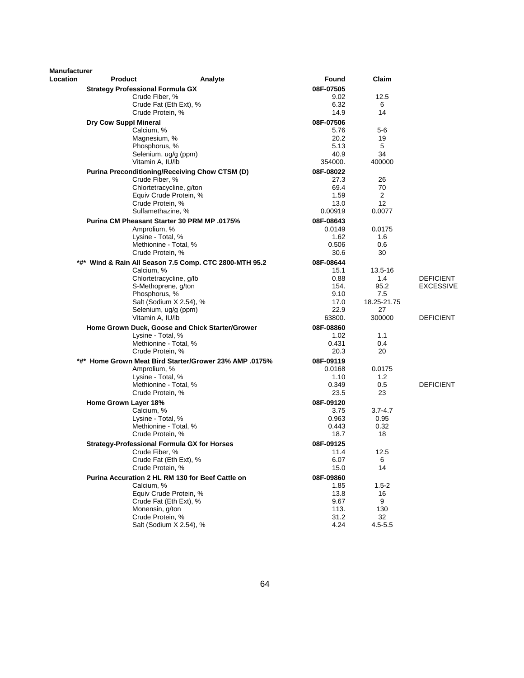| <b>Manufacturer</b><br>Location | <b>Product</b>                          | Analyte                                                                | <b>Found</b>        | Claim             |                  |
|---------------------------------|-----------------------------------------|------------------------------------------------------------------------|---------------------|-------------------|------------------|
|                                 | <b>Strategy Professional Formula GX</b> |                                                                        | 08F-07505           |                   |                  |
|                                 |                                         | Crude Fiber, %                                                         | 9.02                | 12.5              |                  |
|                                 |                                         | Crude Fat (Eth Ext), %                                                 | 6.32                | 6                 |                  |
|                                 |                                         | Crude Protein, %                                                       | 14.9                | 14                |                  |
|                                 | <b>Dry Cow Suppl Mineral</b>            |                                                                        | 08F-07506           |                   |                  |
|                                 | Calcium, %                              |                                                                        | 5.76                | $5-6$             |                  |
|                                 |                                         | Magnesium, %                                                           | 20.2                | 19                |                  |
|                                 |                                         | Phosphorus, %                                                          | 5.13                | 5                 |                  |
|                                 |                                         | Selenium, ug/g (ppm)                                                   | 40.9                | 34                |                  |
|                                 |                                         | Vitamin A, IU/lb                                                       | 354000.             | 400000            |                  |
|                                 |                                         | Purina Preconditioning/Receiving Chow CTSM (D)                         | 08F-08022           |                   |                  |
|                                 |                                         | Crude Fiber, %                                                         | 27.3                | 26                |                  |
|                                 |                                         | Chlortetracycline, g/ton                                               | 69.4                | 70                |                  |
|                                 |                                         | Equiv Crude Protein, %                                                 | 1.59                | 2                 |                  |
|                                 |                                         | Crude Protein, %                                                       | 13.0                | 12                |                  |
|                                 |                                         | Sulfamethazine, %                                                      | 0.00919             | 0.0077            |                  |
|                                 |                                         | <b>Purina CM Pheasant Starter 30 PRM MP .0175%</b>                     | 08F-08643           |                   |                  |
|                                 |                                         | Amprolium, %                                                           | 0.0149              | 0.0175            |                  |
|                                 |                                         | Lysine - Total, %                                                      | 1.62                | 1.6               |                  |
|                                 |                                         | Methionine - Total, %                                                  | 0.506               | 0.6               |                  |
|                                 |                                         | Crude Protein, %                                                       | 30.6                | 30                |                  |
|                                 |                                         | *#* Wind & Rain All Season 7.5 Comp. CTC 2800-MTH 95.2                 | 08F-08644           |                   |                  |
|                                 | Calcium, %                              |                                                                        | 15.1                | 13.5-16           |                  |
|                                 |                                         | Chlortetracycline, g/lb                                                | 0.88                | 1.4               | <b>DEFICIENT</b> |
|                                 |                                         | S-Methoprene, g/ton                                                    | 154.                | 95.2              | <b>EXCESSIVE</b> |
|                                 |                                         | Phosphorus, %                                                          | 9.10                | 7.5               |                  |
|                                 |                                         | Salt (Sodium X 2.54), %<br>Selenium, ug/g (ppm)                        | 17.0<br>22.9        | 18.25-21.75<br>27 |                  |
|                                 |                                         | Vitamin A, IU/lb                                                       | 63800.              | 300000            | DEFICIENT        |
|                                 |                                         |                                                                        |                     |                   |                  |
|                                 |                                         | Home Grown Duck, Goose and Chick Starter/Grower                        | 08F-08860           |                   |                  |
|                                 |                                         | Lysine - Total, %<br>Methionine - Total, %                             | 1.02<br>0.431       | 1.1<br>0.4        |                  |
|                                 |                                         | Crude Protein, %                                                       | 20.3                | 20                |                  |
|                                 |                                         |                                                                        |                     |                   |                  |
|                                 |                                         | *#* Home Grown Meat Bird Starter/Grower 23% AMP .0175%<br>Amprolium, % | 08F-09119<br>0.0168 | 0.0175            |                  |
|                                 |                                         | Lysine - Total, %                                                      | 1.10                | 1.2               |                  |
|                                 |                                         | Methionine - Total, %                                                  | 0.349               | 0.5               | <b>DEFICIENT</b> |
|                                 |                                         | Crude Protein, %                                                       | 23.5                | 23                |                  |
|                                 | Home Grown Layer 18%                    |                                                                        | 08F-09120           |                   |                  |
|                                 | Calcium, %                              |                                                                        | 3.75                | $3.7 - 4.7$       |                  |
|                                 |                                         | Lysine - Total, %                                                      | 0.963               | 0.95              |                  |
|                                 |                                         | Methionine - Total. %                                                  | 0.443               | 0.32              |                  |
|                                 |                                         | Crude Protein, %                                                       | 18.7                | 18                |                  |
|                                 |                                         | Strategy-Professional Formula GX for Horses                            | 08F-09125           |                   |                  |
|                                 |                                         | Crude Fiber, %                                                         | 11.4                | 12.5              |                  |
|                                 |                                         | Crude Fat (Eth Ext), %                                                 | 6.07                | 6                 |                  |
|                                 |                                         | Crude Protein, %                                                       | 15.0                | 14                |                  |
|                                 |                                         | Purina Accuration 2 HL RM 130 for Beef Cattle on                       | 08F-09860           |                   |                  |
|                                 | Calcium, %                              |                                                                        | 1.85                | $1.5 - 2$         |                  |
|                                 |                                         | Equiv Crude Protein, %                                                 | 13.8                | 16                |                  |
|                                 |                                         | Crude Fat (Eth Ext), %                                                 | 9.67                | 9                 |                  |
|                                 |                                         | Monensin, a/ton                                                        | 113.                | 130               |                  |
|                                 |                                         | Crude Protein, %                                                       | 31.2                | 32                |                  |
|                                 |                                         | Salt (Sodium X 2.54), %                                                | 4.24                | $4.5 - 5.5$       |                  |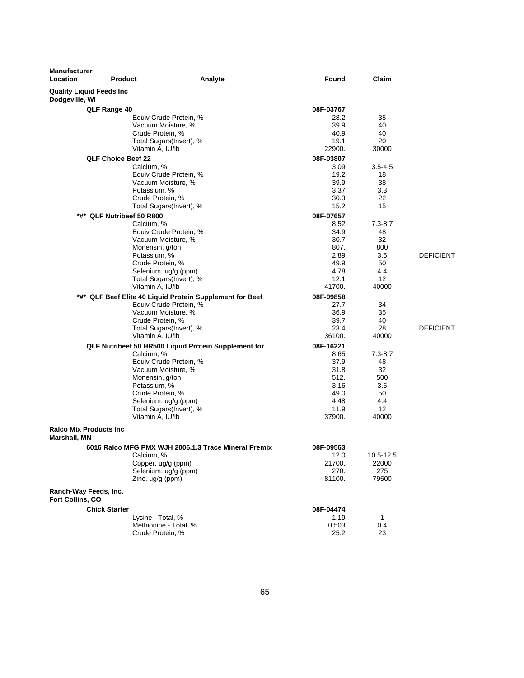| <b>Manufacturer</b><br>Location                | <b>Product</b>                  | Analyte                                                  | Found        | Claim       |                  |
|------------------------------------------------|---------------------------------|----------------------------------------------------------|--------------|-------------|------------------|
| Dodgeville, WI                                 | <b>Quality Liquid Feeds Inc</b> |                                                          |              |             |                  |
|                                                | QLF Range 40                    |                                                          | 08F-03767    |             |                  |
|                                                |                                 | Equiv Crude Protein, %                                   | 28.2         | 35          |                  |
|                                                |                                 | Vacuum Moisture, %                                       | 39.9         | 40          |                  |
|                                                |                                 | Crude Protein, %                                         | 40.9         | 40          |                  |
|                                                |                                 | Total Sugars(Invert), %                                  | 19.1         | 20          |                  |
|                                                |                                 | Vitamin A, IU/lb                                         | 22900.       | 30000       |                  |
|                                                | <b>QLF Choice Beef 22</b>       |                                                          | 08F-03807    |             |                  |
|                                                |                                 | Calcium, %                                               | 3.09         | $3.5 - 4.5$ |                  |
|                                                |                                 | Equiv Crude Protein, %<br>Vacuum Moisture, %             | 19.2<br>39.9 | 18<br>38    |                  |
|                                                |                                 | Potassium, %                                             | 3.37         | 3.3         |                  |
|                                                |                                 | Crude Protein, %                                         | 30.3         | 22          |                  |
|                                                |                                 | Total Sugars(Invert), %                                  | 15.2         | 15          |                  |
|                                                | *#* QLF Nutribeef 50 R800       |                                                          | 08F-07657    |             |                  |
|                                                |                                 | Calcium, %                                               | 8.52         | $7.3 - 8.7$ |                  |
|                                                |                                 | Equiv Crude Protein, %                                   | 34.9         | 48          |                  |
|                                                |                                 | Vacuum Moisture, %                                       | 30.7         | 32          |                  |
|                                                |                                 | Monensin, g/ton                                          | 807.         | 800         |                  |
|                                                |                                 | Potassium, %                                             | 2.89         | 3.5         | <b>DEFICIENT</b> |
|                                                |                                 | Crude Protein, %                                         | 49.9         | 50          |                  |
|                                                |                                 | Selenium, ug/g (ppm)                                     | 4.78         | 4.4         |                  |
|                                                |                                 | Total Sugars(Invert), %                                  | 12.1         | 12          |                  |
|                                                |                                 | Vitamin A, IU/lb                                         | 41700.       | 40000       |                  |
|                                                |                                 | *#* QLF Beef Elite 40 Liquid Protein Supplement for Beef | 08F-09858    |             |                  |
|                                                |                                 | Equiv Crude Protein, %                                   | 27.7         | 34          |                  |
|                                                |                                 | Vacuum Moisture, %                                       | 36.9         | 35<br>40    |                  |
|                                                |                                 | Crude Protein, %<br>Total Sugars(Invert), %              | 39.7<br>23.4 | 28          | <b>DEFICIENT</b> |
|                                                |                                 | Vitamin A, IU/lb                                         | 36100.       | 40000       |                  |
|                                                |                                 | QLF Nutribeef 50 HR500 Liquid Protein Supplement for     | 08F-16221    |             |                  |
|                                                |                                 | Calcium, %                                               | 8.65         | $7.3 - 8.7$ |                  |
|                                                |                                 | Equiv Crude Protein, %                                   | 37.9         | 48          |                  |
|                                                |                                 | Vacuum Moisture, %                                       | 31.8         | 32          |                  |
|                                                |                                 | Monensin, g/ton                                          | 512.         | 500         |                  |
|                                                |                                 | Potassium, %                                             | 3.16         | 3.5         |                  |
|                                                |                                 | Crude Protein, %                                         | 49.0         | 50          |                  |
|                                                |                                 | Selenium, ug/g (ppm)                                     | 4.48         | 4.4         |                  |
|                                                |                                 | Total Sugars(Invert), %                                  | 11.9         | 12          |                  |
|                                                |                                 | Vitamin A, IU/lb                                         | 37900.       | 40000       |                  |
| <b>Ralco Mix Products Inc.</b><br>Marshall, MN |                                 |                                                          |              |             |                  |
|                                                |                                 | 6016 Ralco MFG PMX WJH 2006.1.3 Trace Mineral Premix     | 08F-09563    |             |                  |
|                                                |                                 | Calcium, %                                               | 12.0         | 10.5-12.5   |                  |
|                                                |                                 | Copper, ug/g (ppm)                                       | 21700.       | 22000       |                  |
|                                                |                                 | Selenium, ug/g (ppm)                                     | 270.         | 275         |                  |
|                                                |                                 | Zinc, $uq/q$ (ppm)                                       | 81100.       | 79500       |                  |
| Ranch-Way Feeds, Inc.<br>Fort Collins, CO      |                                 |                                                          |              |             |                  |
|                                                | <b>Chick Starter</b>            |                                                          | 08F-04474    |             |                  |
|                                                |                                 | Lysine - Total, %                                        | 1.19         | 1           |                  |
|                                                |                                 | Methionine - Total, %                                    | 0.503        | 0.4         |                  |
|                                                |                                 | Crude Protein, %                                         | 25.2         | 23          |                  |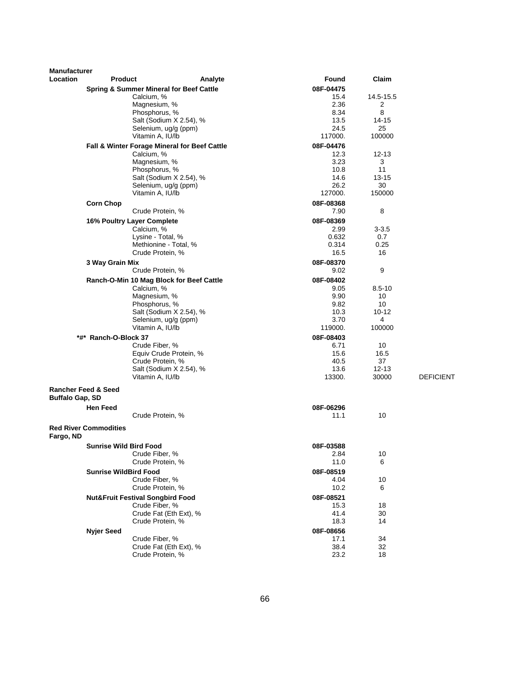| <b>Manufacturer</b>    |                                             |                                                        |         |                   |            |                  |
|------------------------|---------------------------------------------|--------------------------------------------------------|---------|-------------------|------------|------------------|
| <b>Location</b>        | <b>Product</b>                              |                                                        | Analyte | Found             | Claim      |                  |
|                        |                                             | <b>Spring &amp; Summer Mineral for Beef Cattle</b>     |         | 08F-04475         |            |                  |
|                        |                                             | Calcium, %                                             |         | 15.4              | 14.5-15.5  |                  |
|                        |                                             | Magnesium, %                                           |         | 2.36              | 2          |                  |
|                        |                                             | Phosphorus, %                                          |         | 8.34              | 8          |                  |
|                        |                                             | Salt (Sodium X 2.54), %                                |         | 13.5              | 14-15      |                  |
|                        |                                             | Selenium, ug/g (ppm)                                   |         | 24.5<br>117000.   | 25         |                  |
|                        |                                             | Vitamin A, IU/lb                                       |         |                   | 100000     |                  |
|                        |                                             | Fall & Winter Forage Mineral for Beef Cattle           |         | 08F-04476         |            |                  |
|                        |                                             | Calcium, %                                             |         | 12.3              | $12 - 13$  |                  |
|                        |                                             | Magnesium, %<br>Phosphorus, %                          |         | 3.23<br>10.8      | 3<br>11    |                  |
|                        |                                             | Salt (Sodium X 2.54), %                                |         | 14.6              | 13-15      |                  |
|                        |                                             | Selenium, ug/g (ppm)                                   |         | 26.2              | 30         |                  |
|                        |                                             | Vitamin A, IU/lb                                       |         | 127000.           | 150000     |                  |
|                        | <b>Corn Chop</b>                            |                                                        |         | 08F-08368         |            |                  |
|                        |                                             | Crude Protein, %                                       |         | 7.90              | 8          |                  |
|                        | 16% Poultry Layer Complete                  |                                                        |         | 08F-08369         |            |                  |
|                        |                                             | Calcium, %                                             |         | 2.99              | 3-3.5      |                  |
|                        |                                             | Lysine - Total, %                                      |         | 0.632             | 0.7        |                  |
|                        |                                             | Methionine - Total, %                                  |         | 0.314             | 0.25       |                  |
|                        |                                             | Crude Protein, %                                       |         | 16.5              | 16         |                  |
|                        | 3 Way Grain Mix                             |                                                        |         | 08F-08370         |            |                  |
|                        |                                             | Crude Protein, %                                       |         | 9.02              | 9          |                  |
|                        |                                             |                                                        |         |                   |            |                  |
|                        |                                             | Ranch-O-Min 10 Mag Block for Beef Cattle<br>Calcium, % |         | 08F-08402<br>9.05 | $8.5 - 10$ |                  |
|                        |                                             | Magnesium, %                                           |         | 9.90              | 10         |                  |
|                        |                                             | Phosphorus, %                                          |         | 9.82              | 10         |                  |
|                        |                                             | Salt (Sodium X 2.54), %                                |         | 10.3              | $10 - 12$  |                  |
|                        |                                             | Selenium, ug/g (ppm)                                   |         | 3.70              | 4          |                  |
|                        |                                             | Vitamin A, IU/lb                                       |         | 119000.           | 100000     |                  |
|                        | *#* Ranch-O-Block 37                        |                                                        |         | 08F-08403         |            |                  |
|                        |                                             | Crude Fiber, %                                         |         | 6.71              | 10         |                  |
|                        |                                             | Equiv Crude Protein, %                                 |         | 15.6              | 16.5       |                  |
|                        |                                             | Crude Protein, %                                       |         | 40.5              | 37         |                  |
|                        |                                             | Salt (Sodium X 2.54), %                                |         | 13.6              | 12-13      |                  |
|                        |                                             | Vitamin A, IU/lb                                       |         | 13300.            | 30000      | <b>DEFICIENT</b> |
|                        | <b>Rancher Feed &amp; Seed</b>              |                                                        |         |                   |            |                  |
| <b>Buffalo Gap, SD</b> |                                             |                                                        |         |                   |            |                  |
|                        | <b>Hen Feed</b>                             |                                                        |         | 08F-06296         |            |                  |
|                        |                                             | Crude Protein, %                                       |         | 11.1              | 10         |                  |
|                        |                                             |                                                        |         |                   |            |                  |
| Fargo, ND              | <b>Red River Commodities</b>                |                                                        |         |                   |            |                  |
|                        | <b>Sunrise Wild Bird Food</b>               |                                                        |         | 08F-03588         |            |                  |
|                        |                                             | Crude Fiber, %                                         |         | 2.84              | 10         |                  |
|                        |                                             | Crude Protein, %                                       |         | 11.0              | 6          |                  |
|                        | <b>Sunrise WildBird Food</b>                |                                                        |         | 08F-08519         |            |                  |
|                        |                                             | Crude Fiber, %                                         |         | 4.04              | 10         |                  |
|                        |                                             | Crude Protein, %                                       |         | 10.2              | 6          |                  |
|                        | <b>Nut&amp;Fruit Festival Songbird Food</b> |                                                        |         | 08F-08521         |            |                  |
|                        |                                             | Crude Fiber, %                                         |         | 15.3              | 18         |                  |
|                        |                                             | Crude Fat (Eth Ext), %                                 |         | 41.4              | 30         |                  |
|                        |                                             | Crude Protein, %                                       |         | 18.3              | 14         |                  |
|                        | <b>Nyjer Seed</b>                           |                                                        |         | 08F-08656         |            |                  |
|                        |                                             | Crude Fiber, %                                         |         | 17.1              | 34         |                  |
|                        |                                             | Crude Fat (Eth Ext), %                                 |         | 38.4              | 32         |                  |
|                        |                                             | Crude Protein, %                                       |         | 23.2              | 18         |                  |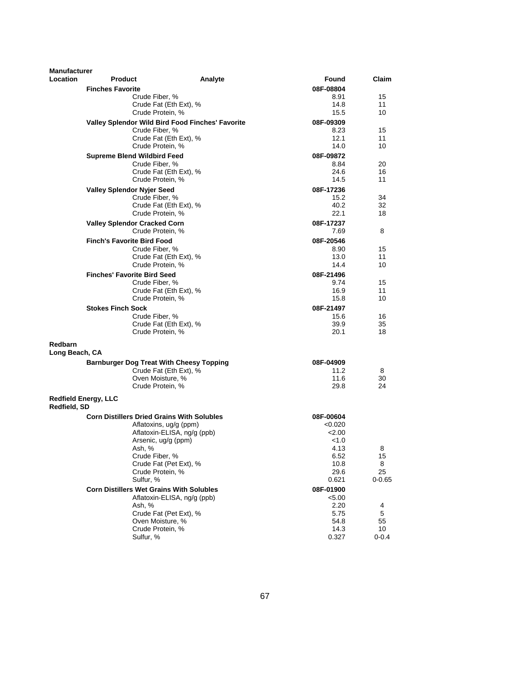| <b>Manufacturer</b> |                                                      |                                                  |                   |                 |
|---------------------|------------------------------------------------------|--------------------------------------------------|-------------------|-----------------|
| Location            | <b>Product</b>                                       | Analyte                                          | Found             | Claim           |
|                     | <b>Finches Favorite</b>                              |                                                  | 08F-08804         |                 |
|                     | Crude Fiber, %                                       |                                                  | 8.91              | 15              |
|                     |                                                      | Crude Fat (Eth Ext), %                           | 14.8              | 11              |
|                     | Crude Protein, %                                     |                                                  | 15.5              | 10              |
|                     |                                                      | Valley Splendor Wild Bird Food Finches' Favorite | 08F-09309         |                 |
|                     | Crude Fiber, %                                       |                                                  | 8.23              | 15              |
|                     | Crude Protein, %                                     | Crude Fat (Eth Ext), %                           | 12.1<br>14.0      | 11<br>10        |
|                     |                                                      |                                                  |                   |                 |
|                     | <b>Supreme Blend Wildbird Feed</b><br>Crude Fiber, % |                                                  | 08F-09872<br>8.84 | 20              |
|                     |                                                      | Crude Fat (Eth Ext), %                           | 24.6              | 16              |
|                     | Crude Protein, %                                     |                                                  | 14.5              | 11              |
|                     | <b>Valley Splendor Nyjer Seed</b>                    |                                                  | 08F-17236         |                 |
|                     | Crude Fiber, %                                       |                                                  | 15.2              | 34              |
|                     |                                                      | Crude Fat (Eth Ext), %                           | 40.2              | 32              |
|                     | Crude Protein, %                                     |                                                  | 22.1              | 18              |
|                     | <b>Valley Splendor Cracked Corn</b>                  |                                                  | 08F-17237         |                 |
|                     | Crude Protein, %                                     |                                                  | 7.69              | 8               |
|                     | <b>Finch's Favorite Bird Food</b>                    |                                                  | 08F-20546         |                 |
|                     | Crude Fiber, %                                       |                                                  | 8.90              | 15              |
|                     |                                                      | Crude Fat (Eth Ext), %                           | 13.0              | 11              |
|                     | Crude Protein, %                                     |                                                  | 14.4              | 10              |
|                     | <b>Finches' Favorite Bird Seed</b>                   |                                                  | 08F-21496         |                 |
|                     | Crude Fiber, %                                       | Crude Fat (Eth Ext), %                           | 9.74<br>16.9      | 15<br>11        |
|                     | Crude Protein, %                                     |                                                  | 15.8              | 10              |
|                     | <b>Stokes Finch Sock</b>                             |                                                  | 08F-21497         |                 |
|                     | Crude Fiber, %                                       |                                                  | 15.6              | 16              |
|                     |                                                      | Crude Fat (Eth Ext), %                           | 39.9              | 35              |
|                     | Crude Protein, %                                     |                                                  | 20.1              | 18              |
| Redbarn             |                                                      |                                                  |                   |                 |
| Long Beach, CA      |                                                      |                                                  |                   |                 |
|                     | <b>Barnburger Dog Treat With Cheesy Topping</b>      |                                                  | 08F-04909         |                 |
|                     |                                                      | Crude Fat (Eth Ext), %                           | 11.2              | 8               |
|                     | Oven Moisture, %                                     |                                                  | 11.6              | 30              |
|                     | Crude Protein, %                                     |                                                  | 29.8              | 24              |
| Redfield, SD        | <b>Redfield Energy, LLC</b>                          |                                                  |                   |                 |
|                     | <b>Corn Distillers Dried Grains With Solubles</b>    |                                                  | 08F-00604         |                 |
|                     |                                                      | Aflatoxins, ug/g (ppm)                           | < 0.020           |                 |
|                     |                                                      | Aflatoxin-ELISA, ng/g (ppb)                      | 2.00              |                 |
|                     | Arsenic, ug/g (ppm)                                  |                                                  | < 1.0             |                 |
|                     | Ash, %                                               |                                                  | 4.13              | 8               |
|                     | Crude Fiber, %                                       | Crude Fat (Pet Ext), %                           | 6.52<br>10.8      | 15<br>8         |
|                     | Crude Protein, %                                     |                                                  | 29.6              | 25              |
|                     | Sulfur, %                                            |                                                  | 0.621             | $0 - 0.65$      |
|                     | <b>Corn Distillers Wet Grains With Solubles</b>      |                                                  | 08F-01900         |                 |
|                     |                                                      | Aflatoxin-ELISA, ng/g (ppb)                      | < 5.00            |                 |
|                     | Ash, %                                               |                                                  | 2.20              | 4               |
|                     |                                                      | Crude Fat (Pet Ext), %                           | 5.75              | 5               |
|                     | Oven Moisture, %                                     |                                                  | 54.8              | 55              |
|                     | Crude Protein, %<br>Sulfur, %                        |                                                  | 14.3<br>0.327     | 10<br>$0 - 0.4$ |
|                     |                                                      |                                                  |                   |                 |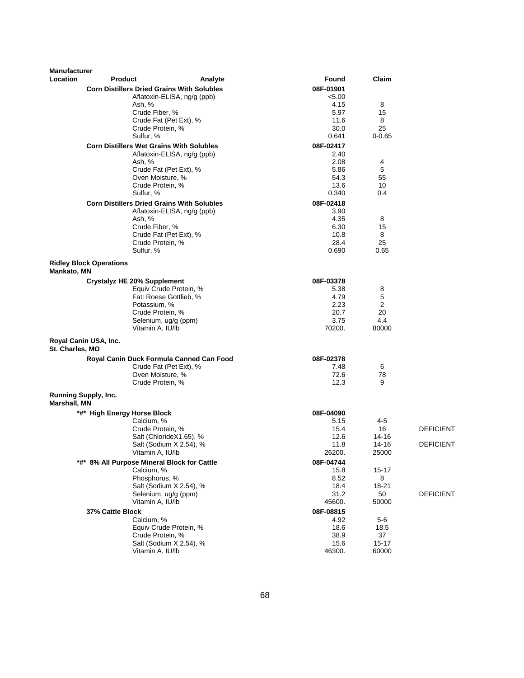| Manufacturer                         |                                |                                                           |         |                |                |                  |
|--------------------------------------|--------------------------------|-----------------------------------------------------------|---------|----------------|----------------|------------------|
| Location                             | <b>Product</b>                 |                                                           | Analyte | Found          | Claim          |                  |
|                                      |                                | <b>Corn Distillers Dried Grains With Solubles</b>         |         | 08F-01901      |                |                  |
|                                      |                                | Aflatoxin-ELISA, ng/g (ppb)                               |         | < 5.00         |                |                  |
|                                      |                                | Ash, %<br>Crude Fiber, %                                  |         | 4.15<br>5.97   | 8<br>15        |                  |
|                                      |                                | Crude Fat (Pet Ext), %                                    |         | 11.6           | 8              |                  |
|                                      |                                | Crude Protein, %                                          |         | 30.0           | 25             |                  |
|                                      |                                | Sulfur, %                                                 |         | 0.641          | $0 - 0.65$     |                  |
|                                      |                                | <b>Corn Distillers Wet Grains With Solubles</b>           |         | 08F-02417      |                |                  |
|                                      |                                | Aflatoxin-ELISA, ng/g (ppb)                               |         | 2.40           |                |                  |
|                                      |                                | Ash, %                                                    |         | 2.08           | 4              |                  |
|                                      |                                | Crude Fat (Pet Ext), %<br>Oven Moisture, %                |         | 5.86<br>54.3   | 5<br>55        |                  |
|                                      |                                | Crude Protein, %                                          |         | 13.6           | 10             |                  |
|                                      |                                | Sulfur, %                                                 |         | 0.340          | 0.4            |                  |
|                                      |                                | <b>Corn Distillers Dried Grains With Solubles</b>         |         | 08F-02418      |                |                  |
|                                      |                                | Aflatoxin-ELISA, ng/g (ppb)                               |         | 3.90           |                |                  |
|                                      |                                | Ash, %                                                    |         | 4.35           | 8              |                  |
|                                      |                                | Crude Fiber, %                                            |         | 6.30           | 15             |                  |
|                                      |                                | Crude Fat (Pet Ext), %<br>Crude Protein, %                |         | 10.8<br>28.4   | 8<br>25        |                  |
|                                      |                                | Sulfur, %                                                 |         | 0.690          | 0.65           |                  |
|                                      |                                |                                                           |         |                |                |                  |
| Mankato, MN                          | <b>Ridley Block Operations</b> |                                                           |         |                |                |                  |
|                                      |                                | <b>Crystalyz HE 20% Supplement</b>                        |         | 08F-03378      |                |                  |
|                                      |                                | Equiv Crude Protein, %                                    |         | 5.38           | 8              |                  |
|                                      |                                | Fat: Roese Gottlieb, %<br>Potassium, %                    |         | 4.79<br>2.23   | 5<br>2         |                  |
|                                      |                                | Crude Protein, %                                          |         | 20.7           | 20             |                  |
|                                      |                                | Selenium, ug/g (ppm)                                      |         | 3.75           | 4.4            |                  |
|                                      |                                | Vitamin A, IU/lb                                          |         | 70200.         | 80000          |                  |
| St. Charles, MO                      | Royal Canin USA, Inc.          |                                                           |         |                |                |                  |
|                                      |                                | Royal Canin Duck Formula Canned Can Food                  |         | 08F-02378      |                |                  |
|                                      |                                | Crude Fat (Pet Ext), %                                    |         | 7.48           | 6              |                  |
|                                      |                                | Oven Moisture, %                                          |         | 72.6           | 78             |                  |
|                                      |                                | Crude Protein, %                                          |         | 12.3           | 9              |                  |
| Running Supply, Inc.<br>Marshall, MN |                                |                                                           |         |                |                |                  |
|                                      | *#* High Energy Horse Block    |                                                           |         | 08F-04090      |                |                  |
|                                      |                                | Calcium, %                                                |         | 5.15           | 4-5            |                  |
|                                      |                                | Crude Protein, %                                          |         | 15.4           | 16             | <b>DEFICIENT</b> |
|                                      |                                | Salt (ChlorideX1.65), %                                   |         | 12.6           | 14-16          |                  |
|                                      |                                | Salt (Sodium X 2.54), %<br>Vitamin A, IU/lb               |         | 11.8<br>26200. | 14-16<br>25000 | <b>DEFICIENT</b> |
|                                      |                                |                                                           |         | 08F-04744      |                |                  |
|                                      |                                | *#* 8% All Purpose Mineral Block for Cattle<br>Calcium, % |         | 15.8           | $15 - 17$      |                  |
|                                      |                                | Phosphorus, %                                             |         | 8.52           | 8              |                  |
|                                      |                                | Salt (Sodium X 2.54), %                                   |         | 18.4           | 18-21          |                  |
|                                      |                                | Selenium, ug/g (ppm)                                      |         | 31.2           | 50             | <b>DEFICIENT</b> |
|                                      |                                | Vitamin A, IU/lb                                          |         | 45600.         | 50000          |                  |
|                                      | 37% Cattle Block               |                                                           |         | 08F-08815      |                |                  |
|                                      |                                | Calcium, %                                                |         | 4.92           | 5-6            |                  |
|                                      |                                | Equiv Crude Protein, %<br>Crude Protein, %                |         | 18.6<br>38.9   | 18.5<br>37     |                  |
|                                      |                                | Salt (Sodium X 2.54), %                                   |         | 15.6           | $15 - 17$      |                  |
|                                      |                                | Vitamin A, IU/lb                                          |         | 46300.         | 60000          |                  |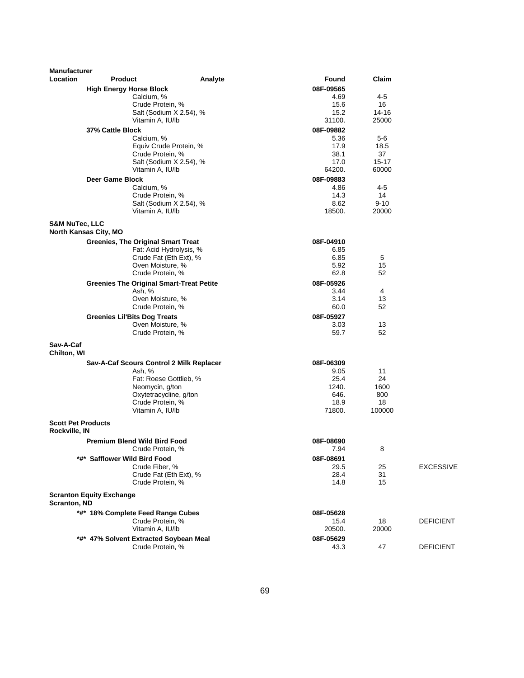| <b>Manufacturer</b>                        |                                                 |         |               |             |                  |
|--------------------------------------------|-------------------------------------------------|---------|---------------|-------------|------------------|
| Location                                   | <b>Product</b>                                  | Analyte | <b>Found</b>  | Claim       |                  |
|                                            | <b>High Energy Horse Block</b>                  |         | 08F-09565     |             |                  |
|                                            | Calcium, %                                      |         | 4.69          | 4-5         |                  |
|                                            | Crude Protein, %                                |         | 15.6          | 16          |                  |
|                                            | Salt (Sodium X 2.54), %                         |         | 15.2          | 14-16       |                  |
|                                            | Vitamin A, IU/lb                                |         | 31100.        | 25000       |                  |
|                                            | 37% Cattle Block                                |         | 08F-09882     |             |                  |
|                                            | Calcium, %                                      |         | 5.36<br>17.9  | 5-6<br>18.5 |                  |
|                                            | Equiv Crude Protein, %<br>Crude Protein, %      |         | 38.1          | 37          |                  |
|                                            | Salt (Sodium X 2.54), %                         |         | 17.0          | 15-17       |                  |
|                                            | Vitamin A, IU/lb                                |         | 64200.        | 60000       |                  |
|                                            | Deer Game Block                                 |         | 08F-09883     |             |                  |
|                                            | Calcium, %                                      |         | 4.86          | 4-5         |                  |
|                                            | Crude Protein, %                                |         | 14.3          | 14          |                  |
|                                            | Salt (Sodium X 2.54), %                         |         | 8.62          | $9 - 10$    |                  |
|                                            | Vitamin A, IU/lb                                |         | 18500.        | 20000       |                  |
| <b>S&amp;M NuTec, LLC</b>                  |                                                 |         |               |             |                  |
|                                            | <b>North Kansas City, MO</b>                    |         |               |             |                  |
|                                            | <b>Greenies, The Original Smart Treat</b>       |         | 08F-04910     |             |                  |
|                                            | Fat: Acid Hydrolysis, %                         |         | 6.85          |             |                  |
|                                            | Crude Fat (Eth Ext), %                          |         | 6.85          | 5           |                  |
|                                            | Oven Moisture, %                                |         | 5.92          | 15          |                  |
|                                            | Crude Protein, %                                |         | 62.8          | 52          |                  |
|                                            | <b>Greenies The Original Smart-Treat Petite</b> |         | 08F-05926     |             |                  |
|                                            | Ash, %                                          |         | 3.44          | 4           |                  |
|                                            | Oven Moisture, %                                |         | 3.14          | 13          |                  |
|                                            | Crude Protein, %                                |         | 60.0          | 52          |                  |
|                                            | <b>Greenies Lil'Bits Dog Treats</b>             |         | 08F-05927     |             |                  |
|                                            | Oven Moisture, %                                |         | 3.03<br>59.7  | 13<br>52    |                  |
|                                            | Crude Protein, %                                |         |               |             |                  |
| Sav-A-Caf                                  |                                                 |         |               |             |                  |
| Chilton, WI                                |                                                 |         |               |             |                  |
|                                            | Sav-A-Caf Scours Control 2 Milk Replacer        |         | 08F-06309     |             |                  |
|                                            | Ash, %                                          |         | 9.05          | 11          |                  |
|                                            | Fat: Roese Gottlieb, %<br>Neomycin, g/ton       |         | 25.4<br>1240. | 24<br>1600  |                  |
|                                            | Oxytetracycline, g/ton                          |         | 646.          | 800         |                  |
|                                            | Crude Protein, %                                |         | 18.9          | 18          |                  |
|                                            | Vitamin A, IU/lb                                |         | 71800.        | 100000      |                  |
| <b>Scott Pet Products</b><br>Rockville, IN |                                                 |         |               |             |                  |
|                                            | <b>Premium Blend Wild Bird Food</b>             |         | 08F-08690     |             |                  |
|                                            | Crude Protein, %                                |         | 7.94          | 8           |                  |
|                                            | *#* Safflower Wild Bird Food                    |         | 08F-08691     |             |                  |
|                                            | Crude Fiber, %                                  |         | 29.5          | 25          | <b>EXCESSIVE</b> |
|                                            | Crude Fat (Eth Ext), %                          |         | 28.4          | 31          |                  |
|                                            | Crude Protein, %                                |         | 14.8          | 15          |                  |
| Scranton, ND                               | <b>Scranton Equity Exchange</b>                 |         |               |             |                  |
|                                            | *#* 18% Complete Feed Range Cubes               |         | 08F-05628     |             |                  |
|                                            | Crude Protein, %                                |         | 15.4          | 18          | <b>DEFICIENT</b> |
|                                            | Vitamin A, IU/lb                                |         | 20500.        | 20000       |                  |
|                                            | *#* 47% Solvent Extracted Soybean Meal          |         | 08F-05629     |             |                  |
|                                            | Crude Protein, %                                |         | 43.3          | 47          | <b>DEFICIENT</b> |
|                                            |                                                 |         |               |             |                  |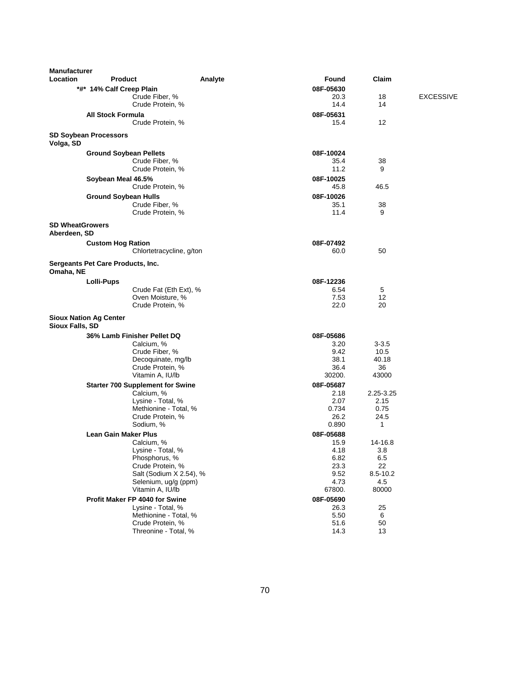| <b>Manufacturer</b><br>Location        | <b>Product</b>                          | Analyte                  | Found         | Claim        |                  |
|----------------------------------------|-----------------------------------------|--------------------------|---------------|--------------|------------------|
|                                        | *#* 14% Calf Creep Plain                |                          | 08F-05630     |              |                  |
|                                        | Crude Fiber, %                          |                          | 20.3          | 18           | <b>EXCESSIVE</b> |
|                                        | Crude Protein, %                        |                          | 14.4          | 14           |                  |
|                                        | <b>All Stock Formula</b>                |                          | 08F-05631     |              |                  |
|                                        | Crude Protein, %                        |                          | 15.4          | 12           |                  |
| Volga, SD                              | <b>SD Soybean Processors</b>            |                          |               |              |                  |
|                                        | <b>Ground Soybean Pellets</b>           |                          | 08F-10024     |              |                  |
|                                        | Crude Fiber, %                          |                          | 35.4          | 38           |                  |
|                                        | Crude Protein, %                        |                          | 11.2          | 9            |                  |
|                                        | Soybean Meal 46.5%                      |                          | 08F-10025     |              |                  |
|                                        | Crude Protein, %                        |                          | 45.8          | 46.5         |                  |
|                                        | <b>Ground Soybean Hulls</b>             |                          | 08F-10026     |              |                  |
|                                        | Crude Fiber, %                          |                          | 35.1          | 38           |                  |
|                                        | Crude Protein, %                        |                          | 11.4          | 9            |                  |
| <b>SD WheatGrowers</b><br>Aberdeen, SD |                                         |                          |               |              |                  |
|                                        | <b>Custom Hog Ration</b>                |                          | 08F-07492     |              |                  |
|                                        |                                         | Chlortetracycline, g/ton | 60.0          | 50           |                  |
| Omaha, NE                              | Sergeants Pet Care Products, Inc.       |                          |               |              |                  |
|                                        | <b>Lolli-Pups</b>                       |                          | 08F-12236     |              |                  |
|                                        |                                         | Crude Fat (Eth Ext), %   | 6.54          | 5            |                  |
|                                        |                                         | Oven Moisture, %         | 7.53          | 12           |                  |
|                                        | Crude Protein, %                        |                          | 22.0          | 20           |                  |
| Sioux Falls, SD                        | <b>Sioux Nation Ag Center</b>           |                          |               |              |                  |
|                                        | 36% Lamb Finisher Pellet DQ             |                          | 08F-05686     |              |                  |
|                                        | Calcium, %                              |                          | 3.20          | $3 - 3.5$    |                  |
|                                        | Crude Fiber, %                          |                          | 9.42          | 10.5         |                  |
|                                        |                                         | Decoquinate, mg/lb       | 38.1          | 40.18        |                  |
|                                        | Crude Protein, %                        |                          | 36.4          | 36           |                  |
|                                        | Vitamin A, IU/lb                        |                          | 30200.        | 43000        |                  |
|                                        | <b>Starter 700 Supplement for Swine</b> |                          | 08F-05687     |              |                  |
|                                        | Calcium, %                              |                          | 2.18          | 2.25-3.25    |                  |
|                                        | Lysine - Total, %                       |                          | 2.07          | 2.15         |                  |
|                                        |                                         | Methionine - Total, %    | 0.734         | 0.75         |                  |
|                                        | Crude Protein, %<br>Sodium, %           |                          | 26.2<br>0.890 | 24.5<br>1    |                  |
|                                        |                                         |                          |               |              |                  |
|                                        | Lean Gain Maker Plus                    |                          | 08F-05688     |              |                  |
|                                        | Calcium, %<br>Lysine - Total, %         |                          | 15.9<br>4.18  | 14-16.8      |                  |
|                                        | Phosphorus, %                           |                          | 6.82          | 3.8<br>6.5   |                  |
|                                        | Crude Protein, %                        |                          | 23.3          | 22           |                  |
|                                        |                                         | Salt (Sodium X 2.54), %  | 9.52          | $8.5 - 10.2$ |                  |
|                                        |                                         | Selenium, ug/g (ppm)     | 4.73          | 4.5          |                  |
|                                        | Vitamin A, IU/lb                        |                          | 67800.        | 80000        |                  |
|                                        | Profit Maker FP 4040 for Swine          |                          | 08F-05690     |              |                  |
|                                        | Lysine - Total, %                       |                          | 26.3          | 25           |                  |
|                                        |                                         | Methionine - Total, %    | 5.50          | 6            |                  |
|                                        | Crude Protein, %                        |                          | 51.6          | 50           |                  |
|                                        |                                         | Threonine - Total, %     | 14.3          | 13           |                  |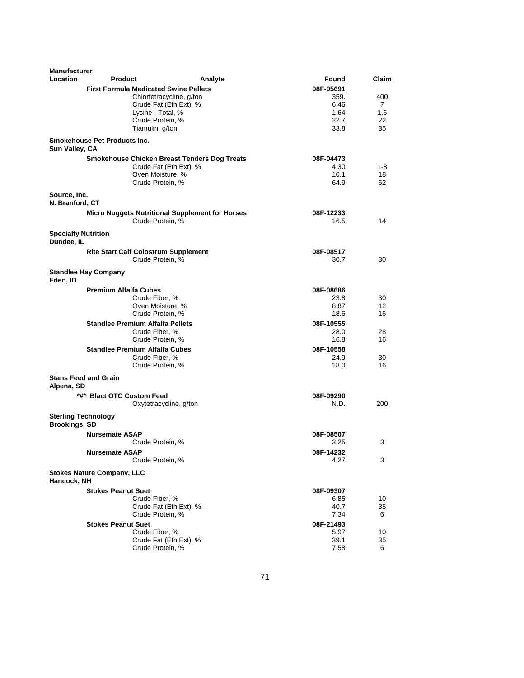| <b>Manufacturer</b><br>Location          | <b>Product</b>                               | Analyte                                                | Found     | Claim |
|------------------------------------------|----------------------------------------------|--------------------------------------------------------|-----------|-------|
|                                          |                                              |                                                        |           |       |
|                                          | <b>First Formula Medicated Swine Pellets</b> |                                                        | 08F-05691 |       |
|                                          |                                              | Chlortetracycline, g/ton                               | 359.      | 400   |
|                                          |                                              | Crude Fat (Eth Ext), %                                 | 6.46      | 7     |
|                                          | Lysine - Total, %                            |                                                        | 1.64      | 1.6   |
|                                          | Crude Protein, %                             |                                                        | 22.7      | 22    |
|                                          | Tiamulin, g/ton                              |                                                        | 33.8      | 35    |
| Sun Valley, CA                           | <b>Smokehouse Pet Products Inc.</b>          |                                                        |           |       |
|                                          |                                              | <b>Smokehouse Chicken Breast Tenders Dog Treats</b>    | 08F-04473 |       |
|                                          |                                              | Crude Fat (Eth Ext), %                                 | 4.30      | 1-8   |
|                                          | Oven Moisture, %                             |                                                        | 10.1      | 18    |
|                                          | Crude Protein, %                             |                                                        | 64.9      | 62    |
| Source, Inc.                             |                                              |                                                        |           |       |
| N. Branford, CT                          |                                              |                                                        |           |       |
|                                          |                                              | <b>Micro Nuggets Nutritional Supplement for Horses</b> | 08F-12233 |       |
|                                          | Crude Protein, %                             |                                                        | 16.5      | 14    |
| <b>Specialty Nutrition</b><br>Dundee, IL |                                              |                                                        |           |       |
|                                          | <b>Rite Start Calf Colostrum Supplement</b>  |                                                        | 08F-08517 |       |
|                                          | Crude Protein, %                             |                                                        | 30.7      | 30    |
| Eden, ID                                 | <b>Standlee Hay Company</b>                  |                                                        |           |       |
|                                          | <b>Premium Alfalfa Cubes</b>                 |                                                        | 08F-08686 |       |
|                                          | Crude Fiber, %                               |                                                        | 23.8      | 30    |
|                                          | Oven Moisture, %                             |                                                        | 8.87      | 12    |
|                                          | Crude Protein, %                             |                                                        | 18.6      | 16    |
|                                          | <b>Standlee Premium Alfalfa Pellets</b>      |                                                        | 08F-10555 |       |
|                                          | Crude Fiber, %                               |                                                        | 28.0      | 28    |
|                                          | Crude Protein, %                             |                                                        | 16.8      | 16    |
|                                          | <b>Standlee Premium Alfalfa Cubes</b>        |                                                        | 08F-10558 |       |
|                                          | Crude Fiber, %                               |                                                        | 24.9      | 30    |
|                                          | Crude Protein, %                             |                                                        | 18.0      | 16    |
|                                          | <b>Stans Feed and Grain</b>                  |                                                        |           |       |
| Alpena, SD                               |                                              |                                                        |           |       |
|                                          | *#* Blact OTC Custom Feed                    |                                                        | 08F-09290 |       |
|                                          |                                              | Oxytetracycline, g/ton                                 | N.D.      | 200   |
| <b>Brookings, SD</b>                     | <b>Sterling Technology</b>                   |                                                        |           |       |
|                                          | <b>Nursemate ASAP</b>                        |                                                        | 08F-08507 |       |
|                                          | Crude Protein, %                             |                                                        | 3.25      | 3     |
|                                          | <b>Nursemate ASAP</b>                        |                                                        | 08F-14232 |       |
|                                          | Crude Protein, %                             |                                                        | 4.27      | 3     |
|                                          |                                              |                                                        |           |       |
| Hancock, NH                              | <b>Stokes Nature Company, LLC</b>            |                                                        |           |       |
|                                          | <b>Stokes Peanut Suet</b>                    |                                                        | 08F-09307 |       |
|                                          | Crude Fiber, %                               |                                                        | 6.85      | 10    |
|                                          |                                              | Crude Fat (Eth Ext), %                                 | 40.7      | 35    |
|                                          | Crude Protein, %                             |                                                        | 7.34      | 6     |
|                                          | <b>Stokes Peanut Suet</b>                    |                                                        | 08F-21493 |       |
|                                          | Crude Fiber, %                               |                                                        | 5.97      | 10    |
|                                          |                                              | Crude Fat (Eth Ext), %                                 | 39.1      | 35    |
|                                          | Crude Protein, %                             |                                                        | 7.58      | 6     |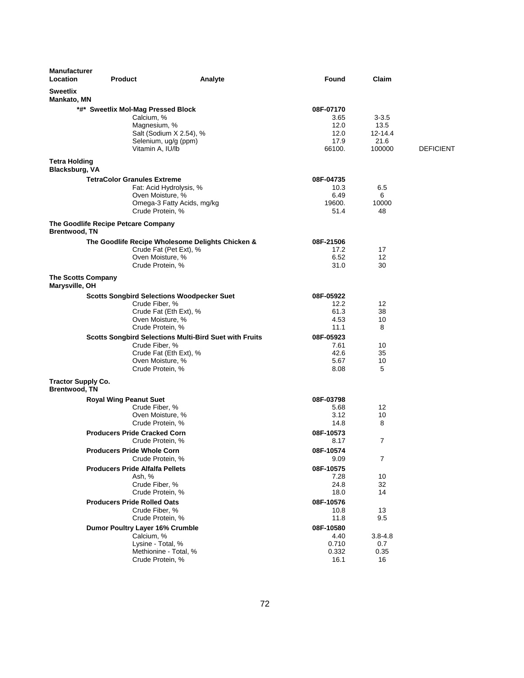| <b>Manufacturer</b><br>Location                   | <b>Product</b>                                         | Analyte | Found             | Claim           |                  |
|---------------------------------------------------|--------------------------------------------------------|---------|-------------------|-----------------|------------------|
| <b>Sweetlix</b><br><b>Mankato, MN</b>             |                                                        |         |                   |                 |                  |
|                                                   | *#* Sweetlix Mol-Mag Pressed Block                     |         | 08F-07170         |                 |                  |
|                                                   | Calcium, %                                             |         | 3.65              | $3 - 3.5$       |                  |
|                                                   | Magnesium, %                                           |         | 12.0              | 13.5            |                  |
|                                                   | Salt (Sodium X 2.54), %<br>Selenium, ug/g (ppm)        |         | 12.0<br>17.9      | 12-14.4<br>21.6 |                  |
|                                                   | Vitamin A, IU/lb                                       |         | 66100.            | 100000          | <b>DEFICIENT</b> |
| <b>Tetra Holding</b>                              |                                                        |         |                   |                 |                  |
| Blacksburg, VA                                    |                                                        |         |                   |                 |                  |
|                                                   | <b>TetraColor Granules Extreme</b>                     |         | 08F-04735         |                 |                  |
|                                                   | Fat: Acid Hydrolysis, %                                |         | 10.3              | 6.5             |                  |
|                                                   | Oven Moisture, %                                       |         | 6.49              | 6               |                  |
|                                                   | Omega-3 Fatty Acids, mg/kg<br>Crude Protein, %         |         | 19600.<br>51.4    | 10000<br>48     |                  |
|                                                   |                                                        |         |                   |                 |                  |
| <b>Brentwood, TN</b>                              | The Goodlife Recipe Petcare Company                    |         |                   |                 |                  |
|                                                   | The Goodlife Recipe Wholesome Delights Chicken &       |         | 08F-21506         |                 |                  |
|                                                   | Crude Fat (Pet Ext), %                                 |         | 17.2              | 17              |                  |
|                                                   | Oven Moisture, %                                       |         | 6.52              | 12              |                  |
|                                                   | Crude Protein, %                                       |         | 31.0              | 30              |                  |
| <b>The Scotts Company</b><br>Marysville, OH       |                                                        |         |                   |                 |                  |
|                                                   | <b>Scotts Songbird Selections Woodpecker Suet</b>      |         | 08F-05922         |                 |                  |
|                                                   | Crude Fiber, %                                         |         | 12.2              | 12              |                  |
|                                                   | Crude Fat (Eth Ext), %                                 |         | 61.3              | 38              |                  |
|                                                   | Oven Moisture, %<br>Crude Protein, %                   |         | 4.53<br>11.1      | 10<br>8         |                  |
|                                                   | Scotts Songbird Selections Multi-Bird Suet with Fruits |         | 08F-05923         |                 |                  |
|                                                   | Crude Fiber, %                                         |         | 7.61              | 10              |                  |
|                                                   | Crude Fat (Eth Ext), %                                 |         | 42.6              | 35              |                  |
|                                                   | Oven Moisture, %                                       |         | 5.67              | 10              |                  |
|                                                   | Crude Protein, %                                       |         | 8.08              | 5               |                  |
| <b>Tractor Supply Co.</b><br><b>Brentwood, TN</b> |                                                        |         |                   |                 |                  |
|                                                   | <b>Royal Wing Peanut Suet</b>                          |         | 08F-03798         |                 |                  |
|                                                   | Crude Fiber, %                                         |         | 5.68              | 12              |                  |
|                                                   | Oven Moisture, %                                       |         | 3.12              | 10              |                  |
|                                                   | Crude Protein, %                                       |         | 14.8              | 8               |                  |
|                                                   | <b>Producers Pride Cracked Corn</b>                    |         | 08F-10573         |                 |                  |
|                                                   | Crude Protein, %                                       |         | 8.17              | $\overline{7}$  |                  |
|                                                   | <b>Producers Pride Whole Corn</b><br>Crude Protein, %  |         | 08F-10574<br>9.09 | 7               |                  |
|                                                   | <b>Producers Pride Alfalfa Pellets</b>                 |         | 08F-10575         |                 |                  |
|                                                   | Ash, %                                                 |         | 7.28              | 10              |                  |
|                                                   | Crude Fiber, %                                         |         | 24.8              | 32              |                  |
|                                                   | Crude Protein, %                                       |         | 18.0              | 14              |                  |
|                                                   | <b>Producers Pride Rolled Oats</b>                     |         | 08F-10576         |                 |                  |
|                                                   | Crude Fiber, %                                         |         | 10.8              | 13              |                  |
|                                                   | Crude Protein, %                                       |         | 11.8              | 9.5             |                  |
|                                                   | Dumor Poultry Layer 16% Crumble<br>Calcium, %          |         | 08F-10580<br>4.40 | $3.8 - 4.8$     |                  |
|                                                   | Lysine - Total, %                                      |         | 0.710             | 0.7             |                  |
|                                                   | Methionine - Total, %                                  |         | 0.332             | 0.35            |                  |
|                                                   | Crude Protein, %                                       |         | 16.1              | 16              |                  |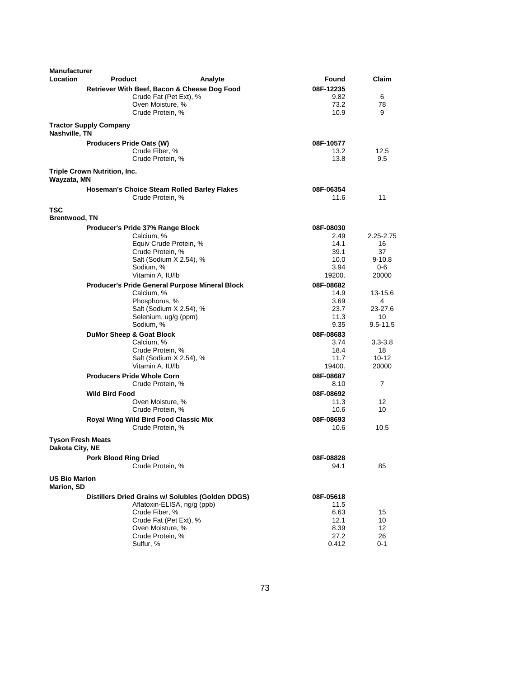| <b>Manufacturer</b><br>Location           | <b>Product</b>                      | Analyte                                                   | Found             | Claim           |
|-------------------------------------------|-------------------------------------|-----------------------------------------------------------|-------------------|-----------------|
|                                           |                                     | Retriever With Beef, Bacon & Cheese Dog Food              | 08F-12235         |                 |
|                                           |                                     | Crude Fat (Pet Ext), %                                    | 9.82              | 6               |
|                                           |                                     | Oven Moisture, %                                          | 73.2              | 78              |
|                                           |                                     | Crude Protein, %                                          | 10.9              | 9               |
| Nashville, TN                             | <b>Tractor Supply Company</b>       |                                                           |                   |                 |
|                                           | <b>Producers Pride Oats (W)</b>     |                                                           | 08F-10577         |                 |
|                                           |                                     | Crude Fiber, %                                            | 13.2              | 12.5            |
|                                           |                                     | Crude Protein, %                                          | 13.8              | 9.5             |
|                                           | Triple Crown Nutrition, Inc.        |                                                           |                   |                 |
| Wayzata, MN                               |                                     | <b>Hoseman's Choice Steam Rolled Barley Flakes</b>        | 08F-06354         |                 |
|                                           |                                     | Crude Protein, %                                          | 11.6              | 11              |
| TSC                                       |                                     |                                                           |                   |                 |
| Brentwood, TN                             |                                     |                                                           |                   |                 |
|                                           | Producer's Pride 37% Range Block    |                                                           | 08F-08030         |                 |
|                                           |                                     | Calcium, %<br>Equiv Crude Protein, %                      | 2.49<br>14.1      | 2.25-2.75<br>16 |
|                                           |                                     | Crude Protein, %                                          | 39.1              | 37              |
|                                           |                                     | Salt (Sodium X 2.54), %                                   | 10.0              | $9-10.8$        |
|                                           |                                     | Sodium, %                                                 | 3.94              | 0-6             |
|                                           |                                     | Vitamin A, IU/lb                                          | 19200.            | 20000           |
|                                           |                                     | Producer's Pride General Purpose Mineral Block            | 08F-08682         |                 |
|                                           |                                     | Calcium, %                                                | 14.9              | 13-15.6         |
|                                           |                                     | Phosphorus, %                                             | 3.69              | 4               |
|                                           |                                     | Salt (Sodium X 2.54), %                                   | 23.7              | 23-27.6         |
|                                           |                                     | Selenium, ug/g (ppm)                                      | 11.3              | 10              |
|                                           |                                     | Sodium, %                                                 | 9.35              | 9.5-11.5        |
|                                           | <b>DuMor Sheep &amp; Goat Block</b> |                                                           | 08F-08683         |                 |
|                                           |                                     | Calcium, %                                                | 3.74              | $3.3 - 3.8$     |
|                                           |                                     | Crude Protein, %                                          | 18.4              | 18              |
|                                           |                                     | Salt (Sodium X 2.54), %                                   | 11.7              | 10-12           |
|                                           |                                     | Vitamin A, IU/lb                                          | 19400.            | 20000           |
|                                           | <b>Producers Pride Whole Corn</b>   |                                                           | 08F-08687         |                 |
|                                           |                                     | Crude Protein, %                                          | 8.10              | 7               |
|                                           |                                     |                                                           |                   |                 |
|                                           | <b>Wild Bird Food</b>               |                                                           | 08F-08692         |                 |
|                                           |                                     | Oven Moisture, %<br>Crude Protein, %                      | 11.3<br>10.6      | 12<br>10        |
|                                           |                                     |                                                           |                   |                 |
|                                           |                                     | Royal Wing Wild Bird Food Classic Mix<br>Crude Protein, % | 08F-08693<br>10.6 | 10.5            |
| Tyson Fresh Meats                         |                                     |                                                           |                   |                 |
| Dakota City, NE                           |                                     |                                                           |                   |                 |
|                                           | <b>Pork Blood Ring Dried</b>        |                                                           | 08F-08828         |                 |
|                                           |                                     | Crude Protein, %                                          | 94.1              | 85              |
| <b>US Bio Marion</b><br><b>Marion, SD</b> |                                     |                                                           |                   |                 |
|                                           |                                     | Distillers Dried Grains w/ Solubles (Golden DDGS)         | 08F-05618         |                 |
|                                           |                                     | Aflatoxin-ELISA, ng/g (ppb)                               | 11.5              |                 |
|                                           |                                     | Crude Fiber, %                                            | 6.63              | 15              |
|                                           |                                     | Crude Fat (Pet Ext), %                                    | 12.1              | 10              |
|                                           |                                     | Oven Moisture, %                                          | 8.39              | 12              |
|                                           |                                     | Crude Protein, %                                          | 27.2              | 26              |
|                                           | Sulfur, %                           |                                                           | 0.412             | 0-1             |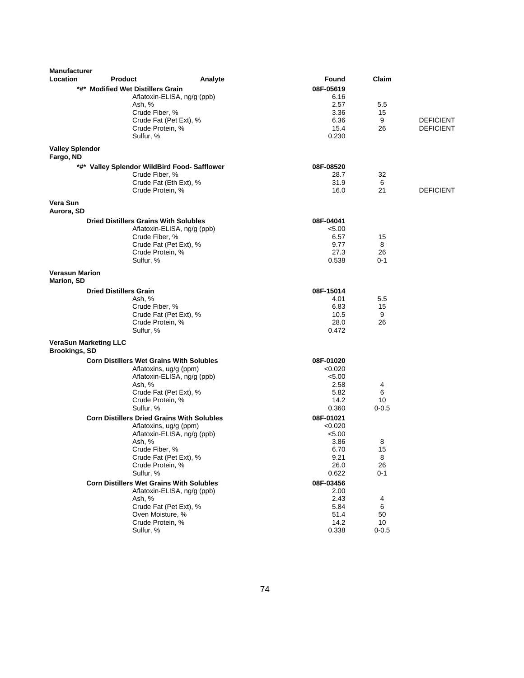| <b>Manufacturer</b>                                  |                                                   |                                              |               |                 |                  |
|------------------------------------------------------|---------------------------------------------------|----------------------------------------------|---------------|-----------------|------------------|
| Location                                             | <b>Product</b>                                    | Analyte                                      | Found         | Claim           |                  |
|                                                      | *#* Modified Wet Distillers Grain                 |                                              | 08F-05619     |                 |                  |
|                                                      | Ash, %                                            | Aflatoxin-ELISA, ng/g (ppb)                  | 6.16<br>2.57  | 5.5             |                  |
|                                                      | Crude Fiber, %                                    |                                              | 3.36          | 15              |                  |
|                                                      |                                                   | Crude Fat (Pet Ext), %                       | 6.36          | 9               | <b>DEFICIENT</b> |
|                                                      | Crude Protein, %                                  |                                              | 15.4          | 26              | <b>DEFICIENT</b> |
|                                                      | Sulfur, %                                         |                                              | 0.230         |                 |                  |
| <b>Valley Splendor</b><br>Fargo, ND                  |                                                   |                                              |               |                 |                  |
|                                                      |                                                   | *#* Valley Splendor WildBird Food- Safflower | 08F-08520     |                 |                  |
|                                                      | Crude Fiber, %                                    |                                              | 28.7          | 32              |                  |
|                                                      |                                                   | Crude Fat (Eth Ext), %                       | 31.9          | 6               |                  |
|                                                      | Crude Protein, %                                  |                                              | 16.0          | 21              | <b>DEFICIENT</b> |
| Vera Sun<br>Aurora, SD                               |                                                   |                                              |               |                 |                  |
|                                                      | <b>Dried Distillers Grains With Solubles</b>      |                                              | 08F-04041     |                 |                  |
|                                                      |                                                   | Aflatoxin-ELISA, ng/g (ppb)                  | < 5.00        |                 |                  |
|                                                      | Crude Fiber, %                                    |                                              | 6.57          | 15              |                  |
|                                                      |                                                   | Crude Fat (Pet Ext), %                       | 9.77          | 8               |                  |
|                                                      | Crude Protein, %                                  |                                              | 27.3          | 26              |                  |
|                                                      | Sulfur, %                                         |                                              | 0.538         | $0 - 1$         |                  |
| <b>Verasun Marion</b><br><b>Marion, SD</b>           |                                                   |                                              |               |                 |                  |
|                                                      | <b>Dried Distillers Grain</b>                     |                                              | 08F-15014     |                 |                  |
|                                                      | Ash, %                                            |                                              | 4.01          | 5.5             |                  |
|                                                      | Crude Fiber, %                                    |                                              | 6.83          | 15              |                  |
|                                                      |                                                   | Crude Fat (Pet Ext), %                       | 10.5          | 9               |                  |
|                                                      | Crude Protein, %<br>Sulfur, %                     |                                              | 28.0<br>0.472 | 26              |                  |
|                                                      |                                                   |                                              |               |                 |                  |
| <b>VeraSun Marketing LLC</b><br><b>Brookings, SD</b> |                                                   |                                              |               |                 |                  |
|                                                      | <b>Corn Distillers Wet Grains With Solubles</b>   |                                              | 08F-01020     |                 |                  |
|                                                      |                                                   | Aflatoxins, ug/g (ppm)                       | < 0.020       |                 |                  |
|                                                      |                                                   | Aflatoxin-ELISA, ng/g (ppb)                  | < 5.00        |                 |                  |
|                                                      | Ash, %                                            |                                              | 2.58          | 4               |                  |
|                                                      | Crude Protein, %                                  | Crude Fat (Pet Ext), %                       | 5.82<br>14.2  | 6<br>10         |                  |
|                                                      | Sulfur, %                                         |                                              | 0.360         | $0 - 0.5$       |                  |
|                                                      | <b>Corn Distillers Dried Grains With Solubles</b> |                                              | 08F-01021     |                 |                  |
|                                                      |                                                   | Aflatoxins, ug/g (ppm)                       | < 0.020       |                 |                  |
|                                                      |                                                   | Aflatoxin-ELISA, ng/g (ppb)                  | < 5.00        |                 |                  |
|                                                      | Ash, %                                            |                                              | 3.86          | 8               |                  |
|                                                      | Crude Fiber, %                                    |                                              | 6.70          | 15              |                  |
|                                                      | Crude Protein, %                                  | Crude Fat (Pet Ext), %                       | 9.21<br>26.0  | 8<br>26         |                  |
|                                                      | Sulfur, %                                         |                                              | 0.622         | $0 - 1$         |                  |
|                                                      | <b>Corn Distillers Wet Grains With Solubles</b>   |                                              | 08F-03456     |                 |                  |
|                                                      |                                                   | Aflatoxin-ELISA, ng/g (ppb)                  | 2.00          |                 |                  |
|                                                      | Ash, %                                            |                                              | 2.43          | 4               |                  |
|                                                      |                                                   | Crude Fat (Pet Ext), %                       | 5.84          | 6               |                  |
|                                                      | Oven Moisture, %                                  |                                              | 51.4          | 50              |                  |
|                                                      | Crude Protein, %<br>Sulfur, %                     |                                              | 14.2<br>0.338 | 10<br>$0 - 0.5$ |                  |
|                                                      |                                                   |                                              |               |                 |                  |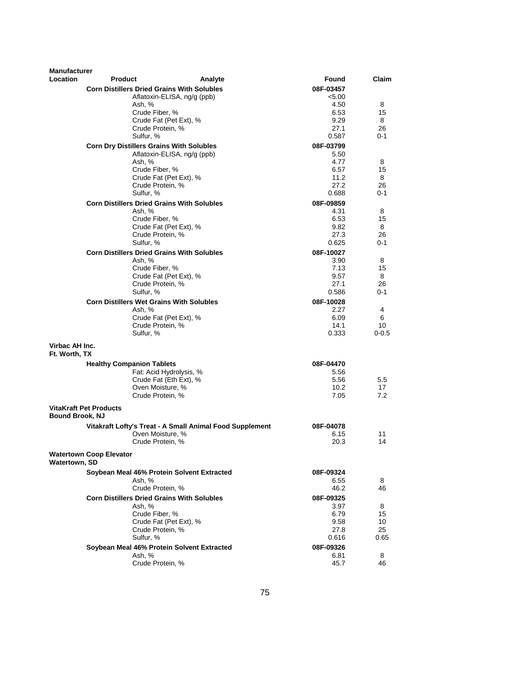| <b>Manufacturer</b>             |                                |                                                   |                                                          |                   |           |
|---------------------------------|--------------------------------|---------------------------------------------------|----------------------------------------------------------|-------------------|-----------|
| Location                        | <b>Product</b>                 |                                                   | Analyte                                                  | <b>Found</b>      | Claim     |
|                                 |                                | <b>Corn Distillers Dried Grains With Solubles</b> |                                                          | 08F-03457         |           |
|                                 |                                | Aflatoxin-ELISA, ng/g (ppb)                       |                                                          | < 5.00            |           |
|                                 |                                | Ash, %                                            |                                                          | 4.50              | 8         |
|                                 |                                | Crude Fiber, %                                    |                                                          | 6.53              | 15        |
|                                 |                                | Crude Fat (Pet Ext), %                            |                                                          | 9.29              | 8         |
|                                 |                                | Crude Protein, %                                  |                                                          | 27.1              | 26        |
|                                 |                                | Sulfur, %                                         |                                                          | 0.587             | $0 - 1$   |
|                                 |                                | <b>Corn Dry Distillers Grains With Solubles</b>   |                                                          | 08F-03799         |           |
|                                 |                                | Aflatoxin-ELISA, ng/g (ppb)<br>Ash. %             |                                                          | 5.50<br>4.77      | 8         |
|                                 |                                | Crude Fiber, %                                    |                                                          | 6.57              | 15        |
|                                 |                                | Crude Fat (Pet Ext), %                            |                                                          | 11.2              | 8         |
|                                 |                                | Crude Protein, %                                  |                                                          | 27.2              | 26        |
|                                 |                                | Sulfur, %                                         |                                                          | 0.688             | $0 - 1$   |
|                                 |                                | <b>Corn Distillers Dried Grains With Solubles</b> |                                                          | 08F-09859         |           |
|                                 |                                | Ash, %                                            |                                                          | 4.31              | 8         |
|                                 |                                | Crude Fiber, %                                    |                                                          | 6.53              | 15        |
|                                 |                                | Crude Fat (Pet Ext), %                            |                                                          | 9.82              | 8         |
|                                 |                                | Crude Protein, %                                  |                                                          | 27.3              | 26        |
|                                 |                                | Sulfur, %                                         |                                                          | 0.625             | $0 - 1$   |
|                                 |                                | <b>Corn Distillers Dried Grains With Solubles</b> |                                                          | 08F-10027         |           |
|                                 |                                | Ash, %                                            |                                                          | 3.90              | 8         |
|                                 |                                | Crude Fiber, %                                    |                                                          | 7.13              | 15        |
|                                 |                                | Crude Fat (Pet Ext), %                            |                                                          | 9.57              | 8         |
|                                 |                                | Crude Protein, %                                  |                                                          | 27.1              | 26        |
|                                 |                                | Sulfur. %                                         |                                                          | 0.586             | $0 - 1$   |
|                                 |                                | <b>Corn Distillers Wet Grains With Solubles</b>   |                                                          | 08F-10028         |           |
|                                 |                                | Ash, %                                            |                                                          | 2.27              | 4         |
|                                 |                                | Crude Fat (Pet Ext), %<br>Crude Protein, %        |                                                          | 6.09<br>14.1      | 6<br>10   |
|                                 |                                | Sulfur, %                                         |                                                          | 0.333             | $0 - 0.5$ |
|                                 |                                |                                                   |                                                          |                   |           |
| Virbac AH Inc.<br>Ft. Worth, TX |                                |                                                   |                                                          |                   |           |
|                                 |                                |                                                   |                                                          |                   |           |
|                                 |                                | <b>Healthy Companion Tablets</b>                  |                                                          | 08F-04470<br>5.56 |           |
|                                 |                                | Fat: Acid Hydrolysis, %<br>Crude Fat (Eth Ext), % |                                                          | 5.56              | 5.5       |
|                                 |                                | Oven Moisture, %                                  |                                                          | 10.2 <sub>2</sub> | 17        |
|                                 |                                | Crude Protein, %                                  |                                                          | 7.05              | 7.2       |
|                                 |                                |                                                   |                                                          |                   |           |
| <b>Bound Brook, NJ</b>          | <b>VitaKraft Pet Products</b>  |                                                   |                                                          |                   |           |
|                                 |                                |                                                   | Vitakraft Lofty's Treat - A Small Animal Food Supplement | 08F-04078         |           |
|                                 |                                | Oven Moisture, %                                  |                                                          | 6.15              | 11        |
|                                 |                                | Crude Protein, %                                  |                                                          | 20.3              | 14        |
| Watertown, SD                   | <b>Watertown Coop Elevator</b> |                                                   |                                                          |                   |           |
|                                 |                                | Soybean Meal 46% Protein Solvent Extracted        |                                                          | 08F-09324         |           |
|                                 |                                | Ash, %                                            |                                                          | 6.55              | 8         |
|                                 |                                | Crude Protein, %                                  |                                                          | 46.2              | 46        |
|                                 |                                | <b>Corn Distillers Dried Grains With Solubles</b> |                                                          | 08F-09325         |           |
|                                 |                                | Ash, %                                            |                                                          | 3.97              | 8         |
|                                 |                                | Crude Fiber, %                                    |                                                          | 6.79              | 15        |
|                                 |                                | Crude Fat (Pet Ext), %                            |                                                          | 9.58              | 10        |
|                                 |                                | Crude Protein, %                                  |                                                          | 27.8              | 25        |
|                                 |                                | Sulfur, %                                         |                                                          | 0.616             | 0.65      |
|                                 |                                | Soybean Meal 46% Protein Solvent Extracted        |                                                          | 08F-09326         |           |
|                                 |                                | Ash, %                                            |                                                          | 6.81              | 8         |
|                                 |                                | Crude Protein, %                                  |                                                          | 45.7              | 46        |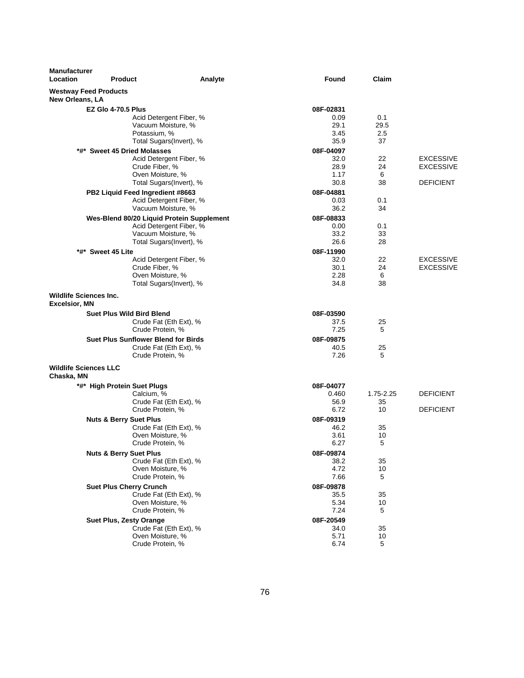| <b>Manufacturer</b><br>Location                       | <b>Product</b>                             | Analyte                 | <b>Found</b> | Claim     |                  |
|-------------------------------------------------------|--------------------------------------------|-------------------------|--------------|-----------|------------------|
| <b>Westway Feed Products</b><br>New Orleans, LA       |                                            |                         |              |           |                  |
|                                                       | <b>EZ Glo 4-70.5 Plus</b>                  |                         | 08F-02831    |           |                  |
|                                                       |                                            | Acid Detergent Fiber, % | 0.09         | 0.1       |                  |
|                                                       | Vacuum Moisture, %                         |                         | 29.1         | 29.5      |                  |
|                                                       | Potassium, %                               |                         | 3.45         | 2.5       |                  |
|                                                       |                                            | Total Sugars(Invert), % | 35.9         | 37        |                  |
|                                                       | *#* Sweet 45 Dried Molasses                |                         | 08F-04097    |           |                  |
|                                                       |                                            | Acid Detergent Fiber, % | 32.0         | 22        | <b>EXCESSIVE</b> |
|                                                       | Crude Fiber, %                             |                         | 28.9         | 24        | <b>EXCESSIVE</b> |
|                                                       | Oven Moisture, %                           | Total Sugars(Invert), % | 1.17<br>30.8 | 6<br>38   | <b>DEFICIENT</b> |
|                                                       |                                            |                         |              |           |                  |
|                                                       | PB2 Liquid Feed Ingredient #8663           |                         | 08F-04881    |           |                  |
|                                                       | Vacuum Moisture, %                         | Acid Detergent Fiber, % | 0.03<br>36.2 | 0.1<br>34 |                  |
|                                                       |                                            |                         |              |           |                  |
|                                                       | Wes-Blend 80/20 Liquid Protein Supplement  |                         | 08F-08833    |           |                  |
|                                                       | Vacuum Moisture, %                         | Acid Detergent Fiber, % | 0.00<br>33.2 | 0.1<br>33 |                  |
|                                                       |                                            | Total Sugars(Invert), % | 26.6         | 28        |                  |
|                                                       | *#* Sweet 45 Lite                          |                         | 08F-11990    |           |                  |
|                                                       |                                            | Acid Detergent Fiber, % | 32.0         | 22        | <b>EXCESSIVE</b> |
|                                                       | Crude Fiber, %                             |                         | 30.1         | 24        | <b>EXCESSIVE</b> |
|                                                       | Oven Moisture, %                           |                         | 2.28         | 6         |                  |
|                                                       |                                            | Total Sugars(Invert), % | 34.8         | 38        |                  |
| <b>Wildlife Sciences Inc.</b><br><b>Excelsior, MN</b> |                                            |                         |              |           |                  |
|                                                       | <b>Suet Plus Wild Bird Blend</b>           |                         | 08F-03590    |           |                  |
|                                                       | Crude Fat (Eth Ext), %                     |                         | 37.5         | 25        |                  |
|                                                       | Crude Protein, %                           |                         | 7.25         | 5         |                  |
|                                                       | <b>Suet Plus Sunflower Blend for Birds</b> |                         | 08F-09875    |           |                  |
|                                                       | Crude Fat (Eth Ext), %                     |                         | 40.5         | 25        |                  |
|                                                       | Crude Protein, %                           |                         | 7.26         | 5         |                  |
| <b>Wildlife Sciences LLC</b><br>Chaska, MN            |                                            |                         |              |           |                  |
|                                                       | *#* High Protein Suet Plugs                |                         | 08F-04077    |           |                  |
|                                                       | Calcium, %                                 |                         | 0.460        | 1.75-2.25 | <b>DEFICIENT</b> |
|                                                       | Crude Fat (Eth Ext), %                     |                         | 56.9         | 35        |                  |
|                                                       | Crude Protein, %                           |                         | 6.72         | 10        | <b>DEFICIENT</b> |
|                                                       | <b>Nuts &amp; Berry Suet Plus</b>          |                         | 08F-09319    |           |                  |
|                                                       | Crude Fat (Eth Ext), %                     |                         | 46.2         | 35        |                  |
|                                                       | Oven Moisture, %                           |                         | 3.61         | 10        |                  |
|                                                       | Crude Protein, %                           |                         | 6.27         | 5         |                  |
|                                                       | <b>Nuts &amp; Berry Suet Plus</b>          |                         | 08F-09874    |           |                  |
|                                                       | Crude Fat (Eth Ext), %                     |                         | 38.2         | 35        |                  |
|                                                       | Oven Moisture, %<br>Crude Protein, %       |                         | 4.72<br>7.66 | 10<br>5   |                  |
|                                                       |                                            |                         |              |           |                  |
|                                                       | <b>Suet Plus Cherry Crunch</b>             |                         | 08F-09878    |           |                  |
|                                                       | Crude Fat (Eth Ext), %<br>Oven Moisture, % |                         | 35.5<br>5.34 | 35<br>10  |                  |
|                                                       | Crude Protein, %                           |                         | 7.24         | 5         |                  |
|                                                       | <b>Suet Plus, Zesty Orange</b>             |                         | 08F-20549    |           |                  |
|                                                       | Crude Fat (Eth Ext), %                     |                         | 34.0         | 35        |                  |
|                                                       | Oven Moisture, %                           |                         | 5.71         | 10        |                  |
|                                                       | Crude Protein, %                           |                         | 6.74         | 5         |                  |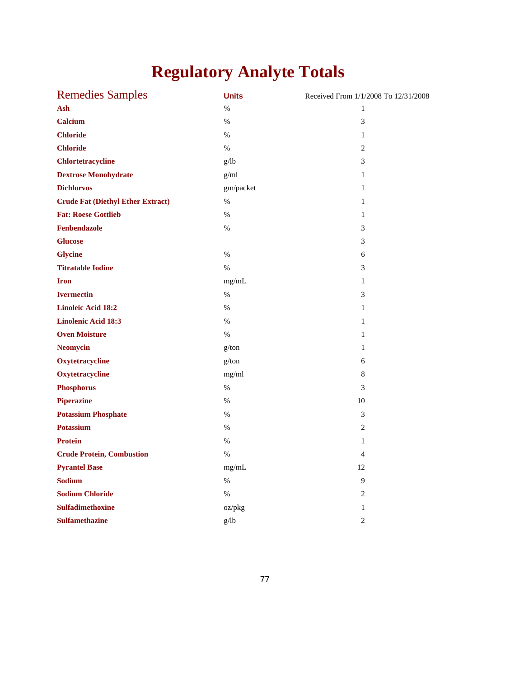# **Regulatory Analyte Totals**

| <b>Remedies Samples</b>                  | <b>Units</b> | Received From 1/1/2008 To 12/31/2008 |
|------------------------------------------|--------------|--------------------------------------|
| Ash                                      | %            | 1                                    |
| <b>Calcium</b>                           | $\%$         | 3                                    |
| <b>Chloride</b>                          | $\%$         | 1                                    |
| <b>Chloride</b>                          | %            | 2                                    |
| <b>Chlortetracycline</b>                 | g/lb         | 3                                    |
| <b>Dextrose Monohydrate</b>              | g/ml         | $\mathbf{1}$                         |
| <b>Dichlorvos</b>                        | gm/packet    | $\mathbf{1}$                         |
| <b>Crude Fat (Diethyl Ether Extract)</b> | $\%$         | $\mathbf{1}$                         |
| <b>Fat: Roese Gottlieb</b>               | $\%$         | $\mathbf{1}$                         |
| Fenbendazole                             | $\%$         | 3                                    |
| <b>Glucose</b>                           |              | 3                                    |
| <b>Glycine</b>                           | $\%$         | 6                                    |
| <b>Titratable Iodine</b>                 | $\%$         | 3                                    |
| <b>Iron</b>                              | mg/mL        | $\mathbf{1}$                         |
| <b>Ivermectin</b>                        | $\%$         | 3                                    |
| <b>Linoleic Acid 18:2</b>                | $\%$         | $\mathbf{1}$                         |
| <b>Linolenic Acid 18:3</b>               | $\%$         | $\mathbf{1}$                         |
| <b>Oven Moisture</b>                     | $\%$         | $\mathbf{1}$                         |
| <b>Neomycin</b>                          | g/ton        | $\mathbf{1}$                         |
| Oxytetracycline                          | g/ton        | 6                                    |
| Oxytetracycline                          | mg/ml        | 8                                    |
| <b>Phosphorus</b>                        | $\%$         | 3                                    |
| <b>Piperazine</b>                        | $\%$         | 10                                   |
| <b>Potassium Phosphate</b>               | $\%$         | 3                                    |
| <b>Potassium</b>                         | $\%$         | $\overline{c}$                       |
| <b>Protein</b>                           | $\%$         | $\mathbf{1}$                         |
| <b>Crude Protein, Combustion</b>         | $\%$         | $\overline{4}$                       |
| <b>Pyrantel Base</b>                     | mg/mL        | 12                                   |
| <b>Sodium</b>                            | $\%$         | 9                                    |
| <b>Sodium Chloride</b>                   | %            | 2                                    |
| <b>Sulfadimethoxine</b>                  | oz/pkg       | $\mathbf{1}$                         |
| <b>Sulfamethazine</b>                    | g/lb         | $\overline{c}$                       |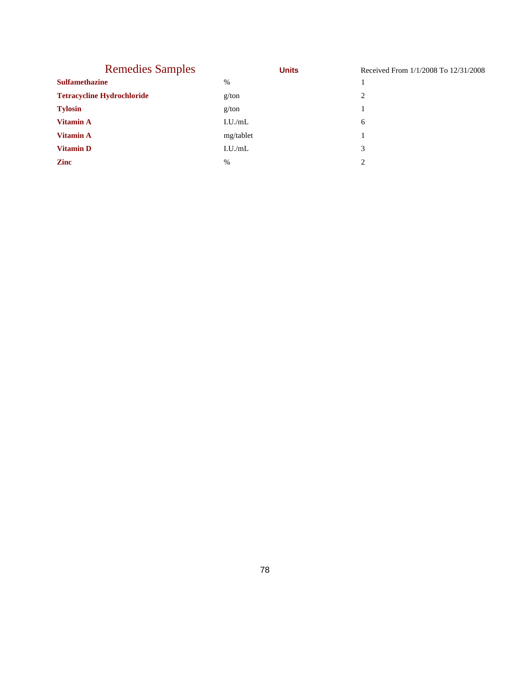| <b>Remedies Samples</b>           |               | <b>Units</b> | Received From 1/1/2008 To 12/31/2008 |
|-----------------------------------|---------------|--------------|--------------------------------------|
| <b>Sulfamethazine</b>             | $\%$          |              |                                      |
| <b>Tetracycline Hydrochloride</b> | g/ton         |              | 2                                    |
| <b>Tylosin</b>                    | g/ton         |              |                                      |
| <b>Vitamin A</b>                  | I.U./mL       |              | 6                                    |
| <b>Vitamin A</b>                  | mg/tablet     |              |                                      |
| <b>Vitamin D</b>                  | I.U./mL       |              | 3                                    |
| <b>Zinc</b>                       | $\frac{0}{0}$ |              | ↑                                    |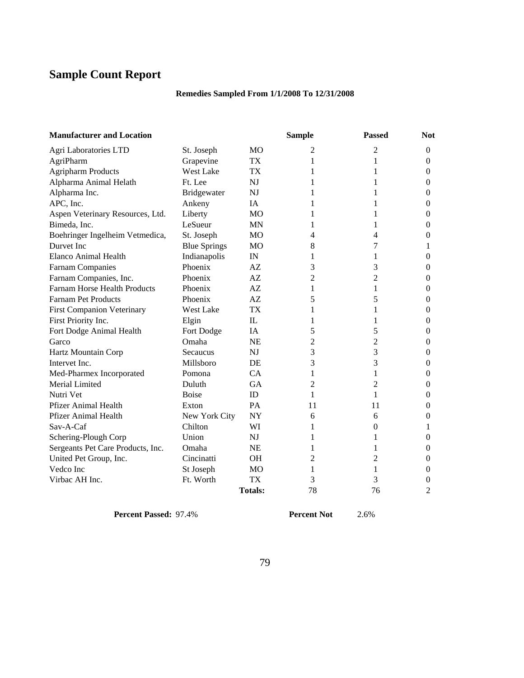# **Sample Count Report**

## **Remedies Sampled From 1/1/2008 To 12/31/2008**

| <b>Manufacturer and Location</b>  |                     |                | <b>Sample</b> | <b>Passed</b>  | <b>Not</b>     |
|-----------------------------------|---------------------|----------------|---------------|----------------|----------------|
| Agri Laboratories LTD             | St. Joseph          | MO             | 2             | 2              | $\mathbf{0}$   |
| AgriPharm                         | Grapevine           | TX             | 1             | 1              | $\mathbf{0}$   |
| <b>Agripharm Products</b>         | <b>West Lake</b>    | <b>TX</b>      | 1             | 1              | $\mathbf{0}$   |
| Alpharma Animal Helath            | Ft. Lee             | <b>NJ</b>      |               | 1              | $\mathbf{0}$   |
| Alpharma Inc.                     | <b>Bridgewater</b>  | N <sub>J</sub> | 1             | 1              | $\mathbf{0}$   |
| APC, Inc.                         | Ankeny              | IA             | 1             | 1              | $\mathbf{0}$   |
| Aspen Veterinary Resources, Ltd.  | Liberty             | M <sub>O</sub> | 1             | 1              | 0              |
| Bimeda, Inc.                      | LeSueur             | <b>MN</b>      | 1             | 1              | $\overline{0}$ |
| Boehringer Ingelheim Vetmedica,   | St. Joseph          | M <sub>O</sub> | 4             | 4              | $\overline{0}$ |
| Durvet Inc                        | <b>Blue Springs</b> | MO             | 8             | 7              | 1              |
| Elanco Animal Health              | Indianapolis        | IN             | 1             | 1              | $\mathbf{0}$   |
| Farnam Companies                  | Phoenix             | AZ             | 3             | 3              | $\mathbf{0}$   |
| Farnam Companies, Inc.            | Phoenix             | AZ             | 2             | 2              | $\Omega$       |
| Farnam Horse Health Products      | Phoenix             | AZ             | 1             | 1              | $\mathbf{0}$   |
| <b>Farnam Pet Products</b>        | Phoenix             | AZ             | 5             | 5              | $\mathbf{0}$   |
| <b>First Companion Veterinary</b> | West Lake           | <b>TX</b>      | 1             | 1              | $\mathbf{0}$   |
| First Priority Inc.               | Elgin               | IL             | 1             | 1              | $\mathbf{0}$   |
| Fort Dodge Animal Health          | Fort Dodge          | <b>IA</b>      | 5             | 5              | $\Omega$       |
| Garco                             | Omaha               | <b>NE</b>      | 2             | 2              | $\theta$       |
| Hartz Mountain Corp               | Secaucus            | <b>NJ</b>      | 3             | 3              | $\mathbf{0}$   |
| Intervet Inc.                     | Millsboro           | <b>DE</b>      | 3             | 3              | $\Omega$       |
| Med-Pharmex Incorporated          | Pomona              | CA             | 1             | 1              | $\mathbf{0}$   |
| Merial Limited                    | Duluth              | <b>GA</b>      | 2             | 2              | $\mathbf{0}$   |
| Nutri Vet                         | <b>Boise</b>        | ID             | 1             | 1              | $\mathbf{0}$   |
| Pfizer Animal Health              | Exton               | PA             | 11            | 11             | $\overline{0}$ |
| <b>Pfizer Animal Health</b>       | New York City       | <b>NY</b>      | 6             | 6              | $\overline{0}$ |
| Sav-A-Caf                         | Chilton             | WI             | 1             | $\overline{0}$ | 1              |
| Schering-Plough Corp              | Union               | <b>NJ</b>      | 1             | 1              | $\mathbf{0}$   |
| Sergeants Pet Care Products, Inc. | Omaha               | <b>NE</b>      | 1             | 1              | $\mathbf{0}$   |
| United Pet Group, Inc.            | Cincinatti          | <b>OH</b>      | 2             | 2              | 0              |
| Vedco Inc                         | St Joseph           | M <sub>O</sub> | 1             | 1              | $\overline{0}$ |
| Virbac AH Inc.                    | Ft. Worth           | <b>TX</b>      | 3             | 3              | 0              |
|                                   |                     | <b>Totals:</b> | 78            | 76             | $\overline{2}$ |

**Percent Passed:** 97.4% **Percent Not** 2.6%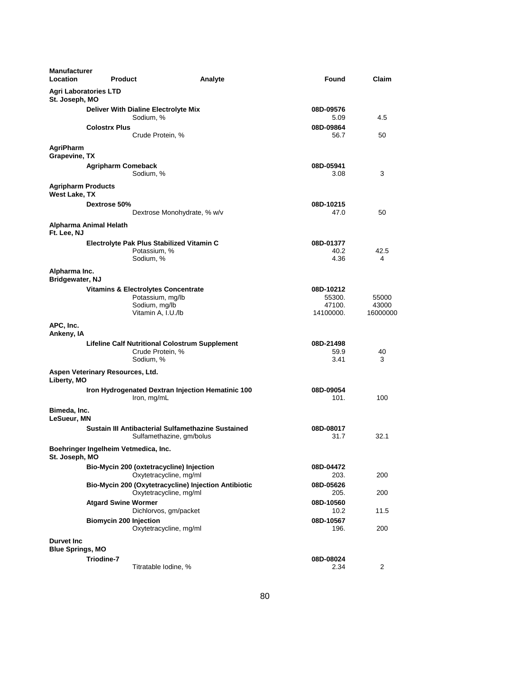| <b>Manufacturer</b><br><b>Location</b>       | <b>Product</b>                                         | Analyte                                                                        | Found                                      | Claim                      |
|----------------------------------------------|--------------------------------------------------------|--------------------------------------------------------------------------------|--------------------------------------------|----------------------------|
| St. Joseph, MO                               | <b>Agri Laboratories LTD</b>                           |                                                                                |                                            |                            |
|                                              | Deliver With Dialine Electrolyte Mix<br>Sodium, %      |                                                                                | 08D-09576<br>5.09                          | 4.5                        |
|                                              | <b>Colostrx Plus</b>                                   | Crude Protein, %                                                               | 08D-09864<br>56.7                          | 50                         |
| AgriPharm<br>Grapevine, TX                   |                                                        |                                                                                |                                            |                            |
|                                              | <b>Agripharm Comeback</b><br>Sodium, %                 |                                                                                | 08D-05941<br>3.08                          | 3                          |
| <b>Agripharm Products</b><br>West Lake, TX   |                                                        |                                                                                |                                            |                            |
|                                              | Dextrose 50%                                           | Dextrose Monohydrate, % w/v                                                    | 08D-10215<br>47.0                          | 50                         |
| Ft. Lee, NJ                                  | Alpharma Animal Helath                                 |                                                                                |                                            |                            |
|                                              | Electrolyte Pak Plus Stabilized Vitamin C<br>Sodium, % | Potassium, %                                                                   | 08D-01377<br>40.2<br>4.36                  | 42.5<br>4                  |
| Alpharma Inc.<br>Bridgewater, NJ             |                                                        |                                                                                |                                            |                            |
|                                              | <b>Vitamins &amp; Electrolytes Concentrate</b>         | Potassium, mg/lb<br>Sodium, mg/lb<br>Vitamin A, I.U./lb                        | 08D-10212<br>55300.<br>47100.<br>14100000. | 55000<br>43000<br>16000000 |
| APC, Inc.<br>Ankeny, IA                      |                                                        |                                                                                |                                            |                            |
|                                              | Sodium, %                                              | <b>Lifeline Calf Nutritional Colostrum Supplement</b><br>Crude Protein, %      | 08D-21498<br>59.9<br>3.41                  | 40<br>3                    |
| Liberty, MO                                  | Aspen Veterinary Resources, Ltd.                       |                                                                                |                                            |                            |
|                                              | Iron, mg/mL                                            | Iron Hydrogenated Dextran Injection Hematinic 100                              | 08D-09054<br>101.                          | 100                        |
| Bimeda, Inc.<br><b>LeSueur, MN</b>           |                                                        |                                                                                |                                            |                            |
|                                              |                                                        | Sustain III Antibacterial Sulfamethazine Sustained<br>Sulfamethazine, gm/bolus | 08D-08017<br>31.7                          | 32.1                       |
| St. Joseph, MO                               | Boehringer Ingelheim Vetmedica, Inc.                   |                                                                                |                                            |                            |
|                                              | Bio-Mycin 200 (oxtetracycline) Injection               | Oxytetracycline, mg/ml                                                         | 08D-04472<br>203.                          | 200                        |
|                                              |                                                        | Bio-Mycin 200 (Oxytetracycline) Injection Antibiotic<br>Oxytetracycline, mg/ml | 08D-05626<br>205.                          | 200                        |
|                                              | <b>Atgard Swine Wormer</b>                             | Dichlorvos, gm/packet                                                          | 08D-10560<br>10.2                          | 11.5                       |
|                                              | <b>Biomycin 200 Injection</b>                          | Oxytetracycline, mg/ml                                                         | 08D-10567<br>196.                          | 200                        |
| <b>Durvet Inc</b><br><b>Blue Springs, MO</b> |                                                        |                                                                                |                                            |                            |
|                                              | Triodine-7                                             | Titratable Iodine, %                                                           | 08D-08024<br>2.34                          | $\overline{2}$             |
|                                              |                                                        |                                                                                |                                            |                            |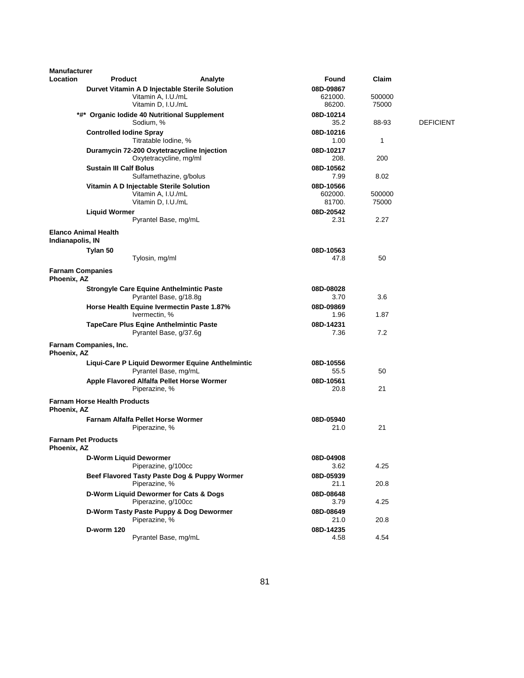| <b>Manufacturer</b>                    |                                     |                                                                      |         |                      |                 |                  |
|----------------------------------------|-------------------------------------|----------------------------------------------------------------------|---------|----------------------|-----------------|------------------|
| <b>Location</b>                        | <b>Product</b>                      |                                                                      | Analyte | Found                | Claim           |                  |
|                                        |                                     | Durvet Vitamin A D Injectable Sterile Solution<br>Vitamin A, I.U./mL |         | 08D-09867<br>621000. | 500000          |                  |
|                                        |                                     | Vitamin D, I.U./mL                                                   |         | 86200.               | 75000           |                  |
|                                        |                                     | *#* Organic lodide 40 Nutritional Supplement                         |         | 08D-10214            |                 |                  |
|                                        |                                     | Sodium, %                                                            |         | 35.2                 | 88-93           | <b>DEFICIENT</b> |
|                                        | <b>Controlled lodine Spray</b>      |                                                                      |         | 08D-10216            |                 |                  |
|                                        |                                     | Titratable Iodine, %                                                 |         | 1.00                 | 1               |                  |
|                                        |                                     | Duramycin 72-200 Oxytetracycline Injection                           |         | 08D-10217            |                 |                  |
|                                        |                                     | Oxytetracycline, mg/ml                                               |         | 208.                 | 200             |                  |
|                                        | <b>Sustain III Calf Bolus</b>       |                                                                      |         | 08D-10562            |                 |                  |
|                                        |                                     | Sulfamethazine, g/bolus                                              |         | 7.99                 | 8.02            |                  |
|                                        |                                     | Vitamin A D Injectable Sterile Solution                              |         | 08D-10566            |                 |                  |
|                                        |                                     | Vitamin A, I.U./mL<br>Vitamin D, I.U./mL                             |         | 602000.<br>81700.    | 500000<br>75000 |                  |
|                                        |                                     |                                                                      |         | 08D-20542            |                 |                  |
|                                        | <b>Liquid Wormer</b>                | Pyrantel Base, mg/mL                                                 |         | 2.31                 | 2.27            |                  |
|                                        |                                     |                                                                      |         |                      |                 |                  |
| Indianapolis, IN                       | <b>Elanco Animal Health</b>         |                                                                      |         |                      |                 |                  |
|                                        | Tylan 50                            |                                                                      |         | 08D-10563            |                 |                  |
|                                        |                                     | Tylosin, mg/ml                                                       |         | 47.8                 | 50              |                  |
| <b>Farnam Companies</b><br>Phoenix, AZ |                                     |                                                                      |         |                      |                 |                  |
|                                        |                                     | <b>Strongyle Care Equine Anthelmintic Paste</b>                      |         | 08D-08028            |                 |                  |
|                                        |                                     | Pyrantel Base, g/18.8g                                               |         | 3.70                 | 3.6             |                  |
|                                        |                                     | Horse Health Equine Ivermectin Paste 1.87%                           |         | 08D-09869            |                 |                  |
|                                        |                                     | Ivermectin, %                                                        |         | 1.96                 | 1.87            |                  |
|                                        |                                     | <b>TapeCare Plus Eqine Anthelmintic Paste</b>                        |         | 08D-14231            |                 |                  |
|                                        |                                     | Pyrantel Base, g/37.6g                                               |         | 7.36                 | 7.2             |                  |
| Phoenix, AZ                            | Farnam Companies, Inc.              |                                                                      |         |                      |                 |                  |
|                                        |                                     | Liqui-Care P Liquid Dewormer Equine Anthelmintic                     |         | 08D-10556            |                 |                  |
|                                        |                                     | Pyrantel Base, mg/mL                                                 |         | 55.5                 | 50              |                  |
|                                        |                                     | Apple Flavored Alfalfa Pellet Horse Wormer                           |         | 08D-10561            |                 |                  |
|                                        |                                     | Piperazine, %                                                        |         | 20.8                 | 21              |                  |
| Phoenix, AZ                            | <b>Farnam Horse Health Products</b> |                                                                      |         |                      |                 |                  |
|                                        |                                     | Farnam Alfalfa Pellet Horse Wormer                                   |         | 08D-05940            |                 |                  |
|                                        |                                     | Piperazine, %                                                        |         | 21.0                 | 21              |                  |
| Phoenix, AZ                            | <b>Farnam Pet Products</b>          |                                                                      |         |                      |                 |                  |
|                                        | <b>D-Worm Liquid Dewormer</b>       |                                                                      |         | 08D-04908            |                 |                  |
|                                        |                                     | Piperazine, g/100cc                                                  |         | 3.62                 | 4.25            |                  |
|                                        |                                     | Beef Flavored Tasty Paste Dog & Puppy Wormer                         |         | 08D-05939            |                 |                  |
|                                        |                                     | Piperazine, %                                                        |         | 21.1                 | 20.8            |                  |
|                                        |                                     | D-Worm Liquid Dewormer for Cats & Dogs                               |         | 08D-08648            |                 |                  |
|                                        |                                     | Piperazine, g/100cc                                                  |         | 3.79                 | 4.25            |                  |
|                                        |                                     | D-Worm Tasty Paste Puppy & Dog Dewormer                              |         | 08D-08649            |                 |                  |
|                                        |                                     | Piperazine, %                                                        |         | 21.0                 | 20.8            |                  |
|                                        | <b>D-worm 120</b>                   |                                                                      |         | 08D-14235            |                 |                  |
|                                        |                                     | Pyrantel Base, mg/mL                                                 |         | 4.58                 | 4.54            |                  |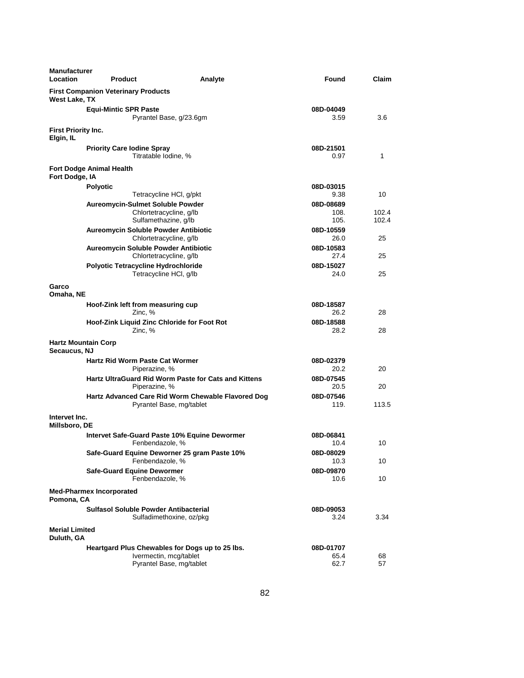| <b>Manufacturer</b><br>Location                             | <b>Product</b>                                            | Analyte                                                                   | Found             | Claim |
|-------------------------------------------------------------|-----------------------------------------------------------|---------------------------------------------------------------------------|-------------------|-------|
| <b>First Companion Veterinary Products</b><br>West Lake, TX |                                                           |                                                                           |                   |       |
|                                                             | <b>Equi-Mintic SPR Paste</b>                              | Pyrantel Base, g/23.6gm                                                   | 08D-04049<br>3.59 | 3.6   |
| First Priority Inc.<br>Elgin, IL                            |                                                           |                                                                           |                   |       |
|                                                             | <b>Priority Care Iodine Spray</b><br>Titratable Iodine, % |                                                                           | 08D-21501<br>0.97 | 1     |
| Fort Dodge Animal Health<br>Fort Dodge, IA                  |                                                           |                                                                           |                   |       |
| <b>Polyotic</b>                                             |                                                           |                                                                           | 08D-03015         |       |
|                                                             |                                                           | Tetracycline HCI, g/pkt                                                   | 9.38              | 10    |
|                                                             | <b>Aureomycin-Sulmet Soluble Powder</b>                   |                                                                           | 08D-08689         |       |
|                                                             |                                                           | Chlortetracycline, g/lb                                                   | 108.              | 102.4 |
|                                                             | Sulfamethazine, g/lb                                      |                                                                           | 105.              | 102.4 |
|                                                             | Aureomycin Soluble Powder Antibiotic                      |                                                                           | 08D-10559         |       |
|                                                             |                                                           | Chlortetracycline, g/lb                                                   | 26.0              | 25    |
|                                                             | Aureomycin Soluble Powder Antibiotic                      |                                                                           | 08D-10583         |       |
|                                                             |                                                           | Chlortetracycline, g/lb                                                   | 27.4              | 25    |
|                                                             | Polyotic Tetracycline Hydrochloride                       |                                                                           | 08D-15027         |       |
|                                                             |                                                           | Tetracycline HCI, g/lb                                                    | 24.0              | 25    |
| Garco<br>Omaha, NE                                          |                                                           |                                                                           |                   |       |
|                                                             | Hoof-Zink left from measuring cup                         |                                                                           | 08D-18587         |       |
|                                                             | Zinc, %                                                   |                                                                           | 26.2              | 28    |
|                                                             | Zinc, %                                                   | Hoof-Zink Liquid Zinc Chloride for Foot Rot                               | 08D-18588<br>28.2 | 28    |
| <b>Hartz Mountain Corp</b><br>Secaucus, NJ                  |                                                           |                                                                           |                   |       |
|                                                             | <b>Hartz Rid Worm Paste Cat Wormer</b><br>Piperazine, %   |                                                                           | 08D-02379<br>20.2 | 20    |
|                                                             | Piperazine, %                                             | <b>Hartz UltraGuard Rid Worm Paste for Cats and Kittens</b>               | 08D-07545<br>20.5 | 20    |
|                                                             |                                                           | Hartz Advanced Care Rid Worm Chewable Flavored Dog                        | 08D-07546         |       |
|                                                             |                                                           | Pyrantel Base, mg/tablet                                                  | 119.              | 113.5 |
| Intervet Inc.<br>Millsboro, DE                              |                                                           |                                                                           |                   |       |
|                                                             |                                                           | Intervet Safe-Guard Paste 10% Equine Dewormer                             | 08D-06841         |       |
|                                                             | Fenbendazole, %                                           |                                                                           | 10.4              | 10    |
|                                                             | Fenbendazole, %                                           | Safe-Guard Equine Deworner 25 gram Paste 10%                              | 08D-08029<br>10.3 | 10    |
|                                                             | <b>Safe-Guard Equine Dewormer</b><br>Fenbendazole, %      |                                                                           | 08D-09870<br>10.6 | 10    |
| <b>Med-Pharmex Incorporated</b><br>Pomona, CA               |                                                           |                                                                           |                   |       |
|                                                             | <b>Sulfasol Soluble Powder Antibacterial</b>              |                                                                           | 08D-09053         |       |
| <b>Merial Limited</b>                                       |                                                           | Sulfadimethoxine, oz/pkg                                                  | 3.24              | 3.34  |
| Duluth, GA                                                  |                                                           |                                                                           |                   |       |
|                                                             |                                                           | Heartgard Plus Chewables for Dogs up to 25 lbs.<br>Ivermectin, mcg/tablet | 08D-01707<br>65.4 | 68    |
|                                                             |                                                           | Pyrantel Base, mg/tablet                                                  | 62.7              | 57    |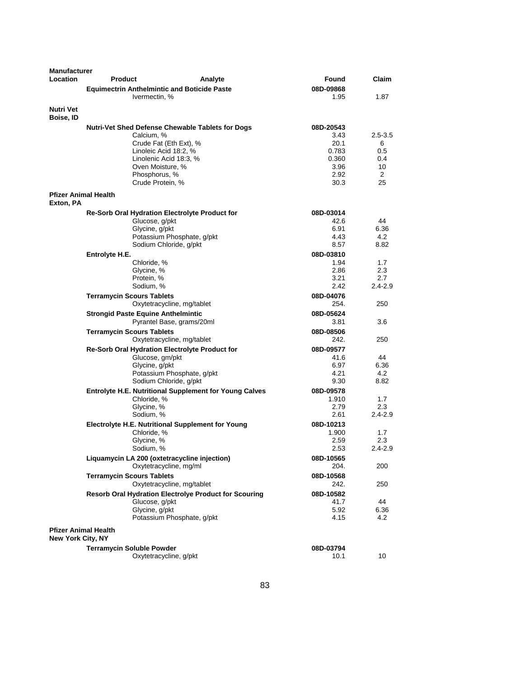| <b>Manufacturer</b><br>Location                         | <b>Product</b>                            | Analyte                                                           | Found             | Claim              |
|---------------------------------------------------------|-------------------------------------------|-------------------------------------------------------------------|-------------------|--------------------|
|                                                         |                                           | <b>Equimectrin Anthelmintic and Boticide Paste</b>                | 08D-09868         |                    |
|                                                         |                                           | Ivermectin, %                                                     | 1.95              | 1.87               |
| <b>Nutri Vet</b><br>Boise, ID                           |                                           |                                                                   |                   |                    |
|                                                         |                                           | <b>Nutri-Vet Shed Defense Chewable Tablets for Dogs</b>           | 08D-20543         |                    |
|                                                         |                                           | Calcium, %                                                        | 3.43              | $2.5 - 3.5$        |
|                                                         |                                           | Crude Fat (Eth Ext), %                                            | 20.1              | 6                  |
|                                                         |                                           | Linoleic Acid 18:2, %                                             | 0.783             | 0.5                |
|                                                         |                                           | Linolenic Acid 18:3, %                                            | 0.360             | 0.4                |
|                                                         |                                           | Oven Moisture, %                                                  | 3.96              | 10                 |
|                                                         |                                           | Phosphorus, %                                                     | 2.92              | 2                  |
|                                                         |                                           | Crude Protein, %                                                  | 30.3              | 25                 |
| <b>Pfizer Animal Health</b><br>Exton, PA                |                                           |                                                                   |                   |                    |
|                                                         |                                           | <b>Re-Sorb Oral Hydration Electrolyte Product for</b>             | 08D-03014         |                    |
|                                                         |                                           | Glucose, g/pkt                                                    | 42.6              | 44                 |
|                                                         |                                           | Glycine, g/pkt                                                    | 6.91              | 6.36               |
|                                                         |                                           | Potassium Phosphate, g/pkt                                        | 4.43              | 4.2                |
|                                                         |                                           | Sodium Chloride, g/pkt                                            | 8.57              | 8.82               |
|                                                         | Entrolyte H.E.                            |                                                                   | 08D-03810         |                    |
|                                                         |                                           | Chloride, %                                                       | 1.94              | 1.7                |
|                                                         |                                           | Glycine, %                                                        | 2.86              | 2.3                |
|                                                         |                                           | Protein, %<br>Sodium, %                                           | 3.21<br>2.42      | 2.7<br>$2.4 - 2.9$ |
|                                                         |                                           |                                                                   |                   |                    |
|                                                         | <b>Terramycin Scours Tablets</b>          | Oxytetracycline, mg/tablet                                        | 08D-04076<br>254. | 250                |
|                                                         |                                           |                                                                   |                   |                    |
|                                                         | <b>Strongid Paste Equine Anthelmintic</b> |                                                                   | 08D-05624         |                    |
|                                                         |                                           | Pyrantel Base, grams/20ml                                         | 3.81              | 3.6                |
|                                                         | <b>Terramycin Scours Tablets</b>          |                                                                   | 08D-08506<br>242. | 250                |
|                                                         |                                           | Oxytetracycline, mg/tablet                                        |                   |                    |
|                                                         |                                           | Re-Sorb Oral Hydration Electrolyte Product for<br>Glucose, gm/pkt | 08D-09577<br>41.6 | 44                 |
|                                                         |                                           | Glycine, g/pkt                                                    | 6.97              | 6.36               |
|                                                         |                                           | Potassium Phosphate, g/pkt                                        | 4.21              | 4.2                |
|                                                         |                                           | Sodium Chloride, g/pkt                                            | 9.30              | 8.82               |
|                                                         |                                           | <b>Entrolyte H.E. Nutritional Supplement for Young Calves</b>     | 08D-09578         |                    |
|                                                         |                                           | Chloride, %                                                       | 1.910             | 1.7                |
|                                                         |                                           | Glycine, %                                                        | 2.79              | 2.3                |
|                                                         |                                           | Sodium, %                                                         | 2.61              | $2.4 - 2.9$        |
|                                                         |                                           | Electrolyte H.E. Nutritional Supplement for Young                 | 08D-10213         |                    |
|                                                         |                                           | Chloride, %                                                       | 1.900             | 1.7                |
|                                                         |                                           | Glycine, %                                                        | 2.59              | 2.3                |
|                                                         |                                           | Sodium, %                                                         | 2.53              | $2.4 - 2.9$        |
|                                                         |                                           | Liquamycin LA 200 (oxtetracycline injection)                      | 08D-10565         |                    |
|                                                         |                                           | Oxytetracycline, mg/ml                                            | 204.              | 200                |
|                                                         | <b>Terramycin Scours Tablets</b>          |                                                                   | 08D-10568         |                    |
|                                                         |                                           | Oxytetracycline, mg/tablet                                        | 242.              | 250                |
|                                                         |                                           | Resorb Oral Hydration Electrolye Product for Scouring             | 08D-10582         |                    |
|                                                         |                                           | Glucose, g/pkt                                                    | 41.7              | 44                 |
|                                                         |                                           | Glycine, g/pkt                                                    | 5.92              | 6.36               |
|                                                         |                                           | Potassium Phosphate, g/pkt                                        | 4.15              | 4.2                |
| <b>Pfizer Animal Health</b><br><b>New York City, NY</b> |                                           |                                                                   |                   |                    |
|                                                         | <b>Terramycin Soluble Powder</b>          |                                                                   | 08D-03794         |                    |
|                                                         |                                           | Oxytetracycline, g/pkt                                            | 10.1              | 10                 |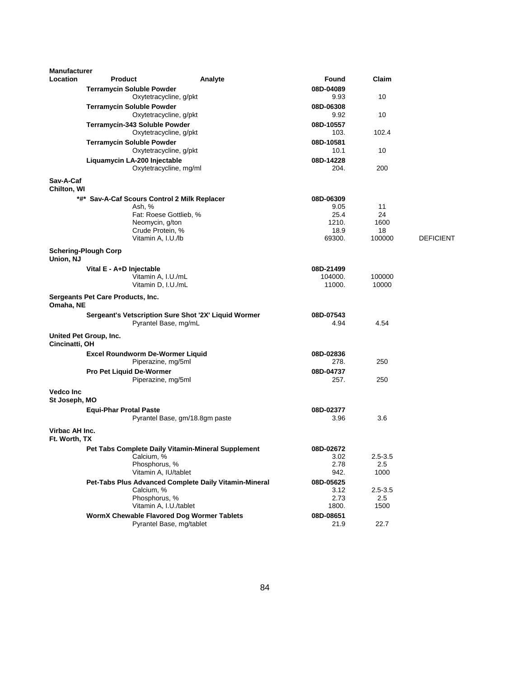| <b>Manufacturer</b>               |                                   |                                                            |                                                       |                   |             |                  |
|-----------------------------------|-----------------------------------|------------------------------------------------------------|-------------------------------------------------------|-------------------|-------------|------------------|
| <b>Location</b>                   | <b>Product</b>                    |                                                            | Analyte                                               | Found             | Claim       |                  |
|                                   |                                   | <b>Terramycin Soluble Powder</b><br>Oxytetracycline, g/pkt |                                                       | 08D-04089<br>9.93 | 10          |                  |
|                                   |                                   | <b>Terramycin Soluble Powder</b>                           |                                                       | 08D-06308         |             |                  |
|                                   |                                   | Oxytetracycline, g/pkt                                     |                                                       | 9.92              | 10          |                  |
|                                   |                                   | Terramycin-343 Soluble Powder                              |                                                       | 08D-10557         |             |                  |
|                                   |                                   | Oxytetracycline, g/pkt                                     |                                                       | 103.              | 102.4       |                  |
|                                   |                                   | <b>Terramycin Soluble Powder</b>                           |                                                       | 08D-10581         |             |                  |
|                                   |                                   | Oxytetracycline, g/pkt                                     |                                                       | 10.1              | 10          |                  |
|                                   |                                   | Liquamycin LA-200 Injectable                               |                                                       | 08D-14228         |             |                  |
|                                   |                                   | Oxytetracycline, mg/ml                                     |                                                       | 204.              | 200         |                  |
| Sav-A-Caf<br>Chilton, WI          |                                   |                                                            |                                                       |                   |             |                  |
|                                   |                                   | *#* Sav-A-Caf Scours Control 2 Milk Replacer               |                                                       | 08D-06309         |             |                  |
|                                   |                                   | Ash, %                                                     |                                                       | 9.05              | 11          |                  |
|                                   |                                   | Fat: Roese Gottlieb, %                                     |                                                       | 25.4              | 24          |                  |
|                                   |                                   | Neomycin, g/ton                                            |                                                       | 1210.             | 1600        |                  |
|                                   |                                   | Crude Protein, %                                           |                                                       | 18.9              | 18          |                  |
|                                   |                                   | Vitamin A, I.U./lb                                         |                                                       | 69300.            | 100000      | <b>DEFICIENT</b> |
| Union, NJ                         | <b>Schering-Plough Corp</b>       |                                                            |                                                       |                   |             |                  |
|                                   | Vital E - A+D Injectable          |                                                            |                                                       | 08D-21499         |             |                  |
|                                   |                                   | Vitamin A, I.U./mL                                         |                                                       | 104000.           | 100000      |                  |
|                                   |                                   | Vitamin D, I.U./mL                                         |                                                       | 11000.            | 10000       |                  |
| Omaha, NE                         | Sergeants Pet Care Products, Inc. |                                                            |                                                       |                   |             |                  |
|                                   |                                   | Sergeant's Vetscription Sure Shot '2X' Liquid Wormer       |                                                       | 08D-07543         |             |                  |
|                                   |                                   | Pyrantel Base, mg/mL                                       |                                                       | 4.94              | 4.54        |                  |
| Cincinatti, OH                    | United Pet Group, Inc.            |                                                            |                                                       |                   |             |                  |
|                                   |                                   | <b>Excel Roundworm De-Wormer Liquid</b>                    |                                                       | 08D-02836         |             |                  |
|                                   |                                   | Piperazine, mg/5ml                                         |                                                       | 278.              | 250         |                  |
|                                   | <b>Pro Pet Liquid De-Wormer</b>   |                                                            |                                                       | 08D-04737         |             |                  |
|                                   |                                   | Piperazine, mg/5ml                                         |                                                       | 257.              | 250         |                  |
| <b>Vedco Inc</b><br>St Joseph, MO |                                   |                                                            |                                                       |                   |             |                  |
|                                   | <b>Equi-Phar Protal Paste</b>     |                                                            |                                                       | 08D-02377         |             |                  |
|                                   |                                   | Pyrantel Base, gm/18.8gm paste                             |                                                       | 3.96              | 3.6         |                  |
| Virbac AH Inc.<br>Ft. Worth, TX   |                                   |                                                            |                                                       |                   |             |                  |
|                                   |                                   | Pet Tabs Complete Daily Vitamin-Mineral Supplement         |                                                       | 08D-02672         |             |                  |
|                                   |                                   | Calcium, %                                                 |                                                       | 3.02              | $2.5 - 3.5$ |                  |
|                                   |                                   | Phosphorus, %                                              |                                                       | 2.78              | 2.5         |                  |
|                                   |                                   | Vitamin A, IU/tablet                                       |                                                       | 942.              | 1000        |                  |
|                                   |                                   |                                                            | Pet-Tabs Plus Advanced Complete Daily Vitamin-Mineral | 08D-05625         |             |                  |
|                                   |                                   | Calcium, %                                                 |                                                       | 3.12              | $2.5 - 3.5$ |                  |
|                                   |                                   | Phosphorus, %                                              |                                                       | 2.73              | 2.5         |                  |
|                                   |                                   | Vitamin A, I.U./tablet                                     |                                                       | 1800.             | 1500        |                  |
|                                   |                                   | WormX Chewable Flavored Dog Wormer Tablets                 |                                                       | 08D-08651         |             |                  |
|                                   |                                   | Pyrantel Base, mg/tablet                                   |                                                       | 21.9              | 22.7        |                  |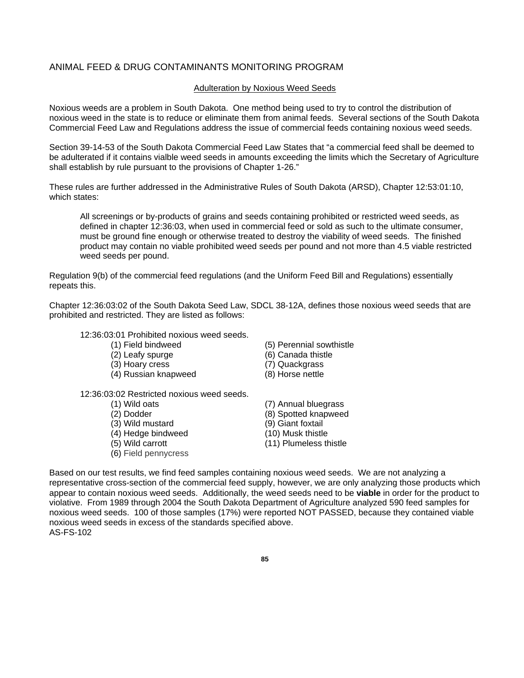#### ANIMAL FEED & DRUG CONTAMINANTS MONITORING PROGRAM

#### Adulteration by Noxious Weed Seeds

Noxious weeds are a problem in South Dakota. One method being used to try to control the distribution of noxious weed in the state is to reduce or eliminate them from animal feeds. Several sections of the South Dakota Commercial Feed Law and Regulations address the issue of commercial feeds containing noxious weed seeds.

Section 39-14-53 of the South Dakota Commercial Feed Law States that "a commercial feed shall be deemed to be adulterated if it contains vialble weed seeds in amounts exceeding the limits which the Secretary of Agriculture shall establish by rule pursuant to the provisions of Chapter 1-26."

These rules are further addressed in the Administrative Rules of South Dakota (ARSD), Chapter 12:53:01:10, which states:

All screenings or by-products of grains and seeds containing prohibited or restricted weed seeds, as defined in chapter 12:36:03, when used in commercial feed or sold as such to the ultimate consumer, must be ground fine enough or otherwise treated to destroy the viability of weed seeds. The finished product may contain no viable prohibited weed seeds per pound and not more than 4.5 viable restricted weed seeds per pound.

Regulation 9(b) of the commercial feed regulations (and the Uniform Feed Bill and Regulations) essentially repeats this.

Chapter 12:36:03:02 of the South Dakota Seed Law, SDCL 38-12A, defines those noxious weed seeds that are prohibited and restricted. They are listed as follows:

12:36:03:01 Prohibited noxious weed seeds.

- 
- 
- (3) Hoary cress (7) Quackgrass
- (4) Russian knapweed (8) Horse nettle

12:36:03:02 Restricted noxious weed seeds.

- 
- 
- 
- $(4)$  Hedge bindweed<br>(5) Wild carrott
- 
- (6) Field pennycress
- (1) Field bindweed (5) Perennial sowthistle
- (2) Leafy spurge (6) Canada thistle
	-
	-
- (1) Wild oats (7) Annual bluegrass (2) Dodder (8) Spotted knapweed<br>
(3) Wild mustard (9) Giant foxtail (3) Wild mustard (9) Giant foxtail<br>
(4) Hedge bindweed (10) Musk thistle (11) Plumeless thistle

Based on our test results, we find feed samples containing noxious weed seeds. We are not analyzing a representative cross-section of the commercial feed supply, however, we are only analyzing those products which appear to contain noxious weed seeds. Additionally, the weed seeds need to be **viable** in order for the product to violative. From 1989 through 2004 the South Dakota Department of Agriculture analyzed 590 feed samples for noxious weed seeds. 100 of those samples (17%) were reported NOT PASSED, because they contained viable noxious weed seeds in excess of the standards specified above. AS-FS-102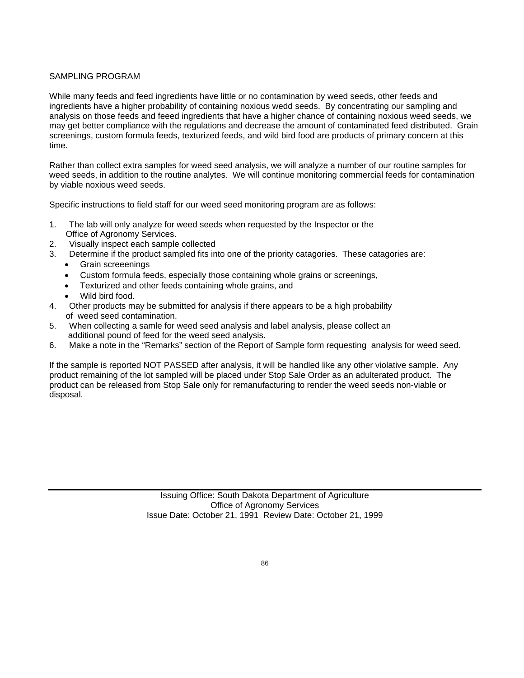#### SAMPLING PROGRAM

While many feeds and feed ingredients have little or no contamination by weed seeds, other feeds and ingredients have a higher probability of containing noxious wedd seeds. By concentrating our sampling and analysis on those feeds and feeed ingredients that have a higher chance of containing noxious weed seeds, we may get better compliance with the regulations and decrease the amount of contaminated feed distributed. Grain screenings, custom formula feeds, texturized feeds, and wild bird food are products of primary concern at this time.

Rather than collect extra samples for weed seed analysis, we will analyze a number of our routine samples for weed seeds, in addition to the routine analytes. We will continue monitoring commercial feeds for contamination by viable noxious weed seeds.

Specific instructions to field staff for our weed seed monitoring program are as follows:

- 1. The lab will only analyze for weed seeds when requested by the Inspector or the Office of Agronomy Services.
- 2. Visually inspect each sample collected
- 3. Determine if the product sampled fits into one of the priority catagories. These catagories are:
	- Grain screeenings
	- Custom formula feeds, especially those containing whole grains or screenings,
	- Texturized and other feeds containing whole grains, and
	- Wild bird food.
- 4. Other products may be submitted for analysis if there appears to be a high probability of weed seed contamination.
- 5. When collecting a samle for weed seed analysis and label analysis, please collect an additional pound of feed for the weed seed analysis.
- 6. Make a note in the "Remarks" section of the Report of Sample form requesting analysis for weed seed.

If the sample is reported NOT PASSED after analysis, it will be handled like any other violative sample. Any product remaining of the lot sampled will be placed under Stop Sale Order as an adulterated product. The product can be released from Stop Sale only for remanufacturing to render the weed seeds non-viable or disposal.

> Issuing Office: South Dakota Department of Agriculture Office of Agronomy Services Issue Date: October 21, 1991 Review Date: October 21, 1999